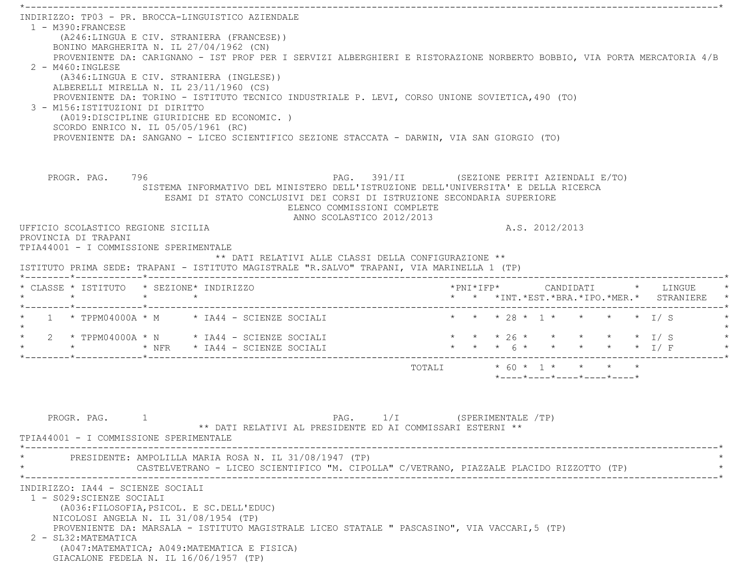$\mathcal{L}^{\mathcal{L}}(\mathcal{L}^{\mathcal{L}}(\mathcal{L}^{\mathcal{L}}(\mathcal{L}^{\mathcal{L}}(\mathcal{L}^{\mathcal{L}}(\mathcal{L}^{\mathcal{L}}(\mathcal{L}^{\mathcal{L}}(\mathcal{L}^{\mathcal{L}}(\mathcal{L}^{\mathcal{L}}(\mathcal{L}^{\mathcal{L}}(\mathcal{L}^{\mathcal{L}}(\mathcal{L}^{\mathcal{L}}(\mathcal{L}^{\mathcal{L}}(\mathcal{L}^{\mathcal{L}}(\mathcal{L}^{\mathcal{L}}(\mathcal{L}^{\mathcal{L}}(\mathcal{L}^{\mathcal{L$  INDIRIZZO: TP03 - PR. BROCCA-LINGUISTICO AZIENDALE 1 - M390:FRANCESE (A246:LINGUA E CIV. STRANIERA (FRANCESE)) BONINO MARGHERITA N. IL 27/04/1962 (CN) PROVENIENTE DA: CARIGNANO - IST PROF PER I SERVIZI ALBERGHIERI E RISTORAZIONE NORBERTO BOBBIO, VIA PORTA MERCATORIA 4/ B $2 - M460 \cdot INGIERSE$  (A346:LINGUA E CIV. STRANIERA (INGLESE)) ALBERELLI MIRELLA N. IL 23/11/1960 (CS) PROVENIENTE DA: TORINO - ISTITUTO TECNICO INDUSTRIALE P. LEVI, CORSO UNIONE SOVIETICA,490 (TO) 3 - M156:ISTITUZIONI DI DIRITTO (A019:DISCIPLINE GIURIDICHE ED ECONOMIC. ) SCORDO ENRICO N. IL 05/05/1961 (RC) PROVENIENTE DA: SANGANO - LICEO SCIENTIFICO SEZIONE STACCATA - DARWIN, VIA SAN GIORGIO (TO) PROGR. PAG. 796 PAG. 391/II (SEZIONE PERITI AZIENDALI E/TO) SISTEMA INFORMATIVO DEL MINISTERO DELL'ISTRUZIONE DELL'UNIVERSITA' E DELLA RICERCA ESAMI DI STATO CONCLUSIVI DEI CORSI DI ISTRUZIONE SECONDARIA SUPERIORE ELENCO COMMISSIONI COMPLETE ANNO SCOLASTICO 2012/2013 UFFICIO SCOLASTICO REGIONE SICILIA A.S. 2012/2013 PROVINCIA DI TRAPANI TPIA44001 - I COMMISSIONE SPERIMENTALE \*\* DATI RELATIVI ALLE CLASSI DELLA CONFIGURAZIONE \*\* ISTITUTO PRIMA SEDE: TRAPANI - ISTITUTO MAGISTRALE "R.SALVO" TRAPANI, VIA MARINELLA 1 (TP) \*--------\*------------\*-------------------------------------------------------------------------------------------------------\* \* CLASSE \* ISTITUTO \* SEZIONE\* INDIRIZZO \*PNI\*IFP\* CANDIDATI \* LINGUE \* \* \* \* \* \* \* \*INT.\*EST.\*BRA.\*IPO.\*MER.\* STRANIERE \* \*--------\*------------\*-------------------------------------------------------------------------------------------------------\*1 \* TPPM04000A \* M \* IA44 - SCIENZE SOCIALI \* \* \* \* 28 \* 1 \* \* \* \* \* \* 1/ S  $\star$  $2*$  TPPM04000A  $*$  N  $*$  IA44 - SCIENZE SOCIALI \* \* \* NFR \* IA44 - SCIENZE SOCIALI \* \* \* 6 \* \* \* \* \* I/ F \* \*--------\*------------\*-------------------------------------------------------------------------------------------------------\*TOTALI  $* 60 * 1 * * * * * * * *$  \*----\*----\*----\*----\*----\*PROGR. PAG. 1 1 PAG. 2 PAG. 1/I (SPERIMENTALE /TP) \*\* DATI RELATIVI AL PRESIDENTE ED AI COMMISSARI ESTERNI \*\* TPIA44001 - I COMMISSIONE SPERIMENTALE \*----------------------------------------------------------------------------------------------------------------------------\*PRESIDENTE: AMPOLILLA MARIA ROSA N. IL 31/08/1947 (TP) CASTELVETRANO - LICEO SCIENTIFICO "M. CIPOLLA" C/VETRANO, PIAZZALE PLACIDO RIZZOTTO (TP) \*----------------------------------------------------------------------------------------------------------------------------\* INDIRIZZO: IA44 - SCIENZE SOCIALI 1 - S029:SCIENZE SOCIALI (A036:FILOSOFIA,PSICOL. E SC.DELL'EDUC) NICOLOSI ANGELA N. IL 31/08/1954 (TP) PROVENIENTE DA: MARSALA - ISTITUTO MAGISTRALE LICEO STATALE " PASCASINO", VIA VACCARI,5 (TP) 2 - SL32:MATEMATICA (A047:MATEMATICA; A049:MATEMATICA E FISICA) GIACALONE FEDELA N. IL 16/06/1957 (TP)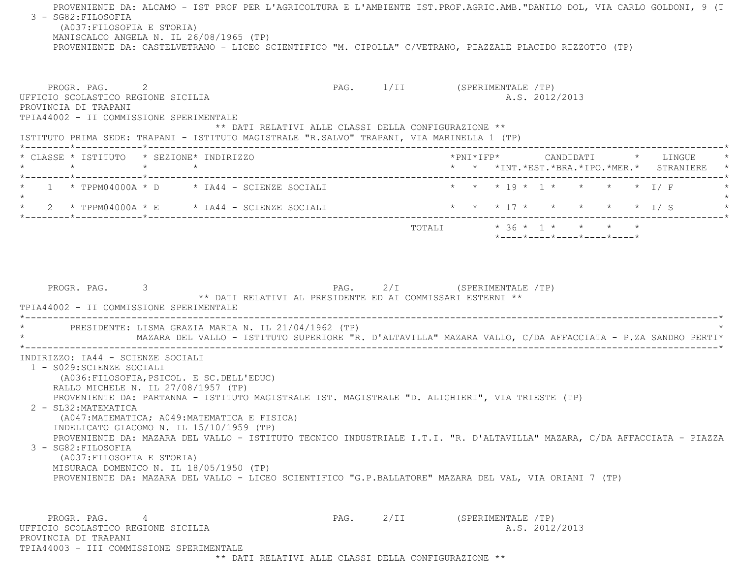PROVENIENTE DA: ALCAMO - IST PROF PER L'AGRICOLTURA E L'AMBIENTE IST.PROF.AGRIC.AMB."DANILO DOL, VIA CARLO GOLDONI, 9 (T 3 - SG82:FILOSOFIA (A037:FILOSOFIA E STORIA) MANISCALCO ANGELA N. IL 26/08/1965 (TP) PROVENIENTE DA: CASTELVETRANO - LICEO SCIENTIFICO "M. CIPOLLA" C/VETRANO, PIAZZALE PLACIDO RIZZOTTO (TP) PROGR. PAG. 2 2 PAG. 1/II (SPERIMENTALE /TP) UFFICIO SCOLASTICO REGIONE SICILIA A.S. 2012/2013 PROVINCIA DI TRAPANI TPIA44002 - II COMMISSIONE SPERIMENTALE \*\* DATI RELATIVI ALLE CLASSI DELLA CONFIGURAZIONE \*\* ISTITUTO PRIMA SEDE: TRAPANI - ISTITUTO MAGISTRALE "R.SALVO" TRAPANI, VIA MARINELLA 1 (TP) \*--------\*------------\*-------------------------------------------------------------------------------------------------------\* \* CLASSE \* ISTITUTO \* SEZIONE\* INDIRIZZO \*PNI\*IFP\* CANDIDATI \* LINGUE \* \* \* \* \* \* \* \*INT.\*EST.\*BRA.\*IPO.\*MER.\* STRANIERE \* \*--------\*------------\*-------------------------------------------------------------------------------------------------------\*1 \* TPPM04000A \* D \* IA44 - SCIENZE SOCIALI \* \* \* \* 19 \* 1 \* \* \* \* \* 1/ F  $\star$  \* 2 \* TPPM04000A \* E \* IA44 - SCIENZE SOCIALI \* \* \* 17 \* \* \* \* \* I/ S \* \*--------\*------------\*-------------------------------------------------------------------------------------------------------\* $\texttt{TOTALL} \qquad \qquad \star\;\;36\;\star\;\;1\;\star\;\; \qquad \star\;\;\;\;\star\;\;\;\;\star\;\;\;\;\star\;\;\;\;\;\star\;\;\;\;\;\star\;\;\;\;\;\star\;\;\;\;\;\star\;\;\;\;\star\;\;\;\;\star\;\;\;\;\star\;\;\;\;\star\;\;\;\;\star\;\;\;\;\star\;\;\;\;\star\;\;\;\;\star\;\;\;\star\;\;\;\star\;\;\;\star\;\;\;\star\;\;\;\star\;\;\;\star\;\;\;\star\;\;\;\star\;\;\;\star\;\;\;\star\;\;\;\star\;\;\;\star\;\;\;\star\;\;\;\star\;\;\;\star\;\;\;\star\;\;\;\star\;\;\$  \*----\*----\*----\*----\*----\*PROGR. PAG. 3 3 2/I (SPERIMENTALE /TP) \*\* DATI RELATIVI AL PRESIDENTE ED AI COMMISSARI ESTERNI \*\* TPIA44002 - II COMMISSIONE SPERIMENTALE \*----------------------------------------------------------------------------------------------------------------------------\*PRESIDENTE: LISMA GRAZIA MARIA N. IL 21/04/1962 (TP) \* MAZARA DEL VALLO - ISTITUTO SUPERIORE "R. D'ALTAVILLA" MAZARA VALLO, C/DA AFFACCIATA - P.ZA SANDRO PERTI\* \*----------------------------------------------------------------------------------------------------------------------------\* INDIRIZZO: IA44 - SCIENZE SOCIALI 1 - S029:SCIENZE SOCIALI (A036:FILOSOFIA,PSICOL. E SC.DELL'EDUC) RALLO MICHELE N. IL 27/08/1957 (TP) PROVENIENTE DA: PARTANNA - ISTITUTO MAGISTRALE IST. MAGISTRALE "D. ALIGHIERI", VIA TRIESTE (TP) 2 - SL32:MATEMATICA (A047:MATEMATICA; A049:MATEMATICA E FISICA) INDELICATO GIACOMO N. IL 15/10/1959 (TP) PROVENIENTE DA: MAZARA DEL VALLO - ISTITUTO TECNICO INDUSTRIALE I.T.I. "R. D'ALTAVILLA" MAZARA, C/DA AFFACCIATA - PIAZZA 3 - SG82:FILOSOFIA (A037:FILOSOFIA E STORIA) MISURACA DOMENICO N. IL 18/05/1950 (TP) PROVENIENTE DA: MAZARA DEL VALLO - LICEO SCIENTIFICO "G.P.BALLATORE" MAZARA DEL VAL, VIA ORIANI 7 (TP) PROGR. PAG. 4 4 2/II (SPERIMENTALE /TP) UFFICIO SCOLASTICO REGIONE SICILIA A.S. 2012/2013 PROVINCIA DI TRAPANITPIA44003 - III COMMISSIONE SPERIMENTALE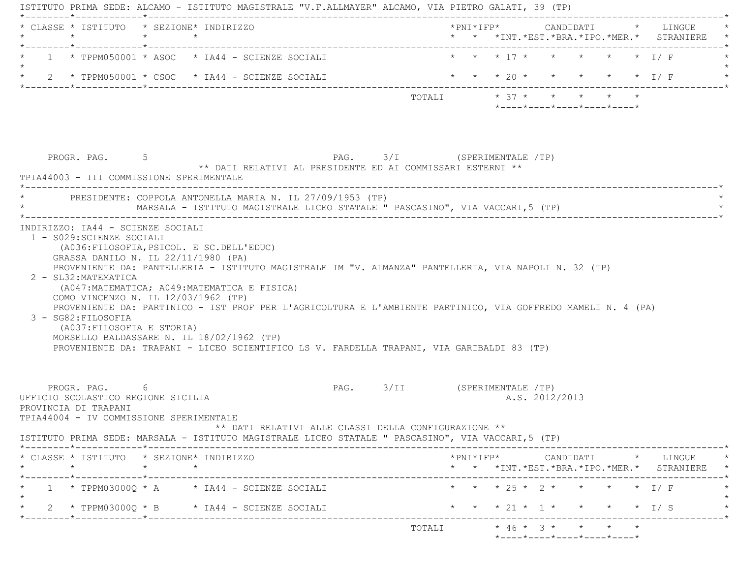|                                                                                                                        | * CLASSE * ISTITUTO * SEZIONE* INDIRIZZO                                                                                                                                                                                                               |                              |                          |                                                                 |  | *PNI*IFP* CANDIDATI * LINGUE                                                                                                                       |
|------------------------------------------------------------------------------------------------------------------------|--------------------------------------------------------------------------------------------------------------------------------------------------------------------------------------------------------------------------------------------------------|------------------------------|--------------------------|-----------------------------------------------------------------|--|----------------------------------------------------------------------------------------------------------------------------------------------------|
|                                                                                                                        | $1 \times$ TPPM050001 $*$ ASOC $*$ IA44 - SCIENZE SOCIALI                                                                                                                                                                                              |                              | * * * 17 * * * * * * I/F |                                                                 |  |                                                                                                                                                    |
|                                                                                                                        | 2 $\star$ TPPM050001 $\star$ CSOC $\star$ IA44 - SCIENZE SOCIALI                                                                                                                                                                                       |                              |                          |                                                                 |  | * * * 20 * * * * * * I/ F                                                                                                                          |
|                                                                                                                        |                                                                                                                                                                                                                                                        |                              | TOTALI * 37 * * * * * *  | $*$ - - - - $*$ - - - - $*$ - - - - $*$ - - - - $*$ - - - - $*$ |  |                                                                                                                                                    |
| PROGR. PAG. 5<br>TPIA44003 - III COMMISSIONE SPERIMENTALE                                                              | ** DATI RELATIVI AL PRESIDENTE ED AI COMMISSARI ESTERNI **<br>PRESIDENTE: COPPOLA ANTONELLA MARIA N. IL 27/09/1953 (TP)                                                                                                                                | PAG. 3/I (SPERIMENTALE /TP)  |                          |                                                                 |  |                                                                                                                                                    |
|                                                                                                                        | MARSALA - ISTITUTO MAGISTRALE LICEO STATALE " PASCASINO", VIA VACCARI,5 (TP)                                                                                                                                                                           |                              |                          |                                                                 |  |                                                                                                                                                    |
| 2 - SL32: MATEMATICA                                                                                                   | PROVENIENTE DA: PANTELLERIA - ISTITUTO MAGISTRALE IM "V. ALMANZA" PANTELLERIA, VIA NAPOLI N. 32 (TP)<br>(A047:MATEMATICA; A049:MATEMATICA E FISICA)                                                                                                    |                              |                          |                                                                 |  |                                                                                                                                                    |
| COMO VINCENZO N. IL 12/03/1962 (TP)<br>3 - SG82: FILOSOFIA<br>(A037: FILOSOFIA E STORIA)                               | PROVENIENTE DA: PARTINICO - IST PROF PER L'AGRICOLTURA E L'AMBIENTE PARTINICO, VIA GOFFREDO MAMELI N. 4 (PA)<br>MORSELLO BALDASSARE N. IL 18/02/1962 (TP)<br>PROVENIENTE DA: TRAPANI - LICEO SCIENTIFICO LS V. FARDELLA TRAPANI, VIA GARIBALDI 83 (TP) |                              |                          |                                                                 |  |                                                                                                                                                    |
| PROGR. PAG. 6<br>UFFICIO SCOLASTICO REGIONE SICILIA<br>PROVINCIA DI TRAPANI<br>TPIA44004 - IV COMMISSIONE SPERIMENTALE | ** DATI RELATIVI ALLE CLASSI DELLA CONFIGURAZIONE **                                                                                                                                                                                                   | PAG. 3/II (SPERIMENTALE /TP) |                          | A.S. 2012/2013                                                  |  |                                                                                                                                                    |
|                                                                                                                        | ISTITUTO PRIMA SEDE: MARSALA - ISTITUTO MAGISTRALE LICEO STATALE " PASCASINO", VIA VACCARI, 5 (TP)                                                                                                                                                     |                              |                          |                                                                 |  |                                                                                                                                                    |
| * CLASSE * ISTITUTO * SEZIONE* INDIRIZZO                                                                               |                                                                                                                                                                                                                                                        |                              |                          |                                                                 |  | $*PNI*IFP* \qquad \qquad \text{CANDIDATI} \qquad \qquad * \qquad \text{LINGUE} \qquad \qquad *$<br>* * *INT. *EST. *BRA. *IPO. *MER. * STRANIERE * |
|                                                                                                                        | $1 * TPPM03000Q * A * IA44 - SCIENZE SOCIALI$                                                                                                                                                                                                          |                              | * * * 25 * 2 *           |                                                                 |  | $\star$ $\star$ $\perp$ $\perp$ $\perp$                                                                                                            |
|                                                                                                                        | 2 * TPPM03000Q * B * IA44 - SCIENZE SOCIALI                                                                                                                                                                                                            |                              |                          |                                                                 |  | * * * 21 * 1 * * * * * I/S                                                                                                                         |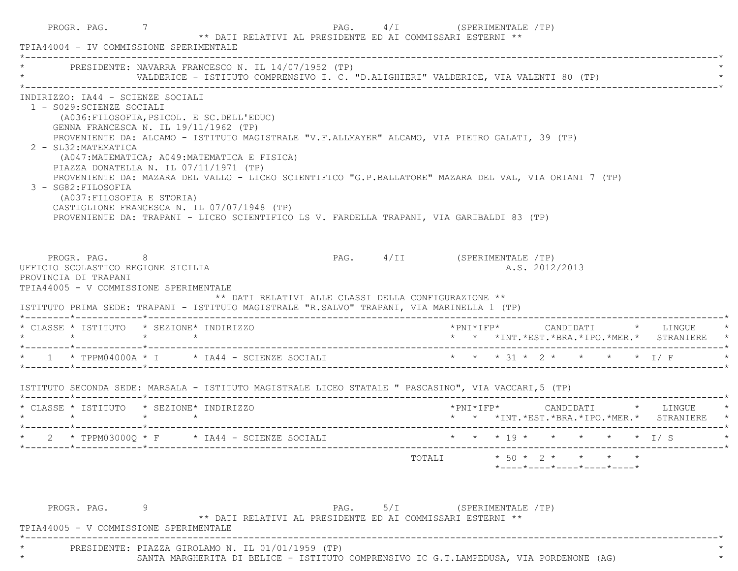|                                                                                                               | PRESIDENTE: NAVARRA FRANCESCO N. IL 14/07/1952 (TP)<br>VALDERICE - ISTITUTO COMPRENSIVO I. C. "D.ALIGHIERI" VALDERICE, VIA VALENTI 80 (TP)                                                                                                                                                                                                                                                                                                                                                                                                                        |                                                      |                                                                                 |  |                |  |                                                                                            |
|---------------------------------------------------------------------------------------------------------------|-------------------------------------------------------------------------------------------------------------------------------------------------------------------------------------------------------------------------------------------------------------------------------------------------------------------------------------------------------------------------------------------------------------------------------------------------------------------------------------------------------------------------------------------------------------------|------------------------------------------------------|---------------------------------------------------------------------------------|--|----------------|--|--------------------------------------------------------------------------------------------|
| INDIRIZZO: IA44 - SCIENZE SOCIALI<br>1 - S029: SCIENZE SOCIALI<br>2 - SL32: MATEMATICA<br>3 - SG82: FILOSOFIA | (A036: FILOSOFIA, PSICOL. E SC. DELL'EDUC)<br>GENNA FRANCESCA N. IL 19/11/1962 (TP)<br>PROVENIENTE DA: ALCAMO - ISTITUTO MAGISTRALE "V.F.ALLMAYER" ALCAMO, VIA PIETRO GALATI, 39 (TP)<br>(A047:MATEMATICA; A049:MATEMATICA E FISICA)<br>PIAZZA DONATELLA N. IL 07/11/1971 (TP)<br>PROVENIENTE DA: MAZARA DEL VALLO - LICEO SCIENTIFICO "G.P.BALLATORE" MAZARA DEL VAL, VIA ORIANI 7 (TP)<br>(A037:FILOSOFIA E STORIA)<br>CASTIGLIONE FRANCESCA N. IL 07/07/1948 (TP)<br>PROVENIENTE DA: TRAPANI - LICEO SCIENTIFICO LS V. FARDELLA TRAPANI, VIA GARIBALDI 83 (TP) |                                                      |                                                                                 |  |                |  |                                                                                            |
|                                                                                                               |                                                                                                                                                                                                                                                                                                                                                                                                                                                                                                                                                                   |                                                      |                                                                                 |  |                |  |                                                                                            |
| UFFICIO SCOLASTICO REGIONE SICILIA<br>PROVINCIA DI TRAPANI                                                    | PROGR. PAG. 8<br>TPIA44005 - V COMMISSIONE SPERIMENTALE<br>ISTITUTO PRIMA SEDE: TRAPANI - ISTITUTO MAGISTRALE "R.SALVO" TRAPANI, VIA MARINELLA 1 (TP)                                                                                                                                                                                                                                                                                                                                                                                                             | ** DATI RELATIVI ALLE CLASSI DELLA CONFIGURAZIONE ** | PAG. 4/II (SPERIMENTALE /TP)                                                    |  | A.S. 2012/2013 |  |                                                                                            |
| $\star$ $\star$ $\star$ $\star$                                                                               | * CLASSE * ISTITUTO * SEZIONE* INDIRIZZO                                                                                                                                                                                                                                                                                                                                                                                                                                                                                                                          |                                                      |                                                                                 |  |                |  | *PNI*IFP* CANDIDATI * LINGUE<br>* * *INT.*EST.*BRA.*IPO.*MER.* STRANIERE *                 |
|                                                                                                               | * 1 * TPPM04000A * I * IA44 - SCIENZE SOCIALI * * * * 31 * 2 * * * * * 1/ F                                                                                                                                                                                                                                                                                                                                                                                                                                                                                       |                                                      |                                                                                 |  |                |  |                                                                                            |
|                                                                                                               | ISTITUTO SECONDA SEDE: MARSALA - ISTITUTO MAGISTRALE LICEO STATALE " PASCASINO", VIA VACCARI, 5 (TP)                                                                                                                                                                                                                                                                                                                                                                                                                                                              |                                                      |                                                                                 |  |                |  |                                                                                            |
|                                                                                                               | * CLASSE * ISTITUTO * SEZIONE* INDIRIZZO                                                                                                                                                                                                                                                                                                                                                                                                                                                                                                                          |                                                      |                                                                                 |  |                |  | $*$ PNI $*$ IFP $*$ CANDIDATI $*$ LINGUE $*$<br>* * *INT.*EST.*BRA.*IPO.*MER.* STRANIERE * |
|                                                                                                               | 2 * TPPM03000Q * F * IA44 - SCIENZE SOCIALI                                                                                                                                                                                                                                                                                                                                                                                                                                                                                                                       |                                                      | $\star$ $\star$ $\star$ 19 $\star$ $\star$ $\star$ $\star$ $\star$ $\star$ 1/ S |  |                |  |                                                                                            |

\* SANTA MARGHERITA DI BELICE - ISTITUTO COMPRENSIVO IC G.T.LAMPEDUSA, VIA PORDENONE (AG) \*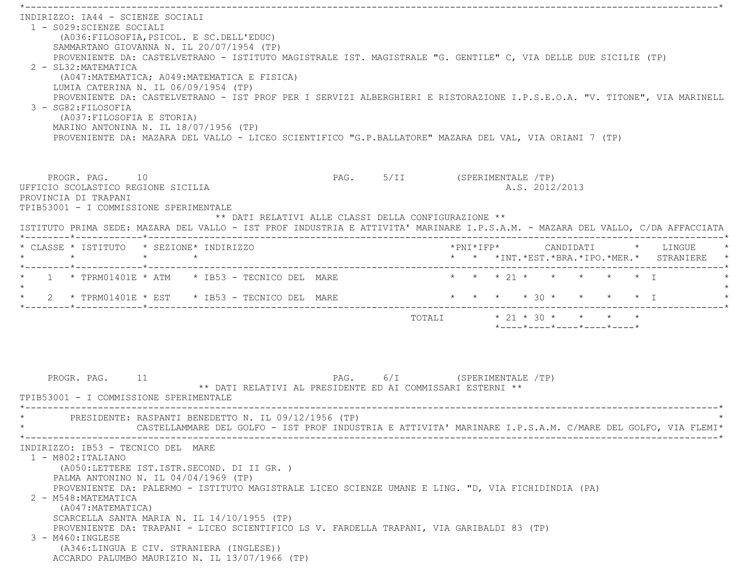\*----------------------------------------------------------------------------------------------------------------------------\* INDIRIZZO: IA44 - SCIENZE SOCIALI 1 - S029:SCIENZE SOCIALI (A036:FILOSOFIA,PSICOL. E SC.DELL'EDUC) SAMMARTANO GIOVANNA N. IL 20/07/1954 (TP) PROVENIENTE DA: CASTELVETRANO - ISTITUTO MAGISTRALE IST. MAGISTRALE "G. GENTILE" C, VIA DELLE DUE SICILIE (TP) 2 - SL32:MATEMATICA (A047:MATEMATICA; A049:MATEMATICA E FISICA) LUMIA CATERINA N. IL 06/09/1954 (TP) PROVENIENTE DA: CASTELVETRANO - IST PROF PER I SERVIZI ALBERGHIERI E RISTORAZIONE I.P.S.E.O.A. "V. TITONE", VIA MARINELL 3 - SG82:FILOSOFIA (A037:FILOSOFIA E STORIA) MARINO ANTONINA N. IL 18/07/1956 (TP) PROVENIENTE DA: MAZARA DEL VALLO - LICEO SCIENTIFICO "G.P.BALLATORE" MAZARA DEL VAL, VIA ORIANI 7 (TP) PROGR. PAG. 10 10 PAG. PAG. 5/II (SPERIMENTALE /TP) UFFICIO SCOLASTICO REGIONE SICILIA A.S. 2012/2013 PROVINCIA DI TRAPANI TPIB53001 - I COMMISSIONE SPERIMENTALE \*\* DATI RELATIVI ALLE CLASSI DELLA CONFIGURAZIONE \*\* ISTITUTO PRIMA SEDE: MAZARA DEL VALLO - IST PROF INDUSTRIA E ATTIVITA' MARINARE I.P.S.A.M. - MAZARA DEL VALLO, C/DA AFFACCIATA \*--------\*------------\*-------------------------------------------------------------------------------------------------------\* \* CLASSE \* ISTITUTO \* SEZIONE\* INDIRIZZO \*PNI\*IFP\* CANDIDATI \* LINGUE \* \* \* \* \* \* \* \*INT.\*EST.\*BRA.\*IPO.\*MER.\* STRANIERE \* \*--------\*------------\*-------------------------------------------------------------------------------------------------------\*\* 1 \* TPRM01401E \* ATM \* IB53 - TECNICO DEL MARE \* \* \* \* 21 \* \* \* \* \* \* \* I  $\star$ \* 2 \* TPRM01401E \* EST \* IB53 - TECNICO DEL MARE \* \* \* \* \* \* 30 \* \* \* \* \* \* I \*--------\*------------\*-------------------------------------------------------------------------------------------------------\*TOTALI  $* 21 * 30 * * * * * * *$  \*----\*----\*----\*----\*----\*PROGR. PAG. 11 PAG. 6/I (SPERIMENTALE /TP) \*\* DATI RELATIVI AL PRESIDENTE ED AI COMMISSARI ESTERNI \*\* TPIB53001 - I COMMISSIONE SPERIMENTALE \*----------------------------------------------------------------------------------------------------------------------------\*PRESIDENTE: RASPANTI BENEDETTO N. IL 09/12/1956 (TP) \* CASTELLAMMARE DEL GOLFO - IST PROF INDUSTRIA E ATTIVITA' MARINARE I.P.S.A.M. C/MARE DEL GOLFO, VIA FLEMI\* \*----------------------------------------------------------------------------------------------------------------------------\* INDIRIZZO: IB53 - TECNICO DEL MARE 1 - M802:ITALIANO (A050:LETTERE IST.ISTR.SECOND. DI II GR. ) PALMA ANTONINO N. IL 04/04/1969 (TP) PROVENIENTE DA: PALERMO - ISTITUTO MAGISTRALE LICEO SCIENZE UMANE E LING. "D, VIA FICHIDINDIA (PA) 2 - M548:MATEMATICA (A047:MATEMATICA) SCARCELLA SANTA MARIA N. IL 14/10/1955 (TP) PROVENIENTE DA: TRAPANI - LICEO SCIENTIFICO LS V. FARDELLA TRAPANI, VIA GARIBALDI 83 (TP) 3 - M460:INGLESE (A346:LINGUA E CIV. STRANIERA (INGLESE)) ACCARDO PALUMBO MAURIZIO N. IL 13/07/1966 (TP)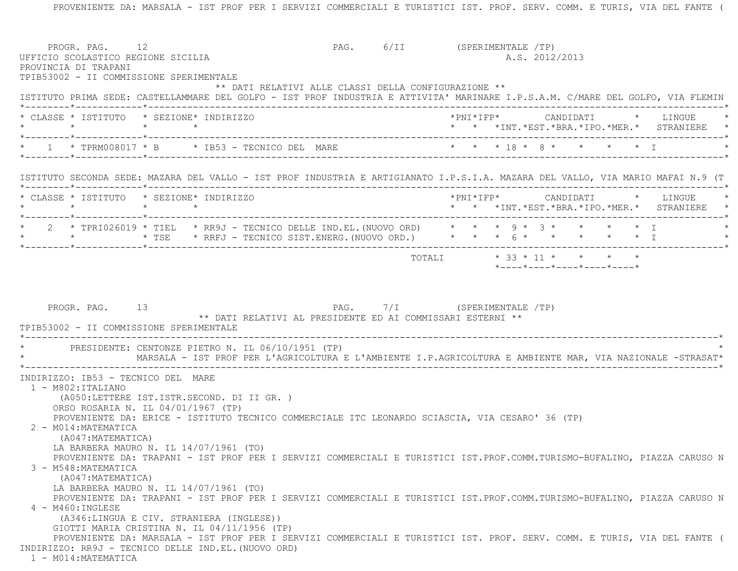|                                                                 | PROGR. PAG. 12<br>UFFICIO SCOLASTICO REGIONE SICILIA                                                                                                                    | PAG. 6/II (SPERIMENTALE /TP) | A.S. 2012/2013 |  |                                                 |
|-----------------------------------------------------------------|-------------------------------------------------------------------------------------------------------------------------------------------------------------------------|------------------------------|----------------|--|-------------------------------------------------|
| PROVINCIA DI TRAPANI<br>TPIB53002 - II COMMISSIONE SPERIMENTALE |                                                                                                                                                                         |                              |                |  |                                                 |
|                                                                 | ** DATI RELATIVI ALLE CLASSI DELLA CONFIGURAZIONE **                                                                                                                    |                              |                |  |                                                 |
|                                                                 | ISTITUTO PRIMA SEDE: CASTELLAMMARE DEL GOLFO - IST PROF INDUSTRIA E ATTIVITA' MARINARE I.P.S.A.M. C/MARE DEL GOLFO, VIA FLEMIN                                          |                              |                |  |                                                 |
| * CLASSE * ISTITUTO * SEZIONE* INDIRIZZO<br>$\star$ $\star$     | $\star$ $\star$                                                                                                                                                         |                              |                |  | * * *INT. *EST. *BRA. *IPO. *MER. * STRANIERE * |
|                                                                 | 1 * TPRM008017 * B * IB53 - TECNICO DEL MARE * * * * 18 * 8 * * * * * * T                                                                                               |                              |                |  |                                                 |
|                                                                 | ISTITUTO SECONDA SEDE: MAZARA DEL VALLO - IST PROF INDUSTRIA E ARTIGIANATO I.P.S.I.A. MAZARA DEL VALLO, VIA MARIO MAFAI N.9 (T                                          |                              |                |  |                                                 |
|                                                                 | * CLASSE * ISTITUTO * SEZIONE* INDIRIZZO                                                                                                                                |                              |                |  | * * *INT. *EST. *BRA. *IPO. *MER. * STRANIERE * |
|                                                                 | 2 * TPRI026019 * TIEL * RR9J - TECNICO DELLE IND.EL. (NUOVO ORD) * * * 9 * 3 * * * * * * I                                                                              |                              |                |  |                                                 |
|                                                                 |                                                                                                                                                                         |                              |                |  |                                                 |
| PROGR. PAG. 13                                                  |                                                                                                                                                                         |                              |                |  |                                                 |
|                                                                 | ** DATI RELATIVI AL PRESIDENTE ED AI COMMISSARI ESTERNI **                                                                                                              | PAG. 7/I (SPERIMENTALE /TP)  |                |  |                                                 |
| TPIB53002 - II COMMISSIONE SPERIMENTALE                         | * PRESIDENTE: CENTONZE PIETRO N. IL 06/10/1951 (TP)<br>MARSALA - IST PROF PER L'AGRICOLTURA E L'AMBIENTE I.P.AGRICOLTURA E AMBIENTE MAR, VIA NAZIONALE -STRASAT*        |                              |                |  |                                                 |
|                                                                 |                                                                                                                                                                         |                              |                |  |                                                 |
| $1 - M802 : ITALIANO$                                           |                                                                                                                                                                         |                              |                |  |                                                 |
| INDIRIZZO: IB53 - TECNICO DEL MARE                              | (A050:LETTERE IST.ISTR.SECOND. DI II GR. )<br>ORSO ROSARIA N. IL 04/01/1967 (TP)                                                                                        |                              |                |  |                                                 |
| 2 - M014: MATEMATICA                                            | PROVENIENTE DA: ERICE - ISTITUTO TECNICO COMMERCIALE ITC LEONARDO SCIASCIA, VIA CESARO' 36 (TP)                                                                         |                              |                |  |                                                 |
| (A047: MATEMATICA)                                              |                                                                                                                                                                         |                              |                |  |                                                 |
|                                                                 | LA BARBERA MAURO N. IL 14/07/1961 (TO)<br>PROVENIENTE DA: TRAPANI - IST PROF PER I SERVIZI COMMERCIALI E TURISTICI IST.PROF.COMM.TURISMO-BUFALINO, PIAZZA CARUSO N      |                              |                |  |                                                 |
| 3 - M548: MATEMATICA<br>(A047: MATEMATICA)                      |                                                                                                                                                                         |                              |                |  |                                                 |
|                                                                 | LA BARBERA MAURO N. IL 14/07/1961 (TO)<br>PROVENIENTE DA: TRAPANI - IST PROF PER I SERVIZI COMMERCIALI E TURISTICI IST.PROF.COMM.TURISMO-BUFALINO, PIAZZA CARUSO N      |                              |                |  |                                                 |
| 4 - M460: INGLESE                                               | (A346:LINGUA E CIV. STRANIERA (INGLESE))                                                                                                                                |                              |                |  |                                                 |
|                                                                 | GIOTTI MARIA CRISTINA N. IL 04/11/1956 (TP)<br>PROVENIENTE DA: MARSALA - IST PROF PER I SERVIZI COMMERCIALI E TURISTICI IST. PROF. SERV. COMM. E TURIS, VIA DEL FANTE ( |                              |                |  |                                                 |

PROVENIENTE DA: MARSALA - IST PROF PER I SERVIZI COMMERCIALI E TURISTICI IST. PROF. SERV. COMM. E TURIS, VIA DEL FANTE (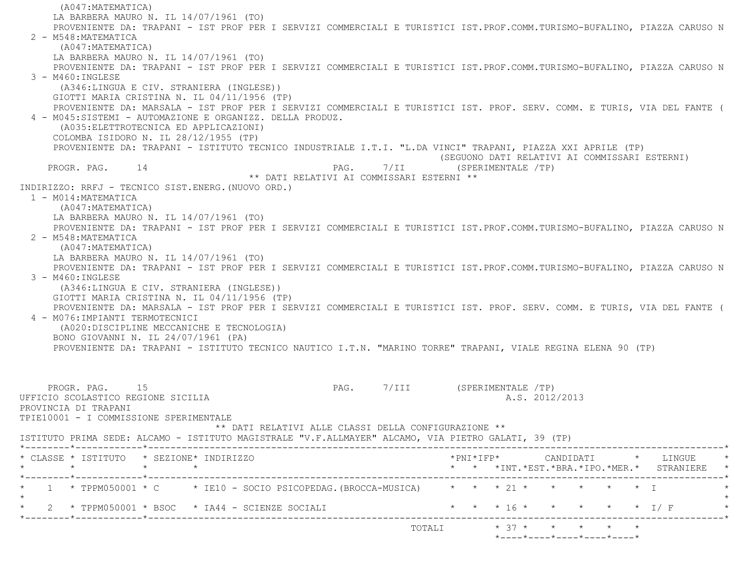(A047:MATEMATICA) LA BARBERA MAURO N. IL 14/07/1961 (TO) PROVENIENTE DA: TRAPANI - IST PROF PER I SERVIZI COMMERCIALI E TURISTICI IST.PROF.COMM.TURISMO-BUFALINO, PIAZZA CARUSO N 2 - M548:MATEMATICA (A047:MATEMATICA) LA BARBERA MAURO N. IL 14/07/1961 (TO) PROVENIENTE DA: TRAPANI - IST PROF PER I SERVIZI COMMERCIALI E TURISTICI IST.PROF.COMM.TURISMO-BUFALINO, PIAZZA CARUSO N 3 - M460:INGLESE (A346:LINGUA E CIV. STRANIERA (INGLESE)) GIOTTI MARIA CRISTINA N. IL 04/11/1956 (TP) PROVENIENTE DA: MARSALA - IST PROF PER I SERVIZI COMMERCIALI E TURISTICI IST. PROF. SERV. COMM. E TURIS, VIA DEL FANTE ( 4 - M045:SISTEMI - AUTOMAZIONE E ORGANIZZ. DELLA PRODUZ. (A035:ELETTROTECNICA ED APPLICAZIONI) COLOMBA ISIDORO N. IL 28/12/1955 (TP) PROVENIENTE DA: TRAPANI - ISTITUTO TECNICO INDUSTRIALE I.T.I. "L.DA VINCI" TRAPANI, PIAZZA XXI APRILE (TP) (SEGUONO DATI RELATIVI AI COMMISSARI ESTERNI)<br>PAG. 7/II (SPERIMENTALE /TP) PAG.  $7/II$  (SPERIMENTALE /TP) \*\* DATI RELATIVI AI COMMISSARI ESTERNI \*\* INDIRIZZO: RRFJ - TECNICO SIST.ENERG.(NUOVO ORD.) 1 - M014:MATEMATICA (A047:MATEMATICA) LA BARBERA MAURO N. IL 14/07/1961 (TO) PROVENIENTE DA: TRAPANI - IST PROF PER I SERVIZI COMMERCIALI E TURISTICI IST.PROF.COMM.TURISMO-BUFALINO, PIAZZA CARUSO N 2 - M548:MATEMATICA (A047:MATEMATICA) LA BARBERA MAURO N. IL 14/07/1961 (TO) PROVENIENTE DA: TRAPANI - IST PROF PER I SERVIZI COMMERCIALI E TURISTICI IST.PROF.COMM.TURISMO-BUFALINO, PIAZZA CARUSO N 3 - M460:INGLESE (A346:LINGUA E CIV. STRANIERA (INGLESE)) GIOTTI MARIA CRISTINA N. IL 04/11/1956 (TP) PROVENIENTE DA: MARSALA - IST PROF PER I SERVIZI COMMERCIALI E TURISTICI IST. PROF. SERV. COMM. E TURIS, VIA DEL FANTE ( 4 - M076:IMPIANTI TERMOTECNICI (A020:DISCIPLINE MECCANICHE E TECNOLOGIA) BONO GIOVANNI N. IL 24/07/1961 (PA) PROVENIENTE DA: TRAPANI - ISTITUTO TECNICO NAUTICO I.T.N. "MARINO TORRE" TRAPANI, VIALE REGINA ELENA 90 (TP) PROGR. PAG. 15 2009 15 PAG. 7/III (SPERIMENTALE 7TP) UFFICIO SCOLASTICO REGIONE SICILIA A.S. 2012/2013 PROVINCIA DI TRAPANI TPIE10001 - I COMMISSIONE SPERIMENTALE \*\* DATI RELATIVI ALLE CLASSI DELLA CONFIGURAZIONE \*\* ISTITUTO PRIMA SEDE: ALCAMO - ISTITUTO MAGISTRALE "V.F.ALLMAYER" ALCAMO, VIA PIETRO GALATI, 39 (TP) \*--------\*------------\*-------------------------------------------------------------------------------------------------------\* \* CLASSE \* ISTITUTO \* SEZIONE\* INDIRIZZO \*PNI\*IFP\* CANDIDATI \* LINGUE \* \* \* \* \* \* \* \*INT.\*EST.\*BRA.\*IPO.\*MER.\* STRANIERE \* \*--------\*------------\*-------------------------------------------------------------------------------------------------------\*1 \* TPPM050001 \* C \* IE10 - SOCIO PSICOPEDAG.(BROCCA-MUSICA) \* \* \* \* 21 \* \* \* \* \* \* \* T  $\star$ \* 2 \* TPPM050001 \* BSOC \* IA44 - SCIENZE SOCIALI \* \* \* \* 16 \* \* \* \* \* \* \* \* 1/ F \*--------\*------------\*-------------------------------------------------------------------------------------------------------\*TOTALI  $* 37 * * * * * * * * * *$ \*----\*----\*----\*----\*----\*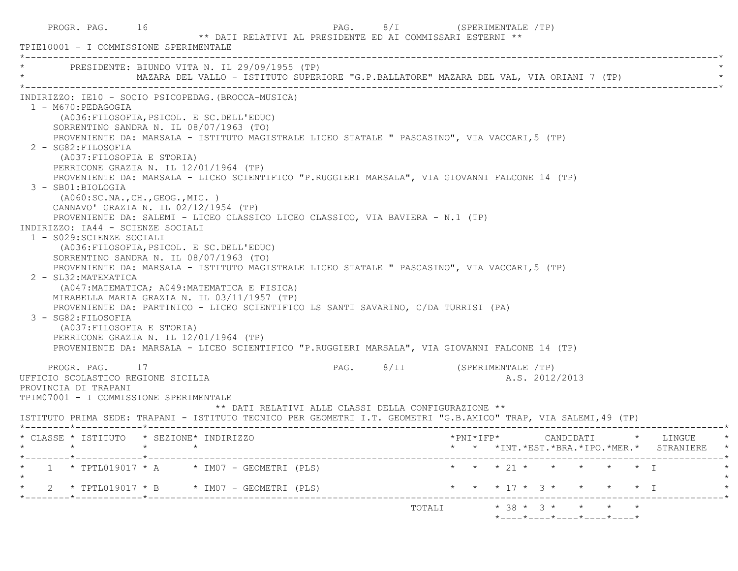| PROGR. PAG. 16<br>** DATI RELATIVI AL PRESIDENTE ED AI COMMISSARI ESTERNI **<br>TPIE10001 - I COMMISSIONE SPERIMENTALE                                                                                                                                                                                                                                                                                                                                                                                                                                                                                                                                                                                                                                                                                                                                                                                                                                                                                                                                                                                                                                                                                                                                                                                                               | PAG. 8/I (SPERIMENTALE /TP)                                                                       |
|--------------------------------------------------------------------------------------------------------------------------------------------------------------------------------------------------------------------------------------------------------------------------------------------------------------------------------------------------------------------------------------------------------------------------------------------------------------------------------------------------------------------------------------------------------------------------------------------------------------------------------------------------------------------------------------------------------------------------------------------------------------------------------------------------------------------------------------------------------------------------------------------------------------------------------------------------------------------------------------------------------------------------------------------------------------------------------------------------------------------------------------------------------------------------------------------------------------------------------------------------------------------------------------------------------------------------------------|---------------------------------------------------------------------------------------------------|
| * PRESIDENTE: BIUNDO VITA N. IL 29/09/1955 (TP)<br>MAZARA DEL VALLO - ISTITUTO SUPERIORE "G.P.BALLATORE" MAZARA DEL VAL, VIA ORIANI 7 (TP)                                                                                                                                                                                                                                                                                                                                                                                                                                                                                                                                                                                                                                                                                                                                                                                                                                                                                                                                                                                                                                                                                                                                                                                           |                                                                                                   |
| INDIRIZZO: IE10 - SOCIO PSICOPEDAG. (BROCCA-MUSICA)<br>1 - M670:PEDAGOGIA<br>(A036: FILOSOFIA, PSICOL. E SC. DELL'EDUC)<br>SORRENTINO SANDRA N. IL 08/07/1963 (TO)<br>PROVENIENTE DA: MARSALA - ISTITUTO MAGISTRALE LICEO STATALE " PASCASINO", VIA VACCARI, 5 (TP)<br>2 - SG82: FILOSOFIA<br>(A037: FILOSOFIA E STORIA)<br>PERRICONE GRAZIA N. IL 12/01/1964 (TP)<br>PROVENIENTE DA: MARSALA - LICEO SCIENTIFICO "P.RUGGIERI MARSALA", VIA GIOVANNI FALCONE 14 (TP)<br>3 - SB01:BIOLOGIA<br>(AO60:SC.NA., CH., GEOG., MIC. )<br>CANNAVO' GRAZIA N. IL 02/12/1954 (TP)<br>PROVENIENTE DA: SALEMI - LICEO CLASSICO LICEO CLASSICO, VIA BAVIERA - N.1 (TP)<br>INDIRIZZO: IA44 - SCIENZE SOCIALI<br>1 - S029: SCIENZE SOCIALI<br>(A036: FILOSOFIA, PSICOL. E SC. DELL'EDUC)<br>SORRENTINO SANDRA N. IL 08/07/1963 (TO)<br>PROVENIENTE DA: MARSALA - ISTITUTO MAGISTRALE LICEO STATALE " PASCASINO", VIA VACCARI, 5 (TP)<br>2 - SL32: MATEMATICA<br>(A047: MATEMATICA; A049: MATEMATICA E FISICA)<br>MIRABELLA MARIA GRAZIA N. IL 03/11/1957 (TP)<br>PROVENIENTE DA: PARTINICO - LICEO SCIENTIFICO LS SANTI SAVARINO, C/DA TURRISI (PA)<br>3 - SG82: FILOSOFIA<br>(A037: FILOSOFIA E STORIA)<br>PERRICONE GRAZIA N. IL 12/01/1964 (TP)<br>PROVENIENTE DA: MARSALA - LICEO SCIENTIFICO "P.RUGGIERI MARSALA", VIA GIOVANNI FALCONE 14 (TP) |                                                                                                   |
| PROGR. PAG. 17<br>UFFICIO SCOLASTICO REGIONE SICILIA<br>PROVINCIA DI TRAPANI<br>TPIM07001 - I COMMISSIONE SPERIMENTALE<br>** DATI RELATIVI ALLE CLASSI DELLA CONFIGURAZIONE **<br>ISTITUTO PRIMA SEDE: TRAPANI - ISTITUTO TECNICO PER GEOMETRI I.T. GEOMETRI "G.B.AMICO" TRAP, VIA SALEMI, 49 (TP)                                                                                                                                                                                                                                                                                                                                                                                                                                                                                                                                                                                                                                                                                                                                                                                                                                                                                                                                                                                                                                   | PAG. 8/II (SPERIMENTALE /TP)<br>A.S. 2012/2013                                                    |
| * CLASSE * ISTITUTO * SEZIONE* INDIRIZZO<br>$\star$                                                                                                                                                                                                                                                                                                                                                                                                                                                                                                                                                                                                                                                                                                                                                                                                                                                                                                                                                                                                                                                                                                                                                                                                                                                                                  | $*$ PNI $*$ IFP $*$<br>CANDIDATI * LINGUE<br>* * *INT. *EST. *BRA. *IPO. *MER. * STRANIERE *      |
| $1 * TPTL019017 * A * IM07 - GEOMETRYI (PLS)$                                                                                                                                                                                                                                                                                                                                                                                                                                                                                                                                                                                                                                                                                                                                                                                                                                                                                                                                                                                                                                                                                                                                                                                                                                                                                        | * * * 21 * * * * * * I                                                                            |
| 2 * TPTL019017 * B * IM07 - GEOMETRI (PLS)<br>TOTALI                                                                                                                                                                                                                                                                                                                                                                                                                                                                                                                                                                                                                                                                                                                                                                                                                                                                                                                                                                                                                                                                                                                                                                                                                                                                                 | * * * 17 * 3 *<br>$\star$ $\star$ $\perp$<br>$* 38 * 3 * * * * * *$<br>*----*----*----*----*----* |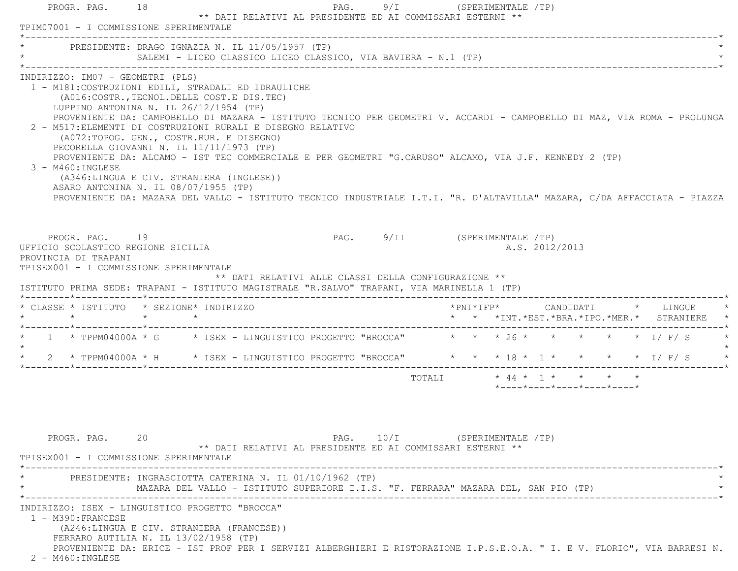| PRESIDENTE: DRAGO IGNAZIA N. IL 11/05/1957 (TP)                                                                                                                                                                                                                              |                                                                                                                                                                                                                                                                                                                                                                                                                                                                                                                                                      |                                                      |                              |        |                       |                |                                                                                                 |  |                                               |
|------------------------------------------------------------------------------------------------------------------------------------------------------------------------------------------------------------------------------------------------------------------------------|------------------------------------------------------------------------------------------------------------------------------------------------------------------------------------------------------------------------------------------------------------------------------------------------------------------------------------------------------------------------------------------------------------------------------------------------------------------------------------------------------------------------------------------------------|------------------------------------------------------|------------------------------|--------|-----------------------|----------------|-------------------------------------------------------------------------------------------------|--|-----------------------------------------------|
|                                                                                                                                                                                                                                                                              | SALEMI - LICEO CLASSICO LICEO CLASSICO, VIA BAVIERA - N.1 (TP)                                                                                                                                                                                                                                                                                                                                                                                                                                                                                       |                                                      |                              |        |                       |                |                                                                                                 |  |                                               |
| INDIRIZZO: IM07 - GEOMETRI (PLS)<br>1 - M181: COSTRUZIONI EDILI, STRADALI ED IDRAULICHE<br>LUPPINO ANTONINA N. IL 26/12/1954 (TP)<br>2 - M517: ELEMENTI DI COSTRUZIONI RURALI E DISEGNO RELATIVO<br>3 - M460: INGLESE<br>ASARO ANTONINA N. IL 08/07/1955 (TP)                | (A016: COSTR., TECNOL. DELLE COST. E DIS. TEC)<br>PROVENIENTE DA: CAMPOBELLO DI MAZARA - ISTITUTO TECNICO PER GEOMETRI V. ACCARDI - CAMPOBELLO DI MAZ, VIA ROMA - PROLUNGA<br>(A072:TOPOG. GEN., COSTR.RUR. E DISEGNO)<br>PECORELLA GIOVANNI N. IL 11/11/1973 (TP)<br>PROVENIENTE DA: ALCAMO - IST TEC COMMERCIALE E PER GEOMETRI "G.CARUSO" ALCAMO, VIA J.F. KENNEDY 2 (TP)<br>(A346:LINGUA E CIV. STRANIERA (INGLESE))<br>PROVENIENTE DA: MAZARA DEL VALLO - ISTITUTO TECNICO INDUSTRIALE I.T.I. "R. D'ALTAVILLA" MAZARA, C/DA AFFACCIATA - PIAZZA |                                                      |                              |        |                       |                |                                                                                                 |  |                                               |
| PROGR. PAG. 19<br>UFFICIO SCOLASTICO REGIONE SICILIA<br>PROVINCIA DI TRAPANI<br>TPISEX001 - I COMMISSIONE SPERIMENTALE                                                                                                                                                       |                                                                                                                                                                                                                                                                                                                                                                                                                                                                                                                                                      |                                                      | PAG. 9/II (SPERIMENTALE /TP) |        |                       | A.S. 2012/2013 |                                                                                                 |  |                                               |
|                                                                                                                                                                                                                                                                              |                                                                                                                                                                                                                                                                                                                                                                                                                                                                                                                                                      | ** DATI RELATIVI ALLE CLASSI DELLA CONFIGURAZIONE ** |                              |        | $*$ PNI $*$ I F P $*$ |                | CANDIDATI * LINGUE                                                                              |  |                                               |
|                                                                                                                                                                                                                                                                              |                                                                                                                                                                                                                                                                                                                                                                                                                                                                                                                                                      |                                                      |                              |        |                       |                |                                                                                                 |  |                                               |
|                                                                                                                                                                                                                                                                              |                                                                                                                                                                                                                                                                                                                                                                                                                                                                                                                                                      |                                                      |                              |        |                       |                |                                                                                                 |  |                                               |
| 2 * TPPM04000A * H * ISEX - LINGUISTICO PROGETTO "BROCCA" * * * 18 * 1 * * * * * I/F/S *                                                                                                                                                                                     |                                                                                                                                                                                                                                                                                                                                                                                                                                                                                                                                                      |                                                      |                              |        |                       |                |                                                                                                 |  |                                               |
|                                                                                                                                                                                                                                                                              |                                                                                                                                                                                                                                                                                                                                                                                                                                                                                                                                                      |                                                      |                              | TOTALI |                       |                | $\star$ 44 $\star$ 1 $\star$ $\star$ $\star$ $\star$<br>$*$ ---- $*$ ---- $*$ ---- $*$ ---- $*$ |  |                                               |
| PROGR. PAG. 20                                                                                                                                                                                                                                                               | ** DATI RELATIVI AL PRESIDENTE ED AI COMMISSARI ESTERNI **                                                                                                                                                                                                                                                                                                                                                                                                                                                                                           |                                                      | PAG. 10/I (SPERIMENTALE /TP) |        |                       |                |                                                                                                 |  | * * *INT. *EST. *BRA. *IPO. *MER. * STRANIERE |
| ISTITUTO PRIMA SEDE: TRAPANI - ISTITUTO MAGISTRALE "R.SALVO" TRAPANI, VIA MARINELLA 1 (TP)<br>* CLASSE * ISTITUTO * SEZIONE* INDIRIZZO<br>* 1 * TPPM04000A * G * ISEX - LINGUISTICO PROGETTO "BROCCA" * * * 26 * * * * * * * I/F/S<br>TPISEX001 - I COMMISSIONE SPERIMENTALE | PRESIDENTE: INGRASCIOTTA CATERINA N. IL 01/10/1962 (TP)<br>MAZARA DEL VALLO - ISTITUTO SUPERIORE I.I.S. "F. FERRARA" MAZARA DEL, SAN PIO (TP)                                                                                                                                                                                                                                                                                                                                                                                                        |                                                      |                              |        |                       |                |                                                                                                 |  |                                               |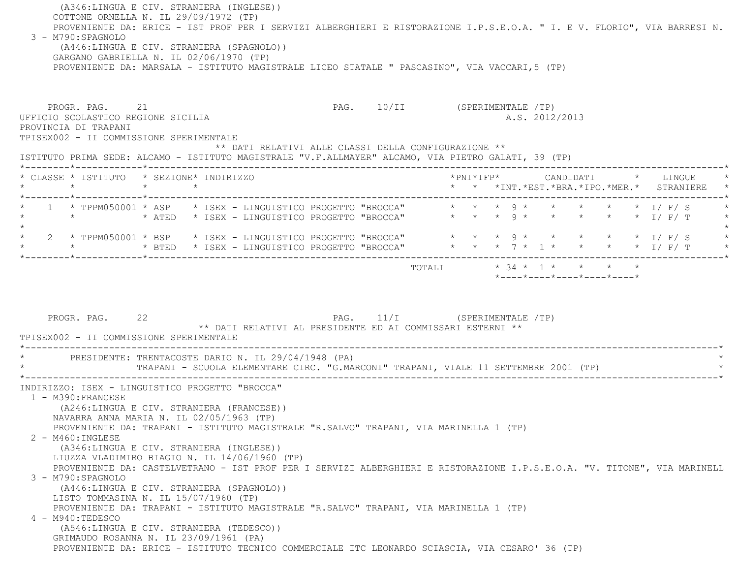| 3 - M790:SPAGNOLO                                                                                                                                                            | (A346:LINGUA E CIV. STRANIERA (INGLESE))<br>COTTONE ORNELLA N. IL 29/09/1972 (TP)<br>(A446:LINGUA E CIV. STRANIERA (SPAGNOLO))<br>GARGANO GABRIELLA N. IL 02/06/1970 (TP)<br>PROVENIENTE DA: MARSALA - ISTITUTO MAGISTRALE LICEO STATALE " PASCASINO", VIA VACCARI, 5 (TP)                                                                                                                                           | PROVENIENTE DA: ERICE - IST PROF PER I SERVIZI ALBERGHIERI E RISTORAZIONE I.P.S.E.O.A. " I. E V. FLORIO", VIA BARRESI N.                                                           |
|------------------------------------------------------------------------------------------------------------------------------------------------------------------------------|----------------------------------------------------------------------------------------------------------------------------------------------------------------------------------------------------------------------------------------------------------------------------------------------------------------------------------------------------------------------------------------------------------------------|------------------------------------------------------------------------------------------------------------------------------------------------------------------------------------|
| PROGR. PAG. 21<br>UFFICIO SCOLASTICO REGIONE SICILIA<br>PROVINCIA DI TRAPANI<br>TPISEX002 - II COMMISSIONE SPERIMENTALE                                                      | ** DATI RELATIVI ALLE CLASSI DELLA CONFIGURAZIONE **<br>ISTITUTO PRIMA SEDE: ALCAMO - ISTITUTO MAGISTRALE "V.F.ALLMAYER" ALCAMO, VIA PIETRO GALATI, 39 (TP)                                                                                                                                                                                                                                                          | PAG. 10/II (SPERIMENTALE /TP)<br>A.S. 2012/2013                                                                                                                                    |
| $\star$                                                                                                                                                                      | * CLASSE * ISTITUTO * SEZIONE* INDIRIZZO<br>$\star$<br>$\star$                                                                                                                                                                                                                                                                                                                                                       | *PNI*IFP*     CANDIDATI    *   LINGUE<br>* * *INT.*EST.*BRA.*IPO.*MER.* STRANIERE                                                                                                  |
|                                                                                                                                                                              |                                                                                                                                                                                                                                                                                                                                                                                                                      | 1 * TPPM050001 * ASP * ISEX - LINGUISTICO PROGETTO "BROCCA" * * * 9 * * * * * * * I/F/S                                                                                            |
|                                                                                                                                                                              |                                                                                                                                                                                                                                                                                                                                                                                                                      | * 2 * TPPM050001 * BSP * ISEX - LINGUISTICO PROGETTO "BROCCA" * * * 9 * * * * * * * I/ F/ S<br>* * * * * BTED * ISEX - LINGUISTICO PROGETTO "BROCCA" * * * 7 * 1 * * * * * 1/ F/ T |
| PROGR. PAG. 22<br>TPISEX002 - II COMMISSIONE SPERIMENTALE                                                                                                                    | PAG. 11/I (SPERIMENTALE /TP)<br>** DATI RELATIVI AL PRESIDENTE ED AI COMMISSARI ESTERNI **                                                                                                                                                                                                                                                                                                                           |                                                                                                                                                                                    |
|                                                                                                                                                                              | * PRESIDENTE: TRENTACOSTE DARIO N. IL 29/04/1948 (PA)<br>TRAPANI - SCUOLA ELEMENTARE CIRC. "G.MARCONI" TRAPANI, VIALE 11 SETTEMBRE 2001 (TP)                                                                                                                                                                                                                                                                         |                                                                                                                                                                                    |
| 1 - M390: FRANCESE<br>$2 - M460$ : INGLESE<br>3 - M790:SPAGNOLO<br>PROVENIENTE DA: TRAPANI - ISTITUTO MAGISTRALE "R.SALVO" TRAPANI, VIA MARINELLA 1 (TP)<br>4 - M940:TEDESCO | INDIRIZZO: ISEX - LINGUISTICO PROGETTO "BROCCA"<br>(A246:LINGUA E CIV. STRANIERA (FRANCESE))<br>NAVARRA ANNA MARIA N. IL 02/05/1963 (TP)<br>PROVENIENTE DA: TRAPANI - ISTITUTO MAGISTRALE "R.SALVO" TRAPANI, VIA MARINELLA 1 (TP)<br>(A346:LINGUA E CIV. STRANIERA (INGLESE))<br>LIUZZA VLADIMIRO BIAGIO N. IL 14/06/1960 (TP)<br>(A446:LINGUA E CIV. STRANIERA (SPAGNOLO))<br>LISTO TOMMASINA N. IL 15/07/1960 (TP) | PROVENIENTE DA: CASTELVETRANO - IST PROF PER I SERVIZI ALBERGHIERI E RISTORAZIONE I.P.S.E.O.A. "V. TITONE", VIA MARINELL                                                           |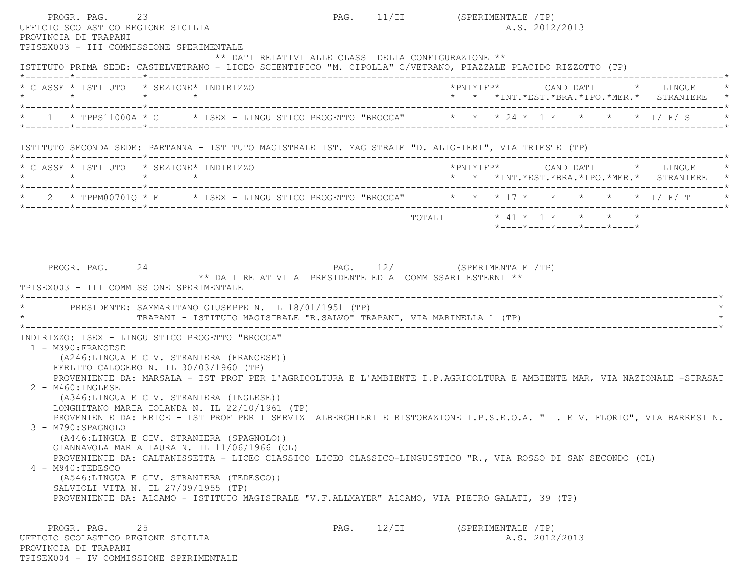PROGR. PAG. 23 23 PAG. 11/II (SPERIMENTALE /TP) UFFICIO SCOLASTICO REGIONE SICILIA A.S. 2012/2013 PROVINCIA DI TRAPANI TPISEX003 - III COMMISSIONE SPERIMENTALE \*\* DATI RELATIVI ALLE CLASSI DELLA CONFIGURAZIONE \*\* ISTITUTO PRIMA SEDE: CASTELVETRANO - LICEO SCIENTIFICO "M. CIPOLLA" C/VETRANO, PIAZZALE PLACIDO RIZZOTTO (TP) \*--------\*------------\*-------------------------------------------------------------------------------------------------------\* \* CLASSE \* ISTITUTO \* SEZIONE\* INDIRIZZO \*PNI\*IFP\* CANDIDATI \* LINGUE \* \* \* \* \* \* \* \*INT.\*EST.\*BRA.\*IPO.\*MER.\* STRANIERE \* \*--------\*------------\*-------------------------------------------------------------------------------------------------------\*1 \* TPPS11000A \* C \* ISEX - LINGUISTICO PROGETTO "BROCCA" \* \* \* 24 \* 1 \* \* \* \* \* \* I/ F/ S \* \*--------\*------------\*-------------------------------------------------------------------------------------------------------\* ISTITUTO SECONDA SEDE: PARTANNA - ISTITUTO MAGISTRALE IST. MAGISTRALE "D. ALIGHIERI", VIA TRIESTE (TP) \*--------\*------------\*-------------------------------------------------------------------------------------------------------\* \* CLASSE \* ISTITUTO \* SEZIONE\* INDIRIZZO \*PNI\*IFP\* CANDIDATI \* LINGUE \* \* \* \* \* \* \* \*INT.\*EST.\*BRA.\*IPO.\*MER.\* STRANIERE \* \*--------\*------------\*-------------------------------------------------------------------------------------------------------\*2 \* TPPM00701Q \* E \* ISEX - LINGUISTICO PROGETTO "BROCCA" \* \* \* 17 \* \* \* \* \* \* \* I/ F/ T \*--------\*------------\*-------------------------------------------------------------------------------------------------------\* TOTALI \* 41 \* 1 \* \* \* \* \*----\*----\*----\*----\*----\*PROGR. PAG. 24 24 PAG. 12/I (SPERIMENTALE /TP) \*\* DATI RELATIVI AL PRESIDENTE ED AI COMMISSARI ESTERNI \*\* TPISEX003 - III COMMISSIONE SPERIMENTALE \*----------------------------------------------------------------------------------------------------------------------------\*PRESIDENTE: SAMMARITANO GIUSEPPE N. IL 18/01/1951 (TP) TRAPANI - ISTITUTO MAGISTRALE "R.SALVO" TRAPANI, VIA MARINELLA 1 (TP) \*----------------------------------------------------------------------------------------------------------------------------\* INDIRIZZO: ISEX - LINGUISTICO PROGETTO "BROCCA" 1 - M390:FRANCESE (A246:LINGUA E CIV. STRANIERA (FRANCESE)) FERLITO CALOGERO N. IL 30/03/1960 (TP) PROVENIENTE DA: MARSALA - IST PROF PER L'AGRICOLTURA E L'AMBIENTE I.P.AGRICOLTURA E AMBIENTE MAR, VIA NAZIONALE -STRASAT 2 - M460:INGLESE (A346:LINGUA E CIV. STRANIERA (INGLESE)) LONGHITANO MARIA IOLANDA N. IL 22/10/1961 (TP) PROVENIENTE DA: ERICE - IST PROF PER I SERVIZI ALBERGHIERI E RISTORAZIONE I.P.S.E.O.A. " I. E V. FLORIO", VIA BARRESI N. 3 - M790:SPAGNOLO (A446:LINGUA E CIV. STRANIERA (SPAGNOLO)) GIANNAVOLA MARIA LAURA N. IL 11/06/1966 (CL) PROVENIENTE DA: CALTANISSETTA - LICEO CLASSICO LICEO CLASSICO-LINGUISTICO "R., VIA ROSSO DI SAN SECONDO (CL) 4 - M940:TEDESCO (A546:LINGUA E CIV. STRANIERA (TEDESCO)) SALVIOLI VITA N. IL 27/09/1955 (TP) PROVENIENTE DA: ALCAMO - ISTITUTO MAGISTRALE "V.F.ALLMAYER" ALCAMO, VIA PIETRO GALATI, 39 (TP) PROGR. PAG. 25 25 PAG. 12/II (SPERIMENTALE /TP) UFFICIO SCOLASTICO REGIONE SICILIA A.S. 2012/2013 PROVINCIA DI TRAPANITPISEX004 - IV COMMISSIONE SPERIMENTALE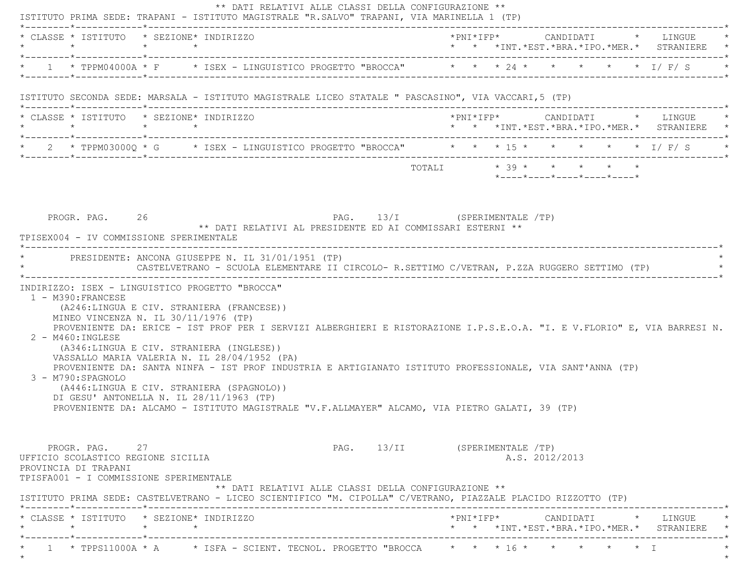| * CLASSE * ISTITUTO * SEZIONE* INDIRIZZO<br>$\star$                                                                                                                                                                                                                                                                                                                         |  |  |                                                                                                                                                                                            |                               |                         |                     |  |                |                            |  | * * *INT.*EST.*BRA.*IPO.*MER.* STRANIERE *                       |
|-----------------------------------------------------------------------------------------------------------------------------------------------------------------------------------------------------------------------------------------------------------------------------------------------------------------------------------------------------------------------------|--|--|--------------------------------------------------------------------------------------------------------------------------------------------------------------------------------------------|-------------------------------|-------------------------|---------------------|--|----------------|----------------------------|--|------------------------------------------------------------------|
| * 1 * TPPM04000A * F * ISEX - LINGUISTICO PROGETTO "BROCCA" * * * 24 * * * * * * * I/F/S                                                                                                                                                                                                                                                                                    |  |  |                                                                                                                                                                                            |                               |                         |                     |  |                |                            |  |                                                                  |
| ISTITUTO SECONDA SEDE: MARSALA - ISTITUTO MAGISTRALE LICEO STATALE " PASCASINO", VIA VACCARI, 5 (TP)                                                                                                                                                                                                                                                                        |  |  |                                                                                                                                                                                            |                               |                         |                     |  |                |                            |  |                                                                  |
| * CLASSE * ISTITUTO * SEZIONE* INDIRIZZO<br>$\star \qquad \qquad \star \qquad \qquad \star \qquad \qquad \star$                                                                                                                                                                                                                                                             |  |  |                                                                                                                                                                                            |                               |                         | $*$ PNI $*$ IFP $*$ |  |                |                            |  | CANDIDATI * LINGUE<br>* * *INT.*EST.*BRA.*IPO.*MER.* STRANIERE * |
| * 2 * TPPM03000Q * G * ISEX - LINGUISTICO PROGETTO "BROCCA" * * * 15 * * * * * * * I/ F/ S *                                                                                                                                                                                                                                                                                |  |  |                                                                                                                                                                                            |                               |                         |                     |  |                |                            |  |                                                                  |
|                                                                                                                                                                                                                                                                                                                                                                             |  |  |                                                                                                                                                                                            |                               | TOTALI * 39 * * * * * * |                     |  |                | *----*----*----*----*----* |  |                                                                  |
| TPISEX004 - IV COMMISSIONE SPERIMENTALE<br>* PRESIDENTE: ANCONA GIUSEPPE N. IL 31/01/1951 (TP)<br>INDIRIZZO: ISEX - LINGUISTICO PROGETTO "BROCCA"                                                                                                                                                                                                                           |  |  | PAG. 13/I (SPERIMENTALE /TP)<br>** DATI RELATIVI AL PRESIDENTE ED AI COMMISSARI ESTERNI **<br>CASTELVETRANO - SCUOLA ELEMENTARE II CIRCOLO- R.SETTIMO C/VETRAN, P.ZZA RUGGERO SETTIMO (TP) |                               |                         |                     |  |                |                            |  |                                                                  |
| 1 - M390: FRANCESE<br>(A246:LINGUA E CIV. STRANIERA (FRANCESE))<br>MINEO VINCENZA N. IL 30/11/1976 (TP)                                                                                                                                                                                                                                                                     |  |  |                                                                                                                                                                                            |                               |                         |                     |  |                |                            |  |                                                                  |
| PROVENIENTE DA: ERICE - IST PROF PER I SERVIZI ALBERGHIERI E RISTORAZIONE I.P.S.E.O.A. "I. E V.FLORIO" E, VIA BARRESI N.<br>2 - M460: INGLESE<br>(A346:LINGUA E CIV. STRANIERA (INGLESE))<br>VASSALLO MARIA VALERIA N. IL 28/04/1952 (PA)<br>PROVENIENTE DA: SANTA NINFA - IST PROF INDUSTRIA E ARTIGIANATO ISTITUTO PROFESSIONALE, VIA SANT'ANNA (TP)<br>3 - M790:SPAGNOLO |  |  |                                                                                                                                                                                            |                               |                         |                     |  |                |                            |  |                                                                  |
| (A446:LINGUA E CIV. STRANIERA (SPAGNOLO))<br>DI GESU' ANTONELLA N. IL 28/11/1963 (TP)<br>PROVENIENTE DA: ALCAMO - ISTITUTO MAGISTRALE "V.F.ALLMAYER" ALCAMO, VIA PIETRO GALATI, 39 (TP)                                                                                                                                                                                     |  |  |                                                                                                                                                                                            |                               |                         |                     |  |                |                            |  |                                                                  |
| PROGR. PAG. 27<br>UFFICIO SCOLASTICO REGIONE SICILIA<br>PROVINCIA DI TRAPANI<br>TPISFA001 - I COMMISSIONE SPERIMENTALE                                                                                                                                                                                                                                                      |  |  | ** DATI RELATIVI ALLE CLASSI DELLA CONFIGURAZIONE **                                                                                                                                       | PAG. 13/II (SPERIMENTALE /TP) |                         |                     |  | A.S. 2012/2013 |                            |  |                                                                  |
| ISTITUTO PRIMA SEDE: CASTELVETRANO - LICEO SCIENTIFICO "M. CIPOLLA" C/VETRANO, PIAZZALE PLACIDO RIZZOTTO (TP)<br>* CLASSE * ISTITUTO * SEZIONE* INDIRIZZO                                                                                                                                                                                                                   |  |  |                                                                                                                                                                                            |                               |                         |                     |  |                |                            |  |                                                                  |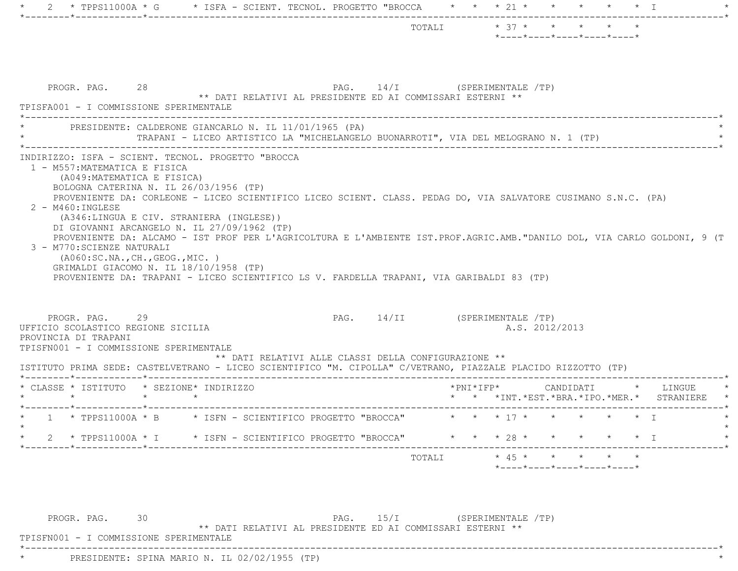|                                                                                                                                                                                                                                                                                                                                    |                               |                                                            | *----*----*----*----*----* |                |  |          |
|------------------------------------------------------------------------------------------------------------------------------------------------------------------------------------------------------------------------------------------------------------------------------------------------------------------------------------|-------------------------------|------------------------------------------------------------|----------------------------|----------------|--|----------|
| PROGR. PAG. 28<br>** DATI RELATIVI AL PRESIDENTE ED AI COMMISSARI ESTERNI **<br>TPISFA001 - I COMMISSIONE SPERIMENTALE                                                                                                                                                                                                             | PAG. 14/I (SPERIMENTALE /TP)  |                                                            |                            |                |  |          |
| PRESIDENTE: CALDERONE GIANCARLO N. IL 11/01/1965 (PA)<br>TRAPANI - LICEO ARTISTICO LA "MICHELANGELO BUONARROTI", VIA DEL MELOGRANO N. 1 (TP)                                                                                                                                                                                       |                               |                                                            |                            |                |  |          |
| BOLOGNA CATERINA N. IL 26/03/1956 (TP)<br>PROVENIENTE DA: CORLEONE - LICEO SCIENTIFICO LICEO SCIENT. CLASS. PEDAG DO, VIA SALVATORE CUSIMANO S.N.C. (PA)<br>$2 - M460$ : INGLESE<br>(A346:LINGUA E CIV. STRANIERA (INGLESE))<br>DI GIOVANNI ARCANGELO N. IL 27/09/1962 (TP)                                                        |                               |                                                            |                            |                |  |          |
| PROVENIENTE DA: ALCAMO - IST PROF PER L'AGRICOLTURA E L'AMBIENTE IST.PROF.AGRIC.AMB."DANILO DOL, VIA CARLO GOLDONI, 9 (T<br>3 - M770: SCIENZE NATURALI<br>( A060:SC.NA., CH., GEOG., MIC. )<br>GRIMALDI GIACOMO N. IL 18/10/1958 (TP)<br>PROVENIENTE DA: TRAPANI - LICEO SCIENTIFICO LS V. FARDELLA TRAPANI, VIA GARIBALDI 83 (TP) |                               |                                                            |                            |                |  |          |
| PROGR. PAG.<br>29<br>UFFICIO SCOLASTICO REGIONE SICILIA<br>PROVINCIA DI TRAPANI<br>TPISFN001 - I COMMISSIONE SPERIMENTALE<br>** DATI RELATIVI ALLE CLASSI DELLA CONFIGURAZIONE **<br>ISTITUTO PRIMA SEDE: CASTELVETRANO - LICEO SCIENTIFICO "M. CIPOLLA" C/VETRANO, PIAZZALE PLACIDO RIZZOTTO (TP)                                 | PAG. 14/II (SPERIMENTALE /TP) |                                                            |                            | A.S. 2012/2013 |  |          |
| * CLASSE * ISTITUTO * SEZIONE* INDIRIZZO<br>$\star$ $\star$<br>$\star$                                                                                                                                                                                                                                                             |                               | *PNI*IFP*<br>* * *INT. *EST. *BRA. *IPO. *MER. * STRANIERE |                            | CANDIDATI      |  | * LINGUE |
| * 1 * TPPS11000A * B * ISFN - SCIENTIFICO PROGETTO "BROCCA" * * * 17 * * * * * * * I                                                                                                                                                                                                                                               |                               |                                                            |                            |                |  |          |
| 2 * TPPS11000A * I * ISFN - SCIENTIFICO PROGETTO "BROCCA" * * * 28 * * * * * * * I                                                                                                                                                                                                                                                 |                               |                                                            |                            |                |  |          |

PROGR. PAG. 30 30 PAG. 15/I (SPERIMENTALE /TP) \*\* DATI RELATIVI AL PRESIDENTE ED AI COMMISSARI ESTERNI \*\*

\*----------------------------------------------------------------------------------------------------------------------------\*

TPISFN001 - I COMMISSIONE SPERIMENTALE

\* PRESIDENTE: SPINA MARIO N. IL 02/02/1955 (TP) \*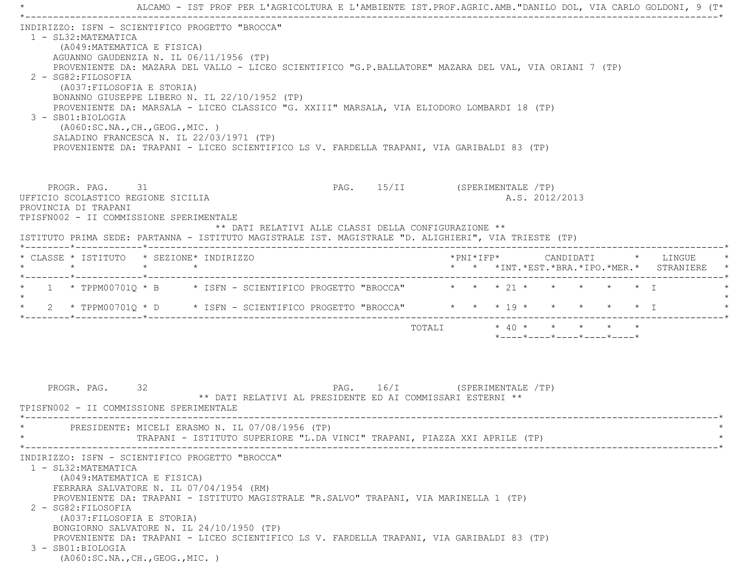\* ALCAMO - IST PROF PER L'AGRICOLTURA E L'AMBIENTE IST.PROF.AGRIC.AMB."DANILO DOL, VIA CARLO GOLDONI, 9 (T\* \*----------------------------------------------------------------------------------------------------------------------------\* INDIRIZZO: ISFN - SCIENTIFICO PROGETTO "BROCCA" 1 - SL32:MATEMATICA (A049:MATEMATICA E FISICA) AGUANNO GAUDENZIA N. IL 06/11/1956 (TP) PROVENIENTE DA: MAZARA DEL VALLO - LICEO SCIENTIFICO "G.P.BALLATORE" MAZARA DEL VAL, VIA ORIANI 7 (TP) 2 - SG82:FILOSOFIA (A037:FILOSOFIA E STORIA) BONANNO GIUSEPPE LIBERO N. IL 22/10/1952 (TP) PROVENIENTE DA: MARSALA - LICEO CLASSICO "G. XXIII" MARSALA, VIA ELIODORO LOMBARDI 18 (TP) 3 - SB01:BIOLOGIA (A060:SC.NA.,CH.,GEOG.,MIC. ) SALADINO FRANCESCA N. IL 22/03/1971 (TP) PROVENIENTE DA: TRAPANI - LICEO SCIENTIFICO LS V. FARDELLA TRAPANI, VIA GARIBALDI 83 (TP) PROGR. PAG. 31 31 PAG. 15/II (SPERIMENTALE /TP) UFFICIO SCOLASTICO REGIONE SICILIA A.S. 2012/2013 PROVINCIA DI TRAPANI TPISFN002 - II COMMISSIONE SPERIMENTALE \*\* DATI RELATIVI ALLE CLASSI DELLA CONFIGURAZIONE \*\* ISTITUTO PRIMA SEDE: PARTANNA - ISTITUTO MAGISTRALE IST. MAGISTRALE "D. ALIGHIERI", VIA TRIESTE (TP) \*--------\*------------\*-------------------------------------------------------------------------------------------------------\* \* CLASSE \* ISTITUTO \* SEZIONE\* INDIRIZZO \*PNI\*IFP\* CANDIDATI \* LINGUE \* \* \* \* \* \* \* \*INT.\*EST.\*BRA.\*IPO.\*MER.\* STRANIERE \* \*--------\*------------\*-------------------------------------------------------------------------------------------------------\* $1$  \* TPPM00701 $0$  \* B \* ISFN - SCIENTIFICO PROGETTO "BROCCA" \* \* \* 21 \* \* \* \* \* \* \* \*  $\star$ \* 2 \* TPPM00701Q \* D \* ISFN - SCIENTIFICO PROGETTO "BROCCA" \* \* \* 19 \* \* \* \* \* \* \* I \*--------\*------------\*-------------------------------------------------------------------------------------------------------\*TOTALI  $* 40 * * * * * * * * *$  \*----\*----\*----\*----\*----\*PROGR. PAG. 32 32 PAG. 16/I (SPERIMENTALE /TP) \*\* DATI RELATIVI AL PRESIDENTE ED AI COMMISSARI ESTERNI \*\* TPISFN002 - II COMMISSIONE SPERIMENTALE \*----------------------------------------------------------------------------------------------------------------------------\*PRESIDENTE: MICELI ERASMO N. IL 07/08/1956 (TP) TRAPANI - ISTITUTO SUPERIORE "L.DA VINCI" TRAPANI, PIAZZA XXI APRILE (TP) \*----------------------------------------------------------------------------------------------------------------------------\* INDIRIZZO: ISFN - SCIENTIFICO PROGETTO "BROCCA" 1 - SL32:MATEMATICA (A049:MATEMATICA E FISICA) FERRARA SALVATORE N. IL 07/04/1954 (RM) PROVENIENTE DA: TRAPANI - ISTITUTO MAGISTRALE "R.SALVO" TRAPANI, VIA MARINELLA 1 (TP) 2 - SG82:FILOSOFIA (A037:FILOSOFIA E STORIA) BONGIORNO SALVATORE N. IL 24/10/1950 (TP) PROVENIENTE DA: TRAPANI - LICEO SCIENTIFICO LS V. FARDELLA TRAPANI, VIA GARIBALDI 83 (TP) 3 - SB01:BIOLOGIA(A060:SC.NA.,CH.,GEOG.,MIC. )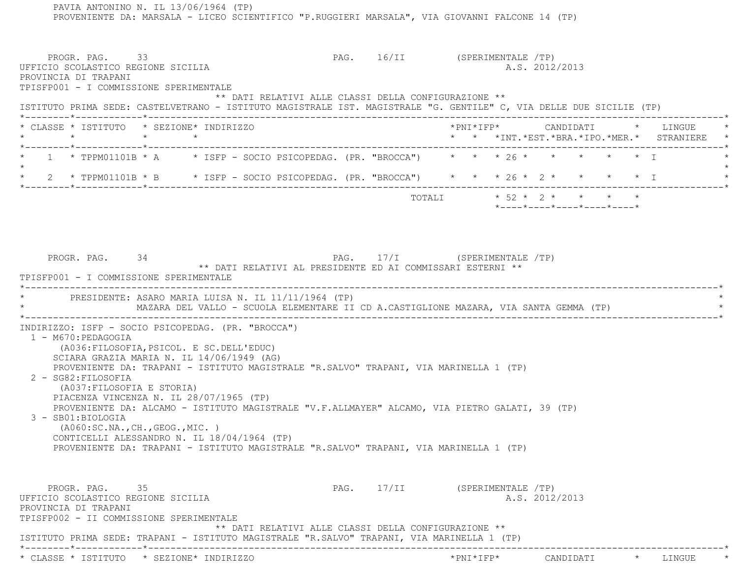PROVENIENTE DA: MARSALA - LICEO SCIENTIFICO "P.RUGGIERI MARSALA", VIA GIOVANNI FALCONE 14 (TP) PROGR. PAG. 33 3 200 PAG. 16/II (SPERIMENTALE /TP) UFFICIO SCOLASTICO REGIONE SICILIA A.S. 2012/2013 PROVINCIA DI TRAPANI TPISFP001 - I COMMISSIONE SPERIMENTALE \*\* DATI RELATIVI ALLE CLASSI DELLA CONFIGURAZIONE \*\* ISTITUTO PRIMA SEDE: CASTELVETRANO - ISTITUTO MAGISTRALE IST. MAGISTRALE "G. GENTILE" C, VIA DELLE DUE SICILIE (TP) \*--------\*------------\*-------------------------------------------------------------------------------------------------------\* \* CLASSE \* ISTITUTO \* SEZIONE\* INDIRIZZO \*PNI\*IFP\* CANDIDATI \* LINGUE \* \* \* \* \* \* \* \*INT.\*EST.\*BRA.\*IPO.\*MER.\* STRANIERE \* \*--------\*------------\*-------------------------------------------------------------------------------------------------------\*1 \* TPPM01101B \* A \* ISFP - SOCIO PSICOPEDAG. (PR. "BROCCA") \* \* \* 26 \* \* \* \* \* \* \* \*  $\star$  \* 2 \* TPPM01101B \* B \* ISFP - SOCIO PSICOPEDAG. (PR. "BROCCA") \* \* \* 26 \* 2 \* \* \* \* I \* \*--------\*------------\*-------------------------------------------------------------------------------------------------------\*TOTALI  $\star$  52  $\star$  2  $\star$   $\star$   $\star$  \*----\*----\*----\*----\*----\*PROGR. PAG. 34 34 PAG. 17/I (SPERIMENTALE /TP) \*\* DATI RELATIVI AL PRESIDENTE ED AI COMMISSARI ESTERNI \*\* TPISFP001 - I COMMISSIONE SPERIMENTALE \*----------------------------------------------------------------------------------------------------------------------------\*PRESIDENTE: ASARO MARIA LUISA N. IL 11/11/1964 (TP) \* MAZARA DEL VALLO - SCUOLA ELEMENTARE II CD A.CASTIGLIONE MAZARA, VIA SANTA GEMMA (TP) \* \*----------------------------------------------------------------------------------------------------------------------------\* INDIRIZZO: ISFP - SOCIO PSICOPEDAG. (PR. "BROCCA") 1 - M670:PEDAGOGIA (A036:FILOSOFIA,PSICOL. E SC.DELL'EDUC) SCIARA GRAZIA MARIA N. IL 14/06/1949 (AG) PROVENIENTE DA: TRAPANI - ISTITUTO MAGISTRALE "R.SALVO" TRAPANI, VIA MARINELLA 1 (TP) 2 - SG82:FILOSOFIA (A037:FILOSOFIA E STORIA) PIACENZA VINCENZA N. IL 28/07/1965 (TP) PROVENIENTE DA: ALCAMO - ISTITUTO MAGISTRALE "V.F.ALLMAYER" ALCAMO, VIA PIETRO GALATI, 39 (TP) 3 - SB01:BIOLOGIA (A060:SC.NA.,CH.,GEOG.,MIC. ) CONTICELLI ALESSANDRO N. IL 18/04/1964 (TP) PROVENIENTE DA: TRAPANI - ISTITUTO MAGISTRALE "R.SALVO" TRAPANI, VIA MARINELLA 1 (TP) PROGR. PAG. 35 35 PAG. 17/II (SPERIMENTALE /TP) UFFICIO SCOLASTICO REGIONE SICILIA A.S. 2012/2013 PROVINCIA DI TRAPANI TPISFP002 - II COMMISSIONE SPERIMENTALE \*\* DATI RELATIVI ALLE CLASSI DELLA CONFIGURAZIONE \*\* ISTITUTO PRIMA SEDE: TRAPANI - ISTITUTO MAGISTRALE "R.SALVO" TRAPANI, VIA MARINELLA 1 (TP) \*--------\*------------\*-------------------------------------------------------------------------------------------------------\*\* CLASSE \* ISTITUTO \* SEZIONE\* INDIRIZZO \*PNI\*IFP\* CANDIDATI \* LINGUE \*

PAVIA ANTONINO N. IL 13/06/1964 (TP)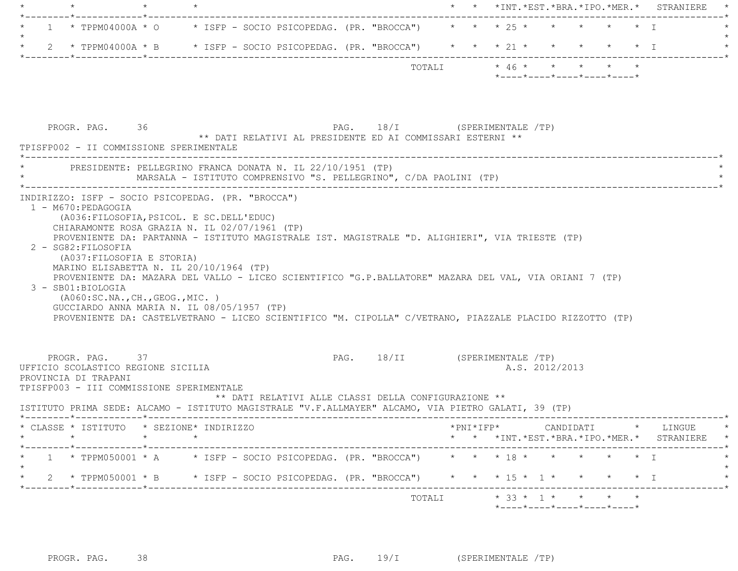| -----*------------*-------------<br>1 * TPPM04000A * 0 * ISFP - SOCIO PSICOPEDAG. (PR. "BROCCA") * * * * 25 * * * * * * * T                                                                                                             |                                                                                                                                                                                                                                                                                                                                                     |                                                      |                               |                         | * * *INT. *EST. *BRA. *IPO. *MER. * STRANIERE |  |                |                                                                 |  |                                                                                                                                                    |
|-----------------------------------------------------------------------------------------------------------------------------------------------------------------------------------------------------------------------------------------|-----------------------------------------------------------------------------------------------------------------------------------------------------------------------------------------------------------------------------------------------------------------------------------------------------------------------------------------------------|------------------------------------------------------|-------------------------------|-------------------------|-----------------------------------------------|--|----------------|-----------------------------------------------------------------|--|----------------------------------------------------------------------------------------------------------------------------------------------------|
|                                                                                                                                                                                                                                         |                                                                                                                                                                                                                                                                                                                                                     |                                                      |                               |                         |                                               |  |                |                                                                 |  |                                                                                                                                                    |
| 2 * TPPM04000A * B * ISFP - SOCIO PSICOPEDAG. (PR. "BROCCA") * * * 21 * * * * * * * T                                                                                                                                                   |                                                                                                                                                                                                                                                                                                                                                     |                                                      |                               |                         |                                               |  |                |                                                                 |  |                                                                                                                                                    |
|                                                                                                                                                                                                                                         |                                                                                                                                                                                                                                                                                                                                                     |                                                      |                               | TOTALI * 46 * * * * * * |                                               |  |                | $*$ - - - - $*$ - - - - $*$ - - - - $*$ - - - - $*$ - - - - $*$ |  |                                                                                                                                                    |
|                                                                                                                                                                                                                                         |                                                                                                                                                                                                                                                                                                                                                     |                                                      |                               |                         |                                               |  |                |                                                                 |  |                                                                                                                                                    |
| PROGR. PAG. 36<br>TPISFP002 - II COMMISSIONE SPERIMENTALE                                                                                                                                                                               | ** DATI RELATIVI AL PRESIDENTE ED AI COMMISSARI ESTERNI **                                                                                                                                                                                                                                                                                          | PAG. 18/I (SPERIMENTALE /TP)                         |                               |                         |                                               |  |                |                                                                 |  |                                                                                                                                                    |
| PRESIDENTE: PELLEGRINO FRANCA DONATA N. IL 22/10/1951 (TP)                                                                                                                                                                              | MARSALA - ISTITUTO COMPRENSIVO "S. PELLEGRINO", C/DA PAOLINI (TP)                                                                                                                                                                                                                                                                                   |                                                      |                               |                         |                                               |  |                |                                                                 |  |                                                                                                                                                    |
| 2 - SG82: FILOSOFIA<br>(A037:FILOSOFIA E STORIA)<br>3 - SB01:BIOLOGIA                                                                                                                                                                   | (A036: FILOSOFIA, PSICOL. E SC. DELL'EDUC)<br>CHIARAMONTE ROSA GRAZIA N. IL 02/07/1961 (TP)<br>PROVENIENTE DA: PARTANNA - ISTITUTO MAGISTRALE IST. MAGISTRALE "D. ALIGHIERI", VIA TRIESTE (TP)<br>MARINO ELISABETTA N. IL 20/10/1964 (TP)<br>PROVENIENTE DA: MAZARA DEL VALLO - LICEO SCIENTIFICO "G.P.BALLATORE" MAZARA DEL VAL, VIA ORIANI 7 (TP) |                                                      |                               |                         |                                               |  |                |                                                                 |  |                                                                                                                                                    |
| ( A060:SC.NA., CH., GEOG., MIC. )<br>GUCCIARDO ANNA MARIA N. IL 08/05/1957 (TP)                                                                                                                                                         | PROVENIENTE DA: CASTELVETRANO - LICEO SCIENTIFICO "M. CIPOLLA" C/VETRANO, PIAZZALE PLACIDO RIZZOTTO (TP)                                                                                                                                                                                                                                            |                                                      |                               |                         |                                               |  |                |                                                                 |  |                                                                                                                                                    |
| PROGR. PAG. 37<br>UFFICIO SCOLASTICO REGIONE SICILIA<br>PROVINCIA DI TRAPANI<br>TPISFP003 - III COMMISSIONE SPERIMENTALE<br>ISTITUTO PRIMA SEDE: ALCAMO - ISTITUTO MAGISTRALE "V.F.ALLMAYER" ALCAMO, VIA PIETRO GALATI, 39 (TP)         |                                                                                                                                                                                                                                                                                                                                                     | ** DATI RELATIVI ALLE CLASSI DELLA CONFIGURAZIONE ** | PAG. 18/II (SPERIMENTALE /TP) |                         |                                               |  | A.S. 2012/2013 |                                                                 |  |                                                                                                                                                    |
|                                                                                                                                                                                                                                         |                                                                                                                                                                                                                                                                                                                                                     |                                                      |                               |                         |                                               |  |                |                                                                 |  |                                                                                                                                                    |
|                                                                                                                                                                                                                                         |                                                                                                                                                                                                                                                                                                                                                     |                                                      |                               |                         |                                               |  |                |                                                                 |  |                                                                                                                                                    |
| * CLASSE * ISTITUTO * SEZIONE* INDIRIZZO<br>1 * TPPM050001 * A * ISFP - SOCIO PSICOPEDAG. (PR. "BROCCA") * * * 18 * * * * * * * I<br>2 * TPPM050001 * B * ISFP - SOCIO PSICOPEDAG. (PR. "BROCCA") * * * 15 * 1 * * * * * * I<br>$\star$ |                                                                                                                                                                                                                                                                                                                                                     |                                                      |                               |                         |                                               |  |                |                                                                 |  | $*PNI*IFP* \qquad \qquad \text{CANDIDATI} \qquad \qquad * \qquad \text{LINGUE} \qquad \qquad *$<br>* * *INT. *EST. *BRA. *IPO. *MER. * STRANIERE * |

PROGR. PAG. 38 38 PAG. 19/I (SPERIMENTALE /TP)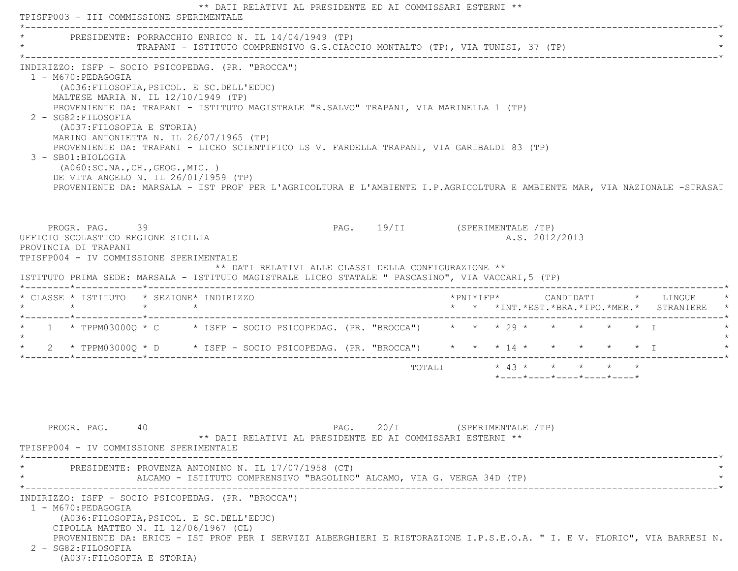|                                                                                                                                                                                                                               | PRESIDENTE: PORRACCHIO ENRICO N. IL 14/04/1949 (TP)                                                                                                                                                                                                                                                                                                                                                                                                                                                                                                       |                                                                               |  |                               |                         |  |  |                |                                                  |  |                                               |  |
|-------------------------------------------------------------------------------------------------------------------------------------------------------------------------------------------------------------------------------|-----------------------------------------------------------------------------------------------------------------------------------------------------------------------------------------------------------------------------------------------------------------------------------------------------------------------------------------------------------------------------------------------------------------------------------------------------------------------------------------------------------------------------------------------------------|-------------------------------------------------------------------------------|--|-------------------------------|-------------------------|--|--|----------------|--------------------------------------------------|--|-----------------------------------------------|--|
|                                                                                                                                                                                                                               |                                                                                                                                                                                                                                                                                                                                                                                                                                                                                                                                                           | TRAPANI - ISTITUTO COMPRENSIVO G.G.CIACCIO MONTALTO (TP), VIA TUNISI, 37 (TP) |  |                               |                         |  |  |                |                                                  |  |                                               |  |
| INDIRIZZO: ISFP - SOCIO PSICOPEDAG. (PR. "BROCCA")<br>1 - M670:PEDAGOGIA<br>2 - SG82: FILOSOFIA<br>3 - SB01:BIOLOGIA                                                                                                          | (A036: FILOSOFIA, PSICOL. E SC. DELL'EDUC)<br>MALTESE MARIA N. IL 12/10/1949 (TP)<br>PROVENIENTE DA: TRAPANI - ISTITUTO MAGISTRALE "R.SALVO" TRAPANI, VIA MARINELLA 1 (TP)<br>(A037: FILOSOFIA E STORIA)<br>MARINO ANTONIETTA N. IL 26/07/1965 (TP)<br>PROVENIENTE DA: TRAPANI - LICEO SCIENTIFICO LS V. FARDELLA TRAPANI, VIA GARIBALDI 83 (TP)<br>( A060:SC.NA., CH., GEOG., MIC. )<br>DE VITA ANGELO N. IL 26/01/1959 (TP)<br>PROVENIENTE DA: MARSALA - IST PROF PER L'AGRICOLTURA E L'AMBIENTE I.P.AGRICOLTURA E AMBIENTE MAR, VIA NAZIONALE -STRASAT |                                                                               |  |                               |                         |  |  |                |                                                  |  |                                               |  |
| PROGR. PAG. 39<br>UFFICIO SCOLASTICO REGIONE SICILIA<br>PROVINCIA DI TRAPANI<br>TPISFP004 - IV COMMISSIONE SPERIMENTALE<br>ISTITUTO PRIMA SEDE: MARSALA - ISTITUTO MAGISTRALE LICEO STATALE " PASCASINO", VIA VACCARI, 5 (TP) |                                                                                                                                                                                                                                                                                                                                                                                                                                                                                                                                                           | ** DATI RELATIVI ALLE CLASSI DELLA CONFIGURAZIONE **                          |  | PAG. 19/II (SPERIMENTALE /TP) |                         |  |  | A.S. 2012/2013 |                                                  |  |                                               |  |
| * CLASSE * ISTITUTO * SEZIONE* INDIRIZZO                                                                                                                                                                                      |                                                                                                                                                                                                                                                                                                                                                                                                                                                                                                                                                           |                                                                               |  |                               |                         |  |  |                |                                                  |  | * * *INT. *EST. *BRA. *IPO. *MER. * STRANIERE |  |
|                                                                                                                                                                                                                               |                                                                                                                                                                                                                                                                                                                                                                                                                                                                                                                                                           |                                                                               |  |                               |                         |  |  |                |                                                  |  |                                               |  |
|                                                                                                                                                                                                                               |                                                                                                                                                                                                                                                                                                                                                                                                                                                                                                                                                           |                                                                               |  |                               |                         |  |  |                |                                                  |  |                                               |  |
|                                                                                                                                                                                                                               |                                                                                                                                                                                                                                                                                                                                                                                                                                                                                                                                                           |                                                                               |  |                               |                         |  |  |                |                                                  |  |                                               |  |
| * 1 * TPPM03000Q * C * ISFP - SOCIO PSICOPEDAG. (PR. "BROCCA") * * * 29 * * * * * * * I<br>$\star$<br>* 2 * TPPM03000Q * D * ISFP - SOCIO PSICOPEDAG. (PR. "BROCCA") * * * 14 * * * * * * * T                                 |                                                                                                                                                                                                                                                                                                                                                                                                                                                                                                                                                           |                                                                               |  |                               | TOTALI * 43 * * * * * * |  |  |                | $*$ ---- $*$ ---- $*$ ---- $*$ ---- $*$ ---- $*$ |  |                                               |  |
| PROGR. PAG.                                                                                                                                                                                                                   | 40                                                                                                                                                                                                                                                                                                                                                                                                                                                                                                                                                        | ** DATI RELATIVI AL PRESIDENTE ED AI COMMISSARI ESTERNI **                    |  | PAG. $20/I$                   | (SPERIMENTALE /TP)      |  |  |                |                                                  |  |                                               |  |
| TPISFP004 - IV COMMISSIONE SPERIMENTALE                                                                                                                                                                                       | PRESIDENTE: PROVENZA ANTONINO N. IL 17/07/1958 (CT)                                                                                                                                                                                                                                                                                                                                                                                                                                                                                                       | ALCAMO - ISTITUTO COMPRENSIVO "BAGOLINO" ALCAMO, VIA G. VERGA 34D (TP)        |  |                               |                         |  |  |                |                                                  |  |                                               |  |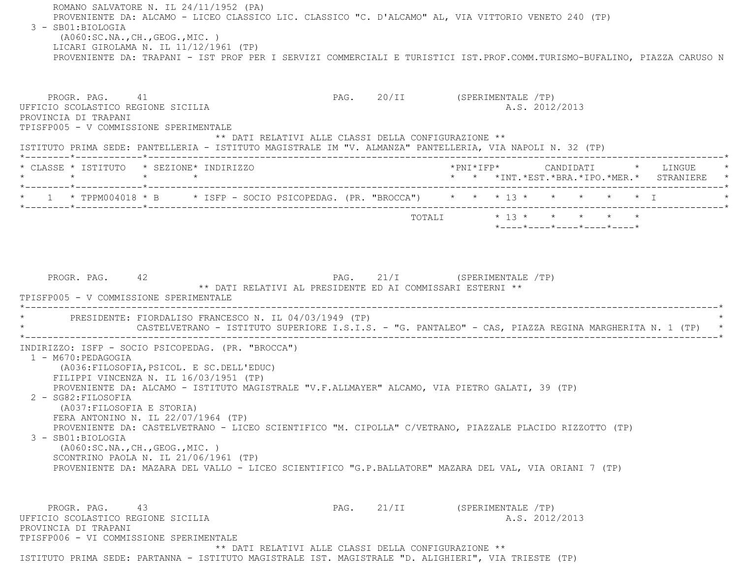ROMANO SALVATORE N. IL 24/11/1952 (PA) PROVENIENTE DA: ALCAMO - LICEO CLASSICO LIC. CLASSICO "C. D'ALCAMO" AL, VIA VITTORIO VENETO 240 (TP) 3 - SB01:BIOLOGIA (A060:SC.NA.,CH.,GEOG.,MIC. ) LICARI GIROLAMA N. IL 11/12/1961 (TP) PROVENIENTE DA: TRAPANI - IST PROF PER I SERVIZI COMMERCIALI E TURISTICI IST.PROF.COMM.TURISMO-BUFALINO, PIAZZA CARUSO N PROGR. PAG. 41 All and the page of the page of the proof of the proof of the proof of the proof of the proof of the proof of the proof of the proof of the proof of the proof of the proof of the proof of the proof of the pr UFFICIO SCOLASTICO REGIONE SICILIA A.S. 2012/2013 PROVINCIA DI TRAPANI TPISFP005 - V COMMISSIONE SPERIMENTALE \*\* DATI RELATIVI ALLE CLASSI DELLA CONFIGURAZIONE \*\* ISTITUTO PRIMA SEDE: PANTELLERIA - ISTITUTO MAGISTRALE IM "V. ALMANZA" PANTELLERIA, VIA NAPOLI N. 32 (TP) \*--------\*------------\*-------------------------------------------------------------------------------------------------------\* \* CLASSE \* ISTITUTO \* SEZIONE\* INDIRIZZO \*PNI\*IFP\* CANDIDATI \* LINGUE \* \* \* \* \* \* \* \*INT.\*EST.\*BRA.\*IPO.\*MER.\* STRANIERE \* \*--------\*------------\*-------------------------------------------------------------------------------------------------------\*1 \* TPPM004018 \* B \* ISFP - SOCIO PSICOPEDAG. (PR. "BROCCA") \* \* \* 13 \* \* \* \* \* \* \* I \*--------\*------------\*-------------------------------------------------------------------------------------------------------\* TOTALI \* 13 \* \* \* \* \* \*----\*----\*----\*----\*----\*PROGR. PAG. 42 42 PAG. 21/I (SPERIMENTALE /TP) \*\* DATI RELATIVI AL PRESIDENTE ED AI COMMISSARI ESTERNI \*\* TPISFP005 - V COMMISSIONE SPERIMENTALE------------------------------------- \* PRESIDENTE: FIORDALISO FRANCESCO N. IL 04/03/1949 (TP) \* CASTELVETRANO - ISTITUTO SUPERIORE I.S.I.S. - "G. PANTALEO" - CAS, PIAZZA REGINA MARGHERITA N. 1 (TP) \*----------------------------------------------------------------------------------------------------------------------------\* INDIRIZZO: ISFP - SOCIO PSICOPEDAG. (PR. "BROCCA") 1 - M670:PEDAGOGIA (A036:FILOSOFIA,PSICOL. E SC.DELL'EDUC) FILIPPI VINCENZA N. IL 16/03/1951 (TP) PROVENIENTE DA: ALCAMO - ISTITUTO MAGISTRALE "V.F.ALLMAYER" ALCAMO, VIA PIETRO GALATI, 39 (TP) 2 - SG82:FILOSOFIA (A037:FILOSOFIA E STORIA) FERA ANTONINO N. IL 22/07/1964 (TP) PROVENIENTE DA: CASTELVETRANO - LICEO SCIENTIFICO "M. CIPOLLA" C/VETRANO, PIAZZALE PLACIDO RIZZOTTO (TP) 3 - SB01:BIOLOGIA (A060:SC.NA.,CH.,GEOG.,MIC. ) SCONTRINO PAOLA N. IL 21/06/1961 (TP) PROVENIENTE DA: MAZARA DEL VALLO - LICEO SCIENTIFICO "G.P.BALLATORE" MAZARA DEL VAL, VIA ORIANI 7 (TP) PROGR. PAG. 43 43 PAG. 21/II (SPERIMENTALE /TP) UFFICIO SCOLASTICO REGIONE SICILIA A.S. 2012/2013 PROVINCIA DI TRAPANI TPISFP006 - VI COMMISSIONE SPERIMENTALE \*\* DATI RELATIVI ALLE CLASSI DELLA CONFIGURAZIONE \*\*ISTITUTO PRIMA SEDE: PARTANNA - ISTITUTO MAGISTRALE IST. MAGISTRALE "D. ALIGHIERI", VIA TRIESTE (TP)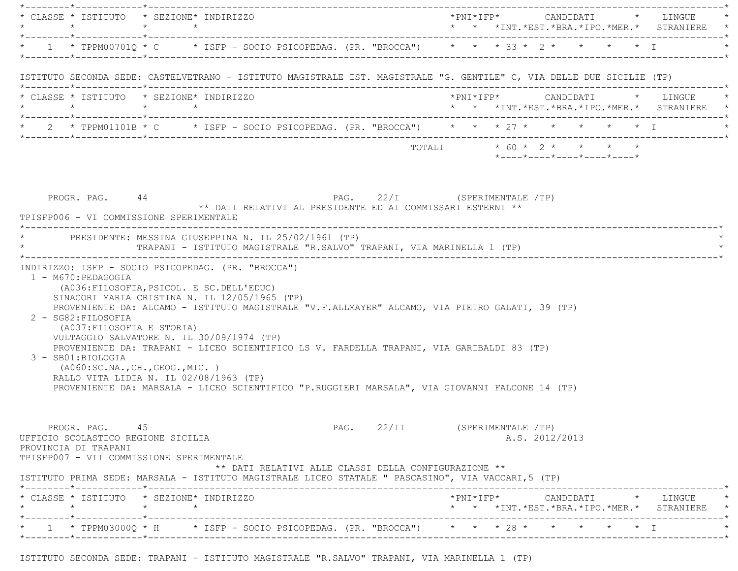|                                                                              | * CLASSE * ISTITUTO * SEZIONE* INDIRIZZO                                                                                                                                                                                                                                                         |                               |                                                                                 |  |
|------------------------------------------------------------------------------|--------------------------------------------------------------------------------------------------------------------------------------------------------------------------------------------------------------------------------------------------------------------------------------------------|-------------------------------|---------------------------------------------------------------------------------|--|
|                                                                              | * 1 * TPPM00701Q * C * ISFP - SOCIO PSICOPEDAG. (PR. "BROCCA") * * * 33 * 2 * * * * * I                                                                                                                                                                                                          |                               |                                                                                 |  |
|                                                                              | ISTITUTO SECONDA SEDE: CASTELVETRANO - ISTITUTO MAGISTRALE IST. MAGISTRALE "G. GENTILE" C, VIA DELLE DUE SICILIE (TP)                                                                                                                                                                            |                               |                                                                                 |  |
|                                                                              | * CLASSE * ISTITUTO * SEZIONE* INDIRIZZO<br>$\star \qquad \qquad \star \qquad \qquad \star \qquad \qquad \star$                                                                                                                                                                                  |                               | *PNI*IFP* CANDIDATI * LINGUE *<br>* * *INT.*EST.*BRA.*IPO.*MER.* STRANIERE *    |  |
|                                                                              | * 2 * TPPM01101B * C * ISFP - SOCIO PSICOPEDAG. (PR. "BROCCA") * * * 27 * * * * * * * * I * * * I                                                                                                                                                                                                |                               |                                                                                 |  |
|                                                                              |                                                                                                                                                                                                                                                                                                  |                               | TOTALI * 60 * 2 * * * * *<br>*----*----*----*----*----*                         |  |
|                                                                              | * PRESIDENTE: MESSINA GIUSEPPINA N. IL 25/02/1961 (TP)<br>TRAPANI - ISTITUTO MAGISTRALE "R.SALVO" TRAPANI, VIA MARINELLA 1 (TP)                                                                                                                                                                  |                               |                                                                                 |  |
| 1 - M670: PEDAGOGIA<br>2 - SG82: FILOSOFIA<br>(A037: FILOSOFIA E STORIA)     | INDIRIZZO: ISFP - SOCIO PSICOPEDAG. (PR. "BROCCA")<br>(A036: FILOSOFIA, PSICOL. E SC. DELL'EDUC)<br>SINACORI MARIA CRISTINA N. IL 12/05/1965 (TP)<br>PROVENIENTE DA: ALCAMO - ISTITUTO MAGISTRALE "V.F.ALLMAYER" ALCAMO, VIA PIETRO GALATI, 39 (TP)<br>VULTAGGIO SALVATORE N. IL 30/09/1974 (TP) |                               |                                                                                 |  |
| 3 - SB01:BIOLOGIA                                                            | PROVENIENTE DA: TRAPANI - LICEO SCIENTIFICO LS V. FARDELLA TRAPANI, VIA GARIBALDI 83 (TP)<br>(A060:SC.NA.,CH.,GEOG.,MIC. )<br>RALLO VITA LIDIA N. IL 02/08/1963 (TP)                                                                                                                             |                               |                                                                                 |  |
| PROGR. PAG. 45<br>UFFICIO SCOLASTICO REGIONE SICILIA<br>PROVINCIA DI TRAPANI | PROVENIENTE DA: MARSALA - LICEO SCIENTIFICO "P.RUGGIERI MARSALA", VIA GIOVANNI FALCONE 14 (TP)<br>TPISFP007 - VII COMMISSIONE SPERIMENTALE                                                                                                                                                       | PAG. 22/II (SPERIMENTALE /TP) | A.S. 2012/2013                                                                  |  |
|                                                                              | ** DATI RELATIVI ALLE CLASSI DELLA CONFIGURAZIONE **<br>ISTITUTO PRIMA SEDE: MARSALA - ISTITUTO MAGISTRALE LICEO STATALE " PASCASINO", VIA VACCARI, 5 (TP)                                                                                                                                       |                               |                                                                                 |  |
|                                                                              | * CLASSE * ISTITUTO * SEZIONE* INDIRIZZO                                                                                                                                                                                                                                                         |                               | *PNI*IFP* CANDIDATI * LINGUE<br>* * *INT. *EST. *BRA. *IPO. *MER. * STRANIERE * |  |

ISTITUTO SECONDA SEDE: TRAPANI - ISTITUTO MAGISTRALE "R.SALVO" TRAPANI, VIA MARINELLA 1 (TP)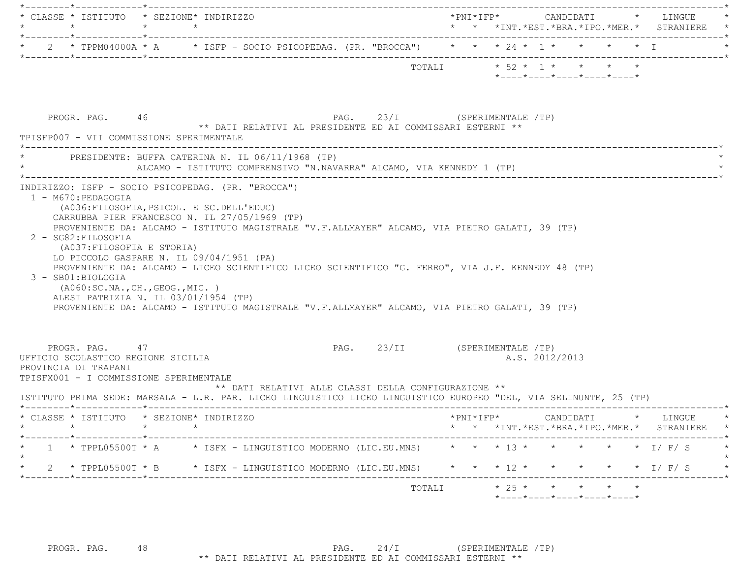| * CLASSE * ISTITUTO * SEZIONE* INDIRIZZO                                                                                                                                                                                                                                                                                                                                                                                                                                                                                                                                                                |  |  |                |                                                                                         |  | *PNI*IFP* CANDIDATI * LINGUE                                                  |
|---------------------------------------------------------------------------------------------------------------------------------------------------------------------------------------------------------------------------------------------------------------------------------------------------------------------------------------------------------------------------------------------------------------------------------------------------------------------------------------------------------------------------------------------------------------------------------------------------------|--|--|----------------|-----------------------------------------------------------------------------------------|--|-------------------------------------------------------------------------------|
| * 2 * TPPM04000A * A * ISFP - SOCIO PSICOPEDAG. (PR. "BROCCA") * * * 24 * 1 * * * * * * I                                                                                                                                                                                                                                                                                                                                                                                                                                                                                                               |  |  |                |                                                                                         |  |                                                                               |
| TOTALI * 52 * 1 * * * * *                                                                                                                                                                                                                                                                                                                                                                                                                                                                                                                                                                               |  |  |                | $*$ ---- $*$ ---- $*$ ---- $*$ ---- $*$ ---- $*$                                        |  |                                                                               |
| PAG. 23/I (SPERIMENTALE /TP)<br>PROGR. PAG. 46<br>** DATI RELATIVI AL PRESIDENTE ED AI COMMISSARI ESTERNI **<br>TPISFP007 - VII COMMISSIONE SPERIMENTALE                                                                                                                                                                                                                                                                                                                                                                                                                                                |  |  |                |                                                                                         |  |                                                                               |
| PRESIDENTE: BUFFA CATERINA N. IL 06/11/1968 (TP)<br>ALCAMO - ISTITUTO COMPRENSIVO "N.NAVARRA" ALCAMO, VIA KENNEDY 1 (TP)                                                                                                                                                                                                                                                                                                                                                                                                                                                                                |  |  |                |                                                                                         |  |                                                                               |
| (A036: FILOSOFIA, PSICOL. E SC. DELL'EDUC)<br>CARRUBBA PIER FRANCESCO N. IL 27/05/1969 (TP)<br>PROVENIENTE DA: ALCAMO - ISTITUTO MAGISTRALE "V.F.ALLMAYER" ALCAMO, VIA PIETRO GALATI, 39 (TP)<br>2 - SG82: FILOSOFIA<br>(A037: FILOSOFIA E STORIA)<br>LO PICCOLO GASPARE N. IL 09/04/1951 (PA)<br>PROVENIENTE DA: ALCAMO - LICEO SCIENTIFICO LICEO SCIENTIFICO "G. FERRO", VIA J.F. KENNEDY 48 (TP)<br>3 - SB01:BIOLOGIA<br>( A060:SC.NA., CH., GEOG., MIC. )<br>ALESI PATRIZIA N. IL 03/01/1954 (TP)<br>PROVENIENTE DA: ALCAMO - ISTITUTO MAGISTRALE "V.F.ALLMAYER" ALCAMO, VIA PIETRO GALATI, 39 (TP) |  |  |                |                                                                                         |  |                                                                               |
| PAG. 23/II (SPERIMENTALE /TP)<br>PROGR. PAG. 47<br>UFFICIO SCOLASTICO REGIONE SICILIA<br>PROVINCIA DI TRAPANI<br>TPISFX001 - I COMMISSIONE SPERIMENTALE<br>** DATI RELATIVI ALLE CLASSI DELLA CONFIGURAZIONE **<br>ISTITUTO PRIMA SEDE: MARSALA - L.R. PAR. LICEO LINGUISTICO LICEO LINGUISTICO EUROPEO "DEL, VIA SELINUNTE, 25 (TP)                                                                                                                                                                                                                                                                    |  |  | A.S. 2012/2013 |                                                                                         |  |                                                                               |
| * CLASSE * ISTITUTO * SEZIONE* INDIRIZZO<br>$\star$<br>$\star$<br>$\star$                                                                                                                                                                                                                                                                                                                                                                                                                                                                                                                               |  |  |                |                                                                                         |  | *PNI*IFP* CANDIDATI * LINGUE<br>* * *INT. *EST. *BRA. *IPO. *MER. * STRANIERE |
| 1 * TPPL05500T * A * ISFX - LINGUISTICO MODERNO (LIC.EU.MNS) * * * 13 * * * * * * * I/ F/ S                                                                                                                                                                                                                                                                                                                                                                                                                                                                                                             |  |  |                |                                                                                         |  |                                                                               |
| 2 * TPPL05500T * B * ISFX - LINGUISTICO MODERNO (LIC.EU.MNS) * * * 12 * * * * * * * I/ F/ S *<br>*--------*------------*--------                                                                                                                                                                                                                                                                                                                                                                                                                                                                        |  |  |                |                                                                                         |  |                                                                               |
| TOTALI                                                                                                                                                                                                                                                                                                                                                                                                                                                                                                                                                                                                  |  |  |                | $* 25 * * * * * * *$<br>$*$ - - - - $*$ - - - - $*$ - - - - $*$ - - - - $*$ - - - - $*$ |  |                                                                               |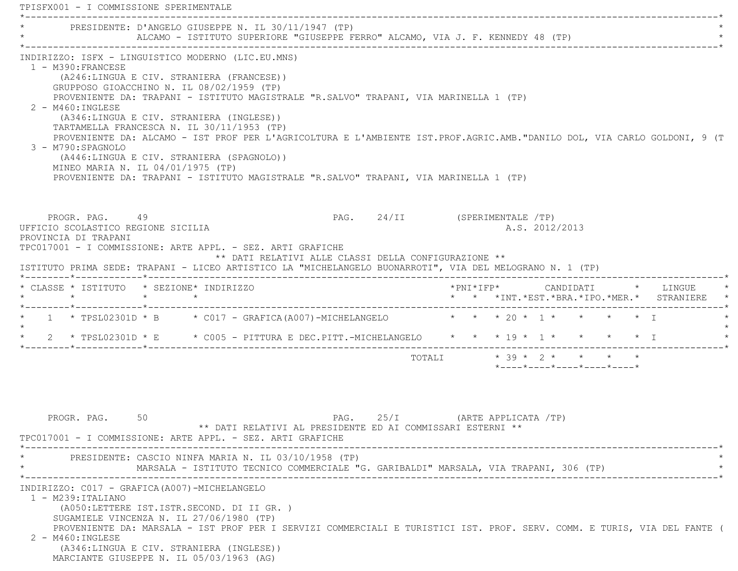TPISFX001 - I COMMISSIONE SPERIMENTALE \*----------------------------------------------------------------------------------------------------------------------------\*PRESIDENTE: D'ANGELO GIUSEPPE N. IL 30/11/1947 (TP) ALCAMO - ISTITUTO SUPERIORE "GIUSEPPE FERRO" ALCAMO, VIA J. F. KENNEDY 48 (TP) \*----------------------------------------------------------------------------------------------------------------------------\* INDIRIZZO: ISFX - LINGUISTICO MODERNO (LIC.EU.MNS) 1 - M390:FRANCESE (A246:LINGUA E CIV. STRANIERA (FRANCESE)) GRUPPOSO GIOACCHINO N. IL 08/02/1959 (TP) PROVENIENTE DA: TRAPANI - ISTITUTO MAGISTRALE "R.SALVO" TRAPANI, VIA MARINELLA 1 (TP) 2 - M460:INGLESE (A346:LINGUA E CIV. STRANIERA (INGLESE)) TARTAMELLA FRANCESCA N. IL 30/11/1953 (TP) PROVENIENTE DA: ALCAMO - IST PROF PER L'AGRICOLTURA E L'AMBIENTE IST.PROF.AGRIC.AMB."DANILO DOL, VIA CARLO GOLDONI, 9 (T 3 - M790:SPAGNOLO (A446:LINGUA E CIV. STRANIERA (SPAGNOLO)) MINEO MARIA N. IL 04/01/1975 (TP) PROVENIENTE DA: TRAPANI - ISTITUTO MAGISTRALE "R.SALVO" TRAPANI, VIA MARINELLA 1 (TP) PROGR. PAG. 49 PAG. 24/II (SPERIMENTALE /TP) UFFICIO SCOLASTICO REGIONE SICILIA A.S. 2012/2013 PROVINCIA DI TRAPANI TPC017001 - I COMMISSIONE: ARTE APPL. - SEZ. ARTI GRAFICHE \*\* DATI RELATIVI ALLE CLASSI DELLA CONFIGURAZIONE \*\* ISTITUTO PRIMA SEDE: TRAPANI - LICEO ARTISTICO LA "MICHELANGELO BUONARROTI", VIA DEL MELOGRANO N. 1 (TP) \*--------\*------------\*-------------------------------------------------------------------------------------------------------\* \* CLASSE \* ISTITUTO \* SEZIONE\* INDIRIZZO \*PNI\*IFP\* CANDIDATI \* LINGUE \* \* \* \* \* \* \* \*INT.\*EST.\*BRA.\*IPO.\*MER.\* STRANIERE \* \*--------\*------------\*-------------------------------------------------------------------------------------------------------\*1 \* TPSL02301D \* B \* C017 - GRAFICA(A007)-MICHELANGELO \* \* \* \* 20 \* 1 \* \* \* \* \* I  $\star$ 2 \* TPSL02301D \* E \* C005 - PITTURA E DEC.PITT.-MICHELANGELO \* \* \* 19 \* 1 \* \* \* \* \* I \*--------\*------------\*-------------------------------------------------------------------------------------------------------\*TOTALI  $* 39 * 2 * * * * * * *$  \*----\*----\*----\*----\*----\*PROGR. PAG. 50 50 PAG. PAG. 25/I (ARTE APPLICATA /TP) \*\* DATI RELATIVI AL PRESIDENTE ED AI COMMISSARI ESTERNI \*\* TPC017001 - I COMMISSIONE: ARTE APPL. - SEZ. ARTI GRAFICHE \*----------------------------------------------------------------------------------------------------------------------------\*PRESIDENTE: CASCIO NINFA MARIA N. IL 03/10/1958 (TP) MARSALA - ISTITUTO TECNICO COMMERCIALE "G. GARIBALDI" MARSALA, VIA TRAPANI, 306 (TP) \*----------------------------------------------------------------------------------------------------------------------------\*

INDIRIZZO: C017 - GRAFICA(A007)-MICHELANGELO

 1 - M239:ITALIANO (A050:LETTERE IST.ISTR.SECOND. DI II GR. ) SUGAMIELE VINCENZA N. IL 27/06/1980 (TP)

 PROVENIENTE DA: MARSALA - IST PROF PER I SERVIZI COMMERCIALI E TURISTICI IST. PROF. SERV. COMM. E TURIS, VIA DEL FANTE ( 2 - M460:INGLESE

 (A346:LINGUA E CIV. STRANIERA (INGLESE)) MARCIANTE GIUSEPPE N. IL 05/03/1963 (AG)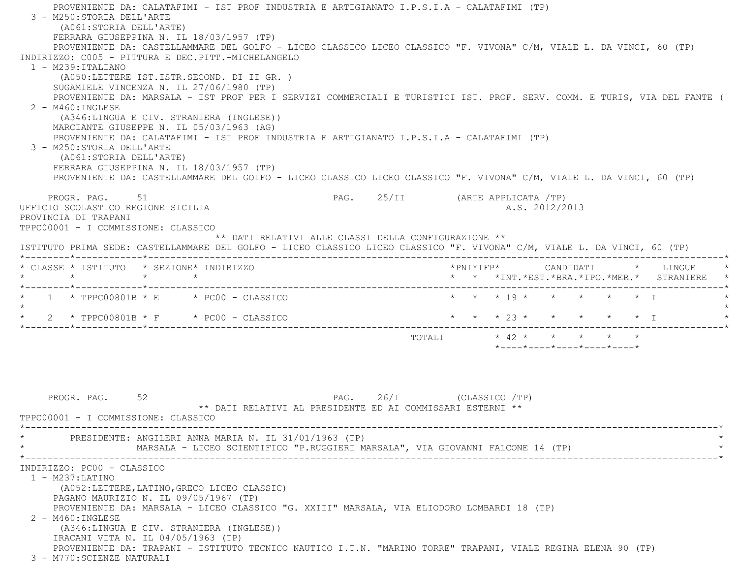PROVENIENTE DA: CALATAFIMI - IST PROF INDUSTRIA E ARTIGIANATO I.P.S.I.A - CALATAFIMI (TP) 3 - M250:STORIA DELL'ARTE (A061:STORIA DELL'ARTE) FERRARA GIUSEPPINA N. IL 18/03/1957 (TP) PROVENIENTE DA: CASTELLAMMARE DEL GOLFO - LICEO CLASSICO LICEO CLASSICO "F. VIVONA" C/M, VIALE L. DA VINCI, 60 (TP) INDIRIZZO: C005 - PITTURA E DEC.PITT.-MICHELANGELO $1 - M239 \cdot T T A T T A N O$  (A050:LETTERE IST.ISTR.SECOND. DI II GR. ) SUGAMIELE VINCENZA N. IL 27/06/1980 (TP) PROVENIENTE DA: MARSALA - IST PROF PER I SERVIZI COMMERCIALI E TURISTICI IST. PROF. SERV. COMM. E TURIS, VIA DEL FANTE ( 2 - M460:INGLESE (A346:LINGUA E CIV. STRANIERA (INGLESE)) MARCIANTE GIUSEPPE N. IL 05/03/1963 (AG) PROVENIENTE DA: CALATAFIMI - IST PROF INDUSTRIA E ARTIGIANATO I.P.S.I.A - CALATAFIMI (TP) 3 - M250:STORIA DELL'ARTE (A061:STORIA DELL'ARTE) FERRARA GIUSEPPINA N. IL 18/03/1957 (TP) PROVENIENTE DA: CASTELLAMMARE DEL GOLFO - LICEO CLASSICO LICEO CLASSICO "F. VIVONA" C/M, VIALE L. DA VINCI, 60 (TP) PROGR. PAG. 51 51 PAG. 25/II (ARTE APPLICATA /TP) UFFICIO SCOLASTICO REGIONE SICILIA A.S. 2012/2013 PROVINCIA DI TRAPANI TPPC00001 - I COMMISSIONE: CLASSICO \*\* DATI RELATIVI ALLE CLASSI DELLA CONFIGURAZIONE \*\* ISTITUTO PRIMA SEDE: CASTELLAMMARE DEL GOLFO - LICEO CLASSICO LICEO CLASSICO "F. VIVONA" C/M, VIALE L. DA VINCI, 60 (TP) \*--------\*------------\*-------------------------------------------------------------------------------------------------------\* \* CLASSE \* ISTITUTO \* SEZIONE\* INDIRIZZO \*PNI\*IFP\* CANDIDATI \* LINGUE \* \* \* \* \* \* \* \*INT.\*EST.\*BRA.\*IPO.\*MER.\* STRANIERE \* \*--------\*------------\*-------------------------------------------------------------------------------------------------------\*1 \* TPPC00801B \* E \* PC00 - CLASSICO \* \* \* \* 19 \* \* \* \* \* \* \* I  $\star$ \* 2 \* TPPC00801B \* F \* PC00 - CLASSICO \* \* \* \* 23 \* \* \* \* \* \* \* T \*--------\*------------\*-------------------------------------------------------------------------------------------------------\* TOTALI \* 42 \* \* \* \* \* \*----\*----\*----\*----\*----\*PROGR. PAG. 52 52 PAG. 26/I (CLASSICO /TP) \*\* DATI RELATIVI AL PRESIDENTE ED AI COMMISSARI ESTERNI \*\* TPPC00001 - I COMMISSIONE: CLASSICO \*----------------------------------------------------------------------------------------------------------------------------\*PRESIDENTE: ANGILERI ANNA MARIA N. IL 31/01/1963 (TP) MARSALA - LICEO SCIENTIFICO "P.RUGGIERI MARSALA", VIA GIOVANNI FALCONE 14 (TP) \*----------------------------------------------------------------------------------------------------------------------------\* INDIRIZZO: PC00 - CLASSICO 1 - M237:LATINO (A052:LETTERE,LATINO,GRECO LICEO CLASSIC) PAGANO MAURIZIO N. IL 09/05/1967 (TP) PROVENIENTE DA: MARSALA - LICEO CLASSICO "G. XXIII" MARSALA, VIA ELIODORO LOMBARDI 18 (TP) 2 - M460:INGLESE (A346:LINGUA E CIV. STRANIERA (INGLESE)) IRACANI VITA N. IL 04/05/1963 (TP) PROVENIENTE DA: TRAPANI - ISTITUTO TECNICO NAUTICO I.T.N. "MARINO TORRE" TRAPANI, VIALE REGINA ELENA 90 (TP) 3 - M770:SCIENZE NATURALI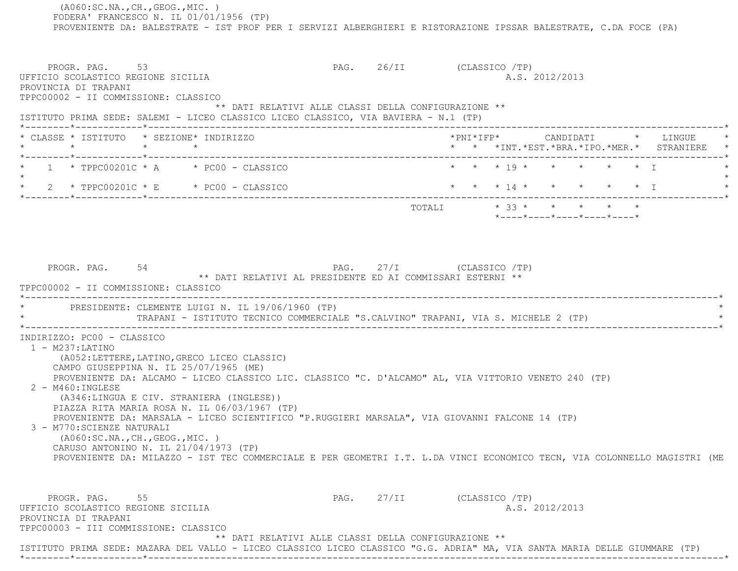(A060:SC.NA.,CH.,GEOG.,MIC. ) FODERA' FRANCESCO N. IL 01/01/1956 (TP) PROVENIENTE DA: BALESTRATE - IST PROF PER I SERVIZI ALBERGHIERI E RISTORAZIONE IPSSAR BALESTRATE, C.DA FOCE (PA) PROGR. PAG. 53 PAG. 26/II (CLASSICO /TP) UFFICIO SCOLASTICO REGIONE SICILIA A.S. 2012/2013 PROVINCIA DI TRAPANI TPPC00002 - II COMMISSIONE: CLASSICO \*\* DATI RELATIVI ALLE CLASSI DELLA CONFIGURAZIONE \*\* ISTITUTO PRIMA SEDE: SALEMI - LICEO CLASSICO LICEO CLASSICO, VIA BAVIERA - N.1 (TP) \*--------\*------------\*-------------------------------------------------------------------------------------------------------\* \* CLASSE \* ISTITUTO \* SEZIONE\* INDIRIZZO \*PNI\*IFP\* CANDIDATI \* LINGUE \* \* \* \* \* \* \* \*INT.\*EST.\*BRA.\*IPO.\*MER.\* STRANIERE \* \*--------\*------------\*-------------------------------------------------------------------------------------------------------\*1 \* TPPC00201C \* A \* PC00 - CLASSICO \* \* \* \* \* 19 \* \* \* \* \* \* \* \* I  $\star$ \* 2 \* TPPC00201C \* E \* PC00 - CLASSICO \* \* \* \* \* 14 \* \* \* \* \* \* \* \* I \*--------\*------------\*-------------------------------------------------------------------------------------------------------\*TOTALI  $* 33 * * * * * * * * * *$  \*----\*----\*----\*----\*----\*PROGR. PAG. 54 54 PAG. 27/I (CLASSICO /TP) \*\* DATI RELATIVI AL PRESIDENTE ED AI COMMISSARI ESTERNI \*\* TPPC00002 - II COMMISSIONE: CLASSICO \*----------------------------------------------------------------------------------------------------------------------------\*PRESIDENTE: CLEMENTE LUIGI N. IL 19/06/1960 (TP) TRAPANI - ISTITUTO TECNICO COMMERCIALE "S.CALVINO" TRAPANI, VIA S. MICHELE 2 (TP) \*----------------------------------------------------------------------------------------------------------------------------\* INDIRIZZO: PC00 - CLASSICO 1 - M237:LATINO (A052:LETTERE,LATINO,GRECO LICEO CLASSIC) CAMPO GIUSEPPINA N. IL 25/07/1965 (ME) PROVENIENTE DA: ALCAMO - LICEO CLASSICO LIC. CLASSICO "C. D'ALCAMO" AL, VIA VITTORIO VENETO 240 (TP) 2 - M460:INGLESE (A346:LINGUA E CIV. STRANIERA (INGLESE)) PIAZZA RITA MARIA ROSA N. IL 06/03/1967 (TP) PROVENIENTE DA: MARSALA - LICEO SCIENTIFICO "P.RUGGIERI MARSALA", VIA GIOVANNI FALCONE 14 (TP) 3 - M770:SCIENZE NATURALI (A060:SC.NA.,CH.,GEOG.,MIC. ) CARUSO ANTONINO N. IL 21/04/1973 (TP) PROVENIENTE DA: MILAZZO - IST TEC COMMERCIALE E PER GEOMETRI I.T. L.DA VINCI ECONOMICO TECN, VIA COLONNELLO MAGISTRI (ME PROGR. PAG. 55 5 PAG. 27/II (CLASSICO /TP) UFFICIO SCOLASTICO REGIONE SICILIA A.S. 2012/2013 PROVINCIA DI TRAPANI TPPC00003 - III COMMISSIONE: CLASSICO \*\* DATI RELATIVI ALLE CLASSI DELLA CONFIGURAZIONE \*\* ISTITUTO PRIMA SEDE: MAZARA DEL VALLO - LICEO CLASSICO LICEO CLASSICO "G.G. ADRIA" MA, VIA SANTA MARIA DELLE GIUMMARE (TP) \*--------\*------------\*-------------------------------------------------------------------------------------------------------\*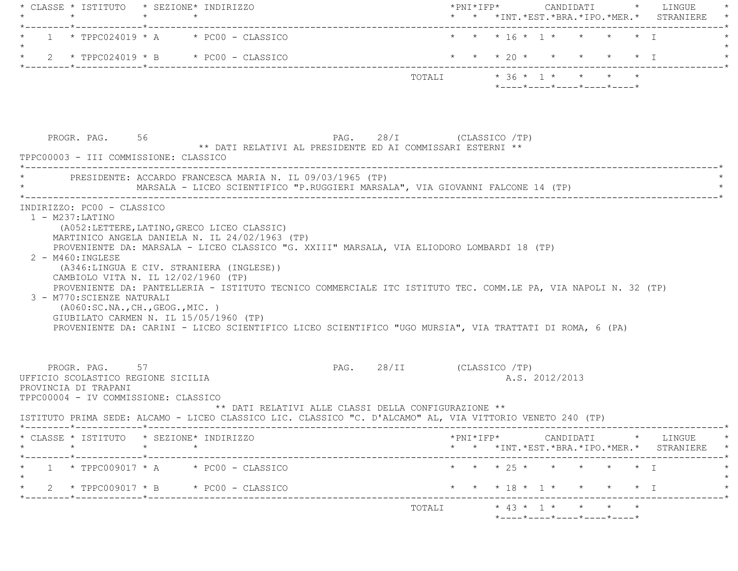|                      | $\star$                                                                                                              | $\star$         | * CLASSE * ISTITUTO * SEZIONE* INDIRIZZO<br>$\star$                                                                                                                                                                                                                                                                                                                                                           |                           |  |                                                  |                |  | * * *INT. *EST. *BRA. *IPO. *MER. * STRANIERE |
|----------------------|----------------------------------------------------------------------------------------------------------------------|-----------------|---------------------------------------------------------------------------------------------------------------------------------------------------------------------------------------------------------------------------------------------------------------------------------------------------------------------------------------------------------------------------------------------------------------|---------------------------|--|--------------------------------------------------|----------------|--|-----------------------------------------------|
|                      |                                                                                                                      |                 | $1 * TPPC024019 * A * PC00 - CLASSICO$                                                                                                                                                                                                                                                                                                                                                                        |                           |  | * * * 16 * 1 * * * * * T                         |                |  |                                               |
|                      |                                                                                                                      |                 | 2 * $TPPC024019 * B$ * $PC00 - CLASSICO$                                                                                                                                                                                                                                                                                                                                                                      |                           |  | * * * 20 * * * * * * I                           |                |  |                                               |
|                      |                                                                                                                      |                 |                                                                                                                                                                                                                                                                                                                                                                                                               |                           |  | $*$ ---- $*$ ---- $*$ ---- $*$ ---- $*$ ---- $*$ |                |  |                                               |
|                      | PROGR. PAG. 56<br>TPPC00003 - III COMMISSIONE: CLASSICO                                                              |                 | ** DATI RELATIVI AL PRESIDENTE ED AI COMMISSARI ESTERNI **                                                                                                                                                                                                                                                                                                                                                    | PAG. 28/I (CLASSICO /TP)  |  |                                                  |                |  |                                               |
|                      |                                                                                                                      |                 | PRESIDENTE: ACCARDO FRANCESCA MARIA N. IL 09/03/1965 (TP)<br>MARSALA - LICEO SCIENTIFICO "P.RUGGIERI MARSALA", VIA GIOVANNI FALCONE 14 (TP)                                                                                                                                                                                                                                                                   |                           |  |                                                  |                |  |                                               |
| $2 - M460$ : INGLESE | CAMBIOLO VITA N. IL 12/02/1960 (TP)<br>3 - M770: SCIENZE NATURALI<br>( A060:SC.NA., CH., GEOG., MIC. )               |                 | PROVENIENTE DA: MARSALA - LICEO CLASSICO "G. XXIII" MARSALA, VIA ELIODORO LOMBARDI 18 (TP)<br>(A346:LINGUA E CIV. STRANIERA (INGLESE))<br>PROVENIENTE DA: PANTELLERIA - ISTITUTO TECNICO COMMERCIALE ITC ISTITUTO TEC. COMM.LE PA, VIA NAPOLI N. 32 (TP)<br>GIUBILATO CARMEN N. IL 15/05/1960 (TP)<br>PROVENIENTE DA: CARINI - LICEO SCIENTIFICO LICEO SCIENTIFICO "UGO MURSIA", VIA TRATTATI DI ROMA, 6 (PA) |                           |  |                                                  |                |  |                                               |
|                      | PROGR. PAG. 57<br>UFFICIO SCOLASTICO REGIONE SICILIA<br>PROVINCIA DI TRAPANI<br>TPPC00004 - IV COMMISSIONE: CLASSICO |                 | ** DATI RELATIVI ALLE CLASSI DELLA CONFIGURAZIONE **<br>ISTITUTO PRIMA SEDE: ALCAMO - LICEO CLASSICO LIC. CLASSICO "C. D'ALCAMO" AL, VIA VITTORIO VENETO 240 (TP)                                                                                                                                                                                                                                             | PAG. 28/II (CLASSICO /TP) |  |                                                  | A.S. 2012/2013 |  |                                               |
|                      |                                                                                                                      |                 | CLASSE * ISTITUTO * SEZIONE* INDIRIZZO                                                                                                                                                                                                                                                                                                                                                                        |                           |  |                                                  |                |  | -------------*                                |
| $\star$              |                                                                                                                      | $\star$ $\star$ |                                                                                                                                                                                                                                                                                                                                                                                                               |                           |  |                                                  |                |  | * * *INT.*EST.*BRA.*IPO.*MER.* STRANIERE *    |
|                      |                                                                                                                      |                 | $1 * TPPC009017 * A * PC00 - CLASSICO$                                                                                                                                                                                                                                                                                                                                                                        |                           |  | * * * 25 * * * * * * I                           |                |  |                                               |
|                      |                                                                                                                      |                 | 2 * TPPC009017 * B * PC00 - CLASSICO                                                                                                                                                                                                                                                                                                                                                                          |                           |  | * * * 18 * 1 * * * * * I                         |                |  |                                               |
|                      |                                                                                                                      |                 |                                                                                                                                                                                                                                                                                                                                                                                                               |                           |  |                                                  |                |  |                                               |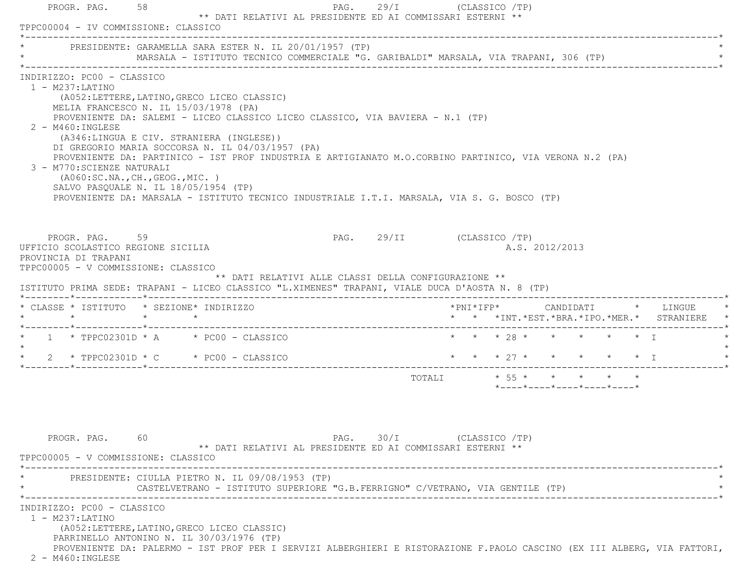| * PRESIDENTE: GARAMELLA SARA ESTER N. IL 20/01/1957 (TP)                                                                                                                                                               | MARSALA - ISTITUTO TECNICO COMMERCIALE "G. GARIBALDI" MARSALA, VIA TRAPANI, 306 (TP)                                                                                                                                                                                                                                                                                                                                                                                                                                                                         |                                                                               |                           |  |                |                                                                             |  |                                               |
|------------------------------------------------------------------------------------------------------------------------------------------------------------------------------------------------------------------------|--------------------------------------------------------------------------------------------------------------------------------------------------------------------------------------------------------------------------------------------------------------------------------------------------------------------------------------------------------------------------------------------------------------------------------------------------------------------------------------------------------------------------------------------------------------|-------------------------------------------------------------------------------|---------------------------|--|----------------|-----------------------------------------------------------------------------|--|-----------------------------------------------|
| INDIRIZZO: PC00 - CLASSICO<br>$1 - M237: LATINO$<br>$2 - M460$ : INGLESE<br>3 - M770: SCIENZE NATURALI                                                                                                                 | (A052:LETTERE, LATINO, GRECO LICEO CLASSIC)<br>MELIA FRANCESCO N. IL 15/03/1978 (PA)<br>PROVENIENTE DA: SALEMI - LICEO CLASSICO LICEO CLASSICO, VIA BAVIERA - N.1 (TP)<br>(A346:LINGUA E CIV. STRANIERA (INGLESE))<br>DI GREGORIO MARIA SOCCORSA N. IL 04/03/1957 (PA)<br>PROVENIENTE DA: PARTINICO - IST PROF INDUSTRIA E ARTIGIANATO M.O.CORBINO PARTINICO, VIA VERONA N.2 (PA)<br>(AO60:SC.NA., CH., GEOG., MIC. )<br>SALVO PASQUALE N. IL 18/05/1954 (TP)<br>PROVENIENTE DA: MARSALA - ISTITUTO TECNICO INDUSTRIALE I.T.I. MARSALA, VIA S. G. BOSCO (TP) |                                                                               |                           |  |                |                                                                             |  |                                               |
| PROGR. PAG. 59<br>UFFICIO SCOLASTICO REGIONE SICILIA<br>PROVINCIA DI TRAPANI<br>TPPC00005 - V COMMISSIONE: CLASSICO<br>ISTITUTO PRIMA SEDE: TRAPANI - LICEO CLASSICO "L.XIMENES" TRAPANI, VIALE DUCA D'AOSTA N. 8 (TP) |                                                                                                                                                                                                                                                                                                                                                                                                                                                                                                                                                              | ** DATI RELATIVI ALLE CLASSI DELLA CONFIGURAZIONE **                          | PAG. 29/II (CLASSICO /TP) |  | A.S. 2012/2013 |                                                                             |  |                                               |
|                                                                                                                                                                                                                        |                                                                                                                                                                                                                                                                                                                                                                                                                                                                                                                                                              |                                                                               |                           |  |                |                                                                             |  |                                               |
|                                                                                                                                                                                                                        |                                                                                                                                                                                                                                                                                                                                                                                                                                                                                                                                                              |                                                                               |                           |  |                |                                                                             |  | * * *INT. *EST. *BRA. *IPO. *MER. * STRANIERE |
|                                                                                                                                                                                                                        |                                                                                                                                                                                                                                                                                                                                                                                                                                                                                                                                                              |                                                                               |                           |  |                | * * * 28 * * * * * * I                                                      |  |                                               |
|                                                                                                                                                                                                                        | 2 * TPPC02301D * C * PC00 - CLASSICO                                                                                                                                                                                                                                                                                                                                                                                                                                                                                                                         |                                                                               |                           |  |                | * * * 27 * * * * * * I                                                      |  |                                               |
| $\star$                                                                                                                                                                                                                |                                                                                                                                                                                                                                                                                                                                                                                                                                                                                                                                                              |                                                                               |                           |  |                | TOTALI * 55 * * * * * *<br>$*$ ---- $*$ ---- $*$ ---- $*$ ---- $*$ ---- $*$ |  |                                               |
| * CLASSE * ISTITUTO * SEZIONE* INDIRIZZO<br>$\star$ $\star$ $\star$ $\star$<br>* $1$ * TPPC02301D * A * PC00 - CLASSICO<br>PROGR. PAG.<br>TPPC00005 - V COMMISSIONE: CLASSICO                                          | 60                                                                                                                                                                                                                                                                                                                                                                                                                                                                                                                                                           | ** DATI RELATIVI AL PRESIDENTE ED AI COMMISSARI ESTERNI **                    | PAG. 30/I (CLASSICO /TP)  |  |                |                                                                             |  |                                               |
|                                                                                                                                                                                                                        | PRESIDENTE: CIULLA PIETRO N. IL 09/08/1953 (TP)                                                                                                                                                                                                                                                                                                                                                                                                                                                                                                              | CASTELVETRANO - ISTITUTO SUPERIORE "G.B.FERRIGNO" C/VETRANO, VIA GENTILE (TP) |                           |  |                |                                                                             |  |                                               |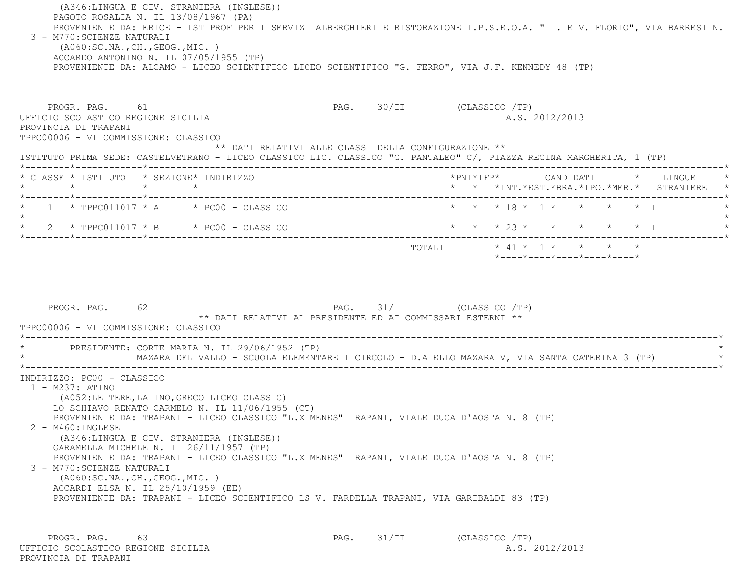(A346:LINGUA E CIV. STRANIERA (INGLESE)) PAGOTO ROSALIA N. IL 13/08/1967 (PA) PROVENIENTE DA: ERICE - IST PROF PER I SERVIZI ALBERGHIERI E RISTORAZIONE I.P.S.E.O.A. " I. E V. FLORIO", VIA BARRESI N. 3 - M770:SCIENZE NATURALI

 (A060:SC.NA.,CH.,GEOG.,MIC. ) ACCARDO ANTONINO N. IL 07/05/1955 (TP) PROVENIENTE DA: ALCAMO - LICEO SCIENTIFICO LICEO SCIENTIFICO "G. FERRO", VIA J.F. KENNEDY 48 (TP)

PROGR. PAG. 61 61 PAG. 30/II (CLASSICO /TP) UFFICIO SCOLASTICO REGIONE SICILIA A.S. 2012/2013 PROVINCIA DI TRAPANI TPPC00006 - VI COMMISSIONE: CLASSICO \*\* DATI RELATIVI ALLE CLASSI DELLA CONFIGURAZIONE \*\* ISTITUTO PRIMA SEDE: CASTELVETRANO - LICEO CLASSICO LIC. CLASSICO "G. PANTALEO" C/, PIAZZA REGINA MARGHERITA, 1 (TP) \*--------\*------------\*-------------------------------------------------------------------------------------------------------\* \* CLASSE \* ISTITUTO \* SEZIONE\* INDIRIZZO \*PNI\*IFP\* CANDIDATI \* LINGUE \* \* \* \* \* \* \* \*INT.\*EST.\*BRA.\*IPO.\*MER.\* STRANIERE \* \*--------\*------------\*-------------------------------------------------------------------------------------------------------\*1 \* TPPC011017 \* A \* \* PC00 - CLASSICO \* \* \* \* 18 \* 1 \* \* \* \* \* \* I  $\star$ \* 2 \* TPPC011017 \* B \* PC00 - CLASSICO \* \* \* \* 23 \* \* \* \* \* \* \* I \*--------\*------------\*-------------------------------------------------------------------------------------------------------\*TOTALI \* 41 \* 1 \* \* \* \*

\*----\*----\*----\*----\*----\*

PROGR. PAG. 62 62 PAG. 31/I (CLASSICO /TP) \*\* DATI RELATIVI AL PRESIDENTE ED AI COMMISSARI ESTERNI \*\* TPPC00006 - VI COMMISSIONE: CLASSICO \*----------------------------------------------------------------------------------------------------------------------------\* \* PRESIDENTE: CORTE MARIA N. IL 29/06/1952 (TP) \* MAZARA DEL VALLO - SCUOLA ELEMENTARE I CIRCOLO - D.AIELLO MAZARA V, VIA SANTA CATERINA 3 (TP) \*----------------------------------------------------------------------------------------------------------------------------\* INDIRIZZO: PC00 - CLASSICO 1 - M237:LATINO (A052:LETTERE,LATINO,GRECO LICEO CLASSIC) LO SCHIAVO RENATO CARMELO N. IL 11/06/1955 (CT) PROVENIENTE DA: TRAPANI - LICEO CLASSICO "L.XIMENES" TRAPANI, VIALE DUCA D'AOSTA N. 8 (TP) 2 - M460:INGLESE (A346:LINGUA E CIV. STRANIERA (INGLESE)) GARAMELLA MICHELE N. IL 26/11/1957 (TP) PROVENIENTE DA: TRAPANI - LICEO CLASSICO "L.XIMENES" TRAPANI, VIALE DUCA D'AOSTA N. 8 (TP) 3 - M770:SCIENZE NATURALI (A060:SC.NA.,CH.,GEOG.,MIC. ) ACCARDI ELSA N. IL 25/10/1959 (EE) PROVENIENTE DA: TRAPANI - LICEO SCIENTIFICO LS V. FARDELLA TRAPANI, VIA GARIBALDI 83 (TP)

PROGR. PAG. 63 63 PAG. 31/II (CLASSICO /TP) UFFICIO SCOLASTICO REGIONE SICILIA A.S. 2012/2013 PROVINCIA DI TRAPANI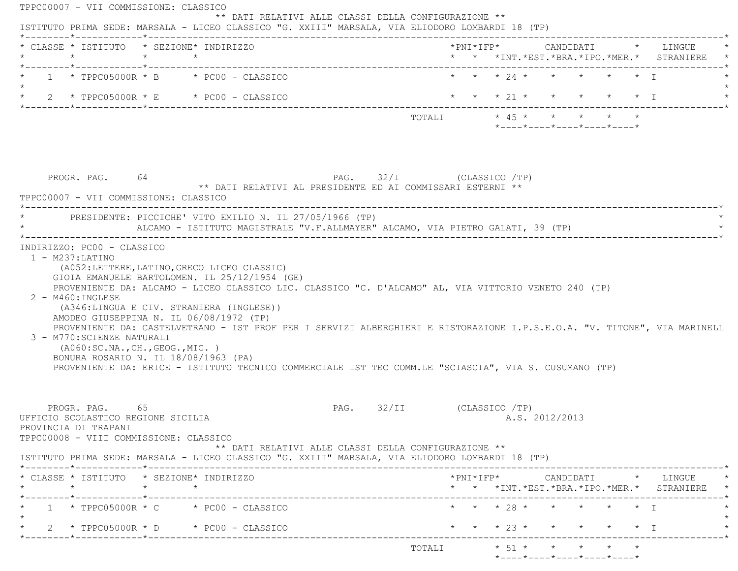| * CLASSE * ISTITUTO * SEZIONE* INDIRIZZO<br>$\star$                                                                                                                                   | $\star$ $\star$ |                                                                                                                                          |                                                                                                                                                                                                                                   |  |  |                |                                                                 |  | * * *INT.*EST.*BRA.*IPO.*MER.* STRANIERE                                                                                                           |
|---------------------------------------------------------------------------------------------------------------------------------------------------------------------------------------|-----------------|------------------------------------------------------------------------------------------------------------------------------------------|-----------------------------------------------------------------------------------------------------------------------------------------------------------------------------------------------------------------------------------|--|--|----------------|-----------------------------------------------------------------|--|----------------------------------------------------------------------------------------------------------------------------------------------------|
| $1 * TPC05000R * B * PC00 - CLASSICO$                                                                                                                                                 |                 |                                                                                                                                          |                                                                                                                                                                                                                                   |  |  |                | * * * 24 * * * * * * T                                          |  |                                                                                                                                                    |
| $\star$ 2 $\star$ TPPC05000R $\star$ E $\star$ PC00 - CLASSICO                                                                                                                        |                 |                                                                                                                                          |                                                                                                                                                                                                                                   |  |  |                |                                                                 |  | * * * 21 * * * * * * I                                                                                                                             |
|                                                                                                                                                                                       |                 |                                                                                                                                          | TOTALI * 45 * * * * * *                                                                                                                                                                                                           |  |  |                | $*$ - - - - $*$ - - - - $*$ - - - - $*$ - - - - $*$ - - - - $*$ |  |                                                                                                                                                    |
| PROGR. PAG. 64<br>TPPC00007 - VII COMMISSIONE: CLASSICO                                                                                                                               |                 |                                                                                                                                          | PAG. 32/I (CLASSICO /TP)<br>** DATI RELATIVI AL PRESIDENTE ED AI COMMISSARI ESTERNI **                                                                                                                                            |  |  |                |                                                                 |  |                                                                                                                                                    |
| PRESIDENTE: PICCICHE' VITO EMILIO N. IL 27/05/1966 (TP)                                                                                                                               |                 |                                                                                                                                          | ALCAMO - ISTITUTO MAGISTRALE "V.F.ALLMAYER" ALCAMO, VIA PIETRO GALATI, 39 (TP)                                                                                                                                                    |  |  |                |                                                                 |  |                                                                                                                                                    |
| 2 - M460: INGLESE<br>AMODEO GIUSEPPINA N. IL 06/08/1972 (TP)                                                                                                                          |                 | (A052:LETTERE, LATINO, GRECO LICEO CLASSIC)<br>GIOIA EMANUELE BARTOLOMEN. IL 25/12/1954 (GE)<br>(A346:LINGUA E CIV. STRANIERA (INGLESE)) | PROVENIENTE DA: ALCAMO - LICEO CLASSICO LIC. CLASSICO "C. D'ALCAMO" AL, VIA VITTORIO VENETO 240 (TP)                                                                                                                              |  |  |                |                                                                 |  |                                                                                                                                                    |
| 3 - M770: SCIENZE NATURALI<br>(AO60:SC.NA., CH., GEOG., MIC. )<br>BONURA ROSARIO N. IL 18/08/1963 (PA)                                                                                |                 |                                                                                                                                          | PROVENIENTE DA: CASTELVETRANO - IST PROF PER I SERVIZI ALBERGHIERI E RISTORAZIONE I.P.S.E.O.A. "V. TITONE", VIA MARINELL<br>PROVENIENTE DA: ERICE - ISTITUTO TECNICO COMMERCIALE IST TEC COMM.LE "SCIASCIA", VIA S. CUSUMANO (TP) |  |  |                |                                                                 |  |                                                                                                                                                    |
| PROGR. PAG. 65<br>UFFICIO SCOLASTICO REGIONE SICILIA<br>PROVINCIA DI TRAPANI<br>TPPC00008 - VIII COMMISSIONE: CLASSICO                                                                |                 |                                                                                                                                          | PAG. 32/II (CLASSICO /TP)<br>** DATI RELATIVI ALLE CLASSI DELLA CONFIGURAZIONE **                                                                                                                                                 |  |  | A.S. 2012/2013 |                                                                 |  |                                                                                                                                                    |
|                                                                                                                                                                                       |                 |                                                                                                                                          |                                                                                                                                                                                                                                   |  |  |                |                                                                 |  |                                                                                                                                                    |
| $\star$                                                                                                                                                                               | $\star$ $\star$ |                                                                                                                                          |                                                                                                                                                                                                                                   |  |  |                |                                                                 |  |                                                                                                                                                    |
| $1 \times TPPC05000R \times C \times PC00 - CLASSICO$                                                                                                                                 |                 |                                                                                                                                          |                                                                                                                                                                                                                                   |  |  |                | * * * 28 * * * * * * I                                          |  | $*PNI*IFP* \qquad \qquad \text{CANDIDATI} \qquad \qquad * \qquad \text{LINGUE} \qquad \qquad *$<br>* * *INT. *EST. *BRA. *IPO. *MER. * STRANIERE * |
| ISTITUTO PRIMA SEDE: MARSALA - LICEO CLASSICO "G. XXIII" MARSALA, VIA ELIODORO LOMBARDI 18 (TP)<br>* CLASSE * ISTITUTO * SEZIONE* INDIRIZZO<br>$2 * TPPC05000R * D * PC00 - CLASSICO$ |                 |                                                                                                                                          |                                                                                                                                                                                                                                   |  |  |                |                                                                 |  | * * * 23 * * * * * * I                                                                                                                             |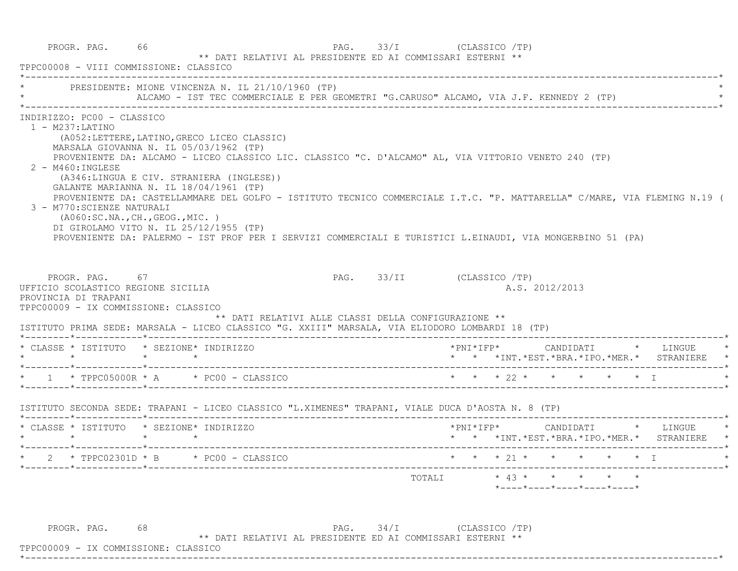PROGR. PAG. 66  $\begin{array}{cc} \text{PROGR. PAG.} \end{array}$  (CLASSICO /TP) \*\* DATI RELATIVI AL PRESIDENTE ED AI COMMISSARI ESTERNI \*\* TPPC00008 - VIII COMMISSIONE: CLASSICO \*----------------------------------------------------------------------------------------------------------------------------\*PRESIDENTE: MIONE VINCENZA N. IL 21/10/1960 (TP) ALCAMO - IST TEC COMMERCIALE E PER GEOMETRI "G.CARUSO" ALCAMO, VIA J.F. KENNEDY 2 (TP) \*----------------------------------------------------------------------------------------------------------------------------\* INDIRIZZO: PC00 - CLASSICO 1 - M237:LATINO (A052:LETTERE,LATINO,GRECO LICEO CLASSIC) MARSALA GIOVANNA N. IL 05/03/1962 (TP) PROVENIENTE DA: ALCAMO - LICEO CLASSICO LIC. CLASSICO "C. D'ALCAMO" AL, VIA VITTORIO VENETO 240 (TP) 2 - M460:INGLESE (A346:LINGUA E CIV. STRANIERA (INGLESE)) GALANTE MARIANNA N. IL 18/04/1961 (TP) PROVENIENTE DA: CASTELLAMMARE DEL GOLFO - ISTITUTO TECNICO COMMERCIALE I.T.C. "P. MATTARELLA" C/MARE, VIA FLEMING N.19 ( 3 - M770:SCIENZE NATURALI (A060:SC.NA.,CH.,GEOG.,MIC. ) DI GIROLAMO VITO N. IL 25/12/1955 (TP) PROVENIENTE DA: PALERMO - IST PROF PER I SERVIZI COMMERCIALI E TURISTICI L.EINAUDI, VIA MONGERBINO 51 (PA) PROGR. PAG. 67 67 PAG. 93/II (CLASSICO /TP) UFFICIO SCOLASTICO REGIONE SICILIA A.S. 2012/2013 PROVINCIA DI TRAPANI TPPC00009 - IX COMMISSIONE: CLASSICO \*\* DATI RELATIVI ALLE CLASSI DELLA CONFIGURAZIONE \*\* ISTITUTO PRIMA SEDE: MARSALA - LICEO CLASSICO "G. XXIII" MARSALA, VIA ELIODORO LOMBARDI 18 (TP) \*--------\*------------\*-------------------------------------------------------------------------------------------------------\* \* CLASSE \* ISTITUTO \* SEZIONE\* INDIRIZZO \*PNI\*IFP\* CANDIDATI \* LINGUE \* \* \* \* \* \* \* \*INT.\*EST.\*BRA.\*IPO.\*MER.\* STRANIERE \* \*--------\*------------\*-------------------------------------------------------------------------------------------------------\* \* 1 \* TPPC05000R \* A \* PC00 - CLASSICO \* \* \* 22 \* \* \* \* \* I \* \*--------\*------------\*-------------------------------------------------------------------------------------------------------\* ISTITUTO SECONDA SEDE: TRAPANI - LICEO CLASSICO "L.XIMENES" TRAPANI, VIALE DUCA D'AOSTA N. 8 (TP) \*--------\*------------\*-------------------------------------------------------------------------------------------------------\* \* CLASSE \* ISTITUTO \* SEZIONE\* INDIRIZZO \*PNI\*IFP\* CANDIDATI \* LINGUE \* \* \* \* \* \* \* \*INT.\*EST.\*BRA.\*IPO.\*MER.\* STRANIERE \* \*--------\*------------\*-------------------------------------------------------------------------------------------------------\*\* 2 \* TPPC02301D \* B \* PC00 - CLASSICO \* \* \* \* 21 \* \* \* \* \* \* \* I \*--------\*------------\*-------------------------------------------------------------------------------------------------------\* TOTALI \* 43 \* \* \* \* \* \*----\*----\*----\*----\*----\*PROGR. PAG. 68 68 PAG. 34/I (CLASSICO /TP)

\*\* DATI RELATIVI AL PRESIDENTE ED AI COMMISSARI ESTERNI \*\*

\*----------------------------------------------------------------------------------------------------------------------------\*

TPPC00009 - IX COMMISSIONE: CLASSICO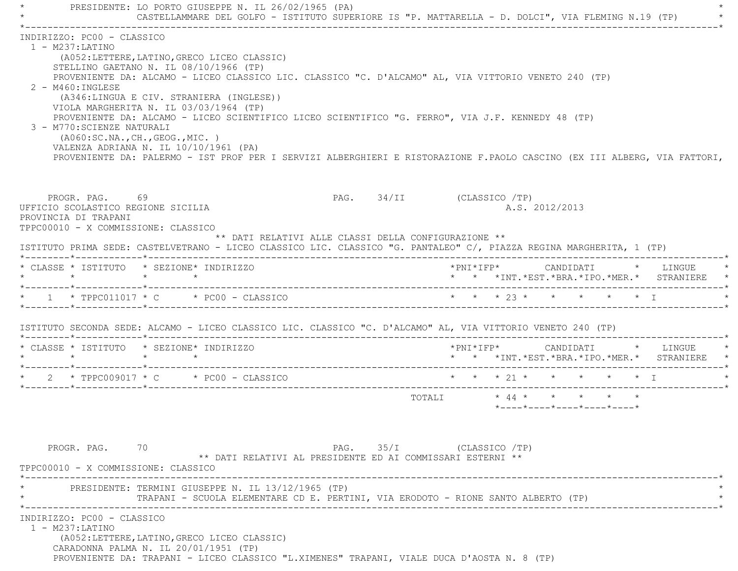PRESIDENTE: LO PORTO GIUSEPPE N. IL 26/02/1965 (PA) CASTELLAMMARE DEL GOLFO - ISTITUTO SUPERIORE IS "P. MATTARELLA - D. DOLCI", VIA FLEMING N.19 (TP) \*----------------------------------------------------------------------------------------------------------------------------\* INDIRIZZO: PC00 - CLASSICO 1 - M237:LATINO (A052:LETTERE,LATINO,GRECO LICEO CLASSIC) STELLINO GAETANO N. IL 08/10/1966 (TP) PROVENIENTE DA: ALCAMO - LICEO CLASSICO LIC. CLASSICO "C. D'ALCAMO" AL, VIA VITTORIO VENETO 240 (TP) 2 - M460:INGLESE (A346:LINGUA E CIV. STRANIERA (INGLESE)) VIOLA MARGHERITA N. IL 03/03/1964 (TP) PROVENIENTE DA: ALCAMO - LICEO SCIENTIFICO LICEO SCIENTIFICO "G. FERRO", VIA J.F. KENNEDY 48 (TP) 3 - M770:SCIENZE NATURALI (A060:SC.NA.,CH.,GEOG.,MIC. ) VALENZA ADRIANA N. IL 10/10/1961 (PA) PROVENIENTE DA: PALERMO - IST PROF PER I SERVIZI ALBERGHIERI E RISTORAZIONE F.PAOLO CASCINO (EX III ALBERG, VIA FATTORI, PROGR. PAG. 69 69 PAG. 94/II (CLASSICO /TP) UFFICIO SCOLASTICO REGIONE SICILIA A.S. 2012/2013 PROVINCIA DI TRAPANI TPPC00010 - X COMMISSIONE: CLASSICO \*\* DATI RELATIVI ALLE CLASSI DELLA CONFIGURAZIONE \*\* ISTITUTO PRIMA SEDE: CASTELVETRANO - LICEO CLASSICO LIC. CLASSICO "G. PANTALEO" C/, PIAZZA REGINA MARGHERITA, 1 (TP) \*--------\*------------\*-------------------------------------------------------------------------------------------------------\* \* CLASSE \* ISTITUTO \* SEZIONE\* INDIRIZZO \*PNI\*IFP\* CANDIDATI \* LINGUE \* \* \* \* \* \* \* \*INT.\*EST.\*BRA.\*IPO.\*MER.\* STRANIERE \* \*--------\*------------\*-------------------------------------------------------------------------------------------------------\*\* 1 \* TPPC011017 \* C \* PC00 - CLASSICO \* \* \* \* 23 \* \* \* \* \* \* \* I \*--------\*------------\*-------------------------------------------------------------------------------------------------------\* ISTITUTO SECONDA SEDE: ALCAMO - LICEO CLASSICO LIC. CLASSICO "C. D'ALCAMO" AL, VIA VITTORIO VENETO 240 (TP) \*--------\*------------\*-------------------------------------------------------------------------------------------------------\* \* CLASSE \* ISTITUTO \* SEZIONE\* INDIRIZZO \*PNI\*IFP\* CANDIDATI \* LINGUE \* \* \* \* \* \* \* \*INT.\*EST.\*BRA.\*IPO.\*MER.\* STRANIERE \* \*--------\*------------\*-------------------------------------------------------------------------------------------------------\*\* 2 \* TPPC009017 \* C \* PC00 - CLASSICO \* \* \* \* 21 \* \* \* \* \* \* \* \* T \*--------\*------------\*-------------------------------------------------------------------------------------------------------\* TOTALI \* 44 \* \* \* \* \* \*----\*----\*----\*----\*----\*PROGR. PAG. 70 70 PAG. 35/I (CLASSICO /TP) \*\* DATI RELATIVI AL PRESIDENTE ED AI COMMISSARI ESTERNI \*\* TPPC00010 - X COMMISSIONE: CLASSICO \*----------------------------------------------------------------------------------------------------------------------------\*PRESIDENTE: TERMINI GIUSEPPE N. IL 13/12/1965 (TP) TRAPANI - SCUOLA ELEMENTARE CD E. PERTINI, VIA ERODOTO - RIONE SANTO ALBERTO (TP) \*----------------------------------------------------------------------------------------------------------------------------\* INDIRIZZO: PC00 - CLASSICO 1 - M237:LATINO (A052:LETTERE,LATINO,GRECO LICEO CLASSIC) CARADONNA PALMA N. IL 20/01/1951 (TP) PROVENIENTE DA: TRAPANI - LICEO CLASSICO "L.XIMENES" TRAPANI, VIALE DUCA D'AOSTA N. 8 (TP)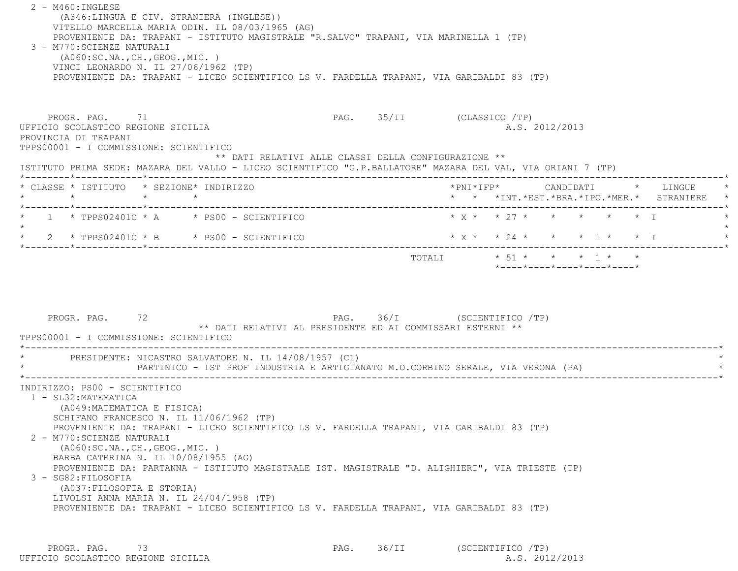2 - M460:INGLESE (A346:LINGUA E CIV. STRANIERA (INGLESE)) VITELLO MARCELLA MARIA ODIN. IL 08/03/1965 (AG) PROVENIENTE DA: TRAPANI - ISTITUTO MAGISTRALE "R.SALVO" TRAPANI, VIA MARINELLA 1 (TP) 3 - M770:SCIENZE NATURALI (A060:SC.NA.,CH.,GEOG.,MIC. ) VINCI LEONARDO N. IL 27/06/1962 (TP) PROVENIENTE DA: TRAPANI - LICEO SCIENTIFICO LS V. FARDELLA TRAPANI, VIA GARIBALDI 83 (TP) PROGR. PAG. 71 2009 PAG. 25/II (CLASSICO /TP) UFFICIO SCOLASTICO REGIONE SICILIA A.S. 2012/2013 PROVINCIA DI TRAPANI TPPS00001 - I COMMISSIONE: SCIENTIFICO \*\* DATI RELATIVI ALLE CLASSI DELLA CONFIGURAZIONE \*\* ISTITUTO PRIMA SEDE: MAZARA DEL VALLO - LICEO SCIENTIFICO "G.P.BALLATORE" MAZARA DEL VAL, VIA ORIANI 7 (TP) \*--------\*------------\*-------------------------------------------------------------------------------------------------------\* \* CLASSE \* ISTITUTO \* SEZIONE\* INDIRIZZO \*PNI\*IFP\* CANDIDATI \* LINGUE \* \* \* \* \* \* \* \*INT.\*EST.\*BRA.\*IPO.\*MER.\* STRANIERE \* \*--------\*------------\*-------------------------------------------------------------------------------------------------------\*1 \* TPPS02401C \* A \* PS00 - SCIENTIFICO \* \* \* \* \* \* \* \* \* \* \* I  $\star$ 2 \* TPPS02401C \* B \* PS00 - SCIENTIFICO \* \* \* \* \* \* \* \* \* \* \* \* \* 1 \* \* \* I \* \* \* I \*--------\*------------\*-------------------------------------------------------------------------------------------------------\* $\texttt{TOTAL} \qquad \qquad \star \quad \texttt{51}\; \star \qquad \star \qquad \star \qquad \star \qquad \star \qquad \star \qquad \star \qquad \star$  \*----\*----\*----\*----\*----\*PROGR. PAG. 72 **PAG.** PAG. 36/I (SCIENTIFICO /TP) \*\* DATI RELATIVI AL PRESIDENTE ED AI COMMISSARI ESTERNI \*\* TPPS00001 - I COMMISSIONE: SCIENTIFICO \*----------------------------------------------------------------------------------------------------------------------------\*PRESIDENTE: NICASTRO SALVATORE N. IL 14/08/1957 (CL) PARTINICO - IST PROF INDUSTRIA E ARTIGIANATO M.O.CORBINO SERALE, VIA VERONA (PA) \*----------------------------------------------------------------------------------------------------------------------------\* INDIRIZZO: PS00 - SCIENTIFICO 1 - SL32:MATEMATICA (A049:MATEMATICA E FISICA) SCHIFANO FRANCESCO N. IL 11/06/1962 (TP) PROVENIENTE DA: TRAPANI - LICEO SCIENTIFICO LS V. FARDELLA TRAPANI, VIA GARIBALDI 83 (TP) 2 - M770:SCIENZE NATURALI (A060:SC.NA.,CH.,GEOG.,MIC. ) BARBA CATERINA N. IL 10/08/1955 (AG) PROVENIENTE DA: PARTANNA - ISTITUTO MAGISTRALE IST. MAGISTRALE "D. ALIGHIERI", VIA TRIESTE (TP) 3 - SG82:FILOSOFIA (A037:FILOSOFIA E STORIA) LIVOLSI ANNA MARIA N. IL 24/04/1958 (TP) PROVENIENTE DA: TRAPANI - LICEO SCIENTIFICO LS V. FARDELLA TRAPANI, VIA GARIBALDI 83 (TP)

PROGR. PAG. 73 73 PAG. 36/II (SCIENTIFICO /TP) UFFICIO SCOLASTICO REGIONE SICILIA A.S. 2012/2013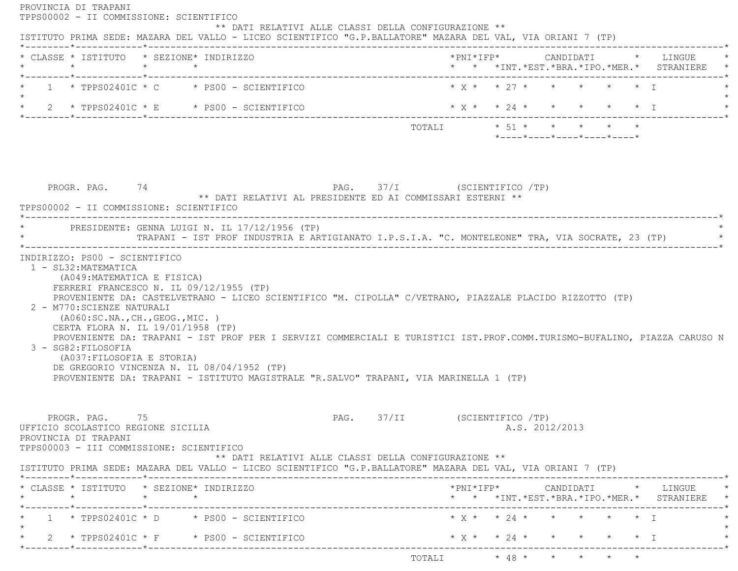| * CLASSE * ISTITUTO * SEZIONE* INDIRIZZO<br>$\star$ $\star$ $\star$                                                                                                                                                                                                                                                                                                                                                                                                                                                                      |                                                                                                  |                                                                 |                |  | * * *INT. *EST. *BRA. *IPO. *MER. * STRANIERE * |
|------------------------------------------------------------------------------------------------------------------------------------------------------------------------------------------------------------------------------------------------------------------------------------------------------------------------------------------------------------------------------------------------------------------------------------------------------------------------------------------------------------------------------------------|--------------------------------------------------------------------------------------------------|-----------------------------------------------------------------|----------------|--|-------------------------------------------------|
| *--------*------------*-------------<br>$1 \times TPPS02401C \times C \times PS00 - SCIENTIFICO$                                                                                                                                                                                                                                                                                                                                                                                                                                         |                                                                                                  | $* x * x * 27 * * * * * * x$                                    |                |  |                                                 |
| $\star$ 2 $\star$ TPPS02401C $\star$ E $\star$ PS00 - SCIENTIFICO                                                                                                                                                                                                                                                                                                                                                                                                                                                                        | $\star$ X $\star$ $\star$ 24 $\star$ $\star$ $\star$ $\star$ $\star$ $\star$ $\downarrow$ $\top$ |                                                                 |                |  |                                                 |
|                                                                                                                                                                                                                                                                                                                                                                                                                                                                                                                                          | TOTALI * 51 * * * * * *                                                                          | $*$ - - - - $*$ - - - - $*$ - - - - $*$ - - - - $*$ - - - - $*$ |                |  |                                                 |
|                                                                                                                                                                                                                                                                                                                                                                                                                                                                                                                                          |                                                                                                  |                                                                 |                |  |                                                 |
| PAG. 37/I (SCIENTIFICO /TP)<br>PROGR. PAG. 74<br>** DATI RELATIVI AL PRESIDENTE ED AI COMMISSARI ESTERNI **<br>TPPS00002 - II COMMISSIONE: SCIENTIFICO                                                                                                                                                                                                                                                                                                                                                                                   |                                                                                                  |                                                                 |                |  |                                                 |
| * PRESIDENTE: GENNA LUIGI N. IL 17/12/1956 (TP)<br>TRAPANI - IST PROF INDUSTRIA E ARTIGIANATO I.P.S.I.A. "C. MONTELEONE" TRA, VIA SOCRATE, 23 (TP)                                                                                                                                                                                                                                                                                                                                                                                       |                                                                                                  |                                                                 |                |  |                                                 |
| INDIRIZZO: PS00 - SCIENTIFICO<br>1 - SL32: MATEMATICA<br>(A049: MATEMATICA E FISICA)<br>FERRERI FRANCESCO N. IL 09/12/1955 (TP)                                                                                                                                                                                                                                                                                                                                                                                                          |                                                                                                  |                                                                 |                |  |                                                 |
| PROVENIENTE DA: CASTELVETRANO - LICEO SCIENTIFICO "M. CIPOLLA" C/VETRANO, PIAZZALE PLACIDO RIZZOTTO (TP)<br>2 - M770: SCIENZE NATURALI<br>( A060:SC.NA., CH., GEOG., MIC. )<br>CERTA FLORA N. IL 19/01/1958 (TP)<br>PROVENIENTE DA: TRAPANI - IST PROF PER I SERVIZI COMMERCIALI E TURISTICI IST.PROF.COMM.TURISMO-BUFALINO, PIAZZA CARUSO N<br>3 - SG82: FILOSOFIA<br>(A037: FILOSOFIA E STORIA)<br>DE GREGORIO VINCENZA N. IL 08/04/1952 (TP)<br>PROVENIENTE DA: TRAPANI - ISTITUTO MAGISTRALE "R.SALVO" TRAPANI, VIA MARINELLA 1 (TP) |                                                                                                  |                                                                 |                |  |                                                 |
| PROGR, PAG, 75<br>UFFICIO SCOLASTICO REGIONE SICILIA<br>PROVINCIA DI TRAPANI<br>TPPS00003 - III COMMISSIONE: SCIENTIFICO<br>** DATI RELATIVI ALLE CLASSI DELLA CONFIGURAZIONE **                                                                                                                                                                                                                                                                                                                                                         | PAG. 37/II (SCIENTIFICO /TP)                                                                     |                                                                 | A.S. 2012/2013 |  |                                                 |
| ISTITUTO PRIMA SEDE: MAZARA DEL VALLO - LICEO SCIENTIFICO "G.P.BALLATORE" MAZARA DEL VAL, VIA ORIANI 7 (TP)<br>* CLASSE * ISTITUTO * SEZIONE* INDIRIZZO<br>$\star$ $\star$ $\star$                                                                                                                                                                                                                                                                                                                                                       |                                                                                                  |                                                                 |                |  | * * *INT. *EST. *BRA. *IPO. *MER. * STRANIERE * |
| $1 * TPPS02401C * D * PS00 - SCIENTIFICO$                                                                                                                                                                                                                                                                                                                                                                                                                                                                                                |                                                                                                  | $*$ X $*$ $*$ 24 $*$ $*$ $*$ $*$ $*$ $*$ I                      |                |  |                                                 |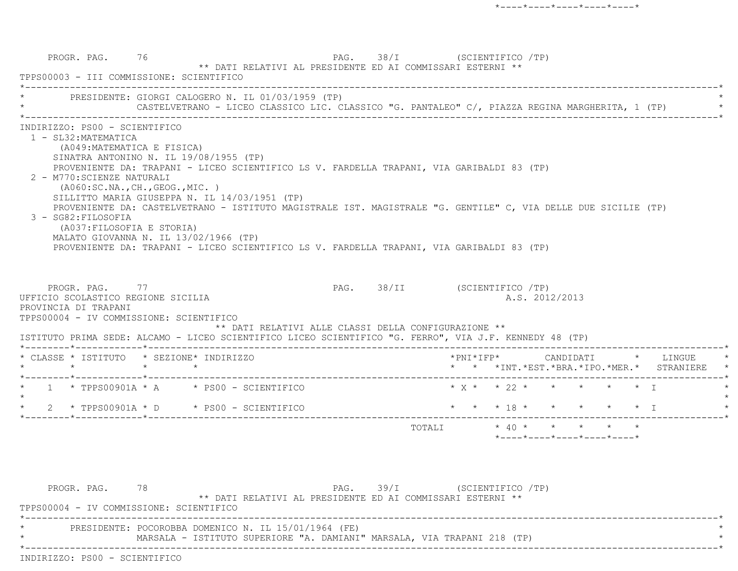PROGR. PAG. 76 76 PAG. 98/I (SCIENTIFICO /TP) \*\* DATI RELATIVI AL PRESIDENTE ED AI COMMISSARI ESTERNI \*\* TPPS00003 - III COMMISSIONE: SCIENTIFICO \*----------------------------------------------------------------------------------------------------------------------------\*PRESIDENTE: GIORGI CALOGERO N. IL 01/03/1959 (TP) CASTELVETRANO - LICEO CLASSICO LIC. CLASSICO "G. PANTALEO" C/, PIAZZA REGINA MARGHERITA, 1 (TP) \*----------------------------------------------------------------------------------------------------------------------------\* INDIRIZZO: PS00 - SCIENTIFICO 1 - SL32:MATEMATICA (A049:MATEMATICA E FISICA) SINATRA ANTONINO N. IL 19/08/1955 (TP) PROVENIENTE DA: TRAPANI - LICEO SCIENTIFICO LS V. FARDELLA TRAPANI, VIA GARIBALDI 83 (TP) 2 - M770:SCIENZE NATURALI (A060:SC.NA.,CH.,GEOG.,MIC. ) SILLITTO MARIA GIUSEPPA N. IL 14/03/1951 (TP) PROVENIENTE DA: CASTELVETRANO - ISTITUTO MAGISTRALE IST. MAGISTRALE "G. GENTILE" C, VIA DELLE DUE SICILIE (TP) 3 - SG82:FILOSOFIA (A037:FILOSOFIA E STORIA) MALATO GIOVANNA N. IL 13/02/1966 (TP) PROVENIENTE DA: TRAPANI - LICEO SCIENTIFICO LS V. FARDELLA TRAPANI, VIA GARIBALDI 83 (TP) PROGR. PAG. 77 PAG. 28/II (SCIENTIFICO /TP) UFFICIO SCOLASTICO REGIONE SICILIA A.S. 2012/2013 PROVINCIA DI TRAPANI TPPS00004 - IV COMMISSIONE: SCIENTIFICO \*\* DATI RELATIVI ALLE CLASSI DELLA CONFIGURAZIONE \*\* ISTITUTO PRIMA SEDE: ALCAMO - LICEO SCIENTIFICO LICEO SCIENTIFICO "G. FERRO", VIA J.F. KENNEDY 48 (TP) \*--------\*------------\*-------------------------------------------------------------------------------------------------------\* \* CLASSE \* ISTITUTO \* SEZIONE\* INDIRIZZO \*PNI\*IFP\* CANDIDATI \* LINGUE \* \* \* \* \* \* \* \*INT.\*EST.\*BRA.\*IPO.\*MER.\* STRANIERE \* \*--------\*------------\*-------------------------------------------------------------------------------------------------------\*1 \* TPPS00901A \* A \* PS00 - SCIENTIFICO \* \* X \* \* 22 \* \* \* \* \* \* \* I  $\star$ \* 2 \* TPPS00901A \* D \* PS00 - SCIENTIFICO \* \* \* \* 18 \* \* \* \* \* \* \* \* I \*--------\*------------\*-------------------------------------------------------------------------------------------------------\*TOTALI  $* 40 * * * * * * * * * *$ \*----\*----\*----\*----\*----\*

PROGR. PAG. 78 78 PAG. 39/I (SCIENTIFICO /TP) \*\* DATI RELATIVI AL PRESIDENTE ED AI COMMISSARI ESTERNI \*\* TPPS00004 - IV COMMISSIONE: SCIENTIFICO \*----------------------------------------------------------------------------------------------------------------------------\*PRESIDENTE: POCOROBBA DOMENICO N. IL 15/01/1964 (FE) MARSALA - ISTITUTO SUPERIORE "A. DAMIANI" MARSALA, VIA TRAPANI 218 (TP) \*----------------------------------------------------------------------------------------------------------------------------\*INDIRIZZO: PS00 - SCIENTIFICO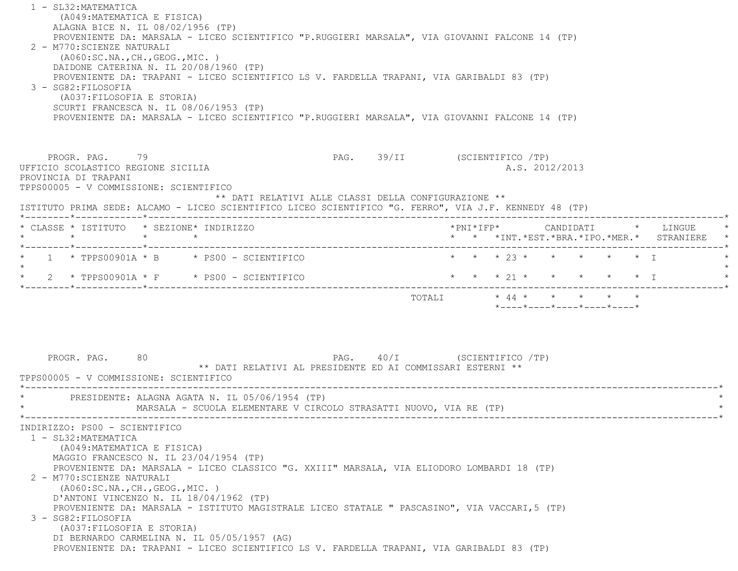| 1 - SL32: MATEMATICA<br>(A049: MATEMATICA E FISICA)<br>ALAGNA BICE N. IL 08/02/1956 (TP)<br>PROVENIENTE DA: MARSALA - LICEO SCIENTIFICO "P.RUGGIERI MARSALA", VIA GIOVANNI FALCONE 14 (TP)<br>2 - M770: SCIENZE NATURALI<br>( A060:SC.NA., CH., GEOG., MIC. )<br>DAIDONE CATERINA N. IL 20/08/1960 (TP)<br>PROVENIENTE DA: TRAPANI - LICEO SCIENTIFICO LS V. FARDELLA TRAPANI, VIA GARIBALDI 83 (TP)<br>3 - SG82: FILOSOFIA<br>(A037: FILOSOFIA E STORIA)<br>SCURTI FRANCESCA N. IL 08/06/1953 (TP)<br>PROVENIENTE DA: MARSALA - LICEO SCIENTIFICO "P.RUGGIERI MARSALA", VIA GIOVANNI FALCONE 14 (TP)                                       |                              |                         |                                                  |  |                                            |
|---------------------------------------------------------------------------------------------------------------------------------------------------------------------------------------------------------------------------------------------------------------------------------------------------------------------------------------------------------------------------------------------------------------------------------------------------------------------------------------------------------------------------------------------------------------------------------------------------------------------------------------------|------------------------------|-------------------------|--------------------------------------------------|--|--------------------------------------------|
| PROGR. PAG. 79<br>UFFICIO SCOLASTICO REGIONE SICILIA<br>PROVINCIA DI TRAPANI<br>TPPS00005 - V COMMISSIONE: SCIENTIFICO<br>** DATI RELATIVI ALLE CLASSI DELLA CONFIGURAZIONE **<br>ISTITUTO PRIMA SEDE: ALCAMO - LICEO SCIENTIFICO LICEO SCIENTIFICO "G. FERRO", VIA J.F. KENNEDY 48 (TP)                                                                                                                                                                                                                                                                                                                                                    | PAG. 39/II (SCIENTIFICO /TP) |                         | A.S. 2012/2013                                   |  |                                            |
| * CLASSE * ISTITUTO * SEZIONE* INDIRIZZO<br>$\star$<br>$\star$ $\star$                                                                                                                                                                                                                                                                                                                                                                                                                                                                                                                                                                      |                              |                         |                                                  |  | * * *INT.*EST.*BRA.*IPO.*MER.* STRANIERE * |
| $1 * TPPS00901A * B * PS00 - SCIENTIFICO$<br>2 * TPPS00901A * F * PS00 - SCIENTIFICO                                                                                                                                                                                                                                                                                                                                                                                                                                                                                                                                                        |                              |                         | * * * 23 * * * * * * I<br>* * * 21 * * * * * * I |  |                                            |
| 80<br>PROGR. PAG.<br>** DATI RELATIVI AL PRESIDENTE ED AI COMMISSARI ESTERNI **<br>TPPS00005 - V COMMISSIONE: SCIENTIFICO                                                                                                                                                                                                                                                                                                                                                                                                                                                                                                                   | PAG. 40/I (SCIENTIFICO /TP)  | TOTALI * 44 * * * * * * | $*$ ---- $*$ ---- $*$ ---- $*$ ---- $*$          |  |                                            |
| PRESIDENTE: ALAGNA AGATA N. IL 05/06/1954 (TP)<br>MARSALA - SCUOLA ELEMENTARE V CIRCOLO STRASATTI NUOVO, VIA RE (TP)                                                                                                                                                                                                                                                                                                                                                                                                                                                                                                                        |                              |                         |                                                  |  |                                            |
| INDIRIZZO: PS00 - SCIENTIFICO<br>1 - SL32: MATEMATICA<br>(A049: MATEMATICA E FISICA)<br>MAGGIO FRANCESCO N. IL 23/04/1954 (TP)<br>PROVENIENTE DA: MARSALA - LICEO CLASSICO "G. XXIII" MARSALA, VIA ELIODORO LOMBARDI 18 (TP)<br>2 - M770: SCIENZE NATURALI<br>(A060:SC.NA., CH., GEOG., MIC. )<br>D'ANTONI VINCENZO N. IL 18/04/1962 (TP)<br>PROVENIENTE DA: MARSALA - ISTITUTO MAGISTRALE LICEO STATALE " PASCASINO", VIA VACCARI, 5 (TP)<br>3 - SG82: FILOSOFIA<br>(A037: FILOSOFIA E STORIA)<br>DI BERNARDO CARMELINA N. IL 05/05/1957 (AG)<br>PROVENIENTE DA: TRAPANI - LICEO SCIENTIFICO LS V. FARDELLA TRAPANI, VIA GARIBALDI 83 (TP) |                              |                         |                                                  |  |                                            |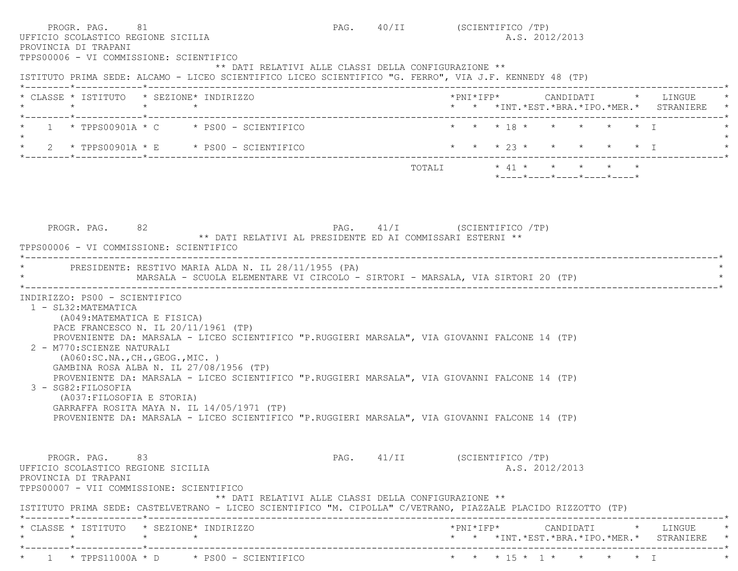| PROGR. PAG. 81<br>UFFICIO SCOLASTICO REGIONE SICILIA<br>PROVINCIA DI TRAPANI<br>TPPS00006 - VI COMMISSIONE: SCIENTIFICO                                                 |                                                                                                                                                                                                                                                                                                                                                                                                                                                                          |                                                            | PAG. 40/II (SCIENTIFICO /TP) | A.S. 2012/2013                                                                         |  |
|-------------------------------------------------------------------------------------------------------------------------------------------------------------------------|--------------------------------------------------------------------------------------------------------------------------------------------------------------------------------------------------------------------------------------------------------------------------------------------------------------------------------------------------------------------------------------------------------------------------------------------------------------------------|------------------------------------------------------------|------------------------------|----------------------------------------------------------------------------------------|--|
|                                                                                                                                                                         | ISTITUTO PRIMA SEDE: ALCAMO - LICEO SCIENTIFICO LICEO SCIENTIFICO "G. FERRO", VIA J.F. KENNEDY 48 (TP)                                                                                                                                                                                                                                                                                                                                                                   | ** DATI RELATIVI ALLE CLASSI DELLA CONFIGURAZIONE **       |                              |                                                                                        |  |
| $\star$                                                                                                                                                                 | * CLASSE * ISTITUTO * SEZIONE* INDIRIZZO<br>$\star$ $\star$                                                                                                                                                                                                                                                                                                                                                                                                              |                                                            |                              | * * *INT. *EST. *BRA. *IPO. *MER. * STRANIERE                                          |  |
|                                                                                                                                                                         | $1 \times TPPS00901A \times C \times PS00 - SCIENTIFICO$                                                                                                                                                                                                                                                                                                                                                                                                                 |                                                            |                              | * * * 18 * * * * * * T                                                                 |  |
|                                                                                                                                                                         | 2 * TPPS00901A * E * PS00 - SCIENTIFICO                                                                                                                                                                                                                                                                                                                                                                                                                                  |                                                            |                              | * * * 23 * * * * * * I                                                                 |  |
|                                                                                                                                                                         |                                                                                                                                                                                                                                                                                                                                                                                                                                                                          |                                                            |                              | TOTALI * 41 * * * * * *<br>$*$ ---- $*$ ---- $*$ ---- $*$ ---- $*$ ---- $*$            |  |
| PROGR. PAG. 82<br>TPPS00006 - VI COMMISSIONE: SCIENTIFICO                                                                                                               |                                                                                                                                                                                                                                                                                                                                                                                                                                                                          | ** DATI RELATIVI AL PRESIDENTE ED AI COMMISSARI ESTERNI ** | PAG. 41/I (SCIENTIFICO /TP)  |                                                                                        |  |
|                                                                                                                                                                         | PRESIDENTE: RESTIVO MARIA ALDA N. IL 28/11/1955 (PA)<br>MARSALA - SCUOLA ELEMENTARE VI CIRCOLO - SIRTORI - MARSALA, VIA SIRTORI 20 (TP)                                                                                                                                                                                                                                                                                                                                  |                                                            |                              |                                                                                        |  |
| INDIRIZZO: PS00 - SCIENTIFICO<br>1 - SL32: MATEMATICA<br>(A049: MATEMATICA E FISICA)<br>2 - M770: SCIENZE NATURALI<br>3 - SG82: FILOSOFIA<br>(A037: FILOSOFIA E STORIA) | PACE FRANCESCO N. IL 20/11/1961 (TP)<br>PROVENIENTE DA: MARSALA - LICEO SCIENTIFICO "P.RUGGIERI MARSALA", VIA GIOVANNI FALCONE 14 (TP)<br>( A060:SC.NA., CH., GEOG., MIC. )<br>GAMBINA ROSA ALBA N. IL 27/08/1956 (TP)<br>PROVENIENTE DA: MARSALA - LICEO SCIENTIFICO "P.RUGGIERI MARSALA", VIA GIOVANNI FALCONE 14 (TP)<br>GARRAFFA ROSITA MAYA N. IL 14/05/1971 (TP)<br>PROVENIENTE DA: MARSALA - LICEO SCIENTIFICO "P.RUGGIERI MARSALA", VIA GIOVANNI FALCONE 14 (TP) |                                                            |                              |                                                                                        |  |
| PROGR. PAG. 83<br>UFFICIO SCOLASTICO REGIONE SICILIA<br>PROVINCIA DI TRAPANI<br>TPPS00007 - VII COMMISSIONE: SCIENTIFICO                                                | ISTITUTO PRIMA SEDE: CASTELVETRANO - LICEO SCIENTIFICO "M. CIPOLLA" C/VETRANO, PIAZZALE PLACIDO RIZZOTTO (TP)                                                                                                                                                                                                                                                                                                                                                            | ** DATI RELATIVI ALLE CLASSI DELLA CONFIGURAZIONE **       | PAG. 41/II (SCIENTIFICO /TP) | A.S. 2012/2013                                                                         |  |
| $\star$                                                                                                                                                                 | * CLASSE * ISTITUTO * SEZIONE* INDIRIZZO<br>$\star$ $\star$                                                                                                                                                                                                                                                                                                                                                                                                              |                                                            |                              | $*$ PNI $*$ IFP $*$ CANDIDATI $*$ LINGUE<br>* * *INT.*EST.*BRA.*IPO.*MER.* STRANIERE * |  |
|                                                                                                                                                                         | $\star$ 1 $\star$ TPPS11000A $\star$ D $\star$ PS00 - SCIENTIFICO                                                                                                                                                                                                                                                                                                                                                                                                        |                                                            |                              | * * * 15 * 1 * * * * * I                                                               |  |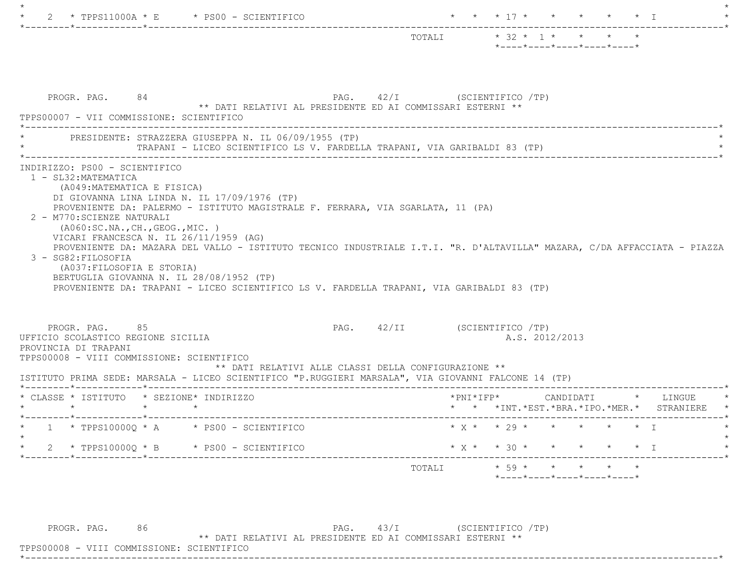|                                                                                                                                                                                                                                                                                                                                                                  |                                                                                           | TOTALI * 32 * 1 * * * * | *----*----*----*----*----* |                |  |                                               |
|------------------------------------------------------------------------------------------------------------------------------------------------------------------------------------------------------------------------------------------------------------------------------------------------------------------------------------------------------------------|-------------------------------------------------------------------------------------------|-------------------------|----------------------------|----------------|--|-----------------------------------------------|
| PROGR. PAG. 84<br>TPPS00007 - VII COMMISSIONE: SCIENTIFICO<br>* PRESIDENTE: STRAZZERA GIUSEPPA N. IL 06/09/1955 (TP)                                                                                                                                                                                                                                             | PAG. 42/I (SCIENTIFICO /TP)<br>** DATI RELATIVI AL PRESIDENTE ED AI COMMISSARI ESTERNI ** |                         |                            |                |  |                                               |
|                                                                                                                                                                                                                                                                                                                                                                  |                                                                                           |                         |                            |                |  |                                               |
| 2 - M770: SCIENZE NATURALI<br>( A060:SC.NA., CH., GEOG., MIC. )                                                                                                                                                                                                                                                                                                  |                                                                                           |                         |                            |                |  |                                               |
| VICARI FRANCESCA N. IL 26/11/1959 (AG)<br>PROVENIENTE DA: MAZARA DEL VALLO - ISTITUTO TECNICO INDUSTRIALE I.T.I. "R. D'ALTAVILLA" MAZARA, C/DA AFFACCIATA - PIAZZA<br>3 - SG82: FILOSOFIA<br>(A037: FILOSOFIA E STORIA)<br>BERTUGLIA GIOVANNA N. IL 28/08/1952 (TP)<br>PROVENIENTE DA: TRAPANI - LICEO SCIENTIFICO LS V. FARDELLA TRAPANI, VIA GARIBALDI 83 (TP) |                                                                                           |                         |                            |                |  |                                               |
| PROGR. PAG. 85<br>UFFICIO SCOLASTICO REGIONE SICILIA<br>PROVINCIA DI TRAPANI<br>TPPS00008 - VIII COMMISSIONE: SCIENTIFICO                                                                                                                                                                                                                                        | PAG. 42/II (SCIENTIFICO /TP)                                                              |                         |                            | A.S. 2012/2013 |  |                                               |
| ISTITUTO PRIMA SEDE: MARSALA - LICEO SCIENTIFICO "P.RUGGIERI MARSALA", VIA GIOVANNI FALCONE 14 (TP)                                                                                                                                                                                                                                                              | ** DATI RELATIVI ALLE CLASSI DELLA CONFIGURAZIONE **                                      |                         |                            |                |  |                                               |
| $\star$ $\star$                                                                                                                                                                                                                                                                                                                                                  |                                                                                           |                         |                            |                |  | * * *INT. *EST. *BRA. *IPO. *MER. * STRANIERE |
| * CLASSE * ISTITUTO * SEZIONE* INDIRIZZO<br>$\star$ $\star$<br>$1 * TPPS10000Q * A * PS00 - SCIENTIFICO$<br>$\star$                                                                                                                                                                                                                                              |                                                                                           |                         | * $X$ * * 29 * * * * * * I |                |  |                                               |
| $2 * TPPS10000Q * B * PS00 - SCIENTIFICO$                                                                                                                                                                                                                                                                                                                        |                                                                                           |                         | * $X$ * * 30 * * * * * * I |                |  |                                               |

PROGR. PAG. 86 PAG. 43/I (SCIENTIFICO /TP)

\*\* DATI RELATIVI AL PRESIDENTE ED AI COMMISSARI ESTERNI \*\*

 TPPS00008 - VIII COMMISSIONE: SCIENTIFICO\*----------------------------------------------------------------------------------------------------------------------------\*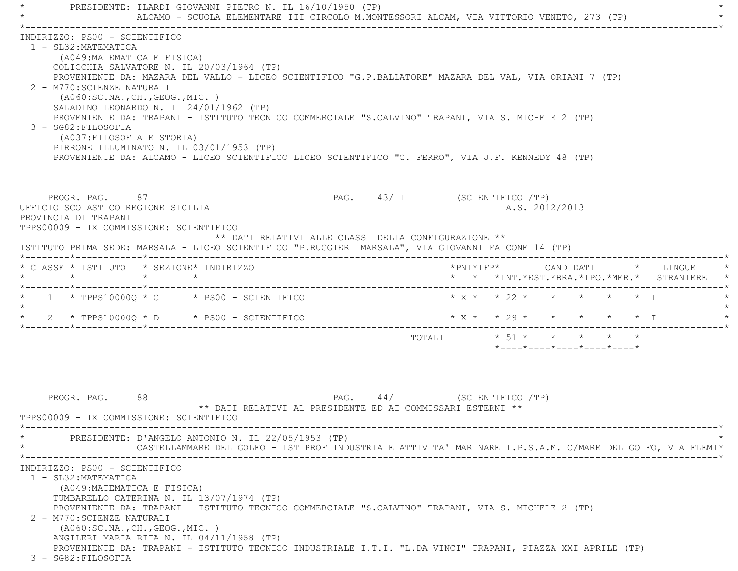PRESIDENTE: ILARDI GIOVANNI PIETRO N. IL 16/10/1950 (TP) ALCAMO - SCUOLA ELEMENTARE III CIRCOLO M.MONTESSORI ALCAM, VIA VITTORIO VENETO, 273 (TP) \*----------------------------------------------------------------------------------------------------------------------------\* INDIRIZZO: PS00 - SCIENTIFICO 1 - SL32:MATEMATICA (A049:MATEMATICA E FISICA) COLICCHIA SALVATORE N. IL 20/03/1964 (TP) PROVENIENTE DA: MAZARA DEL VALLO - LICEO SCIENTIFICO "G.P.BALLATORE" MAZARA DEL VAL, VIA ORIANI 7 (TP) 2 - M770:SCIENZE NATURALI (A060:SC.NA.,CH.,GEOG.,MIC. ) SALADINO LEONARDO N. IL 24/01/1962 (TP) PROVENIENTE DA: TRAPANI - ISTITUTO TECNICO COMMERCIALE "S.CALVINO" TRAPANI, VIA S. MICHELE 2 (TP) 3 - SG82:FILOSOFIA (A037:FILOSOFIA E STORIA) PIRRONE ILLUMINATO N. IL 03/01/1953 (TP) PROVENIENTE DA: ALCAMO - LICEO SCIENTIFICO LICEO SCIENTIFICO "G. FERRO", VIA J.F. KENNEDY 48 (TP) PROGR. PAG. 87 87 PAG. 43/II (SCIENTIFICO /TP) UFFICIO SCOLASTICO REGIONE SICILIA A.S. 2012/2013 PROVINCIA DI TRAPANI TPPS00009 - IX COMMISSIONE: SCIENTIFICO \*\* DATI RELATIVI ALLE CLASSI DELLA CONFIGURAZIONE \*\* ISTITUTO PRIMA SEDE: MARSALA - LICEO SCIENTIFICO "P.RUGGIERI MARSALA", VIA GIOVANNI FALCONE 14 (TP) \*--------\*------------\*-------------------------------------------------------------------------------------------------------\* \* CLASSE \* ISTITUTO \* SEZIONE\* INDIRIZZO \*PNI\*IFP\* CANDIDATI \* LINGUE \* \* \* \* \* \* \* \*INT.\*EST.\*BRA.\*IPO.\*MER.\* STRANIERE \* \*--------\*------------\*-------------------------------------------------------------------------------------------------------\*1 \* TPPS10000Q \* C \* PS00 - SCIENTIFICO \* \* X \* \* 22 \* \* \* \* \* \* \* I  $\star$ \* 2 \* TPPS100000 \* D \* PS00 - SCIENTIFICO \* \* \* \* \* \* \* \* \* \* \* \* I \*--------\*------------\*-------------------------------------------------------------------------------------------------------\* $\text{TOTAT}$ .  $\uparrow$   $\uparrow$   $\uparrow$   $\uparrow$   $\uparrow$   $\uparrow$   $\uparrow$   $\uparrow$   $\uparrow$   $\uparrow$   $\uparrow$   $\uparrow$   $\uparrow$   $\uparrow$   $\uparrow$   $\uparrow$   $\uparrow$   $\uparrow$   $\uparrow$   $\uparrow$   $\uparrow$   $\uparrow$   $\uparrow$   $\uparrow$   $\uparrow$   $\uparrow$   $\uparrow$   $\uparrow$   $\uparrow$   $\uparrow$   $\uparrow$   $\uparrow$   $\uparrow$   $\uparrow$   $\uparrow$  \*----\*----\*----\*----\*----\*PROGR. PAG. 88 8 PAG. 44/I (SCIENTIFICO /TP) \*\* DATI RELATIVI AL PRESIDENTE ED AI COMMISSARI ESTERNI \*\* TPPS00009 - IX COMMISSIONE: SCIENTIFICO \*----------------------------------------------------------------------------------------------------------------------------\*PRESIDENTE: D'ANGELO ANTONIO N. IL 22/05/1953 (TP) \* CASTELLAMMARE DEL GOLFO - IST PROF INDUSTRIA E ATTIVITA' MARINARE I.P.S.A.M. C/MARE DEL GOLFO, VIA FLEMI\* \*----------------------------------------------------------------------------------------------------------------------------\* INDIRIZZO: PS00 - SCIENTIFICO 1 - SL32:MATEMATICA (A049:MATEMATICA E FISICA) TUMBARELLO CATERINA N. IL 13/07/1974 (TP) PROVENIENTE DA: TRAPANI - ISTITUTO TECNICO COMMERCIALE "S.CALVINO" TRAPANI, VIA S. MICHELE 2 (TP) 2 - M770:SCIENZE NATURALI (A060:SC.NA.,CH.,GEOG.,MIC. ) ANGILERI MARIA RITA N. IL 04/11/1958 (TP) PROVENIENTE DA: TRAPANI - ISTITUTO TECNICO INDUSTRIALE I.T.I. "L.DA VINCI" TRAPANI, PIAZZA XXI APRILE (TP)

3 - SG82:FILOSOFIA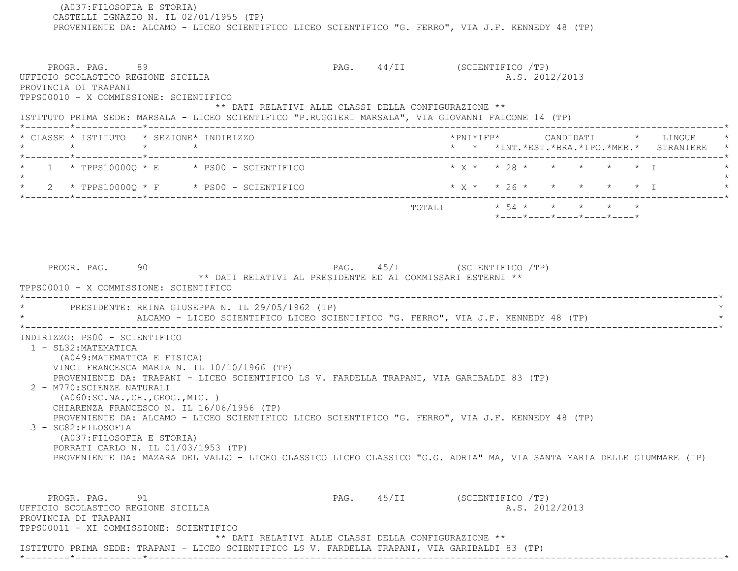(A037:FILOSOFIA E STORIA) CASTELLI IGNAZIO N. IL 02/01/1955 (TP) PROVENIENTE DA: ALCAMO - LICEO SCIENTIFICO LICEO SCIENTIFICO "G. FERRO", VIA J.F. KENNEDY 48 (TP) PROGR. PAG. 89 PAG. 44/II (SCIENTIFICO /TP) UFFICIO SCOLASTICO REGIONE SICILIA A.S. 2012/2013 PROVINCIA DI TRAPANI TPPS00010 - X COMMISSIONE: SCIENTIFICO \*\* DATI RELATIVI ALLE CLASSI DELLA CONFIGURAZIONE \*\* ISTITUTO PRIMA SEDE: MARSALA - LICEO SCIENTIFICO "P.RUGGIERI MARSALA", VIA GIOVANNI FALCONE 14 (TP) \*--------\*------------\*-------------------------------------------------------------------------------------------------------\* \* CLASSE \* ISTITUTO \* SEZIONE\* INDIRIZZO \*PNI\*IFP\* CANDIDATI \* LINGUE \* \* \* \* \* \* \* \*INT.\*EST.\*BRA.\*IPO.\*MER.\* STRANIERE \* \*--------\*------------\*-------------------------------------------------------------------------------------------------------\*1 \* TPPS10000Q \* E \* PS00 - SCIENTIFICO \* \* X \* \* 28 \* \* \* \* \* \* \* 1  $\star$  \* 2 \* TPPS10000Q \* F \* PS00 - SCIENTIFICO \* X \* \* 26 \* \* \* \* \* I \* \*--------\*------------\*-------------------------------------------------------------------------------------------------------\* $\texttt{TOTALL} \qquad \qquad \star \quad \texttt{54} \; \star \qquad \star \qquad \star \qquad \star \qquad \star \qquad \star \qquad \star \qquad \star$  \*----\*----\*----\*----\*----\*PROGR. PAG. 90 90 PAG. PAG. 45/I (SCIENTIFICO /TP) \*\* DATI RELATIVI AL PRESIDENTE ED AI COMMISSARI ESTERNI \*\* TPPS00010 - X COMMISSIONE: SCIENTIFICO \*----------------------------------------------------------------------------------------------------------------------------\*PRESIDENTE: REINA GIUSEPPA N. IL 29/05/1962 (TP) ALCAMO - LICEO SCIENTIFICO LICEO SCIENTIFICO "G. FERRO", VIA J.F. KENNEDY 48 (TP) \*----------------------------------------------------------------------------------------------------------------------------\* INDIRIZZO: PS00 - SCIENTIFICO 1 - SL32:MATEMATICA (A049:MATEMATICA E FISICA) VINCI FRANCESCA MARIA N. IL 10/10/1966 (TP) PROVENIENTE DA: TRAPANI - LICEO SCIENTIFICO LS V. FARDELLA TRAPANI, VIA GARIBALDI 83 (TP) 2 - M770:SCIENZE NATURALI (A060:SC.NA.,CH.,GEOG.,MIC. ) CHIARENZA FRANCESCO N. IL 16/06/1956 (TP) PROVENIENTE DA: ALCAMO - LICEO SCIENTIFICO LICEO SCIENTIFICO "G. FERRO", VIA J.F. KENNEDY 48 (TP) 3 - SG82:FILOSOFIA (A037:FILOSOFIA E STORIA) PORRATI CARLO N. IL 01/03/1953 (TP) PROVENIENTE DA: MAZARA DEL VALLO - LICEO CLASSICO LICEO CLASSICO "G.G. ADRIA" MA, VIA SANTA MARIA DELLE GIUMMARE (TP) PROGR. PAG. 91 91 PAG. 45/II (SCIENTIFICO /TP) UFFICIO SCOLASTICO REGIONE SICILIA A.S. 2012/2013 PROVINCIA DI TRAPANI TPPS00011 - XI COMMISSIONE: SCIENTIFICO \*\* DATI RELATIVI ALLE CLASSI DELLA CONFIGURAZIONE \*\*ISTITUTO PRIMA SEDE: TRAPANI - LICEO SCIENTIFICO LS V. FARDELLA TRAPANI, VIA GARIBALDI 83 (TP)

\*--------\*------------\*-------------------------------------------------------------------------------------------------------\*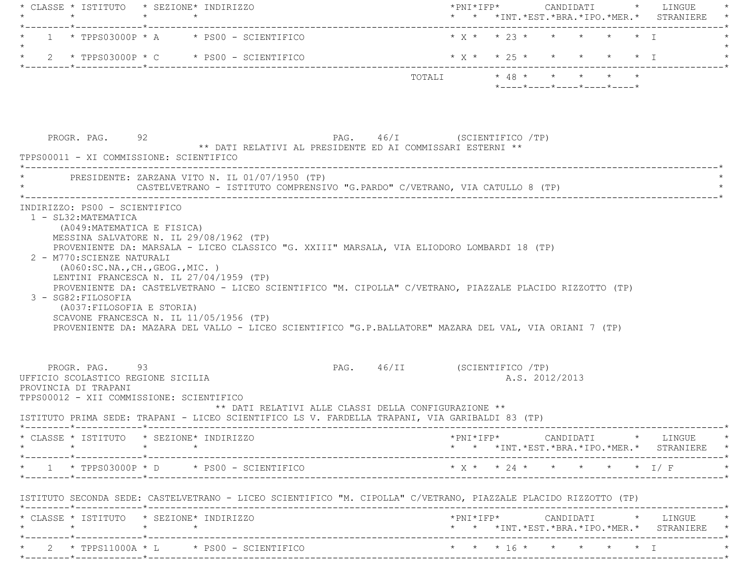|                                                                                                                                                                                                                                                                                                                                                                                                                                                                                                                                                                                                                                    |  |                                                                              |                              | *PNI*IFP*     CANDIDATI    *   LINGUE<br>* * *INT. *EST. *BRA. *IPO. *MER. * STRANIERE<br>$* X * * 23 * * * * * * * 1$ |  |  |                |                                                  |                                                                                                                                                                                                                                                                          |
|------------------------------------------------------------------------------------------------------------------------------------------------------------------------------------------------------------------------------------------------------------------------------------------------------------------------------------------------------------------------------------------------------------------------------------------------------------------------------------------------------------------------------------------------------------------------------------------------------------------------------------|--|------------------------------------------------------------------------------|------------------------------|------------------------------------------------------------------------------------------------------------------------|--|--|----------------|--------------------------------------------------|--------------------------------------------------------------------------------------------------------------------------------------------------------------------------------------------------------------------------------------------------------------------------|
| $1 * TPPS03000P * A * PS00 - SCIENTIFICO$                                                                                                                                                                                                                                                                                                                                                                                                                                                                                                                                                                                          |  |                                                                              |                              |                                                                                                                        |  |  |                |                                                  |                                                                                                                                                                                                                                                                          |
| $\star$ 2 $\star$ TPPS03000P $\star$ C $\star$ PS00 - SCIENTIFICO                                                                                                                                                                                                                                                                                                                                                                                                                                                                                                                                                                  |  |                                                                              |                              |                                                                                                                        |  |  |                |                                                  | * X * * 25 * * * * * * I                                                                                                                                                                                                                                                 |
|                                                                                                                                                                                                                                                                                                                                                                                                                                                                                                                                                                                                                                    |  |                                                                              |                              | TOTALI * 48 * * * * * *                                                                                                |  |  |                | $*$ ---- $*$ ---- $*$ ---- $*$ ---- $*$ ---- $*$ |                                                                                                                                                                                                                                                                          |
| PROGR. PAG. 92<br>TPPS00011 - XI COMMISSIONE: SCIENTIFICO                                                                                                                                                                                                                                                                                                                                                                                                                                                                                                                                                                          |  | ** DATI RELATIVI AL PRESIDENTE ED AI COMMISSARI ESTERNI **                   | PAG. 46/I (SCIENTIFICO /TP)  |                                                                                                                        |  |  |                |                                                  |                                                                                                                                                                                                                                                                          |
| * PRESIDENTE: ZARZANA VITO N. IL 01/07/1950 (TP)                                                                                                                                                                                                                                                                                                                                                                                                                                                                                                                                                                                   |  | CASTELVETRANO - ISTITUTO COMPRENSIVO "G.PARDO" C/VETRANO, VIA CATULLO 8 (TP) |                              |                                                                                                                        |  |  |                |                                                  |                                                                                                                                                                                                                                                                          |
| MESSINA SALVATORE N. IL 29/08/1962 (TP)<br>PROVENIENTE DA: MARSALA - LICEO CLASSICO "G. XXIII" MARSALA, VIA ELIODORO LOMBARDI 18 (TP)<br>2 - M770: SCIENZE NATURALI                                                                                                                                                                                                                                                                                                                                                                                                                                                                |  |                                                                              |                              |                                                                                                                        |  |  |                |                                                  |                                                                                                                                                                                                                                                                          |
| ( A060 : SC.NA., CH., GEOG., MIC. )<br>LENTINI FRANCESCA N. IL 27/04/1959 (TP)<br>PROVENIENTE DA: CASTELVETRANO - LICEO SCIENTIFICO "M. CIPOLLA" C/VETRANO, PIAZZALE PLACIDO RIZZOTTO (TP)<br>3 - SG82: FILOSOFIA<br>(A037: FILOSOFIA E STORIA)<br>SCAVONE FRANCESCA N. IL 11/05/1956 (TP)<br>PROVENIENTE DA: MAZARA DEL VALLO - LICEO SCIENTIFICO "G.P.BALLATORE" MAZARA DEL VAL, VIA ORIANI 7 (TP)<br>PROGR. PAG. 93<br>UFFICIO SCOLASTICO REGIONE SICILIA<br>PROVINCIA DI TRAPANI<br>TPPS00012 - XII COMMISSIONE: SCIENTIFICO<br>ISTITUTO PRIMA SEDE: TRAPANI - LICEO SCIENTIFICO LS V. FARDELLA TRAPANI, VIA GARIBALDI 83 (TP) |  | ** DATI RELATIVI ALLE CLASSI DELLA CONFIGURAZIONE **                         | PAG. 46/II (SCIENTIFICO /TP) |                                                                                                                        |  |  | A.S. 2012/2013 |                                                  |                                                                                                                                                                                                                                                                          |
| * CLASSE * ISTITUTO * SEZIONE* INDIRIZZO                                                                                                                                                                                                                                                                                                                                                                                                                                                                                                                                                                                           |  |                                                                              |                              |                                                                                                                        |  |  |                |                                                  |                                                                                                                                                                                                                                                                          |
| $\star$<br>$\star$ 1 $\star$ TPPS03000P $\star$ D $\star$ PS00 - SCIENTIFICO                                                                                                                                                                                                                                                                                                                                                                                                                                                                                                                                                       |  |                                                                              |                              | * X * * 24 * * * * * * I/F                                                                                             |  |  |                |                                                  |                                                                                                                                                                                                                                                                          |
|                                                                                                                                                                                                                                                                                                                                                                                                                                                                                                                                                                                                                                    |  |                                                                              |                              |                                                                                                                        |  |  |                |                                                  |                                                                                                                                                                                                                                                                          |
| ISTITUTO SECONDA SEDE: CASTELVETRANO - LICEO SCIENTIFICO "M. CIPOLLA" C/VETRANO, PIAZZALE PLACIDO RIZZOTTO (TP)<br>* CLASSE * ISTITUTO * SEZIONE* INDIRIZZO<br>$\star \qquad \qquad \star \qquad \qquad \star \qquad \qquad \star$                                                                                                                                                                                                                                                                                                                                                                                                 |  |                                                                              |                              |                                                                                                                        |  |  |                |                                                  | $\text{\tt *PNI*IFP*} \qquad \qquad \text{CANDIDATI} \qquad \text{\tt *} \qquad \text{LINGUE} \qquad \text{\tt *}$<br>* * *INT. *EST. *BRA. *IPO. *MER. * STRANIERE *<br>$*$ PNI $*$ IFP $*$ CANDIDATI $*$ LINGUE $*$<br>* * *INT. *EST. *BRA. *IPO. *MER. * STRANIERE * |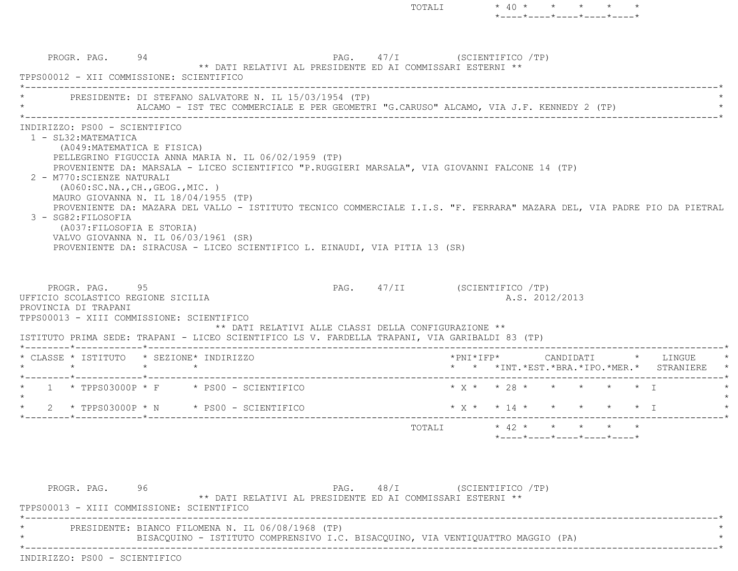$\text{TOTALI} \qquad \qquad * \quad 40 \qquad * \qquad * \qquad * \qquad * \qquad *$  \*----\*----\*----\*----\*----\*PROGR. PAG. 94 94 PAG. 27/I (SCIENTIFICO /TP) \*\* DATI RELATIVI AL PRESIDENTE ED AI COMMISSARI ESTERNI \*\* TPPS00012 - XII COMMISSIONE: SCIENTIFICO \*----------------------------------------------------------------------------------------------------------------------------\*PRESIDENTE: DI STEFANO SALVATORE N. IL 15/03/1954 (TP) ALCAMO - IST TEC COMMERCIALE E PER GEOMETRI "G.CARUSO" ALCAMO, VIA J.F. KENNEDY 2 (TP) \*----------------------------------------------------------------------------------------------------------------------------\* INDIRIZZO: PS00 - SCIENTIFICO 1 - SL32:MATEMATICA (A049:MATEMATICA E FISICA) PELLEGRINO FIGUCCIA ANNA MARIA N. IL 06/02/1959 (TP) PROVENIENTE DA: MARSALA - LICEO SCIENTIFICO "P.RUGGIERI MARSALA", VIA GIOVANNI FALCONE 14 (TP) 2 - M770:SCIENZE NATURALI (A060:SC.NA.,CH.,GEOG.,MIC. ) MAURO GIOVANNA N. IL 18/04/1955 (TP) PROVENIENTE DA: MAZARA DEL VALLO - ISTITUTO TECNICO COMMERCIALE I.I.S. "F. FERRARA" MAZARA DEL, VIA PADRE PIO DA PIETRAL 3 - SG82:FILOSOFIA (A037:FILOSOFIA E STORIA) VALVO GIOVANNA N. IL 06/03/1961 (SR) PROVENIENTE DA: SIRACUSA - LICEO SCIENTIFICO L. EINAUDI, VIA PITIA 13 (SR) PROGR. PAG. 95 95 PAG. 47/II (SCIENTIFICO /TP) UFFICIO SCOLASTICO REGIONE SICILIA A.S. 2012/2013 PROVINCIA DI TRAPANI TPPS00013 - XIII COMMISSIONE: SCIENTIFICO \*\* DATI RELATIVI ALLE CLASSI DELLA CONFIGURAZIONE \*\* ISTITUTO PRIMA SEDE: TRAPANI - LICEO SCIENTIFICO LS V. FARDELLA TRAPANI, VIA GARIBALDI 83 (TP) \*--------\*------------\*-------------------------------------------------------------------------------------------------------\*\* CLASSE \* ISTITUTO \* SEZIONE\* INDIRIZZO \*PNI\*IFP\* CANDIDATI \* LINGUE \*

\* \* \* \* \* \* \*INT.\*EST.\*BRA.\*IPO.\*MER.\* STRANIERE \*

\*----\*----\*----\*----\*----\*

 \*--------\*------------\*-------------------------------------------------------------------------------------------------------\*TOTALI \* 42 \* \* \* \* \*

PROGR. PAG. 96 96 PAG. 48/I (SCIENTIFICO /TP) \*\* DATI RELATIVI AL PRESIDENTE ED AI COMMISSARI ESTERNI \*\* TPPS00013 - XIII COMMISSIONE: SCIENTIFICO \*----------------------------------------------------------------------------------------------------------------------------\*PRESIDENTE: BIANCO FILOMENA N. IL 06/08/1968 (TP) BISACQUINO - ISTITUTO COMPRENSIVO I.C. BISACQUINO, VIA VENTIQUATTRO MAGGIO (PA) \*----------------------------------------------------------------------------------------------------------------------------\*INDIRIZZO: PS00 - SCIENTIFICO

 $\star$  $2 * TPPS03000P * N * PS00 - SCIENTIFICO * X * 14 * * * * * * T$ 

\*--------\*------------\*-------------------------------------------------------------------------------------------------------\*

\* 1 \* TPPS03000P \* F \* PS00 - SCIENTIFICO \* X \* \* 28 \* \* \* \* \* I \*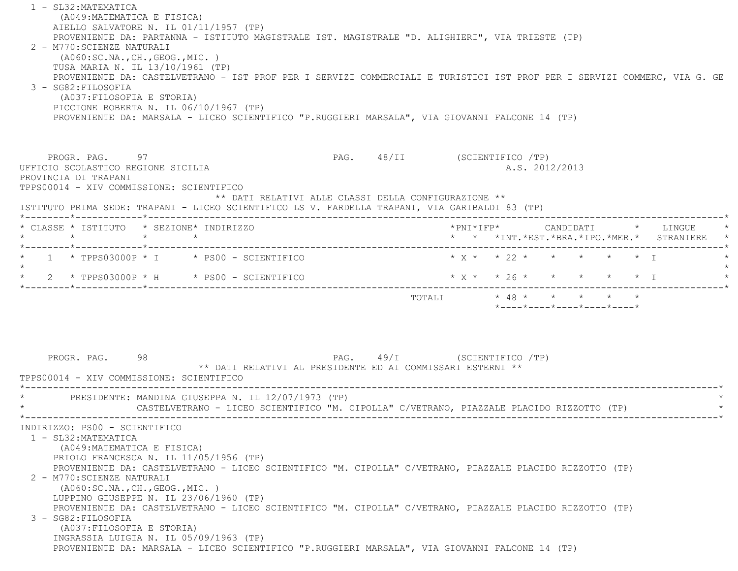1 - SL32:MATEMATICA (A049:MATEMATICA E FISICA) AIELLO SALVATORE N. IL 01/11/1957 (TP) PROVENIENTE DA: PARTANNA - ISTITUTO MAGISTRALE IST. MAGISTRALE "D. ALIGHIERI", VIA TRIESTE (TP) 2 - M770:SCIENZE NATURALI (A060:SC.NA.,CH.,GEOG.,MIC. ) TUSA MARIA N. IL 13/10/1961 (TP) PROVENIENTE DA: CASTELVETRANO - IST PROF PER I SERVIZI COMMERCIALI E TURISTICI IST PROF PER I SERVIZI COMMERC, VIA G. GE 3 - SG82:FILOSOFIA (A037:FILOSOFIA E STORIA) PICCIONE ROBERTA N. IL 06/10/1967 (TP) PROVENIENTE DA: MARSALA - LICEO SCIENTIFICO "P.RUGGIERI MARSALA", VIA GIOVANNI FALCONE 14 (TP) PROGR. PAG. 97 PROGR. PAG. 48/II (SCIENTIFICO /TP) UFFICIO SCOLASTICO REGIONE SICILIA A.S. 2012/2013 PROVINCIA DI TRAPANI TPPS00014 - XIV COMMISSIONE: SCIENTIFICO \*\* DATI RELATIVI ALLE CLASSI DELLA CONFIGURAZIONE \*\* ISTITUTO PRIMA SEDE: TRAPANI - LICEO SCIENTIFICO LS V. FARDELLA TRAPANI, VIA GARIBALDI 83 (TP) \*--------\*------------\*-------------------------------------------------------------------------------------------------------\* \* CLASSE \* ISTITUTO \* SEZIONE\* INDIRIZZO \*PNI\*IFP\* CANDIDATI \* LINGUE \* \* \* \* \* \* \* \*INT.\*EST.\*BRA.\*IPO.\*MER.\* STRANIERE \* \*--------\*------------\*-------------------------------------------------------------------------------------------------------\*1 \* TPPS03000P \* I \* PS00 - SCIENTIFICO \* \* \* \* \* \* \* \* \* \* \* \* \* I  $\star$ \* 2 \* TPPS03000P \* H \* PS00 - SCIENTIFICO \* \* \* \* \* \* \* \* \* \* \* \* I -\*-------------------------TOTALI  $* 48 * * * * * * * *$  \*----\*----\*----\*----\*----\*PROGR. PAG. 98 98 PAG. PAG. 49/I (SCIENTIFICO /TP) \*\* DATI RELATIVI AL PRESIDENTE ED AI COMMISSARI ESTERNI \*\* TPPS00014 - XIV COMMISSIONE: SCIENTIFICO \*----------------------------------------------------------------------------------------------------------------------------\*PRESIDENTE: MANDINA GIUSEPPA N. IL 12/07/1973 (TP) CASTELVETRANO - LICEO SCIENTIFICO "M. CIPOLLA" C/VETRANO, PIAZZALE PLACIDO RIZZOTTO (TP) \*----------------------------------------------------------------------------------------------------------------------------\* INDIRIZZO: PS00 - SCIENTIFICO 1 - SL32:MATEMATICA (A049:MATEMATICA E FISICA) PRIOLO FRANCESCA N. IL 11/05/1956 (TP) PROVENIENTE DA: CASTELVETRANO - LICEO SCIENTIFICO "M. CIPOLLA" C/VETRANO, PIAZZALE PLACIDO RIZZOTTO (TP) 2 - M770:SCIENZE NATURALI (A060:SC.NA.,CH.,GEOG.,MIC. ) LUPPINO GIUSEPPE N. IL 23/06/1960 (TP) PROVENIENTE DA: CASTELVETRANO - LICEO SCIENTIFICO "M. CIPOLLA" C/VETRANO, PIAZZALE PLACIDO RIZZOTTO (TP) 3 - SG82:FILOSOFIA (A037:FILOSOFIA E STORIA) INGRASSIA LUIGIA N. IL 05/09/1963 (TP) PROVENIENTE DA: MARSALA - LICEO SCIENTIFICO "P.RUGGIERI MARSALA", VIA GIOVANNI FALCONE 14 (TP)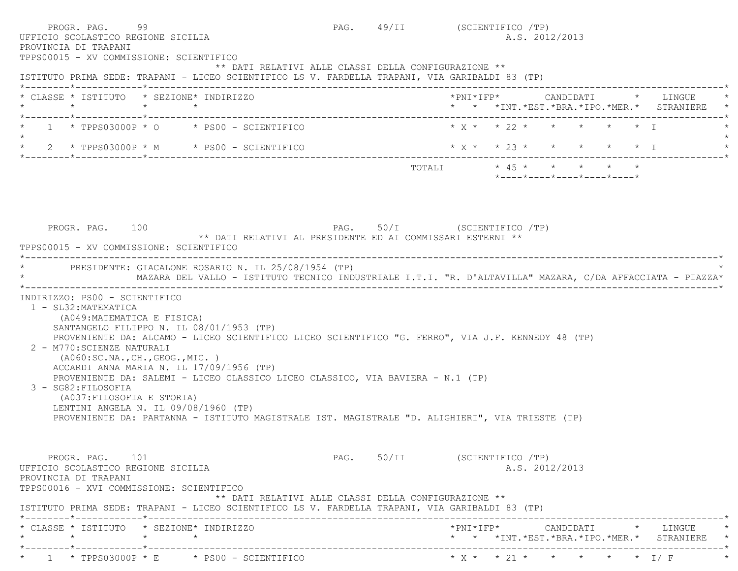| PROGR. PAG. 99<br>UFFICIO SCOLASTICO REGIONE SICILIA                                                                      |                                                                                                                                                                                                                                                                                                                     | PAG. 49/II (SCIENTIFICO /TP) |                              | A.S. 2012/2013             |  |                                                                               |
|---------------------------------------------------------------------------------------------------------------------------|---------------------------------------------------------------------------------------------------------------------------------------------------------------------------------------------------------------------------------------------------------------------------------------------------------------------|------------------------------|------------------------------|----------------------------|--|-------------------------------------------------------------------------------|
| PROVINCIA DI TRAPANI<br>TPPS00015 - XV COMMISSIONE: SCIENTIFICO                                                           | ** DATI RELATIVI ALLE CLASSI DELLA CONFIGURAZIONE **<br>ISTITUTO PRIMA SEDE: TRAPANI - LICEO SCIENTIFICO LS V. FARDELLA TRAPANI, VIA GARIBALDI 83 (TP)                                                                                                                                                              |                              |                              |                            |  |                                                                               |
| * CLASSE * ISTITUTO * SEZIONE* INDIRIZZO                                                                                  |                                                                                                                                                                                                                                                                                                                     |                              |                              |                            |  | *PNI*IFP* CANDIDATI * LINGUE<br>* * *INT. *EST. *BRA. *IPO. *MER. * STRANIERE |
|                                                                                                                           | $1 \times TPPS03000P \times O \times PS00 - SCIENTIFICO$                                                                                                                                                                                                                                                            |                              | $* x * * 22 * * * * * * * 1$ |                            |  |                                                                               |
|                                                                                                                           | * 2 * TPPS03000P * M * PS00 - SCIENTIFICO * * * * * 23 * * * * * * * * * I<br>* $2$ * TPPS03000P * M * PS00 - SCIENTIFICO                                                                                                                                                                                           |                              |                              |                            |  |                                                                               |
|                                                                                                                           |                                                                                                                                                                                                                                                                                                                     |                              | TOTALI * 45 * * * * * *      | *----*----*----*----*----* |  |                                                                               |
| PROGR. PAG. 100<br>TPPS00015 - XV COMMISSIONE: SCIENTIFICO                                                                | PAG. 50/I (SCIENTIFICO /TP)<br>** DATI RELATIVI AL PRESIDENTE ED AI COMMISSARI ESTERNI **                                                                                                                                                                                                                           |                              |                              |                            |  |                                                                               |
| INDIRIZZO: PS00 - SCIENTIFICO<br>1 - SL32: MATEMATICA<br>(A049: MATEMATICA E FISICA)<br>2 - M770: SCIENZE NATURALI        | * PRESIDENTE: GIACALONE ROSARIO N. IL 25/08/1954 (TP)<br>MAZARA DEL VALLO - ISTITUTO TECNICO INDUSTRIALE I.T.I. "R. D'ALTAVILLA" MAZARA, C/DA AFFACCIATA - PIAZZA*<br>SANTANGELO FILIPPO N. IL 08/01/1953 (TP)<br>PROVENIENTE DA: ALCAMO - LICEO SCIENTIFICO LICEO SCIENTIFICO "G. FERRO", VIA J.F. KENNEDY 48 (TP) |                              |                              |                            |  |                                                                               |
| ( A060:SC.NA., CH., GEOG., MIC. )<br>3 - SG82: FILOSOFIA<br>(A037: FILOSOFIA E STORIA)                                    | ACCARDI ANNA MARIA N. IL 17/09/1956 (TP)<br>PROVENIENTE DA: SALEMI - LICEO CLASSICO LICEO CLASSICO, VIA BAVIERA - N.1 (TP)<br>LENTINI ANGELA N. IL 09/08/1960 (TP)<br>PROVENIENTE DA: PARTANNA - ISTITUTO MAGISTRALE IST. MAGISTRALE "D. ALIGHIERI", VIA TRIESTE (TP)                                               |                              |                              |                            |  |                                                                               |
| PROGR. PAG. 101<br>UFFICIO SCOLASTICO REGIONE SICILIA<br>PROVINCIA DI TRAPANI<br>TPPS00016 - XVI COMMISSIONE: SCIENTIFICO | ** DATI RELATIVI ALLE CLASSI DELLA CONFIGURAZIONE **                                                                                                                                                                                                                                                                | PAG. 50/II (SCIENTIFICO /TP) |                              | A.S. 2012/2013             |  |                                                                               |
|                                                                                                                           | ISTITUTO PRIMA SEDE: TRAPANI - LICEO SCIENTIFICO LS V. FARDELLA TRAPANI, VIA GARIBALDI 83 (TP)                                                                                                                                                                                                                      |                              |                              |                            |  |                                                                               |
| * CLASSE * ISTITUTO * SEZIONE* INDIRIZZO                                                                                  |                                                                                                                                                                                                                                                                                                                     |                              |                              |                            |  |                                                                               |
|                                                                                                                           |                                                                                                                                                                                                                                                                                                                     | ---------------------------- |                              |                            |  | * * *INT.*EST.*BRA.*IPO.*MER.* STRANIERE                                      |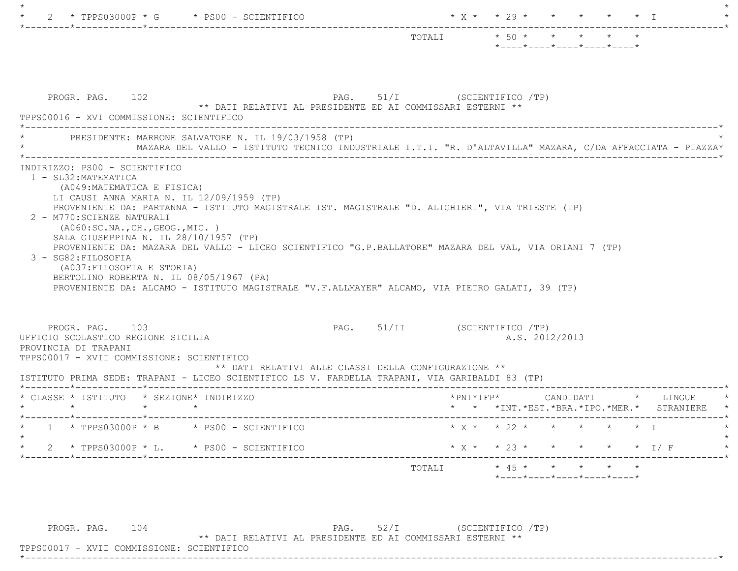| $- - - - - - - -$                                                                                                                                                                                                                                                                                                                                                                      | TOTALI * 50 * * * * * *      |                                                                 |  |  |                                                                               |
|----------------------------------------------------------------------------------------------------------------------------------------------------------------------------------------------------------------------------------------------------------------------------------------------------------------------------------------------------------------------------------------|------------------------------|-----------------------------------------------------------------|--|--|-------------------------------------------------------------------------------|
|                                                                                                                                                                                                                                                                                                                                                                                        |                              | $*$ - - - - $*$ - - - - $*$ - - - - $*$ - - - - $*$ - - - - $*$ |  |  |                                                                               |
| PROGR. PAG. 102<br>PAG. 51/I (SCIENTIFICO /TP)<br>** DATI RELATIVI AL PRESIDENTE ED AI COMMISSARI ESTERNI **<br>TPPS00016 - XVI COMMISSIONE: SCIENTIFICO                                                                                                                                                                                                                               |                              |                                                                 |  |  |                                                                               |
| PRESIDENTE: MARRONE SALVATORE N. IL 19/03/1958 (TP)<br>MAZARA DEL VALLO - ISTITUTO TECNICO INDUSTRIALE I.T.I. "R. D'ALTAVILLA" MAZARA, C/DA AFFACCIATA - PIAZZA*                                                                                                                                                                                                                       |                              |                                                                 |  |  |                                                                               |
| LI CAUSI ANNA MARIA N. IL 12/09/1959 (TP)<br>PROVENIENTE DA: PARTANNA - ISTITUTO MAGISTRALE IST. MAGISTRALE "D. ALIGHIERI", VIA TRIESTE (TP)<br>2 - M770: SCIENZE NATURALI                                                                                                                                                                                                             |                              |                                                                 |  |  |                                                                               |
| ( A060:SC.NA., CH., GEOG., MIC. )<br>SALA GIUSEPPINA N. IL 28/10/1957 (TP)<br>PROVENIENTE DA: MAZARA DEL VALLO - LICEO SCIENTIFICO "G.P.BALLATORE" MAZARA DEL VAL, VIA ORIANI 7 (TP)<br>3 - SG82: FILOSOFIA<br>(A037: FILOSOFIA E STORIA)<br>BERTOLINO ROBERTA N. IL 08/05/1967 (PA)<br>PROVENIENTE DA: ALCAMO - ISTITUTO MAGISTRALE "V.F.ALLMAYER" ALCAMO, VIA PIETRO GALATI, 39 (TP) |                              |                                                                 |  |  |                                                                               |
| PROGR. PAG. 103<br>UFFICIO SCOLASTICO REGIONE SICILIA<br>PROVINCIA DI TRAPANI<br>TPPS00017 - XVII COMMISSIONE: SCIENTIFICO<br>** DATI RELATIVI ALLE CLASSI DELLA CONFIGURAZIONE **                                                                                                                                                                                                     | PAG. 51/II (SCIENTIFICO /TP) | A.S. 2012/2013                                                  |  |  |                                                                               |
| ISTITUTO PRIMA SEDE: TRAPANI - LICEO SCIENTIFICO LS V. FARDELLA TRAPANI, VIA GARIBALDI 83 (TP)<br>* CLASSE * ISTITUTO * SEZIONE* INDIRIZZO<br>$\star$ $\star$                                                                                                                                                                                                                          |                              |                                                                 |  |  | *PNI*IFP* CANDIDATI * LINGUE<br>* * *INT. *EST. *BRA. *IPO. *MER. * STRANIERE |
| $1 * TPPS03000P * B * PS00 - SCIENTIFICO$                                                                                                                                                                                                                                                                                                                                              |                              |                                                                 |  |  |                                                                               |
| * $2$ * TPPS03000P * L. * PS00 - SCIENTIFICO                                                                                                                                                                                                                                                                                                                                           | * X * * 23 * * * * * * I/ F  |                                                                 |  |  |                                                                               |

PROGR. PAG.  $104$  PAG.  $52/I$  (SCIENTIFICO /TP)

\*\* DATI RELATIVI AL PRESIDENTE ED AI COMMISSARI ESTERNI \*\*

 TPPS00017 - XVII COMMISSIONE: SCIENTIFICO \*----------------------------------------------------------------------------------------------------------------------------\*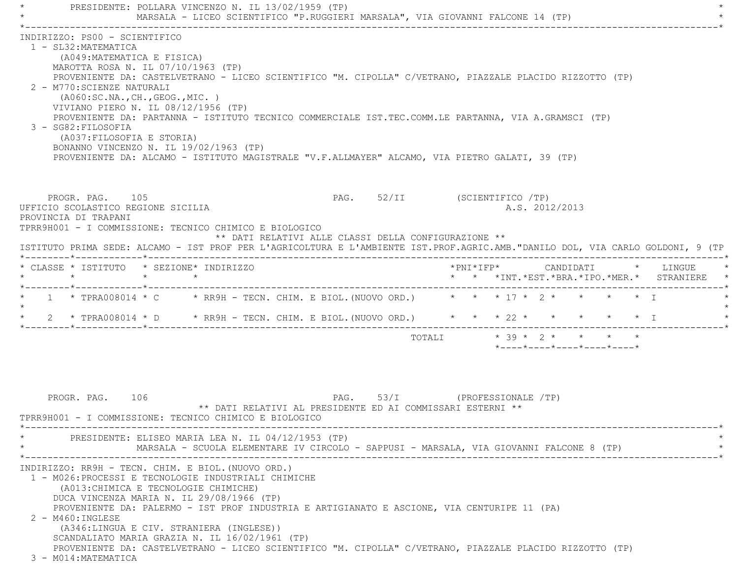PRESIDENTE: POLLARA VINCENZO N. IL 13/02/1959 (TP) MARSALA - LICEO SCIENTIFICO "P.RUGGIERI MARSALA", VIA GIOVANNI FALCONE 14 (TP) \*----------------------------------------------------------------------------------------------------------------------------\* INDIRIZZO: PS00 - SCIENTIFICO 1 - SL32:MATEMATICA (A049:MATEMATICA E FISICA) MAROTTA ROSA N. IL 07/10/1963 (TP) PROVENIENTE DA: CASTELVETRANO - LICEO SCIENTIFICO "M. CIPOLLA" C/VETRANO, PIAZZALE PLACIDO RIZZOTTO (TP) 2 - M770:SCIENZE NATURALI (A060:SC.NA.,CH.,GEOG.,MIC. ) VIVIANO PIERO N. IL 08/12/1956 (TP) PROVENIENTE DA: PARTANNA - ISTITUTO TECNICO COMMERCIALE IST.TEC.COMM.LE PARTANNA, VIA A.GRAMSCI (TP) 3 - SG82:FILOSOFIA (A037:FILOSOFIA E STORIA) BONANNO VINCENZO N. IL 19/02/1963 (TP) PROVENIENTE DA: ALCAMO - ISTITUTO MAGISTRALE "V.F.ALLMAYER" ALCAMO, VIA PIETRO GALATI, 39 (TP) PROGR. PAG. 105 PAG. S2/II (SCIENTIFICO /TP) UFFICIO SCOLASTICO REGIONE SICILIA A.S. 2012/2013 PROVINCIA DI TRAPANI TPRR9H001 - I COMMISSIONE: TECNICO CHIMICO E BIOLOGICO \*\* DATI RELATIVI ALLE CLASSI DELLA CONFIGURAZIONE \*\* ISTITUTO PRIMA SEDE: ALCAMO - IST PROF PER L'AGRICOLTURA E L'AMBIENTE IST.PROF.AGRIC.AMB."DANILO DOL, VIA CARLO GOLDONI, 9 (TP \*--------\*------------\*-------------------------------------------------------------------------------------------------------\* \* CLASSE \* ISTITUTO \* SEZIONE\* INDIRIZZO \*PNI\*IFP\* CANDIDATI \* LINGUE \*\* \* \* \* \* \* \*INT.\*EST.\*BRA.\*IPO.\*MER.\* STRANIERE \*

\*--------\*------------\*-------------------------------------------------------------------------------------------------------\*

\*--------\*------------\*-------------------------------------------------------------------------------------------------------\*

PROGR. PAG. 106 PAG. 53/I (PROFESSIONALE /TP) \*\* DATI RELATIVI AL PRESIDENTE ED AI COMMISSARI ESTERNI \*\* TPRR9H001 - I COMMISSIONE: TECNICO CHIMICO E BIOLOGICO \*----------------------------------------------------------------------------------------------------------------------------\*PRESIDENTE: ELISEO MARIA LEA N. IL 04/12/1953 (TP) MARSALA - SCUOLA ELEMENTARE IV CIRCOLO - SAPPUSI - MARSALA, VIA GIOVANNI FALCONE 8 (TP) \*----------------------------------------------------------------------------------------------------------------------------\* INDIRIZZO: RR9H - TECN. CHIM. E BIOL.(NUOVO ORD.) 1 - M026:PROCESSI E TECNOLOGIE INDUSTRIALI CHIMICHE (A013:CHIMICA E TECNOLOGIE CHIMICHE) DUCA VINCENZA MARIA N. IL 29/08/1966 (TP) PROVENIENTE DA: PALERMO - IST PROF INDUSTRIA E ARTIGIANATO E ASCIONE, VIA CENTURIPE 11 (PA) 2 - M460:INGLESE (A346:LINGUA E CIV. STRANIERA (INGLESE)) SCANDALIATO MARIA GRAZIA N. IL 16/02/1961 (TP) PROVENIENTE DA: CASTELVETRANO - LICEO SCIENTIFICO "M. CIPOLLA" C/VETRANO, PIAZZALE PLACIDO RIZZOTTO (TP) 3 - M014:MATEMATICA

1 \* TPRA008014 \* C \* RR9H - TECN. CHIM. E BIOL. (NUOVO ORD.) \* \* \* 17 \* 2 \* \* \* \* \* I

\* 2 \* TPRA008014 \* D \* RR9H - TECN. CHIM. E BIOL. (NUOVO ORD.) \* \* \* 22 \* \* \* \* \* \* \* I

 $\star$ 

TOTALI \* 39 \* 2 \* \* \* \*

\*----\*----\*----\*----\*----\*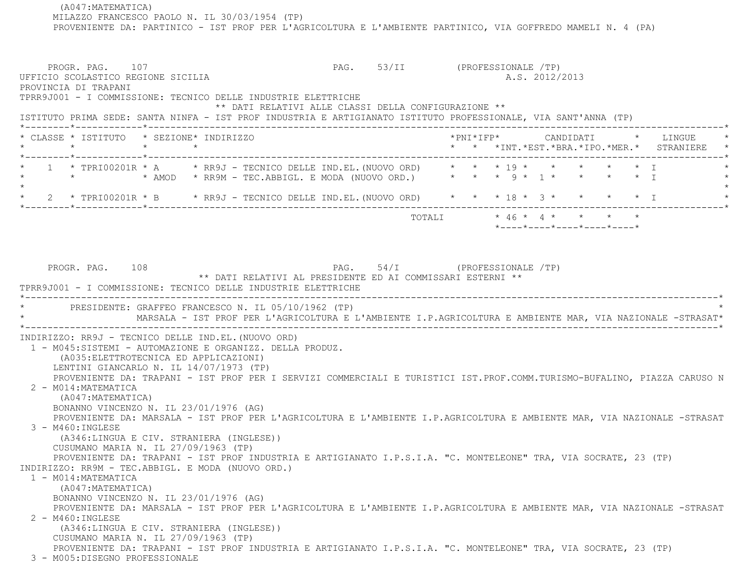(A047:MATEMATICA) MILAZZO FRANCESCO PAOLO N. IL 30/03/1954 (TP) PROVENIENTE DA: PARTINICO - IST PROF PER L'AGRICOLTURA E L'AMBIENTE PARTINICO, VIA GOFFREDO MAMELI N. 4 (PA)

 PROGR. PAG. 107 PAG. 53/II (PROFESSIONALE /TP) UFFICIO SCOLASTICO REGIONE SICILIA A.S. 2012/2013 PROVINCIA DI TRAPANI TPRR9J001 - I COMMISSIONE: TECNICO DELLE INDUSTRIE ELETTRICHE \*\* DATI RELATIVI ALLE CLASSI DELLA CONFIGURAZIONE \*\* ISTITUTO PRIMA SEDE: SANTA NINFA - IST PROF INDUSTRIA E ARTIGIANATO ISTITUTO PROFESSIONALE, VIA SANT'ANNA (TP) \*--------\*------------\*-------------------------------------------------------------------------------------------------------\* \* CLASSE \* ISTITUTO \* SEZIONE\* INDIRIZZO \*PNI\*IFP\* CANDIDATI \* LINGUE \* \* \* \* \* \* \* \*INT.\*EST.\*BRA.\*IPO.\*MER.\* STRANIERE \* \*--------\*------------\*-------------------------------------------------------------------------------------------------------\*1 \* TPRI00201R \* A \* RR9J - TECNICO DELLE IND.EL. (NUOVO ORD) \* \* \* 19 \* \* \* \* \* AMOD \* RR9M - TEC.ABBIGL. E MODA (NUOVO ORD.) \* \* \* 9 \* 1 \* \* \* \* I \*  $\star$ 2 \* TPRI00201R \* B \* RR9J - TECNICO DELLE IND.EL. (NUOVO ORD) \* \* \* 18 \* 3 \* \* \* \* \* \* I \*--------\*------------\*-------------------------------------------------------------------------------------------------------\* TOTALI \* 46 \* 4 \* \* \* \* \*----\*----\*----\*----\*----\*PROGR. PAG. 108 PAG. S4/I (PROFESSIONALE /TP) \*\* DATI RELATIVI AL PRESIDENTE ED AI COMMISSARI ESTERNI \*\* TPRR9J001 - I COMMISSIONE: TECNICO DELLE INDUSTRIE ELETTRICHE \*----------------------------------------------------------------------------------------------------------------------------\*PRESIDENTE: GRAFFEO FRANCESCO N. IL 05/10/1962 (TP) \* MARSALA - IST PROF PER L'AGRICOLTURA E L'AMBIENTE I.P.AGRICOLTURA E AMBIENTE MAR, VIA NAZIONALE -STRASAT\* \*----------------------------------------------------------------------------------------------------------------------------\* INDIRIZZO: RR9J - TECNICO DELLE IND.EL.(NUOVO ORD) 1 - M045:SISTEMI - AUTOMAZIONE E ORGANIZZ. DELLA PRODUZ. (A035:ELETTROTECNICA ED APPLICAZIONI) LENTINI GIANCARLO N. IL 14/07/1973 (TP) PROVENIENTE DA: TRAPANI - IST PROF PER I SERVIZI COMMERCIALI E TURISTICI IST.PROF.COMM.TURISMO-BUFALINO, PIAZZA CARUSO N 2 - M014:MATEMATICA (A047:MATEMATICA) BONANNO VINCENZO N. IL 23/01/1976 (AG) PROVENIENTE DA: MARSALA - IST PROF PER L'AGRICOLTURA E L'AMBIENTE I.P.AGRICOLTURA E AMBIENTE MAR, VIA NAZIONALE -STRASAT 3 - M460:INGLESE (A346:LINGUA E CIV. STRANIERA (INGLESE)) CUSUMANO MARIA N. IL 27/09/1963 (TP) PROVENIENTE DA: TRAPANI - IST PROF INDUSTRIA E ARTIGIANATO I.P.S.I.A. "C. MONTELEONE" TRA, VIA SOCRATE, 23 (TP) INDIRIZZO: RR9M - TEC.ABBIGL. E MODA (NUOVO ORD.) 1 - M014:MATEMATICA (A047:MATEMATICA) BONANNO VINCENZO N. IL 23/01/1976 (AG) PROVENIENTE DA: MARSALA - IST PROF PER L'AGRICOLTURA E L'AMBIENTE I.P.AGRICOLTURA E AMBIENTE MAR, VIA NAZIONALE -STRASAT 2 - M460:INGLESE (A346:LINGUA E CIV. STRANIERA (INGLESE)) CUSUMANO MARIA N. IL 27/09/1963 (TP) PROVENIENTE DA: TRAPANI - IST PROF INDUSTRIA E ARTIGIANATO I.P.S.I.A. "C. MONTELEONE" TRA, VIA SOCRATE, 23 (TP)

3 - M005:DISEGNO PROFESSIONALE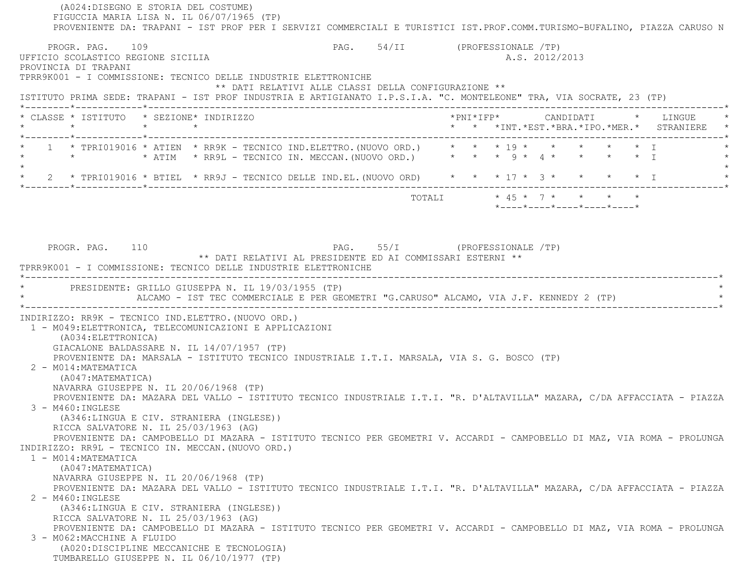(A024:DISEGNO E STORIA DEL COSTUME) FIGUCCIA MARIA LISA N. IL 06/07/1965 (TP) PROVENIENTE DA: TRAPANI - IST PROF PER I SERVIZI COMMERCIALI E TURISTICI IST.PROF.COMM.TURISMO-BUFALINO, PIAZZA CARUSO N PROGR. PAG. 109 PAG. 54/II (PROFESSIONALE TP) UFFICIO SCOLASTICO REGIONE SICILIA A.S. 2012/2013 PROVINCIA DI TRAPANI TPRR9K001 - I COMMISSIONE: TECNICO DELLE INDUSTRIE ELETTRONICHE \*\* DATI RELATIVI ALLE CLASSI DELLA CONFIGURAZIONE \*\* ISTITUTO PRIMA SEDE: TRAPANI - IST PROF INDUSTRIA E ARTIGIANATO I.P.S.I.A. "C. MONTELEONE" TRA, VIA SOCRATE, 23 (TP) \*--------\*------------\*-------------------------------------------------------------------------------------------------------\* \* CLASSE \* ISTITUTO \* SEZIONE\* INDIRIZZO \*PNI\*IFP\* CANDIDATI \* LINGUE \* \* \* \* \* \* \* \*INT.\*EST.\*BRA.\*IPO.\*MER.\* STRANIERE \* \*--------\*------------\*-------------------------------------------------------------------------------------------------------\*1 \* TPRI019016 \* ATIEN \* RR9K - TECNICO IND.ELETTRO.(NUOVO ORD.) \* \* \* \* 19 \* \* \* \* \* \* \* I \* \* \* ATIM \* RR9L - TECNICO IN. MECCAN. (NUOVO ORD.) \* \* \* 9 \* 4 \* \* \* \* \* \* T  $\star$  \* 2 \* TPRI019016 \* BTIEL \* RR9J - TECNICO DELLE IND.EL.(NUOVO ORD) \* \* \* 17 \* 3 \* \* \* \* I \* \*--------\*------------\*-------------------------------------------------------------------------------------------------------\* $\texttt{TOTAL} \qquad \qquad \star \; \; 45 \; \star \; \; 7 \; \star \qquad \star \qquad \star \qquad \star \qquad \star$  \*----\*----\*----\*----\*----\*PROGR. PAG. 110 **PAG.** 55/I (PROFESSIONALE /TP) \*\* DATI RELATIVI AL PRESIDENTE ED AI COMMISSARI ESTERNI \*\* TPRR9K001 - I COMMISSIONE: TECNICO DELLE INDUSTRIE ELETTRONICHE \*----------------------------------------------------------------------------------------------------------------------------\*PRESIDENTE: GRILLO GIUSEPPA N. IL 19/03/1955 (TP) ALCAMO - IST TEC COMMERCIALE E PER GEOMETRI "G.CARUSO" ALCAMO, VIA J.F. KENNEDY 2 (TP) \*----------------------------------------------------------------------------------------------------------------------------\* INDIRIZZO: RR9K - TECNICO IND.ELETTRO.(NUOVO ORD.) 1 - M049:ELETTRONICA, TELECOMUNICAZIONI E APPLICAZIONI (A034:ELETTRONICA) GIACALONE BALDASSARE N. IL 14/07/1957 (TP) PROVENIENTE DA: MARSALA - ISTITUTO TECNICO INDUSTRIALE I.T.I. MARSALA, VIA S. G. BOSCO (TP) 2 - M014:MATEMATICA (A047:MATEMATICA) NAVARRA GIUSEPPE N. IL 20/06/1968 (TP) PROVENIENTE DA: MAZARA DEL VALLO - ISTITUTO TECNICO INDUSTRIALE I.T.I. "R. D'ALTAVILLA" MAZARA, C/DA AFFACCIATA - PIAZZA 3 - M460:INGLESE (A346:LINGUA E CIV. STRANIERA (INGLESE)) RICCA SALVATORE N. IL 25/03/1963 (AG) PROVENIENTE DA: CAMPOBELLO DI MAZARA - ISTITUTO TECNICO PER GEOMETRI V. ACCARDI - CAMPOBELLO DI MAZ, VIA ROMA - PROLUNGA INDIRIZZO: RR9L - TECNICO IN. MECCAN.(NUOVO ORD.) 1 - M014:MATEMATICA (A047:MATEMATICA) NAVARRA GIUSEPPE N. IL 20/06/1968 (TP) PROVENIENTE DA: MAZARA DEL VALLO - ISTITUTO TECNICO INDUSTRIALE I.T.I. "R. D'ALTAVILLA" MAZARA, C/DA AFFACCIATA - PIAZZA 2 - M460:INGLESE (A346:LINGUA E CIV. STRANIERA (INGLESE)) RICCA SALVATORE N. IL 25/03/1963 (AG) PROVENIENTE DA: CAMPOBELLO DI MAZARA - ISTITUTO TECNICO PER GEOMETRI V. ACCARDI - CAMPOBELLO DI MAZ, VIA ROMA - PROLUNGA 3 - M062:MACCHINE A FLUIDO (A020:DISCIPLINE MECCANICHE E TECNOLOGIA) TUMBARELLO GIUSEPPE N. IL 06/10/1977 (TP)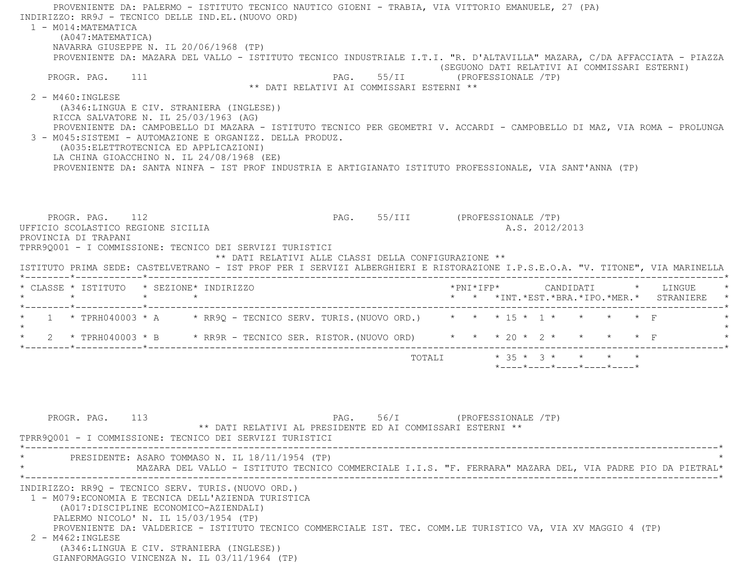PROVENIENTE DA: PALERMO - ISTITUTO TECNICO NAUTICO GIOENI - TRABIA, VIA VITTORIO EMANUELE, 27 (PA) INDIRIZZO: RR9J - TECNICO DELLE IND.EL.(NUOVO ORD) 1 - M014:MATEMATICA (A047:MATEMATICA) NAVARRA GIUSEPPE N. IL 20/06/1968 (TP) PROVENIENTE DA: MAZARA DEL VALLO - ISTITUTO TECNICO INDUSTRIALE I.T.I. "R. D'ALTAVILLA" MAZARA, C/DA AFFACCIATA - PIAZZA (SEGUONO DATI RELATIVI AI COMMISSARI ESTERNI) PROGR. PAG. 111 **PAG.** 55/II (PROFESSIONALE /TP) \*\* DATI RELATIVI AI COMMISSARI ESTERNI \*\* $2 - M460 \cdot INGLESE$  (A346:LINGUA E CIV. STRANIERA (INGLESE)) RICCA SALVATORE N. IL 25/03/1963 (AG) PROVENIENTE DA: CAMPOBELLO DI MAZARA - ISTITUTO TECNICO PER GEOMETRI V. ACCARDI - CAMPOBELLO DI MAZ, VIA ROMA - PROLUNGA 3 - M045:SISTEMI - AUTOMAZIONE E ORGANIZZ. DELLA PRODUZ. (A035:ELETTROTECNICA ED APPLICAZIONI) LA CHINA GIOACCHINO N. IL 24/08/1968 (EE) PROVENIENTE DA: SANTA NINFA - IST PROF INDUSTRIA E ARTIGIANATO ISTITUTO PROFESSIONALE, VIA SANT'ANNA (TP) PROGR. PAG. 112 **PAG.** PAG. 55/III (PROFESSIONALE /TP) UFFICIO SCOLASTICO REGIONE SICILIA A.S. 2012/2013 PROVINCIA DI TRAPANI TPRR9Q001 - I COMMISSIONE: TECNICO DEI SERVIZI TURISTICI \*\* DATI RELATIVI ALLE CLASSI DELLA CONFIGURAZIONE \*\* ISTITUTO PRIMA SEDE: CASTELVETRANO - IST PROF PER I SERVIZI ALBERGHIERI E RISTORAZIONE I.P.S.E.O.A. "V. TITONE", VIA MARINELLA \*--------\*------------\*-------------------------------------------------------------------------------------------------------\* \* CLASSE \* ISTITUTO \* SEZIONE\* INDIRIZZO \*PNI\*IFP\* CANDIDATI \* LINGUE \* \* \* \* \* \* \* \*INT.\*EST.\*BRA.\*IPO.\*MER.\* STRANIERE \* \*--------\*------------\*-------------------------------------------------------------------------------------------------------\*1 \* TPRH040003 \* A \* RR9Q - TECNICO SERV. TURIS.(NUOVO ORD.) \* \* \* 15 \* 1 \* \* \* \* \* \* F  $\star$  \* 2 \* TPRH040003 \* B \* RR9R - TECNICO SER. RISTOR.(NUOVO ORD) \* \* \* 20 \* 2 \* \* \* \* F \* \*--------\*------------\*-------------------------------------------------------------------------------------------------------\*

> TOTALI \* 35 \* 3 \* \* \* \*\*----\*----\*----\*----\*----\*

PROGR. PAG. 113 PAG. 56/I (PROFESSIONALE /TP) \*\* DATI RELATIVI AL PRESIDENTE ED AI COMMISSARI ESTERNI \*\* TPRR9Q001 - I COMMISSIONE: TECNICO DEI SERVIZI TURISTICI \*----------------------------------------------------------------------------------------------------------------------------\*PRESIDENTE: ASARO TOMMASO N. IL 18/11/1954 (TP) \* MAZARA DEL VALLO - ISTITUTO TECNICO COMMERCIALE I.I.S. "F. FERRARA" MAZARA DEL, VIA PADRE PIO DA PIETRAL\* \*----------------------------------------------------------------------------------------------------------------------------\* INDIRIZZO: RR9Q - TECNICO SERV. TURIS.(NUOVO ORD.) 1 - M079:ECONOMIA E TECNICA DELL'AZIENDA TURISTICA (A017:DISCIPLINE ECONOMICO-AZIENDALI) PALERMO NICOLO' N. IL 15/03/1954 (TP) PROVENIENTE DA: VALDERICE - ISTITUTO TECNICO COMMERCIALE IST. TEC. COMM.LE TURISTICO VA, VIA XV MAGGIO 4 (TP) 2 - M462:INGLESE (A346:LINGUA E CIV. STRANIERA (INGLESE)) GIANFORMAGGIO VINCENZA N. IL 03/11/1964 (TP)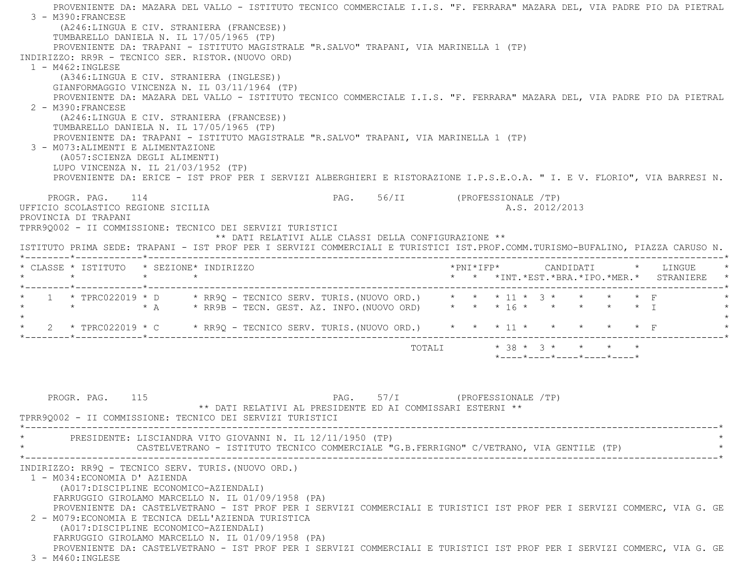PROVENIENTE DA: MAZARA DEL VALLO - ISTITUTO TECNICO COMMERCIALE I.I.S. "F. FERRARA" MAZARA DEL, VIA PADRE PIO DA PIETRAL 3 - M390:FRANCESE (A246:LINGUA E CIV. STRANIERA (FRANCESE)) TUMBARELLO DANIELA N. IL 17/05/1965 (TP) PROVENIENTE DA: TRAPANI - ISTITUTO MAGISTRALE "R.SALVO" TRAPANI, VIA MARINELLA 1 (TP) INDIRIZZO: RR9R - TECNICO SER. RISTOR.(NUOVO ORD)  $1 - M462 \cdot INGI. ESE$  (A346:LINGUA E CIV. STRANIERA (INGLESE)) GIANFORMAGGIO VINCENZA N. IL 03/11/1964 (TP) PROVENIENTE DA: MAZARA DEL VALLO - ISTITUTO TECNICO COMMERCIALE I.I.S. "F. FERRARA" MAZARA DEL, VIA PADRE PIO DA PIETRAL 2 - M390:FRANCESE (A246:LINGUA E CIV. STRANIERA (FRANCESE)) TUMBARELLO DANIELA N. IL 17/05/1965 (TP) PROVENIENTE DA: TRAPANI - ISTITUTO MAGISTRALE "R.SALVO" TRAPANI, VIA MARINELLA 1 (TP) 3 - M073:ALIMENTI E ALIMENTAZIONE (A057:SCIENZA DEGLI ALIMENTI) LUPO VINCENZA N. IL 21/03/1952 (TP) PROVENIENTE DA: ERICE - IST PROF PER I SERVIZI ALBERGHIERI E RISTORAZIONE I.P.S.E.O.A. " I. E V. FLORIO", VIA BARRESI N. PROGR. PAG. 114 **PAG.** 56/II (PROFESSIONALE /TP) UFFICIO SCOLASTICO REGIONE SICILIA A.S. 2012/2013 PROVINCIA DI TRAPANI TPRR9Q002 - II COMMISSIONE: TECNICO DEI SERVIZI TURISTICI \*\* DATI RELATIVI ALLE CLASSI DELLA CONFIGURAZIONE \*\* ISTITUTO PRIMA SEDE: TRAPANI - IST PROF PER I SERVIZI COMMERCIALI E TURISTICI IST.PROF.COMM.TURISMO-BUFALINO, PIAZZA CARUSO N. \*--------\*------------\*-------------------------------------------------------------------------------------------------------\* \* CLASSE \* ISTITUTO \* SEZIONE\* INDIRIZZO \*PNI\*IFP\* CANDIDATI \* LINGUE \* \* \* \* \* \* \* \*INT.\*EST.\*BRA.\*IPO.\*MER.\* STRANIERE \* \*--------\*------------\*-------------------------------------------------------------------------------------------------------\* \* 1 \* TPRC022019 \* D \* RR9Q - TECNICO SERV. TURIS.(NUOVO ORD.) \* \* \* 11 \* 3 \* \* \* \* F \* \* \* \* A \* RR9B - TECN. GEST. AZ. INFO.(NUOVO ORD) \* \* \* 16 \* \* \* \* \* I \*  $\star$ \* 2 \* TPRC022019 \* C \* RR9Q - TECNICO SERV. TURIS. (NUOVO ORD.) \* \* \* 11 \* \* \* \* \* \* \* F \*--------\*------------\*-------------------------------------------------------------------------------------------------------\* TOTALI \* 38 \* 3 \* \* \* \* \*----\*----\*----\*----\*----\*PROGR. PAG. 115 PAG. 57/I (PROFESSIONALE /TP) \*\* DATI RELATIVI AL PRESIDENTE ED AI COMMISSARI ESTERNI \*\* TPRR9Q002 - II COMMISSIONE: TECNICO DEI SERVIZI TURISTICI \*----------------------------------------------------------------------------------------------------------------------------\*PRESIDENTE: LISCIANDRA VITO GIOVANNI N. IL 12/11/1950 (TP)

CASTELVETRANO - ISTITUTO TECNICO COMMERCIALE "G.B.FERRIGNO" C/VETRANO, VIA GENTILE (TP) \*----------------------------------------------------------------------------------------------------------------------------\*

INDIRIZZO: RR9Q - TECNICO SERV. TURIS.(NUOVO ORD.)

 1 - M034:ECONOMIA D' AZIENDA (A017:DISCIPLINE ECONOMICO-AZIENDALI) FARRUGGIO GIROLAMO MARCELLO N. IL 01/09/1958 (PA)

 PROVENIENTE DA: CASTELVETRANO - IST PROF PER I SERVIZI COMMERCIALI E TURISTICI IST PROF PER I SERVIZI COMMERC, VIA G. GE 2 - M079:ECONOMIA E TECNICA DELL'AZIENDA TURISTICA(A017:DISCIPLINE ECONOMICO-AZIENDALI)

FARRUGGIO GIROLAMO MARCELLO N. IL 01/09/1958 (PA)

PROVENIENTE DA: CASTELVETRANO - IST PROF PER I SERVIZI COMMERCIALI E TURISTICI IST PROF PER I SERVIZI COMMERC, VIA G. GE

3 - M460:INGLESE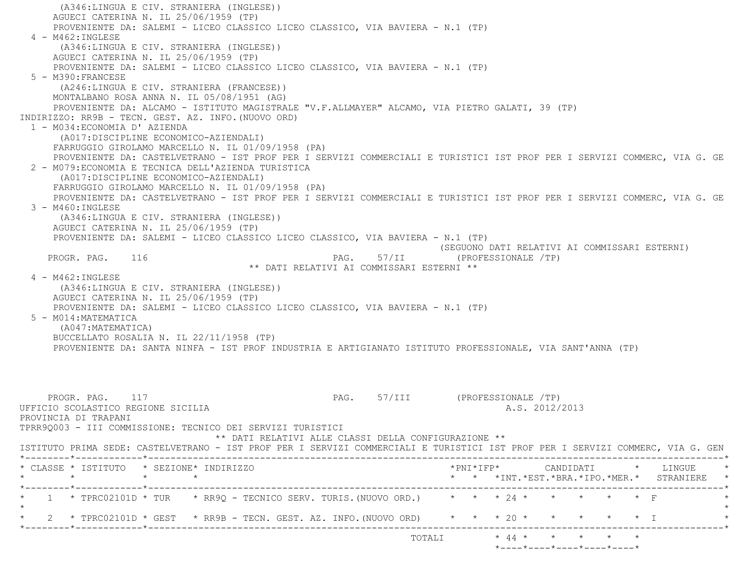(A346:LINGUA E CIV. STRANIERA (INGLESE)) AGUECI CATERINA N. IL 25/06/1959 (TP) PROVENIENTE DA: SALEMI - LICEO CLASSICO LICEO CLASSICO, VIA BAVIERA - N.1 (TP) 4 - M462:INGLESE (A346:LINGUA E CIV. STRANIERA (INGLESE)) AGUECI CATERINA N. IL 25/06/1959 (TP) PROVENIENTE DA: SALEMI - LICEO CLASSICO LICEO CLASSICO, VIA BAVIERA - N.1 (TP) 5 - M390:FRANCESE (A246:LINGUA E CIV. STRANIERA (FRANCESE)) MONTALBANO ROSA ANNA N. IL 05/08/1951 (AG) PROVENIENTE DA: ALCAMO - ISTITUTO MAGISTRALE "V.F.ALLMAYER" ALCAMO, VIA PIETRO GALATI, 39 (TP) INDIRIZZO: RR9B - TECN. GEST. AZ. INFO.(NUOVO ORD) 1 - M034:ECONOMIA D' AZIENDA (A017:DISCIPLINE ECONOMICO-AZIENDALI) FARRUGGIO GIROLAMO MARCELLO N. IL 01/09/1958 (PA) PROVENIENTE DA: CASTELVETRANO - IST PROF PER I SERVIZI COMMERCIALI E TURISTICI IST PROF PER I SERVIZI COMMERC, VIA G. GE 2 - M079:ECONOMIA E TECNICA DELL'AZIENDA TURISTICA (A017:DISCIPLINE ECONOMICO-AZIENDALI) FARRUGGIO GIROLAMO MARCELLO N. IL 01/09/1958 (PA) PROVENIENTE DA: CASTELVETRANO - IST PROF PER I SERVIZI COMMERCIALI E TURISTICI IST PROF PER I SERVIZI COMMERC, VIA G. GE 3 - M460:INGLESE (A346:LINGUA E CIV. STRANIERA (INGLESE)) AGUECI CATERINA N. IL 25/06/1959 (TP) PROVENIENTE DA: SALEMI - LICEO CLASSICO LICEO CLASSICO, VIA BAVIERA - N.1 (TP) (SEGUONO DATI RELATIVI AI COMMISSARI ESTERNI) PROGR. PAG. 116 CPROFESSIONALE (PROFESSIONALE PAG. 57/II (PROFESSIONALE PROFESSIONALE PROFESSIONALE PROPERTY P \*\* DATI RELATIVI AI COMMISSARI ESTERNI \*\* 4 - M462:INGLESE (A346:LINGUA E CIV. STRANIERA (INGLESE)) AGUECI CATERINA N. IL 25/06/1959 (TP) PROVENIENTE DA: SALEMI - LICEO CLASSICO LICEO CLASSICO, VIA BAVIERA - N.1 (TP) 5 - M014:MATEMATICA (A047:MATEMATICA) BUCCELLATO ROSALIA N. IL 22/11/1958 (TP) PROVENIENTE DA: SANTA NINFA - IST PROF INDUSTRIA E ARTIGIANATO ISTITUTO PROFESSIONALE, VIA SANT'ANNA (TP) PROGR. PAG. 117 CPROFESSIONALE (PROFESSIONALE PAG. 57/III (PROFESSIONALE PROFESSIONALE PROFESSIONALE PROFESSIONALE PROFESSIONALE PROFESSIONALE PROFESSIONALE PROFESSIONALE PROFESSIONALE PROFESSIONALE PROFESSIONALE PROFESSIO UFFICIO SCOLASTICO REGIONE SICILIA AND ALS. 2012/2013 PROVINCIA DI TRAPANI TPRR9Q003 - III COMMISSIONE: TECNICO DEI SERVIZI TURISTICI \*\* DATI RELATIVI ALLE CLASSI DELLA CONFIGURAZIONE \*\* ISTITUTO PRIMA SEDE: CASTELVETRANO - IST PROF PER I SERVIZI COMMERCIALI E TURISTICI IST PROF PER I SERVIZI COMMERC, VIA G. GEN \*--------\*------------\*-------------------------------------------------------------------------------------------------------\* \* CLASSE \* ISTITUTO \* SEZIONE\* INDIRIZZO \*PNI\*IFP\* CANDIDATI \* LINGUE \* \* \* \* \* \* \* \*INT.\*EST.\*BRA.\*IPO.\*MER.\* STRANIERE \*\*--------\*------------\*-------------------------------------------------------------------------------------------------------\*

\* 1 \* TPRC02101D \* TUR \* RR9Q - TECNICO SERV. TURIS. (NUOVO ORD.) \* \* \* 24 \* \* \* \* \* \* \* \* F

\* 2 \* TPRC02101D \* GEST \* RR9B - TECN. GEST. AZ. INFO. (NUOVO ORD) \* \* \* 20 \* \* \* \* \* \* \* I

 $\star$ 

\*--------\*------------\*-------------------------------------------------------------------------------------------------------\*

TOTALI \* 44 \* \* \* \* \*

\*----\*----\*----\*----\*----\*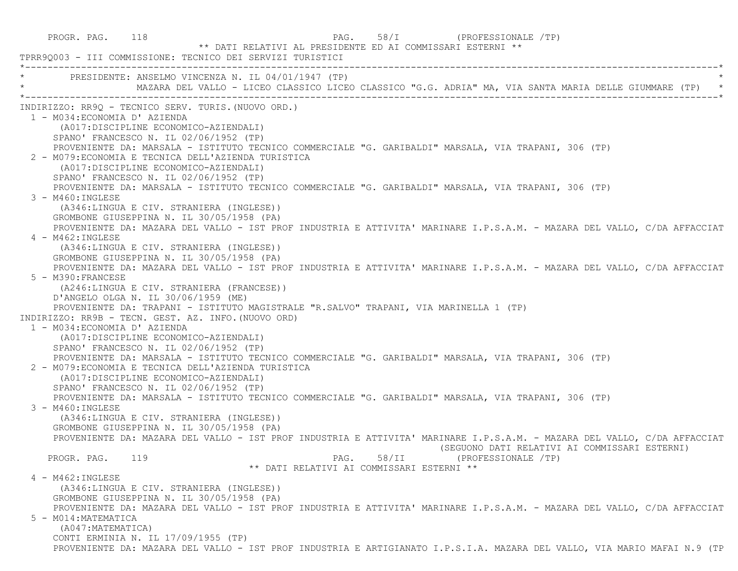PROGR. PAG. 118 PAG. 58/I (PROFESSIONALE TP) \*\* DATI RELATIVI AL PRESIDENTE ED AI COMMISSARI ESTERNI \*\* TPRR9Q003 - III COMMISSIONE: TECNICO DEI SERVIZI TURISTICI \*----------------------------------------------------------------------------------------------------------------------------\*PRESIDENTE: ANSELMO VINCENZA N. IL 04/01/1947 (TP) \* MAZARA DEL VALLO - LICEO CLASSICO LICEO CLASSICO "G.G. ADRIA" MA, VIA SANTA MARIA DELLE GIUMMARE (TP) \* \*----------------------------------------------------------------------------------------------------------------------------\* INDIRIZZO: RR9Q - TECNICO SERV. TURIS.(NUOVO ORD.) 1 - M034:ECONOMIA D' AZIENDA (A017:DISCIPLINE ECONOMICO-AZIENDALI) SPANO' FRANCESCO N. IL 02/06/1952 (TP) PROVENIENTE DA: MARSALA - ISTITUTO TECNICO COMMERCIALE "G. GARIBALDI" MARSALA, VIA TRAPANI, 306 (TP) 2 - M079:ECONOMIA E TECNICA DELL'AZIENDA TURISTICA (A017:DISCIPLINE ECONOMICO-AZIENDALI) SPANO' FRANCESCO N. IL 02/06/1952 (TP) PROVENIENTE DA: MARSALA - ISTITUTO TECNICO COMMERCIALE "G. GARIBALDI" MARSALA, VIA TRAPANI, 306 (TP) 3 - M460:INGLESE (A346:LINGUA E CIV. STRANIERA (INGLESE)) GROMBONE GIUSEPPINA N. IL 30/05/1958 (PA) PROVENIENTE DA: MAZARA DEL VALLO - IST PROF INDUSTRIA E ATTIVITA' MARINARE I.P.S.A.M. - MAZARA DEL VALLO, C/DA AFFACCIAT 4 - M462:INGLESE (A346:LINGUA E CIV. STRANIERA (INGLESE)) GROMBONE GIUSEPPINA N. IL 30/05/1958 (PA) PROVENIENTE DA: MAZARA DEL VALLO - IST PROF INDUSTRIA E ATTIVITA' MARINARE I.P.S.A.M. - MAZARA DEL VALLO, C/DA AFFACCIAT 5 - M390:FRANCESE (A246:LINGUA E CIV. STRANIERA (FRANCESE)) D'ANGELO OLGA N. IL 30/06/1959 (ME) PROVENIENTE DA: TRAPANI - ISTITUTO MAGISTRALE "R.SALVO" TRAPANI, VIA MARINELLA 1 (TP) INDIRIZZO: RR9B - TECN. GEST. AZ. INFO.(NUOVO ORD) 1 - M034:ECONOMIA D' AZIENDA (A017:DISCIPLINE ECONOMICO-AZIENDALI) SPANO' FRANCESCO N. IL 02/06/1952 (TP) PROVENIENTE DA: MARSALA - ISTITUTO TECNICO COMMERCIALE "G. GARIBALDI" MARSALA, VIA TRAPANI, 306 (TP) 2 - M079:ECONOMIA E TECNICA DELL'AZIENDA TURISTICA (A017:DISCIPLINE ECONOMICO-AZIENDALI) SPANO' FRANCESCO N. IL 02/06/1952 (TP) PROVENIENTE DA: MARSALA - ISTITUTO TECNICO COMMERCIALE "G. GARIBALDI" MARSALA, VIA TRAPANI, 306 (TP) 3 - M460:INGLESE (A346:LINGUA E CIV. STRANIERA (INGLESE)) GROMBONE GIUSEPPINA N. IL 30/05/1958 (PA) PROVENIENTE DA: MAZARA DEL VALLO - IST PROF INDUSTRIA E ATTIVITA' MARINARE I.P.S.A.M. - MAZARA DEL VALLO, C/DA AFFACCIAT (SEGUONO DATI RELATIVI AI COMMISSARI ESTERNI) PROGR. PAG. 119 PAG. 58/II (PROFESSIONALE /TP) \*\* DATI RELATIVI AI COMMISSARI ESTERNI \*\* 4 - M462:INGLESE (A346:LINGUA E CIV. STRANIERA (INGLESE)) GROMBONE GIUSEPPINA N. IL 30/05/1958 (PA) PROVENIENTE DA: MAZARA DEL VALLO - IST PROF INDUSTRIA E ATTIVITA' MARINARE I.P.S.A.M. - MAZARA DEL VALLO, C/DA AFFACCIAT 5 - M014:MATEMATICA (A047:MATEMATICA) CONTI ERMINIA N. IL 17/09/1955 (TP) PROVENIENTE DA: MAZARA DEL VALLO - IST PROF INDUSTRIA E ARTIGIANATO I.P.S.I.A. MAZARA DEL VALLO, VIA MARIO MAFAI N.9 (TP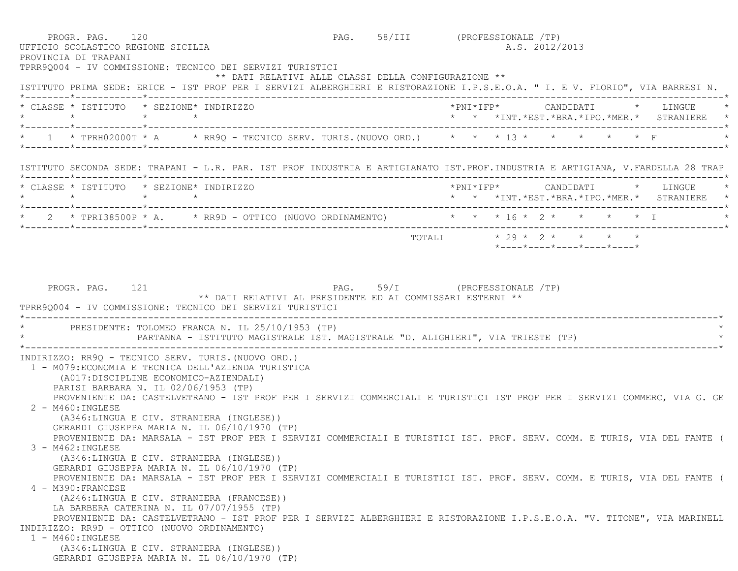PROGR. PAG. 120 **PAG.** PAG. 58/III (PROFESSIONALE /TP) UFFICIO SCOLASTICO REGIONE SICILIA A.S. 2012/2013 PROVINCIA DI TRAPANI TPRR9Q004 - IV COMMISSIONE: TECNICO DEI SERVIZI TURISTICI \*\* DATI RELATIVI ALLE CLASSI DELLA CONFIGURAZIONE \*\* ISTITUTO PRIMA SEDE: ERICE - IST PROF PER I SERVIZI ALBERGHIERI E RISTORAZIONE I.P.S.E.O.A. " I. E V. FLORIO", VIA BARRESI N. \*--------\*------------\*-------------------------------------------------------------------------------------------------------\* \* CLASSE \* ISTITUTO \* SEZIONE\* INDIRIZZO \*PNI\*IFP\* CANDIDATI \* LINGUE \* \* \* \* \* \* \* \*INT.\*EST.\*BRA.\*IPO.\*MER.\* STRANIERE \* \*--------\*------------\*-------------------------------------------------------------------------------------------------------\*1 \* TPRH02000T \* A \* RR9Q - TECNICO SERV. TURIS. (NUOVO ORD.) \* \* \* \* 13 \* \*--------\*------------\*-------------------------------------------------------------------------------------------------------\* ISTITUTO SECONDA SEDE: TRAPANI - L.R. PAR. IST PROF INDUSTRIA E ARTIGIANATO IST.PROF.INDUSTRIA E ARTIGIANA, V.FARDELLA 28 TRAP \*--------\*------------\*-------------------------------------------------------------------------------------------------------\* \* CLASSE \* ISTITUTO \* SEZIONE\* INDIRIZZO \*PNI\*IFP\* CANDIDATI \* LINGUE \* \* \* \* \* \* \* \*INT.\*EST.\*BRA.\*IPO.\*MER.\* STRANIERE \* \*--------\*------------\*-------------------------------------------------------------------------------------------------------\*2 \* TPRI38500P \* A. \* RR9D - OTTICO (NUOVO ORDINAMENTO) \* \* \* 16 \* 2 \* \* \* \* I \*--------\*------------\*-------------------------------------------------------------------------------------------------------\*TOTALI  $* 29 * 2 * * * * * * *$  \*----\*----\*----\*----\*----\* PROGR. PAG. 121 PAG. 59/I (PROFESSIONALE /TP) \*\* DATI RELATIVI AL PRESIDENTE ED AI COMMISSARI ESTERNI \*\* TPRR9Q004 - IV COMMISSIONE: TECNICO DEI SERVIZI TURISTICI \*----------------------------------------------------------------------------------------------------------------------------\*PRESIDENTE: TOLOMEO FRANCA N. IL 25/10/1953 (TP) PARTANNA - ISTITUTO MAGISTRALE IST. MAGISTRALE "D. ALIGHIERI", VIA TRIESTE (TP) \*----------------------------------------------------------------------------------------------------------------------------\* INDIRIZZO: RR9Q - TECNICO SERV. TURIS.(NUOVO ORD.) 1 - M079:ECONOMIA E TECNICA DELL'AZIENDA TURISTICA (A017:DISCIPLINE ECONOMICO-AZIENDALI) PARISI BARBARA N. IL 02/06/1953 (TP) PROVENIENTE DA: CASTELVETRANO - IST PROF PER I SERVIZI COMMERCIALI E TURISTICI IST PROF PER I SERVIZI COMMERC, VIA G. GE 2 - M460:INGLESE (A346:LINGUA E CIV. STRANIERA (INGLESE)) GERARDI GIUSEPPA MARIA N. IL 06/10/1970 (TP) PROVENIENTE DA: MARSALA - IST PROF PER I SERVIZI COMMERCIALI E TURISTICI IST. PROF. SERV. COMM. E TURIS, VIA DEL FANTE ( 3 - M462:INGLESE (A346:LINGUA E CIV. STRANIERA (INGLESE)) GERARDI GIUSEPPA MARIA N. IL 06/10/1970 (TP) PROVENIENTE DA: MARSALA - IST PROF PER I SERVIZI COMMERCIALI E TURISTICI IST. PROF. SERV. COMM. E TURIS, VIA DEL FANTE ( 4 - M390:FRANCESE (A246:LINGUA E CIV. STRANIERA (FRANCESE)) LA BARBERA CATERINA N. IL 07/07/1955 (TP) PROVENIENTE DA: CASTELVETRANO - IST PROF PER I SERVIZI ALBERGHIERI E RISTORAZIONE I.P.S.E.O.A. "V. TITONE", VIA MARINELL INDIRIZZO: RR9D - OTTICO (NUOVO ORDINAMENTO) 1 - M460:INGLESE (A346:LINGUA E CIV. STRANIERA (INGLESE)) GERARDI GIUSEPPA MARIA N. IL 06/10/1970 (TP)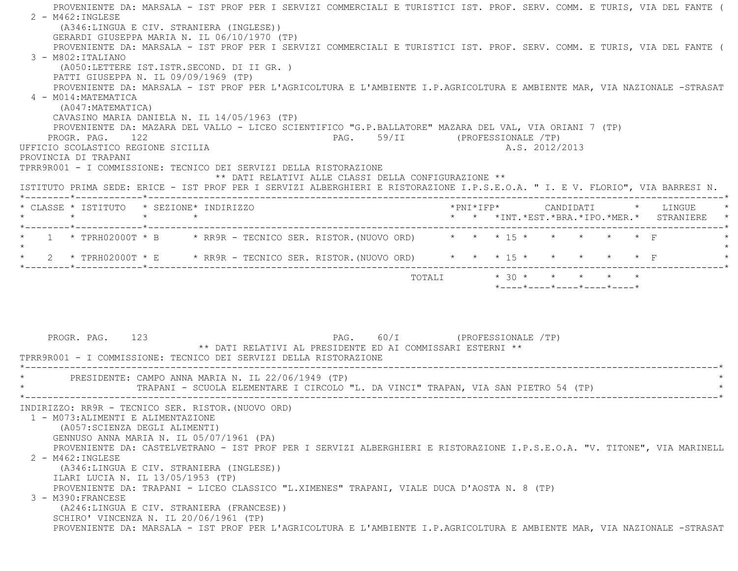PROVENIENTE DA: MARSALA - IST PROF PER I SERVIZI COMMERCIALI E TURISTICI IST. PROF. SERV. COMM. E TURIS, VIA DEL FANTE (  $2 - M462$ : INGLESE (A346:LINGUA E CIV. STRANIERA (INGLESE)) GERARDI GIUSEPPA MARIA N. IL 06/10/1970 (TP) PROVENIENTE DA: MARSALA - IST PROF PER I SERVIZI COMMERCIALI E TURISTICI IST. PROF. SERV. COMM. E TURIS, VIA DEL FANTE (  $3 - M802:TTATJANO$  (A050:LETTERE IST.ISTR.SECOND. DI II GR. ) PATTI GIUSEPPA N. IL 09/09/1969 (TP) PROVENIENTE DA: MARSALA - IST PROF PER L'AGRICOLTURA E L'AMBIENTE I.P.AGRICOLTURA E AMBIENTE MAR, VIA NAZIONALE -STRASAT  $4 - M014 \cdot MATEMATTCA$  (A047:MATEMATICA) CAVASINO MARIA DANIELA N. IL 14/05/1963 (TP) PROVENIENTE DA: MAZARA DEL VALLO - LICEO SCIENTIFICO "G.P.BALLATORE" MAZARA DEL VAL, VIA ORIANI 7 (TP) PROGR. PAG. 122 **PAG.** 59/II (PROFESSIONALE /TP) UFFICIO SCOLASTICO REGIONE SICILIA A.S. 2012/2013 PROVINCIA DI TRAPANI TPRR9R001 - I COMMISSIONE: TECNICO DEI SERVIZI DELLA RISTORAZIONE \*\* DATI RELATIVI ALLE CLASSI DELLA CONFIGURAZIONE \*\* ISTITUTO PRIMA SEDE: ERICE - IST PROF PER I SERVIZI ALBERGHIERI E RISTORAZIONE I.P.S.E.O.A. " I. E V. FLORIO", VIA BARRESI N. \*--------\*------------\*-------------------------------------------------------------------------------------------------------\* \* CLASSE \* ISTITUTO \* SEZIONE\* INDIRIZZO \*PNI\*IFP\* CANDIDATI \* LINGUE \* \* \* \* \* \* \* \*INT.\*EST.\*BRA.\*IPO.\*MER.\* STRANIERE \* \*--------\*------------\*-------------------------------------------------------------------------------------------------------\*\* 1 \* TPRH02000T \* B \* RR9R - TECNICO SER. RISTOR. (NUOVO ORD) \* \* \* 15 \* \* \* \* \* \* \* F  $\star$ \* 2 \* TPRH02000T \* E \* RR9R - TECNICO SER. RISTOR. (NUOVO ORD) \* \* \* 15 \* \* \* \* \* \* \* F \*--------\*------------\*-------------------------------------------------------------------------------------------------------\*TOTALI  $* 30 * * * * * * * * * *$  \*----\*----\*----\*----\*----\*PROGR. PAG. 123 PAG. 60/I (PROFESSIONALE /TP) \*\* DATI RELATIVI AL PRESIDENTE ED AI COMMISSARI ESTERNI \*\* TPRR9R001 - I COMMISSIONE: TECNICO DEI SERVIZI DELLA RISTORAZIONE \*----------------------------------------------------------------------------------------------------------------------------\*PRESIDENTE: CAMPO ANNA MARIA N. IL 22/06/1949 (TP) TRAPANI - SCUOLA ELEMENTARE I CIRCOLO "L. DA VINCI" TRAPAN, VIA SAN PIETRO 54 (TP) \*----------------------------------------------------------------------------------------------------------------------------\* INDIRIZZO: RR9R - TECNICO SER. RISTOR.(NUOVO ORD) 1 - M073:ALIMENTI E ALIMENTAZIONE (A057:SCIENZA DEGLI ALIMENTI) GENNUSO ANNA MARIA N. IL 05/07/1961 (PA) PROVENIENTE DA: CASTELVETRANO - IST PROF PER I SERVIZI ALBERGHIERI E RISTORAZIONE I.P.S.E.O.A. "V. TITONE", VIA MARINELL 2 - M462:INGLESE (A346:LINGUA E CIV. STRANIERA (INGLESE)) ILARI LUCIA N. IL 13/05/1953 (TP) PROVENIENTE DA: TRAPANI - LICEO CLASSICO "L.XIMENES" TRAPANI, VIALE DUCA D'AOSTA N. 8 (TP) 3 - M390:FRANCESE (A246:LINGUA E CIV. STRANIERA (FRANCESE)) SCHIRO' VINCENZA N. IL 20/06/1961 (TP) PROVENIENTE DA: MARSALA - IST PROF PER L'AGRICOLTURA E L'AMBIENTE I.P.AGRICOLTURA E AMBIENTE MAR, VIA NAZIONALE -STRASAT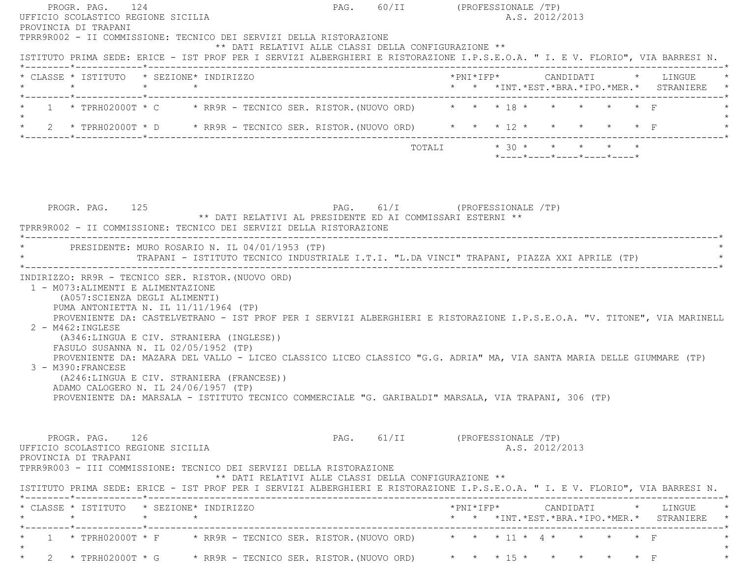| PROGR. PAG. 124<br>UFFICIO SCOLASTICO REGIONE SICILIA<br>PROVINCIA DI TRAPANI                                                                                                                                                                                                                                                                                                                                                                                                                        |  | PAG. 60/II (PROFESSIONALE /TP)<br>A.S. 2012/2013                                                                                                                                                                                                                                                                                           |
|------------------------------------------------------------------------------------------------------------------------------------------------------------------------------------------------------------------------------------------------------------------------------------------------------------------------------------------------------------------------------------------------------------------------------------------------------------------------------------------------------|--|--------------------------------------------------------------------------------------------------------------------------------------------------------------------------------------------------------------------------------------------------------------------------------------------------------------------------------------------|
| TPRR9R002 - II COMMISSIONE: TECNICO DEI SERVIZI DELLA RISTORAZIONE<br>** DATI RELATIVI ALLE CLASSI DELLA CONFIGURAZIONE **                                                                                                                                                                                                                                                                                                                                                                           |  | ISTITUTO PRIMA SEDE: ERICE - IST PROF PER I SERVIZI ALBERGHIERI E RISTORAZIONE I.P.S.E.O.A. " I. E V. FLORIO", VIA BARRESI N.                                                                                                                                                                                                              |
| * CLASSE * ISTITUTO * SEZIONE* INDIRIZZO<br>$\star$ $\star$<br>$\star$                                                                                                                                                                                                                                                                                                                                                                                                                               |  | *PNI*IFP*     CANDIDATI    *   LINGUE<br>* * *INT.*EST.*BRA.*IPO.*MER.* STRANIERE                                                                                                                                                                                                                                                          |
| *--------*------------*-------------<br>1 * TPRH02000T * C * RR9R - TECNICO SER. RISTOR. (NUOVO ORD) * * * 18 * * *                                                                                                                                                                                                                                                                                                                                                                                  |  | $\star$ $\star$ $\Gamma$                                                                                                                                                                                                                                                                                                                   |
| 2 * TPRH02000T * D * RR9R - TECNICO SER. RISTOR. (NUOVO ORD) * * * 12 * * * *                                                                                                                                                                                                                                                                                                                                                                                                                        |  | $\star$ $\star$ $\qquad$ $\qquad$ $\qquad$ $\qquad$ $\qquad$ $\qquad$ $\qquad$ $\qquad$ $\qquad$ $\qquad$ $\qquad$ $\qquad$ $\qquad$ $\qquad$ $\qquad$ $\qquad$ $\qquad$ $\qquad$ $\qquad$ $\qquad$ $\qquad$ $\qquad$ $\qquad$ $\qquad$ $\qquad$ $\qquad$ $\qquad$ $\qquad$ $\qquad$ $\qquad$ $\qquad$ $\qquad$ $\qquad$ $\qquad$ $\qquad$ |
|                                                                                                                                                                                                                                                                                                                                                                                                                                                                                                      |  | $* 30 * * * * * * * * *$<br>TOTALI<br>$*$ ---- $*$ ---- $*$ ---- $*$ ---- $*$                                                                                                                                                                                                                                                              |
| PROGR. PAG. 125<br>** DATI RELATIVI AL PRESIDENTE ED AI COMMISSARI ESTERNI **<br>TPRR9R002 - II COMMISSIONE: TECNICO DEI SERVIZI DELLA RISTORAZIONE                                                                                                                                                                                                                                                                                                                                                  |  | PAG. 61/I (PROFESSIONALE /TP)                                                                                                                                                                                                                                                                                                              |
| PRESIDENTE: MURO ROSARIO N. IL 04/01/1953 (TP)                                                                                                                                                                                                                                                                                                                                                                                                                                                       |  | TRAPANI - ISTITUTO TECNICO INDUSTRIALE I.T.I. "L.DA VINCI" TRAPANI, PIAZZA XXI APRILE (TP)                                                                                                                                                                                                                                                 |
| INDIRIZZO: RR9R - TECNICO SER. RISTOR. (NUOVO ORD)<br>1 - M073: ALIMENTI E ALIMENTAZIONE<br>(A057: SCIENZA DEGLI ALIMENTI)<br>PUMA ANTONIETTA N. IL $11/11/1964$ (TP)<br>$2 - M462 : INGLESE$<br>(A346:LINGUA E CIV. STRANIERA (INGLESE))<br>FASULO SUSANNA N. IL 02/05/1952 (TP)<br>3 - M390: FRANCESE<br>(A246:LINGUA E CIV. STRANIERA (FRANCESE))<br>ADAMO CALOGERO N. IL 24/06/1957 (TP)<br>PROVENIENTE DA: MARSALA - ISTITUTO TECNICO COMMERCIALE "G. GARIBALDI" MARSALA, VIA TRAPANI, 306 (TP) |  | PROVENIENTE DA: CASTELVETRANO - IST PROF PER I SERVIZI ALBERGHIERI E RISTORAZIONE I.P.S.E.O.A. "V. TITONE", VIA MARINELL<br>PROVENIENTE DA: MAZARA DEL VALLO - LICEO CLASSICO LICEO CLASSICO "G.G. ADRIA" MA, VIA SANTA MARIA DELLE GIUMMARE (TP)                                                                                          |
| PROGR. PAG. 126<br>UFFICIO SCOLASTICO REGIONE SICILIA<br>PROVINCIA DI TRAPANI<br>TPRR9R003 - III COMMISSIONE: TECNICO DEI SERVIZI DELLA RISTORAZIONE<br>** DATI RELATIVI ALLE CLASSI DELLA CONFIGURAZIONE **                                                                                                                                                                                                                                                                                         |  | PAG. 61/II (PROFESSIONALE /TP)<br>A.S. 2012/2013                                                                                                                                                                                                                                                                                           |
|                                                                                                                                                                                                                                                                                                                                                                                                                                                                                                      |  | ISTITUTO PRIMA SEDE: ERICE - IST PROF PER I SERVIZI ALBERGHIERI E RISTORAZIONE I.P.S.E.O.A. " I. E V. FLORIO", VIA BARRESI N.                                                                                                                                                                                                              |
| * CLASSE * ISTITUTO * SEZIONE* INDIRIZZO<br>$\star$                                                                                                                                                                                                                                                                                                                                                                                                                                                  |  | * * *INT.*EST.*BRA.*IPO.*MER.* STRANIERE *                                                                                                                                                                                                                                                                                                 |
| * 1 * TPRH02000T * F * RR9R - TECNICO SER. RISTOR. (NUOVO ORD) * * * 11 * 4 * * * * * * F                                                                                                                                                                                                                                                                                                                                                                                                            |  |                                                                                                                                                                                                                                                                                                                                            |

 $\star$ 

\* 2 \* TPRH02000T \* G \* RR9R - TECNICO SER. RISTOR. (NUOVO ORD) \* \* \* \* 15 \* \* \* \* \* \* \* F

 $\star$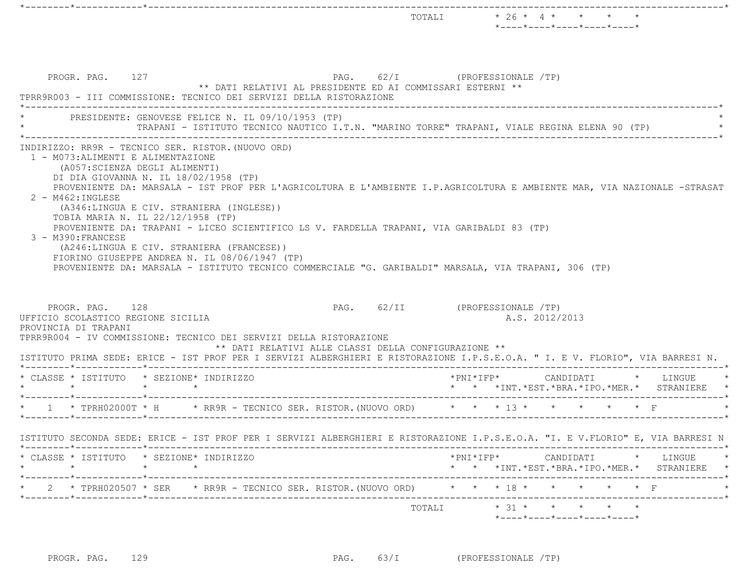|                                                                               |                                                                                                                                                                                                                                                                                                                   |                                                                                             | TOTALI $\star$ 26 $\star$ 4 $\star$ $\star$ $\star$<br>$*$ - - - - $*$ - - - - $*$ - - - - $*$ - - - - $*$ - - - - $*$                                                                                             |  |
|-------------------------------------------------------------------------------|-------------------------------------------------------------------------------------------------------------------------------------------------------------------------------------------------------------------------------------------------------------------------------------------------------------------|---------------------------------------------------------------------------------------------|--------------------------------------------------------------------------------------------------------------------------------------------------------------------------------------------------------------------|--|
| PROGR. PAG. 127                                                               | TPRR9R003 - III COMMISSIONE: TECNICO DEI SERVIZI DELLA RISTORAZIONE                                                                                                                                                                                                                                               | PAG. 62/I (PROFESSIONALE /TP)<br>** DATI RELATIVI AL PRESIDENTE ED AI COMMISSARI ESTERNI ** |                                                                                                                                                                                                                    |  |
|                                                                               | PRESIDENTE: GENOVESE FELICE N. IL 09/10/1953 (TP)                                                                                                                                                                                                                                                                 |                                                                                             | TRAPANI - ISTITUTO TECNICO NAUTICO I.T.N. "MARINO TORRE" TRAPANI, VIALE REGINA ELENA 90 (TP)                                                                                                                       |  |
| 2 - M462: INGLESE<br>3 - M390: FRANCESE                                       | DI DIA GIOVANNA N. IL 18/02/1958 (TP)<br>(A346:LINGUA E CIV. STRANIERA (INGLESE))<br>TOBIA MARIA N. IL 22/12/1958 (TP)<br>PROVENIENTE DA: TRAPANI - LICEO SCIENTIFICO LS V. FARDELLA TRAPANI, VIA GARIBALDI 83 (TP)<br>(A246:LINGUA E CIV. STRANIERA (FRANCESE))<br>FIORINO GIUSEPPE ANDREA N. IL 08/06/1947 (TP) |                                                                                             | PROVENIENTE DA: MARSALA - IST PROF PER L'AGRICOLTURA E L'AMBIENTE I.P.AGRICOLTURA E AMBIENTE MAR, VIA NAZIONALE -STRASAT                                                                                           |  |
| PROGR. PAG. 128                                                               | TPRR9R004 - IV COMMISSIONE: TECNICO DEI SERVIZI DELLA RISTORAZIONE                                                                                                                                                                                                                                                | ** DATI RELATIVI ALLE CLASSI DELLA CONFIGURAZIONE **                                        | PROVENIENTE DA: MARSALA - ISTITUTO TECNICO COMMERCIALE "G. GARIBALDI" MARSALA, VIA TRAPANI, 306 (TP)<br>PAG. 62/II (PROFESSIONALE /TP)<br>A.S. 2012/2013                                                           |  |
|                                                                               | * CLASSE * ISTITUTO * SEZIONE* INDIRIZZO<br>$\star$ $\star$                                                                                                                                                                                                                                                       |                                                                                             | ISTITUTO PRIMA SEDE: ERICE - IST PROF PER I SERVIZI ALBERGHIERI E RISTORAZIONE I.P.S.E.O.A. " I. E V. FLORIO", VIA BARRESI N.<br>*PNI*IFP*     CANDIDATI    *   LINGUE<br>* * *INT.*EST.*BRA.*IPO.*MER.* STRANIERE |  |
|                                                                               |                                                                                                                                                                                                                                                                                                                   |                                                                                             | * 1 * TPRH02000T * H * RR9R - TECNICO SER. RISTOR. (NUOVO ORD) * * * 13 * * * * * * * F                                                                                                                            |  |
| UFFICIO SCOLASTICO REGIONE SICILIA<br>PROVINCIA DI TRAPANI<br>$\star$ $\star$ |                                                                                                                                                                                                                                                                                                                   |                                                                                             | ISTITUTO SECONDA SEDE: ERICE - IST PROF PER I SERVIZI ALBERGHIERI E RISTORAZIONE I.P.S.E.O.A. "I. E V.FLORIO" E, VIA BARRESI N                                                                                     |  |
| $\star$                                                                       | * CLASSE * ISTITUTO * SEZIONE* INDIRIZZO                                                                                                                                                                                                                                                                          |                                                                                             | $\text{\tt *PNI*IFP*} \qquad \qquad \text{CANDIDATI} \qquad \text{\tt *} \qquad \text{LINGUE} \qquad \text{\tt *}$<br>* * *INT.*EST.*BRA.*IPO.*MER.* STRANIERE *                                                   |  |
|                                                                               |                                                                                                                                                                                                                                                                                                                   |                                                                                             | 2 * TPRH020507 * SER * RR9R - TECNICO SER. RISTOR. (NUOVO ORD) * * * 18 * * * * * * * F                                                                                                                            |  |

PROGR. PAG. 129 PAG. 63/I (PROFESSIONALE TP)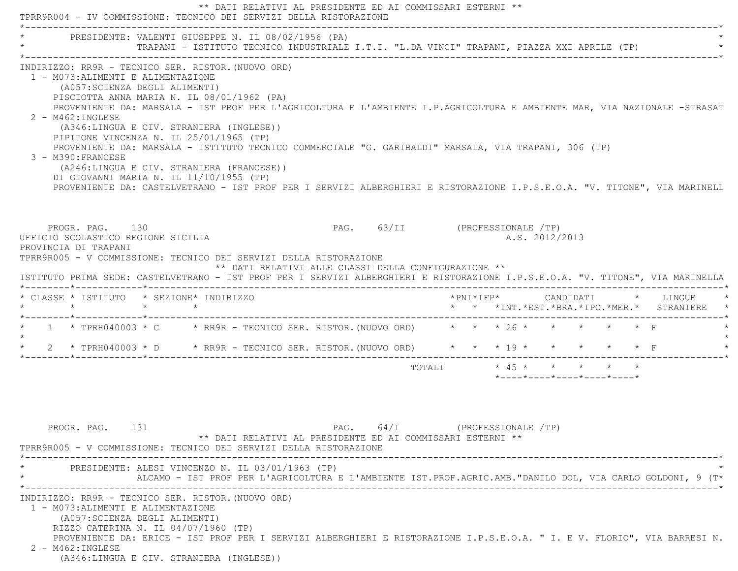|                                                                                                                                                                                                                                                                | ** DATI RELATIVI AL PRESIDENTE ED AI COMMISSARI ESTERNI **<br>TPRR9R004 - IV COMMISSIONE: TECNICO DEI SERVIZI DELLA RISTORAZIONE                                                                                                                                                                                                                                                                                                                                                                    |                                |                         |                     |  |                |                                                                 |                          |                                               |
|----------------------------------------------------------------------------------------------------------------------------------------------------------------------------------------------------------------------------------------------------------------|-----------------------------------------------------------------------------------------------------------------------------------------------------------------------------------------------------------------------------------------------------------------------------------------------------------------------------------------------------------------------------------------------------------------------------------------------------------------------------------------------------|--------------------------------|-------------------------|---------------------|--|----------------|-----------------------------------------------------------------|--------------------------|-----------------------------------------------|
|                                                                                                                                                                                                                                                                | PRESIDENTE: VALENTI GIUSEPPE N. IL 08/02/1956 (PA)<br>TRAPANI - ISTITUTO TECNICO INDUSTRIALE I.T.I. "L.DA VINCI" TRAPANI, PIAZZA XXI APRILE (TP)                                                                                                                                                                                                                                                                                                                                                    |                                |                         |                     |  |                |                                                                 |                          |                                               |
| INDIRIZZO: RR9R - TECNICO SER. RISTOR. (NUOVO ORD)<br>1 - M073: ALIMENTI E ALIMENTAZIONE<br>(A057: SCIENZA DEGLI ALIMENTI)<br>$2 - M462 : INGLESE$<br>PIPITONE VINCENZA N. IL 25/01/1965 (TP)<br>3 - M390: FRANCESE<br>DI GIOVANNI MARIA N. IL 11/10/1955 (TP) | PISCIOTTA ANNA MARIA N. IL 08/01/1962 (PA)<br>PROVENIENTE DA: MARSALA - IST PROF PER L'AGRICOLTURA E L'AMBIENTE I.P.AGRICOLTURA E AMBIENTE MAR, VIA NAZIONALE -STRASAT<br>(A346:LINGUA E CIV. STRANIERA (INGLESE))<br>PROVENIENTE DA: MARSALA - ISTITUTO TECNICO COMMERCIALE "G. GARIBALDI" MARSALA, VIA TRAPANI, 306 (TP)<br>(A246:LINGUA E CIV. STRANIERA (FRANCESE))<br>PROVENIENTE DA: CASTELVETRANO - IST PROF PER I SERVIZI ALBERGHIERI E RISTORAZIONE I.P.S.E.O.A. "V. TITONE", VIA MARINELL |                                |                         |                     |  |                |                                                                 |                          |                                               |
| PROGR. PAG. 130<br>UFFICIO SCOLASTICO REGIONE SICILIA<br>PROVINCIA DI TRAPANI                                                                                                                                                                                  | TPRR9R005 - V COMMISSIONE: TECNICO DEI SERVIZI DELLA RISTORAZIONE<br>** DATI RELATIVI ALLE CLASSI DELLA CONFIGURAZIONE **<br>ISTITUTO PRIMA SEDE: CASTELVETRANO - IST PROF PER I SERVIZI ALBERGHIERI E RISTORAZIONE I.P.S.E.O.A. "V. TITONE", VIA MARINELLA                                                                                                                                                                                                                                         | PAG. 63/II (PROFESSIONALE /TP) |                         |                     |  | A.S. 2012/2013 |                                                                 |                          |                                               |
| * CLASSE * ISTITUTO * SEZIONE* INDIRIZZO                                                                                                                                                                                                                       |                                                                                                                                                                                                                                                                                                                                                                                                                                                                                                     |                                |                         |                     |  |                |                                                                 |                          | * * *INT. *EST. *BRA. *IPO. *MER. * STRANIERE |
| $\star$                                                                                                                                                                                                                                                        | * 1 * TPRH040003 * C * RR9R - TECNICO SER. RISTOR. (NUOVO ORD) * * * 26 * * *                                                                                                                                                                                                                                                                                                                                                                                                                       |                                |                         |                     |  |                |                                                                 | $\star$ $\star$ $\Gamma$ |                                               |
|                                                                                                                                                                                                                                                                | * 2 * TPRH040003 * D * RR9R - TECNICO SER. RISTOR. (NUOVO ORD) * * * 19 * * * * * * * F                                                                                                                                                                                                                                                                                                                                                                                                             |                                |                         |                     |  |                |                                                                 |                          |                                               |
|                                                                                                                                                                                                                                                                |                                                                                                                                                                                                                                                                                                                                                                                                                                                                                                     |                                | TOTALI * 45 * * * * * * |                     |  |                | $*$ - - - - $*$ - - - - $*$ - - - - $*$ - - - - $*$ - - - - $*$ |                          |                                               |
| PROGR. PAG. 131                                                                                                                                                                                                                                                | ** DATI RELATIVI AL PRESIDENTE ED AI COMMISSARI ESTERNI **<br>TPRR9R005 - V COMMISSIONE: TECNICO DEI SERVIZI DELLA RISTORAZIONE                                                                                                                                                                                                                                                                                                                                                                     | 64/I<br>PAG.                   |                         | (PROFESSIONALE /TP) |  |                |                                                                 |                          |                                               |
|                                                                                                                                                                                                                                                                | PRESIDENTE: ALESI VINCENZO N. IL 03/01/1963 (TP)<br>ALCAMO - IST PROF PER L'AGRICOLTURA E L'AMBIENTE IST.PROF.AGRIC.AMB. "DANILO DOL, VIA CARLO GOLDONI, 9 (T*                                                                                                                                                                                                                                                                                                                                      |                                |                         |                     |  |                |                                                                 |                          |                                               |
| INDIRIZZO: RR9R - TECNICO SER. RISTOR. (NUOVO ORD)<br>1 - M073: ALIMENTI E ALIMENTAZIONE<br>(A057: SCIENZA DEGLI ALIMENTI)<br>RIZZO CATERINA N. IL 04/07/1960 (TP)<br>2 - M462: INGLESE<br>(A346:LINGUA E CIV. STRANIERA (INGLESE))                            | PROVENIENTE DA: ERICE - IST PROF PER I SERVIZI ALBERGHIERI E RISTORAZIONE I.P.S.E.O.A. " I. E V. FLORIO", VIA BARRESI N.                                                                                                                                                                                                                                                                                                                                                                            |                                |                         |                     |  |                |                                                                 |                          |                                               |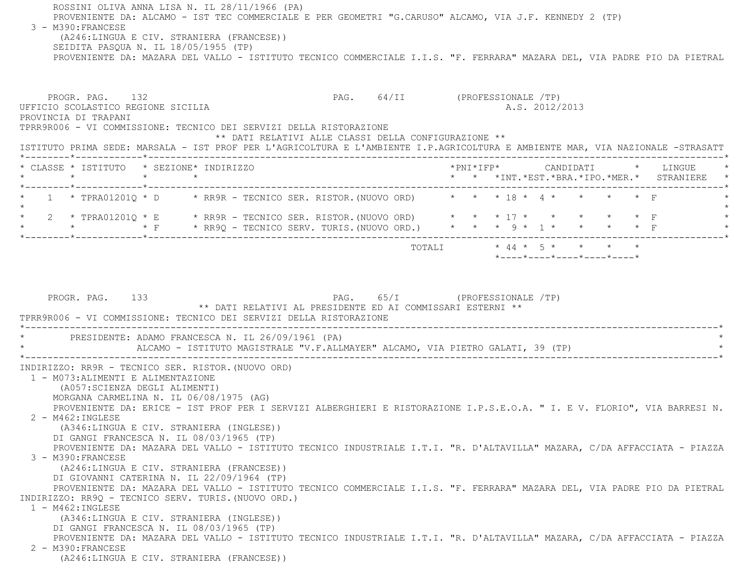ROSSINI OLIVA ANNA LISA N. IL 28/11/1966 (PA) PROVENIENTE DA: ALCAMO - IST TEC COMMERCIALE E PER GEOMETRI "G.CARUSO" ALCAMO, VIA J.F. KENNEDY 2 (TP) 3 - M390:FRANCESE (A246:LINGUA E CIV. STRANIERA (FRANCESE)) SEIDITA PASQUA N. IL 18/05/1955 (TP) PROVENIENTE DA: MAZARA DEL VALLO - ISTITUTO TECNICO COMMERCIALE I.I.S. "F. FERRARA" MAZARA DEL, VIA PADRE PIO DA PIETRAL PROGR. PAG. 132 **PAG.** 64/II (PROFESSIONALE /TP) UFFICIO SCOLASTICO REGIONE SICILIA A.S. 2012/2013 PROVINCIA DI TRAPANI TPRR9R006 - VI COMMISSIONE: TECNICO DEI SERVIZI DELLA RISTORAZIONE \*\* DATI RELATIVI ALLE CLASSI DELLA CONFIGURAZIONE \*\* ISTITUTO PRIMA SEDE: MARSALA - IST PROF PER L'AGRICOLTURA E L'AMBIENTE I.P.AGRICOLTURA E AMBIENTE MAR, VIA NAZIONALE -STRASATT \*--------\*------------\*-------------------------------------------------------------------------------------------------------\* \* CLASSE \* ISTITUTO \* SEZIONE\* INDIRIZZO \*PNI\*IFP\* CANDIDATI \* LINGUE \* \* \* \* \* \* \* \*INT.\*EST.\*BRA.\*IPO.\*MER.\* STRANIERE \* \*--------\*------------\*-------------------------------------------------------------------------------------------------------\*1 \* TPRA01201Q \* D \* RR9R - TECNICO SER. RISTOR.(NUOVO ORD) \* \* \* 18 \* 4 \* \* \* \* \* \* F  $\star$  \* 2 \* TPRA01201Q \* E \* RR9R - TECNICO SER. RISTOR.(NUOVO ORD) \* \* \* 17 \* \* \* \* \* F \* \* \* \* F \* RR9Q - TECNICO SERV. TURIS.(NUOVO ORD.) \* \* \* 9 \* 1 \* \* \* \* F \* \*--------\*------------\*-------------------------------------------------------------------------------------------------------\*TOTALI  $* 44 * 5 * * * * * * * *$  \*----\*----\*----\*----\*----\*PROGR. PAG. 133 PAG. 65/I (PROFESSIONALE /TP) \*\* DATI RELATIVI AL PRESIDENTE ED AI COMMISSARI ESTERNI \*\* TPRR9R006 - VI COMMISSIONE: TECNICO DEI SERVIZI DELLA RISTORAZIONE \*----------------------------------------------------------------------------------------------------------------------------\*PRESIDENTE: ADAMO FRANCESCA N. IL 26/09/1961 (PA) ALCAMO - ISTITUTO MAGISTRALE "V.F.ALLMAYER" ALCAMO, VIA PIETRO GALATI, 39 (TP) \*----------------------------------------------------------------------------------------------------------------------------\* INDIRIZZO: RR9R - TECNICO SER. RISTOR.(NUOVO ORD) 1 - M073:ALIMENTI E ALIMENTAZIONE (A057:SCIENZA DEGLI ALIMENTI) MORGANA CARMELINA N. IL 06/08/1975 (AG) PROVENIENTE DA: ERICE - IST PROF PER I SERVIZI ALBERGHIERI E RISTORAZIONE I.P.S.E.O.A. " I. E V. FLORIO", VIA BARRESI N. 2 - M462:INGLESE (A346:LINGUA E CIV. STRANIERA (INGLESE)) DI GANGI FRANCESCA N. IL 08/03/1965 (TP) PROVENIENTE DA: MAZARA DEL VALLO - ISTITUTO TECNICO INDUSTRIALE I.T.I. "R. D'ALTAVILLA" MAZARA, C/DA AFFACCIATA - PIAZZA 3 - M390:FRANCESE (A246:LINGUA E CIV. STRANIERA (FRANCESE)) DI GIOVANNI CATERINA N. IL 22/09/1964 (TP) PROVENIENTE DA: MAZARA DEL VALLO - ISTITUTO TECNICO COMMERCIALE I.I.S. "F. FERRARA" MAZARA DEL, VIA PADRE PIO DA PIETRAL INDIRIZZO: RR9Q - TECNICO SERV. TURIS.(NUOVO ORD.) 1 - M462:INGLESE (A346:LINGUA E CIV. STRANIERA (INGLESE)) DI GANGI FRANCESCA N. IL 08/03/1965 (TP) PROVENIENTE DA: MAZARA DEL VALLO - ISTITUTO TECNICO INDUSTRIALE I.T.I. "R. D'ALTAVILLA" MAZARA, C/DA AFFACCIATA - PIAZZA 2 - M390:FRANCESE(A246:LINGUA E CIV. STRANIERA (FRANCESE))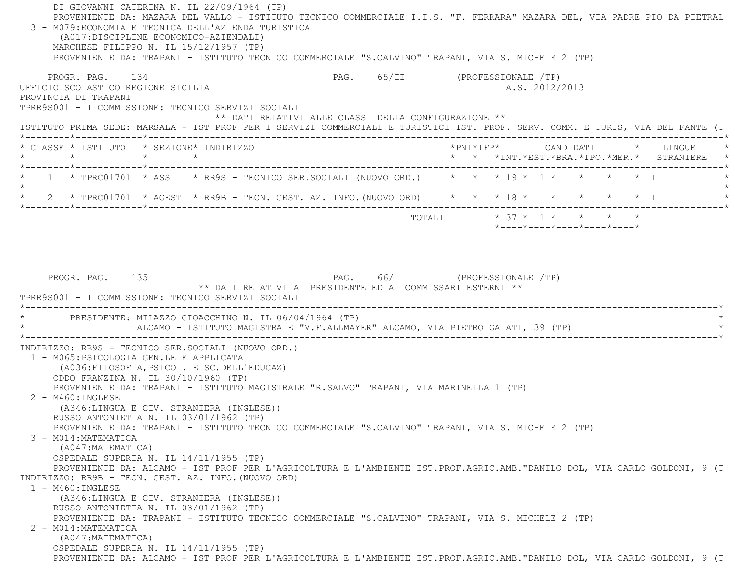DI GIOVANNI CATERINA N. IL 22/09/1964 (TP) PROVENIENTE DA: MAZARA DEL VALLO - ISTITUTO TECNICO COMMERCIALE I.I.S. "F. FERRARA" MAZARA DEL, VIA PADRE PIO DA PIETRAL 3 - M079:ECONOMIA E TECNICA DELL'AZIENDA TURISTICA (A017:DISCIPLINE ECONOMICO-AZIENDALI) MARCHESE FILIPPO N. IL 15/12/1957 (TP) PROVENIENTE DA: TRAPANI - ISTITUTO TECNICO COMMERCIALE "S.CALVINO" TRAPANI, VIA S. MICHELE 2 (TP) PROGR. PAG. 134 PAG. 65/II (PROFESSIONALE /TP) UFFICIO SCOLASTICO REGIONE SICILIA A.S. 2012/2013 PROVINCIA DI TRAPANI TPRR9S001 - I COMMISSIONE: TECNICO SERVIZI SOCIALI \*\* DATI RELATIVI ALLE CLASSI DELLA CONFIGURAZIONE \*\* ISTITUTO PRIMA SEDE: MARSALA - IST PROF PER I SERVIZI COMMERCIALI E TURISTICI IST. PROF. SERV. COMM. E TURIS, VIA DEL FANTE (T \*--------\*------------\*-------------------------------------------------------------------------------------------------------\* \* CLASSE \* ISTITUTO \* SEZIONE\* INDIRIZZO \*PNI\*IFP\* CANDIDATI \* LINGUE \* \* \* \* \* \* \* \*INT.\*EST.\*BRA.\*IPO.\*MER.\* STRANIERE \* \*--------\*------------\*-------------------------------------------------------------------------------------------------------\*1 \* TPRC01701T \* ASS \* RR9S - TECNICO SER.SOCIALI (NUOVO ORD.) \* \* \* 19 \* 1 \* \* \* \* \* \* I  $\star$ 2 \* TPRC01701T \* AGEST \* RR9B - TECN. GEST. AZ. INFO. (NUOVO ORD) \* \* \* 18 \* \* \* \* \* \* \* \* I \*--------\*------------\*-------------------------------------------------------------------------------------------------------\*TOTALI  $* 37 * 1 * * * * * * *$  \*----\*----\*----\*----\*----\*PROGR. PAG. 135 PAG. PAG. 66/I (PROFESSIONALE /TP) \*\* DATI RELATIVI AL PRESIDENTE ED AI COMMISSARI ESTERNI \*\* TPRR9S001 - I COMMISSIONE: TECNICO SERVIZI SOCIALI \*----------------------------------------------------------------------------------------------------------------------------\*PRESIDENTE: MILAZZO GIOACCHINO N. IL 06/04/1964 (TP) ALCAMO - ISTITUTO MAGISTRALE "V.F.ALLMAYER" ALCAMO, VIA PIETRO GALATI, 39 (TP) \*----------------------------------------------------------------------------------------------------------------------------\* INDIRIZZO: RR9S - TECNICO SER.SOCIALI (NUOVO ORD.) 1 - M065:PSICOLOGIA GEN.LE E APPLICATA (A036:FILOSOFIA,PSICOL. E SC.DELL'EDUCAZ) ODDO FRANZINA N. IL 30/10/1960 (TP) PROVENIENTE DA: TRAPANI - ISTITUTO MAGISTRALE "R.SALVO" TRAPANI, VIA MARINELLA 1 (TP) 2 - M460:INGLESE (A346:LINGUA E CIV. STRANIERA (INGLESE)) RUSSO ANTONIETTA N. IL 03/01/1962 (TP) PROVENIENTE DA: TRAPANI - ISTITUTO TECNICO COMMERCIALE "S.CALVINO" TRAPANI, VIA S. MICHELE 2 (TP) 3 - M014:MATEMATICA (A047:MATEMATICA) OSPEDALE SUPERIA N. IL 14/11/1955 (TP) PROVENIENTE DA: ALCAMO - IST PROF PER L'AGRICOLTURA E L'AMBIENTE IST.PROF.AGRIC.AMB."DANILO DOL, VIA CARLO GOLDONI, 9 (T INDIRIZZO: RR9B - TECN. GEST. AZ. INFO.(NUOVO ORD) 1 - M460:INGLESE (A346:LINGUA E CIV. STRANIERA (INGLESE)) RUSSO ANTONIETTA N. IL 03/01/1962 (TP) PROVENIENTE DA: TRAPANI - ISTITUTO TECNICO COMMERCIALE "S.CALVINO" TRAPANI, VIA S. MICHELE 2 (TP) 2 - M014:MATEMATICA (A047:MATEMATICA) OSPEDALE SUPERIA N. IL 14/11/1955 (TP) PROVENIENTE DA: ALCAMO - IST PROF PER L'AGRICOLTURA E L'AMBIENTE IST.PROF.AGRIC.AMB."DANILO DOL, VIA CARLO GOLDONI, 9 (T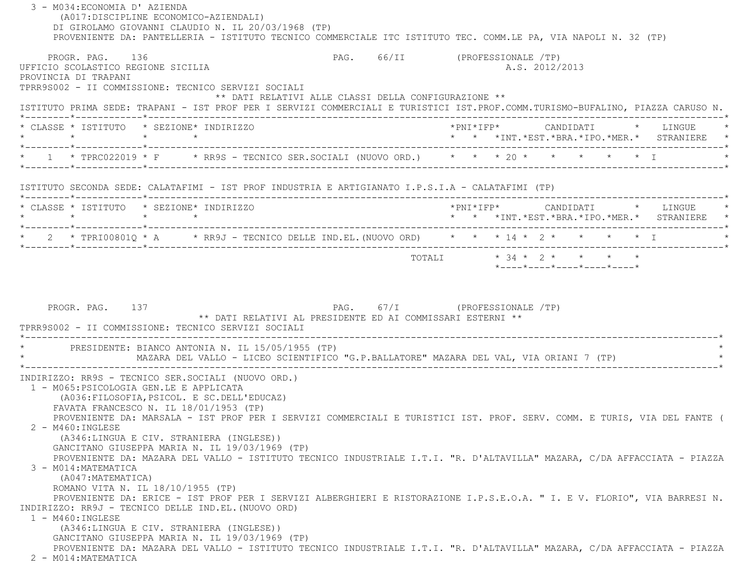| 3 - M034: ECONOMIA D' AZIENDA<br>(A017: DISCIPLINE ECONOMICO-AZIENDALI)                                                                                                                                                                                                                                                                                   | DI GIROLAMO GIOVANNI CLAUDIO N. IL 20/03/1968 (TP)<br>PROVENIENTE DA: PANTELLERIA - ISTITUTO TECNICO COMMERCIALE ITC ISTITUTO TEC. COMM.LE PA, VIA NAPOLI N. 32 (TP)                                                                                                                                                                                                                                                                                                                                                                                                                              |                                |  |                |  |                                                                              |  |
|-----------------------------------------------------------------------------------------------------------------------------------------------------------------------------------------------------------------------------------------------------------------------------------------------------------------------------------------------------------|---------------------------------------------------------------------------------------------------------------------------------------------------------------------------------------------------------------------------------------------------------------------------------------------------------------------------------------------------------------------------------------------------------------------------------------------------------------------------------------------------------------------------------------------------------------------------------------------------|--------------------------------|--|----------------|--|------------------------------------------------------------------------------|--|
| PROGR. PAG. 136<br>UFFICIO SCOLASTICO REGIONE SICILIA<br>PROVINCIA DI TRAPANI                                                                                                                                                                                                                                                                             | TPRR9S002 - II COMMISSIONE: TECNICO SERVIZI SOCIALI                                                                                                                                                                                                                                                                                                                                                                                                                                                                                                                                               | PAG. 66/II (PROFESSIONALE /TP) |  | A.S. 2012/2013 |  |                                                                              |  |
|                                                                                                                                                                                                                                                                                                                                                           | ** DATI RELATIVI ALLE CLASSI DELLA CONFIGURAZIONE **<br>ISTITUTO PRIMA SEDE: TRAPANI - IST PROF PER I SERVIZI COMMERCIALI E TURISTICI IST.PROF.COMM.TURISMO-BUFALINO, PIAZZA CARUSO N.                                                                                                                                                                                                                                                                                                                                                                                                            |                                |  |                |  |                                                                              |  |
| * CLASSE * ISTITUTO * SEZIONE* INDIRIZZO<br>$\star \qquad \qquad \star \qquad \qquad \star \qquad \qquad \star$                                                                                                                                                                                                                                           |                                                                                                                                                                                                                                                                                                                                                                                                                                                                                                                                                                                                   |                                |  |                |  | * * *INT.*EST.*BRA.*IPO.*MER.* STRANIERE *                                   |  |
|                                                                                                                                                                                                                                                                                                                                                           | * 1 * TPRC022019 * F * RR9S - TECNICO SER.SOCIALI (NUOVO ORD.) * * * * 20 * * * * * * * I                                                                                                                                                                                                                                                                                                                                                                                                                                                                                                         |                                |  |                |  |                                                                              |  |
|                                                                                                                                                                                                                                                                                                                                                           | ISTITUTO SECONDA SEDE: CALATAFIMI - IST PROF INDUSTRIA E ARTIGIANATO I.P.S.I.A - CALATAFIMI (TP)                                                                                                                                                                                                                                                                                                                                                                                                                                                                                                  |                                |  |                |  |                                                                              |  |
| * CLASSE * ISTITUTO * SEZIONE* INDIRIZZO<br>$\star \qquad \qquad \star \qquad \qquad \star \qquad \qquad \star$                                                                                                                                                                                                                                           |                                                                                                                                                                                                                                                                                                                                                                                                                                                                                                                                                                                                   |                                |  |                |  | *PNI*IFP* CANDIDATI * LINGUE *<br>* * *INT.*EST.*BRA.*IPO.*MER.* STRANIERE * |  |
|                                                                                                                                                                                                                                                                                                                                                           | * 2 * TPRI00801Q * A * RR9J - TECNICO DELLE IND.EL. (NUOVO ORD) * * * 14 * 2 * * * * * * I                                                                                                                                                                                                                                                                                                                                                                                                                                                                                                        |                                |  |                |  |                                                                              |  |
|                                                                                                                                                                                                                                                                                                                                                           | ** DATI RELATIVI AL PRESIDENTE ED AI COMMISSARI ESTERNI **<br>TPRR9S002 - II COMMISSIONE: TECNICO SERVIZI SOCIALI<br>* PRESIDENTE: BIANCO ANTONIA N. IL 15/05/1955 (TP)<br>MAZARA DEL VALLO - LICEO SCIENTIFICO "G.P.BALLATORE" MAZARA DEL VAL, VIA ORIANI 7 (TP)                                                                                                                                                                                                                                                                                                                                 |                                |  |                |  |                                                                              |  |
| 1 - M065: PSICOLOGIA GEN.LE E APPLICATA<br>(A036: FILOSOFIA, PSICOL. E SC. DELL'EDUCAZ)<br>FAVATA FRANCESCO N. IL 18/01/1953 (TP)<br>2 - M460: INGLESE<br>(A346:LINGUA E CIV. STRANIERA (INGLESE))<br>3 - M014: MATEMATICA<br>(A047: MATEMATICA)<br>ROMANO VITA N. IL 18/10/1955 (TP)<br>$1 - M460 : INGLESE$<br>(A346:LINGUA E CIV. STRANIERA (INGLESE)) | INDIRIZZO: RR9S - TECNICO SER.SOCIALI (NUOVO ORD.)<br>PROVENIENTE DA: MARSALA - IST PROF PER I SERVIZI COMMERCIALI E TURISTICI IST. PROF. SERV. COMM. E TURIS, VIA DEL FANTE (<br>GANCITANO GIUSEPPA MARIA N. IL 19/03/1969 (TP)<br>PROVENIENTE DA: MAZARA DEL VALLO - ISTITUTO TECNICO INDUSTRIALE I.T.I. "R. D'ALTAVILLA" MAZARA, C/DA AFFACCIATA - PIAZZA<br>PROVENIENTE DA: ERICE - IST PROF PER I SERVIZI ALBERGHIERI E RISTORAZIONE I.P.S.E.O.A. " I. E V. FLORIO", VIA BARRESI N.<br>INDIRIZZO: RR9J - TECNICO DELLE IND.EL. (NUOVO ORD)<br>GANCITANO GIUSEPPA MARIA N. IL 19/03/1969 (TP) |                                |  |                |  |                                                                              |  |
| $2 - MO14 \cdot MATF. MATTCA$                                                                                                                                                                                                                                                                                                                             | PROVENIENTE DA: MAZARA DEL VALLO - ISTITUTO TECNICO INDUSTRIALE I.T.I. "R. D'ALTAVILLA" MAZARA, C/DA AFFACCIATA - PIAZZA                                                                                                                                                                                                                                                                                                                                                                                                                                                                          |                                |  |                |  |                                                                              |  |

2 - M014:MATEMATICA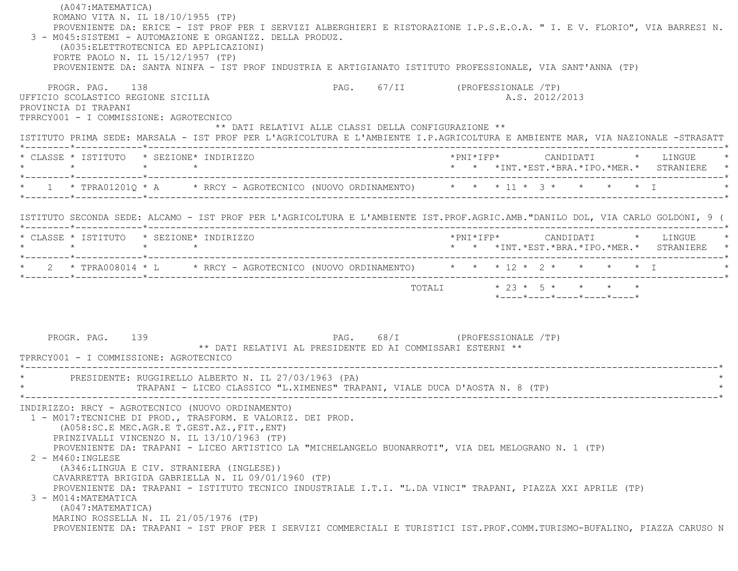(A047:MATEMATICA) ROMANO VITA N. IL 18/10/1955 (TP) PROVENIENTE DA: ERICE - IST PROF PER I SERVIZI ALBERGHIERI E RISTORAZIONE I.P.S.E.O.A. " I. E V. FLORIO", VIA BARRESI N. 3 - M045:SISTEMI - AUTOMAZIONE E ORGANIZZ. DELLA PRODUZ. (A035:ELETTROTECNICA ED APPLICAZIONI) FORTE PAOLO N. IL 15/12/1957 (TP) PROVENIENTE DA: SANTA NINFA - IST PROF INDUSTRIA E ARTIGIANATO ISTITUTO PROFESSIONALE, VIA SANT'ANNA (TP) PROGR. PAG. 138 PAG. 67/II (PROFESSIONALE /TP) UFFICIO SCOLASTICO REGIONE SICILIA A.S. 2012/2013 PROVINCIA DI TRAPANI TPRRCY001 - I COMMISSIONE: AGROTECNICO \*\* DATI RELATIVI ALLE CLASSI DELLA CONFIGURAZIONE \*\* ISTITUTO PRIMA SEDE: MARSALA - IST PROF PER L'AGRICOLTURA E L'AMBIENTE I.P.AGRICOLTURA E AMBIENTE MAR, VIA NAZIONALE -STRASATT \*--------\*------------\*-------------------------------------------------------------------------------------------------------\* \* CLASSE \* ISTITUTO \* SEZIONE\* INDIRIZZO \*PNI\*IFP\* CANDIDATI \* LINGUE \* \* \* \* \* \* \* \*INT.\*EST.\*BRA.\*IPO.\*MER.\* STRANIERE \* \*--------\*------------\*-------------------------------------------------------------------------------------------------------\*\* 1 \* TPRA012010 \* A \* RRCY - AGROTECNICO (NUOVO ORDINAMENTO) \* \* \* 11 \* 3 \* \* \* \* \* \* I \*--------\*------------\*-------------------------------------------------------------------------------------------------------\* ISTITUTO SECONDA SEDE: ALCAMO - IST PROF PER L'AGRICOLTURA E L'AMBIENTE IST.PROF.AGRIC.AMB."DANILO DOL, VIA CARLO GOLDONI, 9 ( \*--------\*------------\*-------------------------------------------------------------------------------------------------------\* \* CLASSE \* ISTITUTO \* SEZIONE\* INDIRIZZO \*PNI\*IFP\* CANDIDATI \* LINGUE \* \* \* \* \* \* \* \*INT.\*EST.\*BRA.\*IPO.\*MER.\* STRANIERE \* \*--------\*------------\*-------------------------------------------------------------------------------------------------------\*\* 2 \* TPRA008014 \* L \* RRCY - AGROTECNICO (NUOVO ORDINAMENTO) \* \* \* 12 \* 2 \* \* \* \* \* \* I \*--------\*------------\*-------------------------------------------------------------------------------------------------------\* TOTALI \* 23 \* 5 \* \* \* \* \*----\*----\*----\*----\*----\*PROGR. PAG. 139 PAG. 68/I (PROFESSIONALE /TP) \*\* DATI RELATIVI AL PRESIDENTE ED AI COMMISSARI ESTERNI \*\* TPRRCY001 - I COMMISSIONE: AGROTECNICO \*----------------------------------------------------------------------------------------------------------------------------\* \* PRESIDENTE: RUGGIRELLO ALBERTO N. IL 27/03/1963 (PA) \* TRAPANI - LICEO CLASSICO "L.XIMENES" TRAPANI, VIALE DUCA D'AOSTA N. 8 (TP) \*----------------------------------------------------------------------------------------------------------------------------\* INDIRIZZO: RRCY - AGROTECNICO (NUOVO ORDINAMENTO) 1 - M017:TECNICHE DI PROD., TRASFORM. E VALORIZ. DEI PROD. (A058:SC.E MEC.AGR.E T.GEST.AZ.,FIT.,ENT) PRINZIVALLI VINCENZO N. IL 13/10/1963 (TP) PROVENIENTE DA: TRAPANI - LICEO ARTISTICO LA "MICHELANGELO BUONARROTI", VIA DEL MELOGRANO N. 1 (TP) 2 - M460:INGLESE (A346:LINGUA E CIV. STRANIERA (INGLESE)) CAVARRETTA BRIGIDA GABRIELLA N. IL 09/01/1960 (TP) PROVENIENTE DA: TRAPANI - ISTITUTO TECNICO INDUSTRIALE I.T.I. "L.DA VINCI" TRAPANI, PIAZZA XXI APRILE (TP) 3 - M014:MATEMATICA (A047:MATEMATICA) MARINO ROSSELLA N. IL 21/05/1976 (TP) PROVENIENTE DA: TRAPANI - IST PROF PER I SERVIZI COMMERCIALI E TURISTICI IST.PROF.COMM.TURISMO-BUFALINO, PIAZZA CARUSO N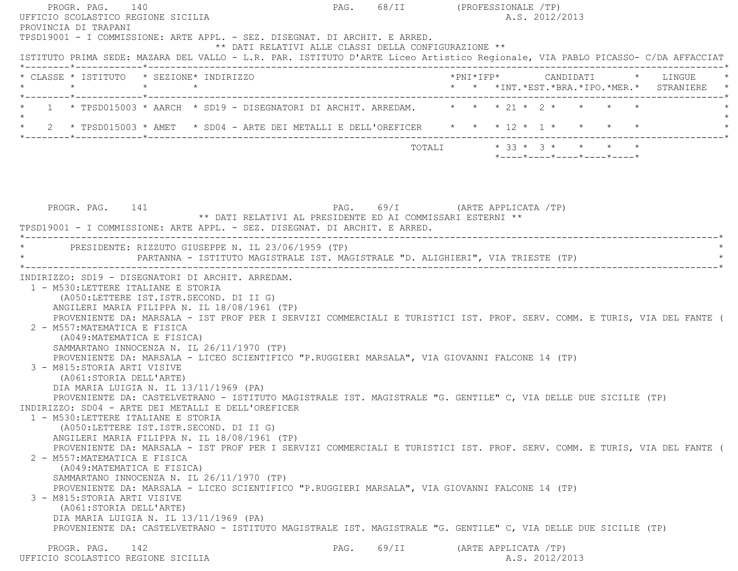PROGR. PAG. 140 **PROGR. PAG. 2008** PAG. 68/II (PROFESSIONALE /TP) UFFICIO SCOLASTICO REGIONE SICILIA A.S. 2012/2013 PROVINCIA DI TRAPANI TPSD19001 - I COMMISSIONE: ARTE APPL. - SEZ. DISEGNAT. DI ARCHIT. E ARRED. \*\* DATI RELATIVI ALLE CLASSI DELLA CONFIGURAZIONE \*\* ISTITUTO PRIMA SEDE: MAZARA DEL VALLO - L.R. PAR. ISTITUTO D'ARTE Liceo Artistico Regionale, VIA PABLO PICASSO- C/DA AFFACCIAT \*--------\*------------\*-------------------------------------------------------------------------------------------------------\* \* CLASSE \* ISTITUTO \* SEZIONE\* INDIRIZZO \*PNI\*IFP\* CANDIDATI \* LINGUE \* \* \* \* \* \* \* \*INT.\*EST.\*BRA.\*IPO.\*MER.\* STRANIERE \* \*--------\*------------\*-------------------------------------------------------------------------------------------------------\*1 \* TPSD015003 \* AARCH \* SD19 - DISEGNATORI DI ARCHIT. ARREDAM.  $* * * 21 * 2 * * *$  $\star$ \* 2 \* TPSD015003 \* AMET \* SD04 - ARTE DEI METALLI E DELL'OREFICER \* \* \* 12 \* 1 \* \* \* \* \* \*--------\*------------\*-------------------------------------------------------------------------------------------------------\* $\texttt{TOTAL} \qquad \qquad \star \; \; \; 33 \; \star \; \; \; 3 \; \star \qquad \star \qquad \star \qquad \star \qquad \star$ \*----\*----\*----\*----\*----\*

PROGR. PAG. 141 **PROGR.** PAG. 69/I (ARTE APPLICATA /TP) \*\* DATI RELATIVI AL PRESIDENTE ED AI COMMISSARI ESTERNI \*\* TPSD19001 - I COMMISSIONE: ARTE APPL. - SEZ. DISEGNAT. DI ARCHIT. E ARRED. \*----------------------------------------------------------------------------------------------------------------------------\*PRESIDENTE: RIZZUTO GIUSEPPE N. IL 23/06/1959 (TP) PARTANNA - ISTITUTO MAGISTRALE IST. MAGISTRALE "D. ALIGHIERI", VIA TRIESTE (TP) \*----------------------------------------------------------------------------------------------------------------------------\* INDIRIZZO: SD19 - DISEGNATORI DI ARCHIT. ARREDAM. 1 - M530:LETTERE ITALIANE E STORIA (A050:LETTERE IST.ISTR.SECOND. DI II G) ANGILERI MARIA FILIPPA N. IL 18/08/1961 (TP) PROVENIENTE DA: MARSALA - IST PROF PER I SERVIZI COMMERCIALI E TURISTICI IST. PROF. SERV. COMM. E TURIS, VIA DEL FANTE ( 2 - M557:MATEMATICA E FISICA (A049:MATEMATICA E FISICA) SAMMARTANO INNOCENZA N. IL 26/11/1970 (TP) PROVENIENTE DA: MARSALA - LICEO SCIENTIFICO "P.RUGGIERI MARSALA", VIA GIOVANNI FALCONE 14 (TP) 3 - M815:STORIA ARTI VISIVE (A061:STORIA DELL'ARTE) DIA MARIA LUIGIA N. IL 13/11/1969 (PA) PROVENIENTE DA: CASTELVETRANO - ISTITUTO MAGISTRALE IST. MAGISTRALE "G. GENTILE" C, VIA DELLE DUE SICILIE (TP) INDIRIZZO: SD04 - ARTE DEI METALLI E DELL'OREFICER 1 - M530:LETTERE ITALIANE E STORIA (A050:LETTERE IST.ISTR.SECOND. DI II G) ANGILERI MARIA FILIPPA N. IL 18/08/1961 (TP) PROVENIENTE DA: MARSALA - IST PROF PER I SERVIZI COMMERCIALI E TURISTICI IST. PROF. SERV. COMM. E TURIS, VIA DEL FANTE ( 2 - M557:MATEMATICA E FISICA (A049:MATEMATICA E FISICA) SAMMARTANO INNOCENZA N. IL 26/11/1970 (TP) PROVENIENTE DA: MARSALA - LICEO SCIENTIFICO "P.RUGGIERI MARSALA", VIA GIOVANNI FALCONE 14 (TP) 3 - M815:STORIA ARTI VISIVE (A061:STORIA DELL'ARTE) DIA MARIA LUIGIA N. IL 13/11/1969 (PA) PROVENIENTE DA: CASTELVETRANO - ISTITUTO MAGISTRALE IST. MAGISTRALE "G. GENTILE" C, VIA DELLE DUE SICILIE (TP) PROGR. PAG. 142 **PAG.** PAG. 69/II (ARTE APPLICATA /TP) UFFICIO SCOLASTICO REGIONE SICILIA A.S. 2012/2013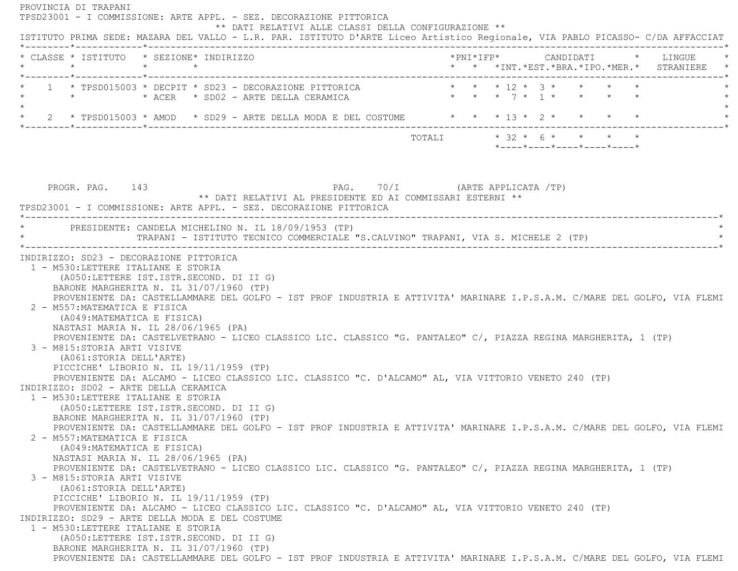PROVINCIA DI TRAPANI TPSD23001 - I COMMISSIONE: ARTE APPL. - SEZ. DECORAZIONE PITTORICA \*\* DATI RELATIVI ALLE CLASSI DELLA CONFIGURAZIONE \*\* ISTITUTO PRIMA SEDE: MAZARA DEL VALLO - L.R. PAR. ISTITUTO D'ARTE Liceo Artistico Regionale, VIA PABLO PICASSO- C/DA AFFACCIAT \*--------\*------------\*-------------------------------------------------------------------------------------------------------\* \* CLASSE \* ISTITUTO \* SEZIONE\* INDIRIZZO \*PNI\*IFP\* CANDIDATI \* LINGUE \* \* \* \* \* \* \* \*INT.\*EST.\*BRA.\*IPO.\*MER.\* STRANIERE \* \*--------\*------------\*-------------------------------------------------------------------------------------------------------\* \* 1 \* TPSD015003 \* DECPIT \* SD23 - DECORAZIONE PITTORICA \* \* \* 12 \* 3 \* \* \* \* \* $*$   $*$   $*$   $ACER$   $*$   $SD02$   $ARTE$   $DELLA$   $CERAMICA$  $\star$ 2 \* TPSD015003 \* AMOD \* SD29 - ARTE DELLA MODA E DEL COSTUME \* \* \* 13 \* 2 \* \* \* \* \* \* \*--------\*------------\*-------------------------------------------------------------------------------------------------------\* $\texttt{TOTALL} \qquad \qquad ^{\star} \quad 32 \qquad ^{\star} \quad 6 \qquad ^{\star} \qquad ^{\star} \qquad ^{\star} \qquad ^{\star} \qquad ^{\star} \qquad ^{\star} \qquad ^{\star} \qquad ^{\star} \qquad ^{\star} \qquad ^{\star} \qquad ^{\star} \qquad ^{\star} \qquad ^{\star} \qquad ^{\star} \qquad ^{\star} \qquad ^{\star} \qquad ^{\star} \qquad ^{\star} \qquad ^{\star} \qquad ^{\star} \qquad ^{\star} \qquad ^{\star} \qquad ^{\star} \qquad ^{\star} \qquad ^{\star} \qquad ^{\star} \qquad ^{\$  \*----\*----\*----\*----\*----\*PROGR. PAG. 143 **PROGR. PAG.** 70/I (ARTE APPLICATA /TP) \*\* DATI RELATIVI AL PRESIDENTE ED AI COMMISSARI ESTERNI \*\* TPSD23001 - I COMMISSIONE: ARTE APPL. - SEZ. DECORAZIONE PITTORICA \*----------------------------------------------------------------------------------------------------------------------------\*PRESIDENTE: CANDELA MICHELINO N. IL 18/09/1953 (TP) TRAPANI - ISTITUTO TECNICO COMMERCIALE "S.CALVINO" TRAPANI, VIA S. MICHELE 2 (TP) \*----------------------------------------------------------------------------------------------------------------------------\* INDIRIZZO: SD23 - DECORAZIONE PITTORICA 1 - M530:LETTERE ITALIANE E STORIA (A050:LETTERE IST.ISTR.SECOND. DI II G) BARONE MARGHERITA N. IL 31/07/1960 (TP) PROVENIENTE DA: CASTELLAMMARE DEL GOLFO - IST PROF INDUSTRIA E ATTIVITA' MARINARE I.P.S.A.M. C/MARE DEL GOLFO, VIA FLEMI 2 - M557:MATEMATICA E FISICA (A049:MATEMATICA E FISICA) NASTASI MARIA N. IL 28/06/1965 (PA) PROVENIENTE DA: CASTELVETRANO - LICEO CLASSICO LIC. CLASSICO "G. PANTALEO" C/, PIAZZA REGINA MARGHERITA, 1 (TP) 3 - M815:STORIA ARTI VISIVE (A061:STORIA DELL'ARTE) PICCICHE' LIBORIO N. IL 19/11/1959 (TP) PROVENIENTE DA: ALCAMO - LICEO CLASSICO LIC. CLASSICO "C. D'ALCAMO" AL, VIA VITTORIO VENETO 240 (TP) INDIRIZZO: SD02 - ARTE DELLA CERAMICA 1 - M530:LETTERE ITALIANE E STORIA (A050:LETTERE IST.ISTR.SECOND. DI II G) BARONE MARGHERITA N. IL 31/07/1960 (TP) PROVENIENTE DA: CASTELLAMMARE DEL GOLFO - IST PROF INDUSTRIA E ATTIVITA' MARINARE I.P.S.A.M. C/MARE DEL GOLFO, VIA FLEMI 2 - M557:MATEMATICA E FISICA (A049:MATEMATICA E FISICA) NASTASI MARIA N. IL 28/06/1965 (PA) PROVENIENTE DA: CASTELVETRANO - LICEO CLASSICO LIC. CLASSICO "G. PANTALEO" C/, PIAZZA REGINA MARGHERITA, 1 (TP) 3 - M815:STORIA ARTI VISIVE (A061:STORIA DELL'ARTE) PICCICHE' LIBORIO N. IL 19/11/1959 (TP) PROVENIENTE DA: ALCAMO - LICEO CLASSICO LIC. CLASSICO "C. D'ALCAMO" AL, VIA VITTORIO VENETO 240 (TP) INDIRIZZO: SD29 - ARTE DELLA MODA E DEL COSTUME 1 - M530:LETTERE ITALIANE E STORIA (A050:LETTERE IST.ISTR.SECOND. DI II G) BARONE MARGHERITA N. IL 31/07/1960 (TP) PROVENIENTE DA: CASTELLAMMARE DEL GOLFO - IST PROF INDUSTRIA E ATTIVITA' MARINARE I.P.S.A.M. C/MARE DEL GOLFO, VIA FLEMI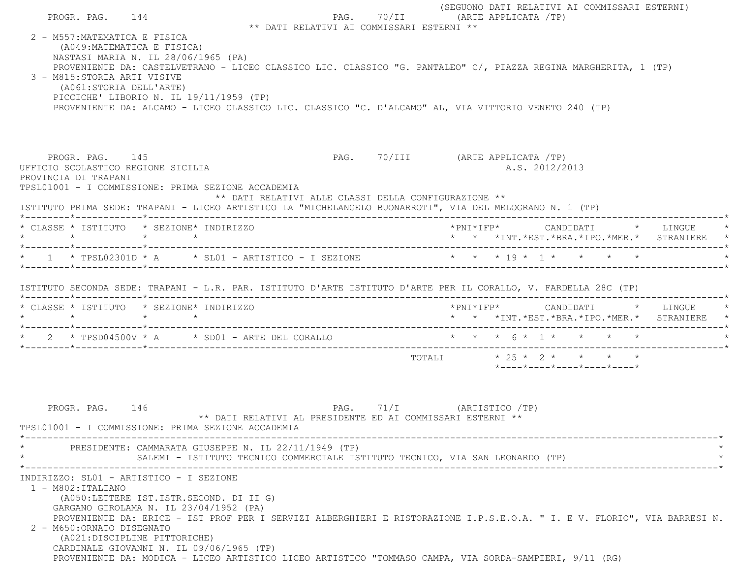| PROGR. PAG. 144                                                                                                        |                                                                                                                                                                                                                                                                                                                                                                                                                                                | ** DATI RELATIVI AI COMMISSARI ESTERNI ** | (SEGUONO DATI RELATIVI AI COMMISSARI ESTERNI)<br>PAG. 70/II (ARTE APPLICATA /TP)        |                                                                 |  |  |
|------------------------------------------------------------------------------------------------------------------------|------------------------------------------------------------------------------------------------------------------------------------------------------------------------------------------------------------------------------------------------------------------------------------------------------------------------------------------------------------------------------------------------------------------------------------------------|-------------------------------------------|-----------------------------------------------------------------------------------------|-----------------------------------------------------------------|--|--|
| 2 - M557: MATEMATICA E FISICA<br>(A049: MATEMATICA E FISICA)<br>3 - M815:STORIA ARTI VISIVE<br>(A061:STORIA DELL'ARTE) | NASTASI MARIA N. IL 28/06/1965 (PA)<br>PROVENIENTE DA: CASTELVETRANO - LICEO CLASSICO LIC. CLASSICO "G. PANTALEO" C/, PIAZZA REGINA MARGHERITA, 1 (TP)<br>PICCICHE' LIBORIO N. IL 19/11/1959 (TP)<br>PROVENIENTE DA: ALCAMO - LICEO CLASSICO LIC. CLASSICO "C. D'ALCAMO" AL, VIA VITTORIO VENETO 240 (TP)                                                                                                                                      |                                           |                                                                                         |                                                                 |  |  |
| PROGR. PAG. 145<br>PROVINCIA DI TRAPANI                                                                                | UFFICIO SCOLASTICO REGIONE SICILIA<br>TPSL01001 - I COMMISSIONE: PRIMA SEZIONE ACCADEMIA<br>** DATI RELATIVI ALLE CLASSI DELLA CONFIGURAZIONE **<br>ISTITUTO PRIMA SEDE: TRAPANI - LICEO ARTISTICO LA "MICHELANGELO BUONARROTI", VIA DEL MELOGRANO N. 1 (TP)                                                                                                                                                                                   |                                           | PAG. 70/III (ARTE APPLICATA /TP)                                                        | A.S. 2012/2013                                                  |  |  |
|                                                                                                                        | * CLASSE * ISTITUTO * SEZIONE* INDIRIZZO                                                                                                                                                                                                                                                                                                                                                                                                       |                                           |                                                                                         |                                                                 |  |  |
|                                                                                                                        | * 1 * TPSL02301D * A * SL01 - ARTISTICO - I SEZIONE * * * * 19 * 1 * * * * *                                                                                                                                                                                                                                                                                                                                                                   |                                           |                                                                                         |                                                                 |  |  |
|                                                                                                                        | ISTITUTO SECONDA SEDE: TRAPANI - L.R. PAR. ISTITUTO D'ARTE ISTITUTO D'ARTE PER IL CORALLO, V. FARDELLA 28C (TP)                                                                                                                                                                                                                                                                                                                                |                                           |                                                                                         |                                                                 |  |  |
|                                                                                                                        | * CLASSE * ISTITUTO * SEZIONE* INDIRIZZO                                                                                                                                                                                                                                                                                                                                                                                                       |                                           | *PNI*IFP*     CANDIDATI    *   LINGUE   *<br>* * *INT.*EST.*BRA.*IPO.*MER.* STRANIERE * |                                                                 |  |  |
|                                                                                                                        | * 2 * TPSD04500V * A * SD01 - ARTE DEL CORALLO * * * * 6 * 1 * * * * * *                                                                                                                                                                                                                                                                                                                                                                       |                                           |                                                                                         |                                                                 |  |  |
|                                                                                                                        |                                                                                                                                                                                                                                                                                                                                                                                                                                                |                                           | TOTALI * 25 * 2 * * * *                                                                 | $*$ - - - - $*$ - - - - $*$ - - - - $*$ - - - - $*$ - - - - $*$ |  |  |
| PROGR. PAG. 146                                                                                                        | ** DATI RELATIVI AL PRESIDENTE ED AI COMMISSARI ESTERNI **<br>TPSL01001 - I COMMISSIONE: PRIMA SEZIONE ACCADEMIA                                                                                                                                                                                                                                                                                                                               |                                           | PAG. 71/I (ARTISTICO /TP)                                                               |                                                                 |  |  |
|                                                                                                                        | PRESIDENTE: CAMMARATA GIUSEPPE N. IL 22/11/1949 (TP)<br>SALEMI - ISTITUTO TECNICO COMMERCIALE ISTITUTO TECNICO, VIA SAN LEONARDO (TP)                                                                                                                                                                                                                                                                                                          |                                           |                                                                                         |                                                                 |  |  |
| 1 - M802: ITALIANO<br>2 - M650: ORNATO DISEGNATO                                                                       | INDIRIZZO: SL01 - ARTISTICO - I SEZIONE<br>(A050:LETTERE IST.ISTR.SECOND. DI II G)<br>GARGANO GIROLAMA N. IL 23/04/1952 (PA)<br>PROVENIENTE DA: ERICE - IST PROF PER I SERVIZI ALBERGHIERI E RISTORAZIONE I.P.S.E.O.A. " I. E V. FLORIO", VIA BARRESI N.<br>(A021:DISCIPLINE PITTORICHE)<br>CARDINALE GIOVANNI N. IL 09/06/1965 (TP)<br>PROVENIENTE DA: MODICA - LICEO ARTISTICO LICEO ARTISTICO "TOMMASO CAMPA, VIA SORDA-SAMPIERI, 9/11 (RG) |                                           |                                                                                         |                                                                 |  |  |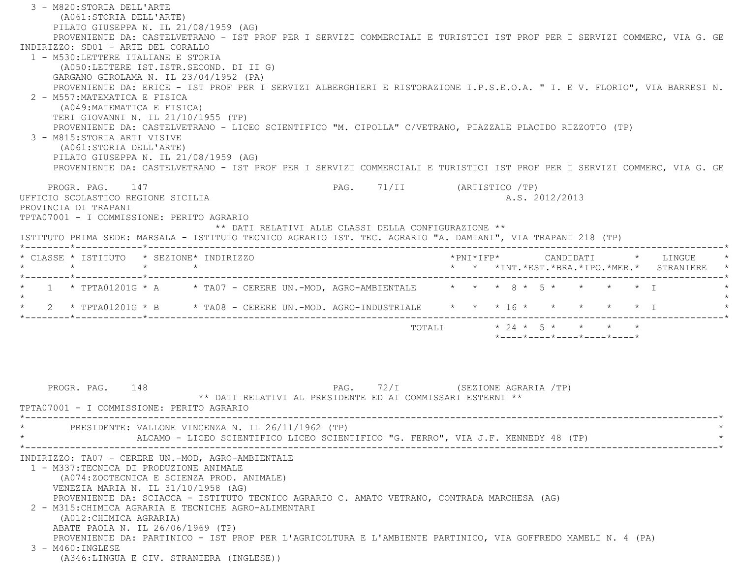3 - M820:STORIA DELL'ARTE (A061:STORIA DELL'ARTE) PILATO GIUSEPPA N. IL 21/08/1959 (AG) PROVENIENTE DA: CASTELVETRANO - IST PROF PER I SERVIZI COMMERCIALI E TURISTICI IST PROF PER I SERVIZI COMMERC, VIA G. GE INDIRIZZO: SD01 - ARTE DEL CORALLO 1 - M530:LETTERE ITALIANE E STORIA (A050:LETTERE IST.ISTR.SECOND. DI II G) GARGANO GIROLAMA N. IL 23/04/1952 (PA) PROVENIENTE DA: ERICE - IST PROF PER I SERVIZI ALBERGHIERI E RISTORAZIONE I.P.S.E.O.A. " I. E V. FLORIO", VIA BARRESI N. 2 - M557:MATEMATICA E FISICA (A049:MATEMATICA E FISICA) TERI GIOVANNI N. IL 21/10/1955 (TP) PROVENIENTE DA: CASTELVETRANO - LICEO SCIENTIFICO "M. CIPOLLA" C/VETRANO, PIAZZALE PLACIDO RIZZOTTO (TP) 3 - M815:STORIA ARTI VISIVE (A061:STORIA DELL'ARTE) PILATO GIUSEPPA N. IL 21/08/1959 (AG) PROVENIENTE DA: CASTELVETRANO - IST PROF PER I SERVIZI COMMERCIALI E TURISTICI IST PROF PER I SERVIZI COMMERC, VIA G. GE PROGR. PAG. 147 PAG. 71/II (ARTISTICO /TP) UFFICIO SCOLASTICO REGIONE SICILIA A.S. 2012/2013 PROVINCIA DI TRAPANI TPTA07001 - I COMMISSIONE: PERITO AGRARIO \*\* DATI RELATIVI ALLE CLASSI DELLA CONFIGURAZIONE \*\* ISTITUTO PRIMA SEDE: MARSALA - ISTITUTO TECNICO AGRARIO IST. TEC. AGRARIO "A. DAMIANI", VIA TRAPANI 218 (TP) \*--------\*------------\*-------------------------------------------------------------------------------------------------------\* \* CLASSE \* ISTITUTO \* SEZIONE\* INDIRIZZO \*PNI\*IFP\* CANDIDATI \* LINGUE \* \* \* \* \* \* \* \*INT.\*EST.\*BRA.\*IPO.\*MER.\* STRANIERE \* \*--------\*------------\*-------------------------------------------------------------------------------------------------------\*1 \* TPTA01201G \* A \* TA07 - CERERE UN.-MOD, AGRO-AMBIENTALE \* \* \* 8 \* 5 \* \* \* \* \* \* T  $\star$  \* 2 \* TPTA01201G \* B \* TA08 - CERERE UN.-MOD. AGRO-INDUSTRIALE \* \* \* 16 \* \* \* \* \* I \* \*--------\*------------\*-------------------------------------------------------------------------------------------------------\* $\text{TOTALI} \quad * \, 24 \times 5 \times \times \times \times \times$  \*----\*----\*----\*----\*----\*PROGR. PAG. 148 PAG. 72/I (SEZIONE AGRARIA /TP) \*\* DATI RELATIVI AL PRESIDENTE ED AI COMMISSARI ESTERNI \*\* TPTA07001 - I COMMISSIONE: PERITO AGRARIO \*----------------------------------------------------------------------------------------------------------------------------\*PRESIDENTE: VALLONE VINCENZA N. IL 26/11/1962 (TP) ALCAMO - LICEO SCIENTIFICO LICEO SCIENTIFICO "G. FERRO", VIA J.F. KENNEDY 48 (TP) \*----------------------------------------------------------------------------------------------------------------------------\* INDIRIZZO: TA07 - CERERE UN.-MOD, AGRO-AMBIENTALE 1 - M337:TECNICA DI PRODUZIONE ANIMALE (A074:ZOOTECNICA E SCIENZA PROD. ANIMALE) VENEZIA MARIA N. IL 31/10/1958 (AG) PROVENIENTE DA: SCIACCA - ISTITUTO TECNICO AGRARIO C. AMATO VETRANO, CONTRADA MARCHESA (AG) 2 - M315:CHIMICA AGRARIA E TECNICHE AGRO-ALIMENTARI (A012:CHIMICA AGRARIA) ABATE PAOLA N. IL 26/06/1969 (TP) PROVENIENTE DA: PARTINICO - IST PROF PER L'AGRICOLTURA E L'AMBIENTE PARTINICO, VIA GOFFREDO MAMELI N. 4 (PA) 3 - M460:INGLESE(A346:LINGUA E CIV. STRANIERA (INGLESE))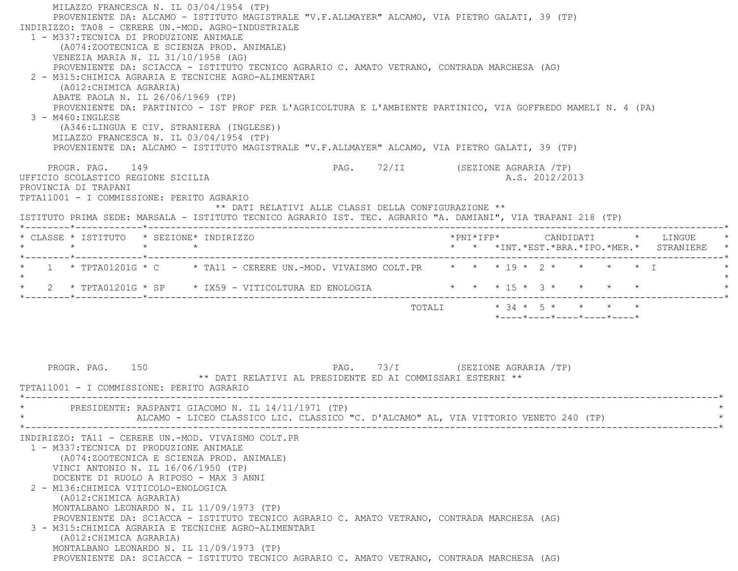MILAZZO FRANCESCA N. IL 03/04/1954 (TP) PROVENIENTE DA: ALCAMO - ISTITUTO MAGISTRALE "V.F.ALLMAYER" ALCAMO, VIA PIETRO GALATI, 39 (TP) INDIRIZZO: TA08 - CERERE UN.-MOD. AGRO-INDUSTRIALE 1 - M337:TECNICA DI PRODUZIONE ANIMALE (A074:ZOOTECNICA E SCIENZA PROD. ANIMALE) VENEZIA MARIA N. IL 31/10/1958 (AG) PROVENIENTE DA: SCIACCA - ISTITUTO TECNICO AGRARIO C. AMATO VETRANO, CONTRADA MARCHESA (AG) 2 - M315:CHIMICA AGRARIA E TECNICHE AGRO-ALIMENTARI (A012:CHIMICA AGRARIA) ABATE PAOLA N. IL 26/06/1969 (TP) PROVENIENTE DA: PARTINICO - IST PROF PER L'AGRICOLTURA E L'AMBIENTE PARTINICO, VIA GOFFREDO MAMELI N. 4 (PA) 3 - M460:INGLESE (A346:LINGUA E CIV. STRANIERA (INGLESE)) MILAZZO FRANCESCA N. IL 03/04/1954 (TP) PROVENIENTE DA: ALCAMO - ISTITUTO MAGISTRALE "V.F.ALLMAYER" ALCAMO, VIA PIETRO GALATI, 39 (TP) PROGR. PAG. 149 PAG. 72/II (SEZIONE AGRARIA /TP) UFFICIO SCOLASTICO REGIONE SICILIA A.S. 2012/2013 PROVINCIA DI TRAPANI TPTA11001 - I COMMISSIONE: PERITO AGRARIO \*\* DATI RELATIVI ALLE CLASSI DELLA CONFIGURAZIONE \*\* ISTITUTO PRIMA SEDE: MARSALA - ISTITUTO TECNICO AGRARIO IST. TEC. AGRARIO "A. DAMIANI", VIA TRAPANI 218 (TP) \*--------\*------------\*-------------------------------------------------------------------------------------------------------\* \* CLASSE \* ISTITUTO \* SEZIONE\* INDIRIZZO \*PNI\*IFP\* CANDIDATI \* LINGUE \* \* \* \* \* \* \* \*INT.\*EST.\*BRA.\*IPO.\*MER.\* STRANIERE \* \*--------\*------------\*-------------------------------------------------------------------------------------------------------\*1 \* TPTA01201G \* C \* TA11 - CERERE UN.-MOD. VIVAISMO COLT.PR \* \* \* 19 \* 2 \* \* \* \* \* T  $\star$  $*$  2 \* TPTA01201G \* SP  $*$  IX59 - VITICOLTURA ED ENOLOGIA  $*$  \* \* \* 15 \* 3 \* \* \* \* \* \*--------\*------------\*-------------------------------------------------------------------------------------------------------\*TOTALI  $* 34 * 5 * * * * * * * *$  \*----\*----\*----\*----\*----\*PROGR. PAG. 150 **PAG.** 73/I (SEZIONE AGRARIA /TP) \*\* DATI RELATIVI AL PRESIDENTE ED AI COMMISSARI ESTERNI \*\* TPTA11001 - I COMMISSIONE: PERITO AGRARIO \*----------------------------------------------------------------------------------------------------------------------------\*PRESIDENTE: RASPANTI GIACOMO N. IL 14/11/1971 (TP) ALCAMO - LICEO CLASSICO LIC. CLASSICO "C. D'ALCAMO" AL, VIA VITTORIO VENETO 240 (TP) \*----------------------------------------------------------------------------------------------------------------------------\* INDIRIZZO: TA11 - CERERE UN.-MOD. VIVAISMO COLT.PR 1 - M337:TECNICA DI PRODUZIONE ANIMALE (A074:ZOOTECNICA E SCIENZA PROD. ANIMALE) VINCI ANTONIO N. IL 16/06/1950 (TP) DOCENTE DI RUOLO A RIPOSO - MAX 3 ANNI 2 - M136:CHIMICA VITICOLO-ENOLOGICA (A012:CHIMICA AGRARIA) MONTALBANO LEONARDO N. IL 11/09/1973 (TP) PROVENIENTE DA: SCIACCA - ISTITUTO TECNICO AGRARIO C. AMATO VETRANO, CONTRADA MARCHESA (AG) 3 - M315:CHIMICA AGRARIA E TECNICHE AGRO-ALIMENTARI (A012:CHIMICA AGRARIA) MONTALBANO LEONARDO N. IL 11/09/1973 (TP) PROVENIENTE DA: SCIACCA - ISTITUTO TECNICO AGRARIO C. AMATO VETRANO, CONTRADA MARCHESA (AG)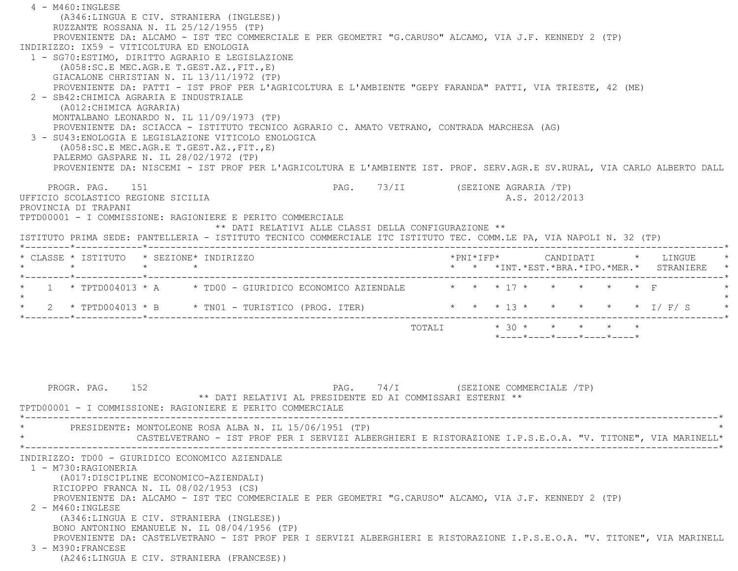| 4 - M460: INGLESE<br>(A346:LINGUA E CIV. STRANIERA (INGLESE))<br>RUZZANTE ROSSANA N. IL 25/12/1955 (TP)                  |                                                            |                                                                                                                                   |  |
|--------------------------------------------------------------------------------------------------------------------------|------------------------------------------------------------|-----------------------------------------------------------------------------------------------------------------------------------|--|
| PROVENIENTE DA: ALCAMO - IST TEC COMMERCIALE E PER GEOMETRI "G.CARUSO" ALCAMO, VIA J.F. KENNEDY 2 (TP)                   |                                                            |                                                                                                                                   |  |
| INDIRIZZO: IX59 - VITICOLTURA ED ENOLOGIA                                                                                |                                                            |                                                                                                                                   |  |
| 1 - SG70: ESTIMO, DIRITTO AGRARIO E LEGISLAZIONE<br>$(AO58:SC.E MEC.AGR.E T.GEST.AZ., FIT., E)$                          |                                                            |                                                                                                                                   |  |
| GIACALONE CHRISTIAN N. IL 13/11/1972 (TP)                                                                                |                                                            |                                                                                                                                   |  |
| PROVENIENTE DA: PATTI - IST PROF PER L'AGRICOLTURA E L'AMBIENTE "GEPY FARANDA" PATTI, VIA TRIESTE, 42 (ME)               |                                                            |                                                                                                                                   |  |
| 2 - SB42: CHIMICA AGRARIA E INDUSTRIALE<br>(A012: CHIMICA AGRARIA)                                                       |                                                            |                                                                                                                                   |  |
| MONTALBANO LEONARDO N. IL 11/09/1973 (TP)                                                                                |                                                            |                                                                                                                                   |  |
| PROVENIENTE DA: SCIACCA - ISTITUTO TECNICO AGRARIO C. AMATO VETRANO, CONTRADA MARCHESA (AG)                              |                                                            |                                                                                                                                   |  |
| 3 - SU43: ENOLOGIA E LEGISLAZIONE VITICOLO ENOLOGICA                                                                     |                                                            |                                                                                                                                   |  |
| (A058:SC.E MEC.AGR.E T.GEST.AZ., FIT., E)<br>PALERMO GASPARE N. IL 28/02/1972 (TP)                                       |                                                            |                                                                                                                                   |  |
| PROVENIENTE DA: NISCEMI - IST PROF PER L'AGRICOLTURA E L'AMBIENTE IST. PROF. SERV.AGR.E SV.RURAL, VIA CARLO ALBERTO DALL |                                                            |                                                                                                                                   |  |
|                                                                                                                          |                                                            |                                                                                                                                   |  |
| PROGR. PAG.<br>151                                                                                                       |                                                            | PAG. 73/II (SEZIONE AGRARIA /TP)                                                                                                  |  |
| UFFICIO SCOLASTICO REGIONE SICILIA<br>PROVINCIA DI TRAPANI                                                               |                                                            | A.S. 2012/2013                                                                                                                    |  |
| TPTD00001 - I COMMISSIONE: RAGIONIERE E PERITO COMMERCIALE                                                               |                                                            |                                                                                                                                   |  |
|                                                                                                                          | ** DATI RELATIVI ALLE CLASSI DELLA CONFIGURAZIONE **       |                                                                                                                                   |  |
| ISTITUTO PRIMA SEDE: PANTELLERIA - ISTITUTO TECNICO COMMERCIALE ITC ISTITUTO TEC. COMM.LE PA, VIA NAPOLI N. 32 (TP)      |                                                            |                                                                                                                                   |  |
| * CLASSE * ISTITUTO * SEZIONE* INDIRIZZO                                                                                 |                                                            |                                                                                                                                   |  |
| $\star$ $\star$<br>$\star$ $\sim$                                                                                        |                                                            | ANUIDALI * LINGUE<br>* * * * INT. *EST. *BRA. *IPO. *MER. * STRANIERE<br>GIUDINE : * * * INT. *EST. *BRA. *IPO. *MER. * STRANIERE |  |
| *--------*------------*------------<br>1 * TPTD004013 * A * * TD00 - GIURIDICO ECONOMICO AZIENDALE                       |                                                            | * * * 17 * * * * * F                                                                                                              |  |
|                                                                                                                          |                                                            |                                                                                                                                   |  |
| 2 * TPTD004013 * B * TN01 - TURISTICO (PROG. ITER)                                                                       |                                                            | * * * 13 * * * * * * I/ F/ S                                                                                                      |  |
|                                                                                                                          |                                                            | TOTALI $* 30 * * * * * * * *$                                                                                                     |  |
|                                                                                                                          |                                                            | $*$ ---- $*$ ---- $*$ ---- $*$ ---- $*$ ---- $*$                                                                                  |  |
|                                                                                                                          |                                                            |                                                                                                                                   |  |
|                                                                                                                          |                                                            |                                                                                                                                   |  |
|                                                                                                                          |                                                            |                                                                                                                                   |  |
| PROGR. PAG. 152                                                                                                          |                                                            | PAG. 74/I (SEZIONE COMMERCIALE /TP)                                                                                               |  |
|                                                                                                                          | ** DATI RELATIVI AL PRESIDENTE ED AI COMMISSARI ESTERNI ** |                                                                                                                                   |  |
| TPTD00001 - I COMMISSIONE: RAGIONIERE E PERITO COMMERCIALE                                                               |                                                            |                                                                                                                                   |  |
| PRESIDENTE: MONTOLEONE ROSA ALBA N. IL 15/06/1951 (TP)                                                                   |                                                            |                                                                                                                                   |  |
| CASTELVETRANO - IST PROF PER I SERVIZI ALBERGHIERI E RISTORAZIONE I.P.S.E.O.A. "V. TITONE", VIA MARINELL*                |                                                            |                                                                                                                                   |  |
| INDIRIZZO: TD00 - GIURIDICO ECONOMICO AZIENDALE                                                                          |                                                            |                                                                                                                                   |  |
| 1 - M730: RAGIONERIA                                                                                                     |                                                            |                                                                                                                                   |  |
| (A017:DISCIPLINE ECONOMICO-AZIENDALI)                                                                                    |                                                            |                                                                                                                                   |  |
| RICIOPPO FRANCA N. IL 08/02/1953 (CS)                                                                                    |                                                            |                                                                                                                                   |  |
| PROVENIENTE DA: ALCAMO - IST TEC COMMERCIALE E PER GEOMETRI "G.CARUSO" ALCAMO, VIA J.F. KENNEDY 2 (TP)                   |                                                            |                                                                                                                                   |  |
| $2 - M460$ : INGLESE<br>(A346:LINGUA E CIV. STRANIERA (INGLESE))                                                         |                                                            |                                                                                                                                   |  |
| BONO ANTONINO EMANUELE N. IL 08/04/1956 (TP)                                                                             |                                                            |                                                                                                                                   |  |
| PROVENIENTE DA: CASTELVETRANO - IST PROF PER I SERVIZI ALBERGHIERI E RISTORAZIONE I.P.S.E.O.A. "V. TITONE", VIA MARINELL |                                                            |                                                                                                                                   |  |
| 3 - M390: FRANCESE                                                                                                       |                                                            |                                                                                                                                   |  |
| (A246:LINGUA E CIV. STRANIERA (FRANCESE))                                                                                |                                                            |                                                                                                                                   |  |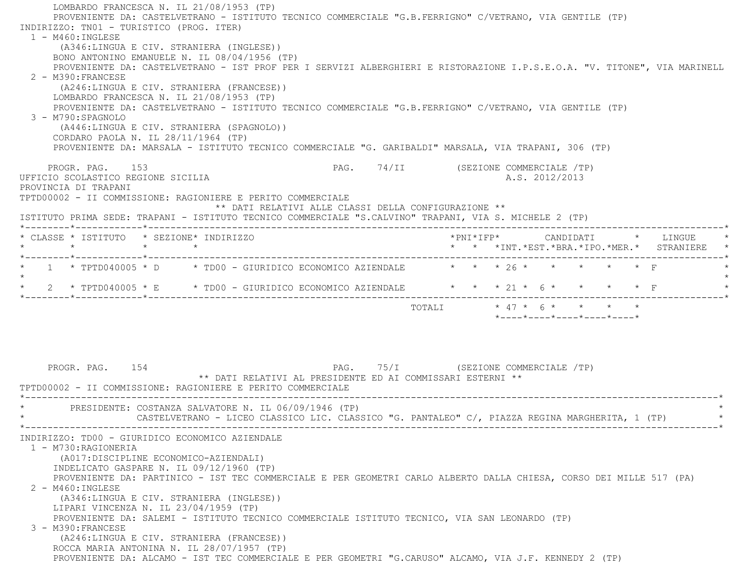LOMBARDO FRANCESCA N. IL 21/08/1953 (TP) PROVENIENTE DA: CASTELVETRANO - ISTITUTO TECNICO COMMERCIALE "G.B.FERRIGNO" C/VETRANO, VIA GENTILE (TP) INDIRIZZO: TN01 - TURISTICO (PROG. ITER) 1 - M460:INGLESE (A346:LINGUA E CIV. STRANIERA (INGLESE)) BONO ANTONINO EMANUELE N. IL 08/04/1956 (TP) PROVENIENTE DA: CASTELVETRANO - IST PROF PER I SERVIZI ALBERGHIERI E RISTORAZIONE I.P.S.E.O.A. "V. TITONE", VIA MARINELL 2 - M390:FRANCESE (A246:LINGUA E CIV. STRANIERA (FRANCESE)) LOMBARDO FRANCESCA N. IL 21/08/1953 (TP) PROVENIENTE DA: CASTELVETRANO - ISTITUTO TECNICO COMMERCIALE "G.B.FERRIGNO" C/VETRANO, VIA GENTILE (TP) 3 - M790:SPAGNOLO (A446:LINGUA E CIV. STRANIERA (SPAGNOLO)) CORDARO PAOLA N. IL 28/11/1964 (TP) PROVENIENTE DA: MARSALA - ISTITUTO TECNICO COMMERCIALE "G. GARIBALDI" MARSALA, VIA TRAPANI, 306 (TP) PROGR. PAG. 153 PAG. PAG. 74/II (SEZIONE COMMERCIALE /TP) UFFICIO SCOLASTICO REGIONE SICILIA A.S. 2012/2013 PROVINCIA DI TRAPANI TPTD00002 - II COMMISSIONE: RAGIONIERE E PERITO COMMERCIALE \*\* DATI RELATIVI ALLE CLASSI DELLA CONFIGURAZIONE \*\* ISTITUTO PRIMA SEDE: TRAPANI - ISTITUTO TECNICO COMMERCIALE "S.CALVINO" TRAPANI, VIA S. MICHELE 2 (TP) \*--------\*------------\*-------------------------------------------------------------------------------------------------------\* \* CLASSE \* ISTITUTO \* SEZIONE\* INDIRIZZO \*PNI\*IFP\* CANDIDATI \* LINGUE \* \* \* \* \* \* \* \*INT.\*EST.\*BRA.\*IPO.\*MER.\* STRANIERE \* \*--------\*------------\*-------------------------------------------------------------------------------------------------------\*1 \* TPTD040005 \* D \* TD00 - GIURIDICO ECONOMICO AZIENDALE  $\qquad$  \* \* \* 26 \* \* \* \* \* \* F  $\star$ \* 2 \* TPTD040005 \* E \* TD00 - GIURIDICO ECONOMICO AZIENDALE \* \* \* 21 \* 6 \* \* \* \* \* F \*--------\*------------\*-------------------------------------------------------------------------------------------------------\*TOTALI  $* 47 * 6 * * * * * * *$  \*----\*----\*----\*----\*----\*PROGR. PAG. 154 PAG. 75/I (SEZIONE COMMERCIALE /TP) \*\* DATI RELATIVI AL PRESIDENTE ED AI COMMISSARI ESTERNI \*\* TPTD00002 - II COMMISSIONE: RAGIONIERE E PERITO COMMERCIALE \*----------------------------------------------------------------------------------------------------------------------------\*PRESIDENTE: COSTANZA SALVATORE N. IL 06/09/1946 (TP) CASTELVETRANO - LICEO CLASSICO LIC. CLASSICO "G. PANTALEO" C/, PIAZZA REGINA MARGHERITA, 1 (TP) \*----------------------------------------------------------------------------------------------------------------------------\* INDIRIZZO: TD00 - GIURIDICO ECONOMICO AZIENDALE 1 - M730:RAGIONERIA (A017:DISCIPLINE ECONOMICO-AZIENDALI) INDELICATO GASPARE N. IL 09/12/1960 (TP) PROVENIENTE DA: PARTINICO - IST TEC COMMERCIALE E PER GEOMETRI CARLO ALBERTO DALLA CHIESA, CORSO DEI MILLE 517 (PA) 2 - M460:INGLESE (A346:LINGUA E CIV. STRANIERA (INGLESE)) LIPARI VINCENZA N. IL 23/04/1959 (TP) PROVENIENTE DA: SALEMI - ISTITUTO TECNICO COMMERCIALE ISTITUTO TECNICO, VIA SAN LEONARDO (TP) 3 - M390:FRANCESE (A246:LINGUA E CIV. STRANIERA (FRANCESE)) ROCCA MARIA ANTONINA N. IL 28/07/1957 (TP) PROVENIENTE DA: ALCAMO - IST TEC COMMERCIALE E PER GEOMETRI "G.CARUSO" ALCAMO, VIA J.F. KENNEDY 2 (TP)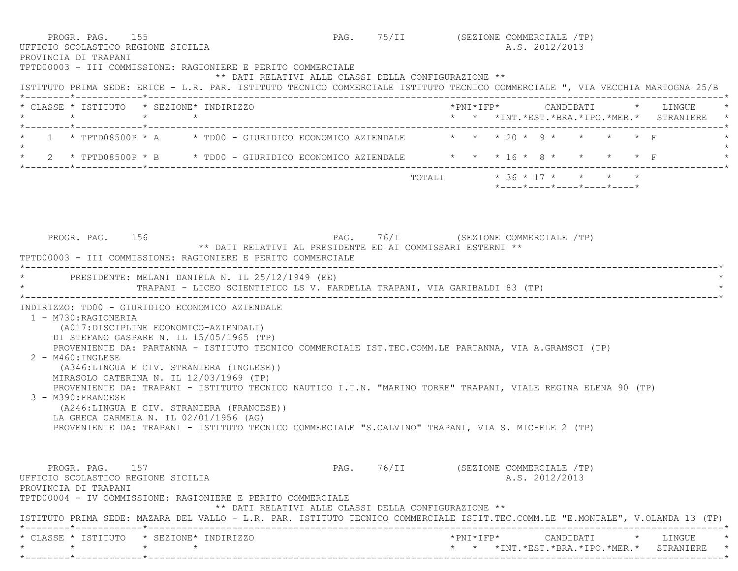| TPTD00003 - III COMMISSIONE: RAGIONIERE E PERITO COMMERCIALE<br>ISTITUTO PRIMA SEDE: ERICE - L.R. PAR. ISTITUTO TECNICO COMMERCIALE ISTITUTO TECNICO COMMERCIALE ", VIA VECCHIA MARTOGNA 25/B                                                                                                     | ** DATI RELATIVI ALLE CLASSI DELLA CONFIGURAZIONE **                                              |                                                      |                                      |                            |                                                                 |  |                                                 |
|---------------------------------------------------------------------------------------------------------------------------------------------------------------------------------------------------------------------------------------------------------------------------------------------------|---------------------------------------------------------------------------------------------------|------------------------------------------------------|--------------------------------------|----------------------------|-----------------------------------------------------------------|--|-------------------------------------------------|
| * CLASSE * ISTITUTO * SEZIONE* INDIRIZZO                                                                                                                                                                                                                                                          |                                                                                                   |                                                      |                                      |                            |                                                                 |  | * * *INT. *EST. *BRA. *IPO. *MER. * STRANIERE * |
| * 1 * TPTD08500P * A * TD00 - GIURIDICO ECONOMICO AZIENDALE * * * 20 * 9 * * * * * F                                                                                                                                                                                                              |                                                                                                   |                                                      |                                      |                            |                                                                 |  |                                                 |
| * 2 * TPTD08500P * B * TD00 - GIURIDICO ECONOMICO AZIENDALE * * * 16 * 8 * * * * * F                                                                                                                                                                                                              |                                                                                                   |                                                      |                                      |                            |                                                                 |  |                                                 |
|                                                                                                                                                                                                                                                                                                   |                                                                                                   |                                                      |                                      | TOTALI * 36 * 17 * * * * * | $*$ - - - - $*$ - - - - $*$ - - - - $*$ - - - - $*$ - - - - $*$ |  |                                                 |
|                                                                                                                                                                                                                                                                                                   |                                                                                                   |                                                      |                                      |                            |                                                                 |  |                                                 |
| PROGR. PAG. 156<br>TPTD00003 - III COMMISSIONE: RAGIONIERE E PERITO COMMERCIALE                                                                                                                                                                                                                   | PAG. 76/I (SEZIONE COMMERCIALE /TP)<br>** DATI RELATIVI AL PRESIDENTE ED AI COMMISSARI ESTERNI ** |                                                      |                                      |                            |                                                                 |  |                                                 |
|                                                                                                                                                                                                                                                                                                   |                                                                                                   |                                                      |                                      |                            |                                                                 |  |                                                 |
|                                                                                                                                                                                                                                                                                                   | TRAPANI - LICEO SCIENTIFICO LS V. FARDELLA TRAPANI, VIA GARIBALDI 83 (TP)                         |                                                      |                                      |                            |                                                                 |  |                                                 |
| 1 - M730: RAGIONERIA<br>(A017:DISCIPLINE ECONOMICO-AZIENDALI)<br>DI STEFANO GASPARE N. IL 15/05/1965 (TP)<br>PROVENIENTE DA: PARTANNA - ISTITUTO TECNICO COMMERCIALE IST.TEC.COMM.LE PARTANNA, VIA A.GRAMSCI (TP)                                                                                 |                                                                                                   |                                                      |                                      |                            |                                                                 |  |                                                 |
| 2 - M460: INGLESE<br>(A346:LINGUA E CIV. STRANIERA (INGLESE))<br>MIRASOLO CATERINA N. IL 12/03/1969 (TP)<br>PROVENIENTE DA: TRAPANI - ISTITUTO TECNICO NAUTICO I.T.N. "MARINO TORRE" TRAPANI, VIALE REGINA ELENA 90 (TP)<br>3 - M390: FRANCESE                                                    |                                                                                                   |                                                      |                                      |                            |                                                                 |  |                                                 |
| * PRESIDENTE: MELANI DANIELA N. IL 25/12/1949 (EE)<br>INDIRIZZO: TD00 - GIURIDICO ECONOMICO AZIENDALE<br>(A246:LINGUA E CIV. STRANIERA (FRANCESE))<br>LA GRECA CARMELA N. IL 02/01/1956 (AG)<br>PROVENIENTE DA: TRAPANI - ISTITUTO TECNICO COMMERCIALE "S.CALVINO" TRAPANI, VIA S. MICHELE 2 (TP) |                                                                                                   |                                                      |                                      |                            |                                                                 |  |                                                 |
| PROGR. PAG. 157<br>UFFICIO SCOLASTICO REGIONE SICILIA<br>PROVINCIA DI TRAPANI<br>TPTD00004 - IV COMMISSIONE: RAGIONIERE E PERITO COMMERCIALE                                                                                                                                                      |                                                                                                   | ** DATI RELATIVI ALLE CLASSI DELLA CONFIGURAZIONE ** | PAG. 76/II (SEZIONE COMMERCIALE /TP) |                            | A.S. 2012/2013                                                  |  |                                                 |

 \* \* \* \* \* \* \*INT.\*EST.\*BRA.\*IPO.\*MER.\* STRANIERE \*\*--------\*------------\*-------------------------------------------------------------------------------------------------------\*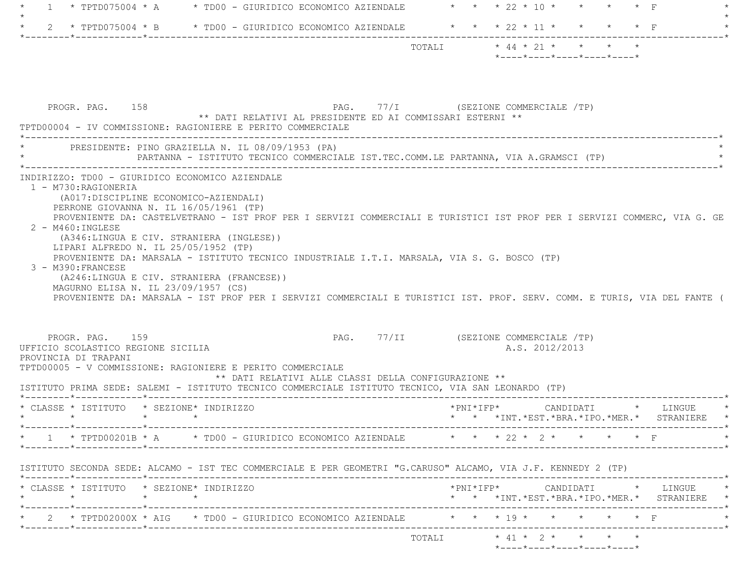| $\star$ TPTD075004 $\star$ A $\star$ TD00 - GIURIDICO ECONOMICO AZIENDALE<br>$1 \quad$                                                                                                                                                                                                                                            | * * * 22 * 10 * * * * * F                                                                                                                                          |
|-----------------------------------------------------------------------------------------------------------------------------------------------------------------------------------------------------------------------------------------------------------------------------------------------------------------------------------|--------------------------------------------------------------------------------------------------------------------------------------------------------------------|
| 2 * TPTD075004 * B * TD00 - GIURIDICO ECONOMICO AZIENDALE * * * 22 * 11 * * * * * F<br>$\star$                                                                                                                                                                                                                                    |                                                                                                                                                                    |
|                                                                                                                                                                                                                                                                                                                                   | TOTALI * 44 * 21 * * * * *<br>*----*----*----*----*----*                                                                                                           |
| PROGR. PAG. 158<br>** DATI RELATIVI AL PRESIDENTE ED AI COMMISSARI ESTERNI **<br>TPTD00004 - IV COMMISSIONE: RAGIONIERE E PERITO COMMERCIALE                                                                                                                                                                                      | PAG. 77/I (SEZIONE COMMERCIALE /TP)                                                                                                                                |
| * PRESIDENTE: PINO GRAZIELLA N. IL 08/09/1953 (PA)<br>PARTANNA - ISTITUTO TECNICO COMMERCIALE IST.TEC.COMM.LE PARTANNA, VIA A.GRAMSCI (TP)                                                                                                                                                                                        |                                                                                                                                                                    |
| 2 - M460: INGLESE<br>(A346:LINGUA E CIV. STRANIERA (INGLESE))<br>LIPARI ALFREDO N. IL 25/05/1952 (TP)                                                                                                                                                                                                                             |                                                                                                                                                                    |
| PROVENIENTE DA: MARSALA - ISTITUTO TECNICO INDUSTRIALE I.T.I. MARSALA, VIA S. G. BOSCO (TP)<br>3 - M390: FRANCESE<br>(A246:LINGUA E CIV. STRANIERA (FRANCESE))<br>MAGURNO ELISA N. IL 23/09/1957 (CS)<br>PROVENIENTE DA: MARSALA - IST PROF PER I SERVIZI COMMERCIALI E TURISTICI IST. PROF. SERV. COMM. E TURIS, VIA DEL FANTE ( |                                                                                                                                                                    |
| PROGR. PAG. 159<br>UFFICIO SCOLASTICO REGIONE SICILIA<br>PROVINCIA DI TRAPANI<br>TPTD00005 - V COMMISSIONE: RAGIONIERE E PERITO COMMERCIALE<br>** DATI RELATIVI ALLE CLASSI DELLA CONFIGURAZIONE **<br>ISTITUTO PRIMA SEDE: SALEMI - ISTITUTO TECNICO COMMERCIALE ISTITUTO TECNICO, VIA SAN LEONARDO (TP)                         | PAG. 77/II (SEZIONE COMMERCIALE /TP)<br>A.S. 2012/2013                                                                                                             |
| * CLASSE * ISTITUTO * SEZIONE* INDIRIZZO<br>$\star$ $\star$ $\star$ $\star$                                                                                                                                                                                                                                                       | * * *INT. *EST. *BRA. *IPO. *MER. * STRANIERE                                                                                                                      |
| 1 * TPTD00201B * A * TD00 - GIURIDICO ECONOMICO AZIENDALE * * * 22 * 2 * * * * * F                                                                                                                                                                                                                                                |                                                                                                                                                                    |
| ISTITUTO SECONDA SEDE: ALCAMO - IST TEC COMMERCIALE E PER GEOMETRI "G.CARUSO" ALCAMO, VIA J.F. KENNEDY 2 (TP)                                                                                                                                                                                                                     |                                                                                                                                                                    |
| * CLASSE * ISTITUTO * SEZIONE* INDIRIZZO<br>$\star$<br>$\star$ $\star$                                                                                                                                                                                                                                                            |                                                                                                                                                                    |
| * 2 * TPTD02000X * AIG * TD00 - GIURIDICO ECONOMICO AZIENDALE * * * * 19 * * * * * * * F                                                                                                                                                                                                                                          | $\verb+'PNI*IFP*~~\texttt{CANDIDATI}~~\verb+'~~\texttt{LINGUE}~~\verb+* ~~$<br>* * *INT.*EST.*BRA.*IPO.*MER.* STRANIERE *<br>. _ _ _ _ _ _ _ _ _ _ _ _ _ _ _ _ _ * |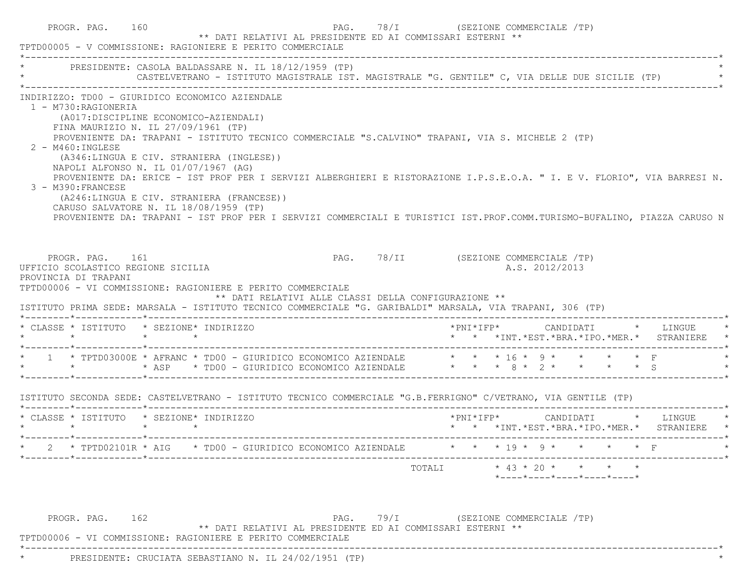| * PRESIDENTE: CASOLA BALDASSARE N. IL 18/12/1959 (TP)                                                                                                                                                                               |                 |                                                                                                                                          | CASTELVETRANO - ISTITUTO MAGISTRALE IST. MAGISTRALE "G. GENTILE" C, VIA DELLE DUE SICILIE (TP)                                                                                                                                                                                                                                                            |                                      |  |                |  |                                            |
|-------------------------------------------------------------------------------------------------------------------------------------------------------------------------------------------------------------------------------------|-----------------|------------------------------------------------------------------------------------------------------------------------------------------|-----------------------------------------------------------------------------------------------------------------------------------------------------------------------------------------------------------------------------------------------------------------------------------------------------------------------------------------------------------|--------------------------------------|--|----------------|--|--------------------------------------------|
| 1 - M730:RAGIONERIA<br>(A017:DISCIPLINE ECONOMICO-AZIENDALI)<br>FINA MAURIZIO N. IL 27/09/1961 (TP)<br>$2 - M460$ : INGLESE<br>NAPOLI ALFONSO N. IL 01/07/1967 (AG)<br>3 - M390: FRANCESE<br>CARUSO SALVATORE N. IL 18/08/1959 (TP) |                 | INDIRIZZO: TD00 - GIURIDICO ECONOMICO AZIENDALE<br>(A346:LINGUA E CIV. STRANIERA (INGLESE))<br>(A246:LINGUA E CIV. STRANIERA (FRANCESE)) | PROVENIENTE DA: TRAPANI - ISTITUTO TECNICO COMMERCIALE "S.CALVINO" TRAPANI, VIA S. MICHELE 2 (TP)<br>PROVENIENTE DA: ERICE - IST PROF PER I SERVIZI ALBERGHIERI E RISTORAZIONE I.P.S.E.O.A. " I. E V. FLORIO", VIA BARRESI N.<br>PROVENIENTE DA: TRAPANI - IST PROF PER I SERVIZI COMMERCIALI E TURISTICI IST.PROF.COMM.TURISMO-BUFALINO, PIAZZA CARUSO N |                                      |  |                |  |                                            |
| PROGR. PAG. 161<br>UFFICIO SCOLASTICO REGIONE SICILIA<br>PROVINCIA DI TRAPANI                                                                                                                                                       |                 | TPTD00006 - VI COMMISSIONE: RAGIONIERE E PERITO COMMERCIALE                                                                              | ** DATI RELATIVI ALLE CLASSI DELLA CONFIGURAZIONE **                                                                                                                                                                                                                                                                                                      | PAG. 78/II (SEZIONE COMMERCIALE /TP) |  | A.S. 2012/2013 |  |                                            |
| * CLASSE * ISTITUTO * SEZIONE* INDIRIZZO                                                                                                                                                                                            |                 |                                                                                                                                          | ISTITUTO PRIMA SEDE: MARSALA - ISTITUTO TECNICO COMMERCIALE "G. GARIBALDI" MARSALA, VIA TRAPANI, 306 (TP)                                                                                                                                                                                                                                                 |                                      |  |                |  |                                            |
| $\star$ $\star$                                                                                                                                                                                                                     | $\star$ $\star$ |                                                                                                                                          | * 1 * TPTD03000E * AFRANC * TD00 - GIURIDICO ECONOMICO AZIENDALE $\qquad$ * * * 16 * 9 * * * * * F                                                                                                                                                                                                                                                        |                                      |  |                |  | * * *INT.*EST.*BRA.*IPO.*MER.* STRANIERE * |
|                                                                                                                                                                                                                                     |                 |                                                                                                                                          | ISTITUTO SECONDA SEDE: CASTELVETRANO - ISTITUTO TECNICO COMMERCIALE "G.B.FERRIGNO" C/VETRANO, VIA GENTILE (TP)                                                                                                                                                                                                                                            |                                      |  |                |  |                                            |
| * CLASSE * ISTITUTO * SEZIONE* INDIRIZZO                                                                                                                                                                                            |                 |                                                                                                                                          |                                                                                                                                                                                                                                                                                                                                                           |                                      |  |                |  | * * *INT.*EST.*BRA.*IPO.*MER.* STRANIERE * |
|                                                                                                                                                                                                                                     |                 |                                                                                                                                          | 2 * TPTD02101R * AIG * TD00 - GIURIDICO ECONOMICO AZIENDALE * * * * 19 * 9 * * * * * F                                                                                                                                                                                                                                                                    |                                      |  |                |  |                                            |

\*\* DATI RELATIVI AL PRESIDENTE ED AI COMMISSARI ESTERNI \*\*

\*----------------------------------------------------------------------------------------------------------------------------\*

TPTD00006 - VI COMMISSIONE: RAGIONIERE E PERITO COMMERCIALE

\* PRESIDENTE: CRUCIATA SEBASTIANO N. IL 24/02/1951 (TP) \*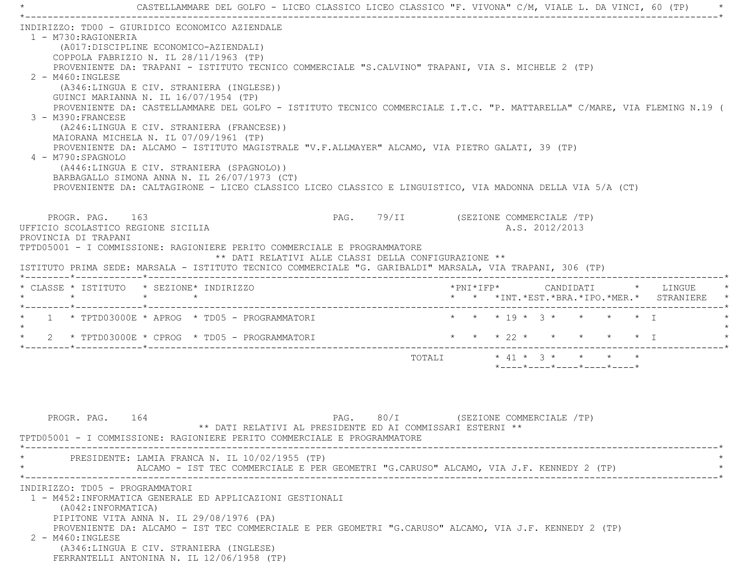\* CASTELLAMMARE DEL GOLFO - LICEO CLASSICO LICEO CLASSICO "F. VIVONA" C/M, VIALE L. DA VINCI, 60 (TP) \* \*----------------------------------------------------------------------------------------------------------------------------\* INDIRIZZO: TD00 - GIURIDICO ECONOMICO AZIENDALE 1 - M730:RAGIONERIA (A017:DISCIPLINE ECONOMICO-AZIENDALI) COPPOLA FABRIZIO N. IL 28/11/1963 (TP) PROVENIENTE DA: TRAPANI - ISTITUTO TECNICO COMMERCIALE "S.CALVINO" TRAPANI, VIA S. MICHELE 2 (TP) 2 - M460:INGLESE (A346:LINGUA E CIV. STRANIERA (INGLESE)) GUINCI MARIANNA N. IL 16/07/1954 (TP) PROVENIENTE DA: CASTELLAMMARE DEL GOLFO - ISTITUTO TECNICO COMMERCIALE I.T.C. "P. MATTARELLA" C/MARE, VIA FLEMING N.19 ( 3 - M390:FRANCESE (A246:LINGUA E CIV. STRANIERA (FRANCESE)) MAIORANA MICHELA N. IL 07/09/1961 (TP) PROVENIENTE DA: ALCAMO - ISTITUTO MAGISTRALE "V.F.ALLMAYER" ALCAMO, VIA PIETRO GALATI, 39 (TP) 4 - M790:SPAGNOLO (A446:LINGUA E CIV. STRANIERA (SPAGNOLO)) BARBAGALLO SIMONA ANNA N. IL 26/07/1973 (CT) PROVENIENTE DA: CALTAGIRONE - LICEO CLASSICO LICEO CLASSICO E LINGUISTICO, VIA MADONNA DELLA VIA 5/A (CT) PROGR. PAG. 163 **PROGR. PAG. 29/II** (SEZIONE COMMERCIALE /TP) UFFICIO SCOLASTICO REGIONE SICILIA A.S. 2012/2013 PROVINCIA DI TRAPANI TPTD05001 - I COMMISSIONE: RAGIONIERE PERITO COMMERCIALE E PROGRAMMATORE \*\* DATI RELATIVI ALLE CLASSI DELLA CONFIGURAZIONE \*\* ISTITUTO PRIMA SEDE: MARSALA - ISTITUTO TECNICO COMMERCIALE "G. GARIBALDI" MARSALA, VIA TRAPANI, 306 (TP) \*--------\*------------\*-------------------------------------------------------------------------------------------------------\* \* CLASSE \* ISTITUTO \* SEZIONE\* INDIRIZZO \*PNI\*IFP\* CANDIDATI \* LINGUE \* \* \* \* \* \* \* \*INT.\*EST.\*BRA.\*IPO.\*MER.\* STRANIERE \* \*--------\*------------\*-------------------------------------------------------------------------------------------------------\* $1 * \text{TPTD0.3000E} * \text{APROG} * \text{TD05 - PROGRAMMATIONR}$  \* \* \* \* \* \* 19 \* 3 \* \* \* \* \* \* I  $\star$ 2 \* TPTD03000E \* CPROG \* TD05 - PROGRAMMATORI \* \* \* \* \* \* \* \* \* \* \* \* \* \* I \* \* I \*--------\*------------\*-------------------------------------------------------------------------------------------------------\* TOTALI \* 41 \* 3 \* \* \* \*\*----\*----\*----\*----\*----\*

PROGR. PAG. 164 PAG. 80/I (SEZIONE COMMERCIALE /TP) \*\* DATI RELATIVI AL PRESIDENTE ED AI COMMISSARI ESTERNI \*\* TPTD05001 - I COMMISSIONE: RAGIONIERE PERITO COMMERCIALE E PROGRAMMATORE \*----------------------------------------------------------------------------------------------------------------------------\*PRESIDENTE: LAMIA FRANCA N. IL 10/02/1955 (TP) ALCAMO - IST TEC COMMERCIALE E PER GEOMETRI "G.CARUSO" ALCAMO, VIA J.F. KENNEDY 2 (TP) \*----------------------------------------------------------------------------------------------------------------------------\* INDIRIZZO: TD05 - PROGRAMMATORI 1 - M452:INFORMATICA GENERALE ED APPLICAZIONI GESTIONALI (A042:INFORMATICA) PIPITONE VITA ANNA N. IL 29/08/1976 (PA) PROVENIENTE DA: ALCAMO - IST TEC COMMERCIALE E PER GEOMETRI "G.CARUSO" ALCAMO, VIA J.F. KENNEDY 2 (TP) 2 - M460:INGLESE (A346:LINGUA E CIV. STRANIERA (INGLESE) FERRANTELLI ANTONINA N. IL 12/06/1958 (TP)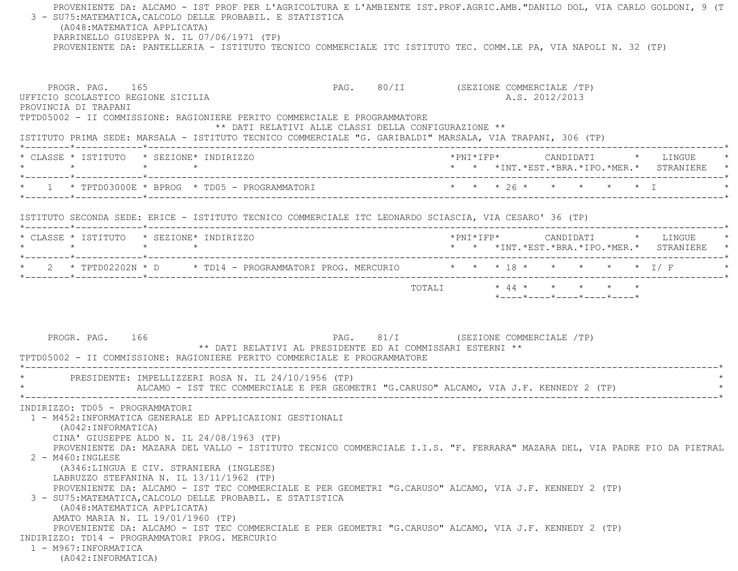PROVENIENTE DA: ALCAMO - IST PROF PER L'AGRICOLTURA E L'AMBIENTE IST.PROF.AGRIC.AMB."DANILO DOL, VIA CARLO GOLDONI, 9 (T 3 - SU75:MATEMATICA,CALCOLO DELLE PROBABIL. E STATISTICA (A048:MATEMATICA APPLICATA) PARRINELLO GIUSEPPA N. IL 07/06/1971 (TP) PROVENIENTE DA: PANTELLERIA - ISTITUTO TECNICO COMMERCIALE ITC ISTITUTO TEC. COMM.LE PA, VIA NAPOLI N. 32 (TP) PROGR. PAG. 165 PAG. PAG. 80/II (SEZIONE COMMERCIALE /TP) UFFICIO SCOLASTICO REGIONE SICILIA A.S. 2012/2013 PROVINCIA DI TRAPANI TPTD05002 - II COMMISSIONE: RAGIONIERE PERITO COMMERCIALE E PROGRAMMATORE \*\* DATI RELATIVI ALLE CLASSI DELLA CONFIGURAZIONE \*\* ISTITUTO PRIMA SEDE: MARSALA - ISTITUTO TECNICO COMMERCIALE "G. GARIBALDI" MARSALA, VIA TRAPANI, 306 (TP) \*--------\*------------\*-------------------------------------------------------------------------------------------------------\* \* CLASSE \* ISTITUTO \* SEZIONE\* INDIRIZZO \*PNI\*IFP\* CANDIDATI \* LINGUE \* \* \* \* \* \* \* \*INT.\*EST.\*BRA.\*IPO.\*MER.\* STRANIERE \* \*--------\*------------\*-------------------------------------------------------------------------------------------------------\* \* 1 \* TPTD03000E \* BPROG \* TD05 - PROGRAMMATORI \* \* \* 26 \* \* \* \* \* I \* \*--------\*------------\*-------------------------------------------------------------------------------------------------------\* ISTITUTO SECONDA SEDE: ERICE - ISTITUTO TECNICO COMMERCIALE ITC LEONARDO SCIASCIA, VIA CESARO' 36 (TP) \*--------\*------------\*-------------------------------------------------------------------------------------------------------\* \* CLASSE \* ISTITUTO \* SEZIONE\* INDIRIZZO \*PNI\*IFP\* CANDIDATI \* LINGUE \* \* \* \* \* \* \* \*INT.\*EST.\*BRA.\*IPO.\*MER.\* STRANIERE \* \*--------\*------------\*-------------------------------------------------------------------------------------------------------\* \* 2 \* TPTD02202N \* D \* TD14 - PROGRAMMATORI PROG. MERCURIO \* \* \* 18 \* \* \* \* \* I/ F \* \*--------\*------------\*-------------------------------------------------------------------------------------------------------\* TOTALI \* 44 \* \* \* \* \* \*----\*----\*----\*----\*----\*PROGR. PAG. 166 PAG. 81/I (SEZIONE COMMERCIALE TP) \*\* DATI RELATIVI AL PRESIDENTE ED AI COMMISSARI ESTERNI \*\* TPTD05002 - II COMMISSIONE: RAGIONIERE PERITO COMMERCIALE E PROGRAMMATORE \*----------------------------------------------------------------------------------------------------------------------------\* \* PRESIDENTE: IMPELLIZZERI ROSA N. IL 24/10/1956 (TP) \* ALCAMO - IST TEC COMMERCIALE E PER GEOMETRI "G.CARUSO" ALCAMO, VIA J.F. KENNEDY 2 (TP) \*----------------------------------------------------------------------------------------------------------------------------\* INDIRIZZO: TD05 - PROGRAMMATORI 1 - M452:INFORMATICA GENERALE ED APPLICAZIONI GESTIONALI (A042:INFORMATICA) CINA' GIUSEPPE ALDO N. IL 24/08/1963 (TP) PROVENIENTE DA: MAZARA DEL VALLO - ISTITUTO TECNICO COMMERCIALE I.I.S. "F. FERRARA" MAZARA DEL, VIA PADRE PIO DA PIETRAL 2 - M460:INGLESE (A346:LINGUA E CIV. STRANIERA (INGLESE) LABRUZZO STEFANINA N. IL 13/11/1962 (TP) PROVENIENTE DA: ALCAMO - IST TEC COMMERCIALE E PER GEOMETRI "G.CARUSO" ALCAMO, VIA J.F. KENNEDY 2 (TP) 3 - SU75:MATEMATICA,CALCOLO DELLE PROBABIL. E STATISTICA (A048:MATEMATICA APPLICATA) AMATO MARIA N. IL 19/01/1960 (TP) PROVENIENTE DA: ALCAMO - IST TEC COMMERCIALE E PER GEOMETRI "G.CARUSO" ALCAMO, VIA J.F. KENNEDY 2 (TP) INDIRIZZO: TD14 - PROGRAMMATORI PROG. MERCURIO 1 - M967:INFORMATICA(A042:INFORMATICA)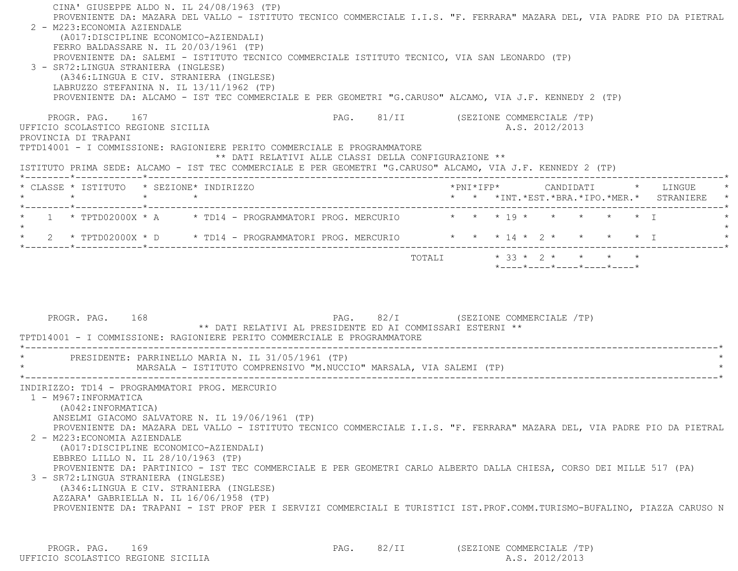CINA' GIUSEPPE ALDO N. IL 24/08/1963 (TP) PROVENIENTE DA: MAZARA DEL VALLO - ISTITUTO TECNICO COMMERCIALE I.I.S. "F. FERRARA" MAZARA DEL, VIA PADRE PIO DA PIETRAL 2 - M223:ECONOMIA AZIENDALE (A017:DISCIPLINE ECONOMICO-AZIENDALI) FERRO BALDASSARE N. IL 20/03/1961 (TP) PROVENIENTE DA: SALEMI - ISTITUTO TECNICO COMMERCIALE ISTITUTO TECNICO, VIA SAN LEONARDO (TP) 3 - SR72:LINGUA STRANIERA (INGLESE) (A346:LINGUA E CIV. STRANIERA (INGLESE) LABRUZZO STEFANINA N. IL 13/11/1962 (TP) PROVENIENTE DA: ALCAMO - IST TEC COMMERCIALE E PER GEOMETRI "G.CARUSO" ALCAMO, VIA J.F. KENNEDY 2 (TP) PROGR. PAG. 167 PROGR. PAG. 81/II (SEZIONE COMMERCIALE /TP) UFFICIO SCOLASTICO REGIONE SICILIA A.S. 2012/2013 PROVINCIA DI TRAPANI TPTD14001 - I COMMISSIONE: RAGIONIERE PERITO COMMERCIALE E PROGRAMMATORE \*\* DATI RELATIVI ALLE CLASSI DELLA CONFIGURAZIONE \*\* ISTITUTO PRIMA SEDE: ALCAMO - IST TEC COMMERCIALE E PER GEOMETRI "G.CARUSO" ALCAMO, VIA J.F. KENNEDY 2 (TP) \*--------\*------------\*-------------------------------------------------------------------------------------------------------\* \* CLASSE \* ISTITUTO \* SEZIONE\* INDIRIZZO \*PNI\*IFP\* CANDIDATI \* LINGUE \* \* \* \* \* \* \* \*INT.\*EST.\*BRA.\*IPO.\*MER.\* STRANIERE \* \*--------\*------------\*-------------------------------------------------------------------------------------------------------\*\* 1 \* TPTD02000X \* A \* TD14 - PROGRAMMATORI PROG. MERCURIO \* \* \* 19 \* \* \* \* \* \* \* T  $\star$ \* 2 \* TPTD02000X \* D \* TD14 - PROGRAMMATORI PROG. MERCURIO \* \* \* 14 \* 2 \* \* \* \* \* \* I \*--------\*------------\*-------------------------------------------------------------------------------------------------------\*TOTALI  $* 33 * 2 * * * * * * * *$ \*----\*----\*----\*----\*----\*

PROGR. PAG. 168 PAG. PAG. 82/I (SEZIONE COMMERCIALE /TP) \*\* DATI RELATIVI AL PRESIDENTE ED AI COMMISSARI ESTERNI \*\* TPTD14001 - I COMMISSIONE: RAGIONIERE PERITO COMMERCIALE E PROGRAMMATORE \*----------------------------------------------------------------------------------------------------------------------------\*PRESIDENTE: PARRINELLO MARIA N. IL 31/05/1961 (TP) MARSALA - ISTITUTO COMPRENSIVO "M.NUCCIO" MARSALA, VIA SALEMI (TP) \*----------------------------------------------------------------------------------------------------------------------------\* INDIRIZZO: TD14 - PROGRAMMATORI PROG. MERCURIO 1 - M967:INFORMATICA (A042:INFORMATICA) ANSELMI GIACOMO SALVATORE N. IL 19/06/1961 (TP) PROVENIENTE DA: MAZARA DEL VALLO - ISTITUTO TECNICO COMMERCIALE I.I.S. "F. FERRARA" MAZARA DEL, VIA PADRE PIO DA PIETRAL 2 - M223:ECONOMIA AZIENDALE (A017:DISCIPLINE ECONOMICO-AZIENDALI) EBBREO LILLO N. IL 28/10/1963 (TP) PROVENIENTE DA: PARTINICO - IST TEC COMMERCIALE E PER GEOMETRI CARLO ALBERTO DALLA CHIESA, CORSO DEI MILLE 517 (PA) 3 - SR72:LINGUA STRANIERA (INGLESE) (A346:LINGUA E CIV. STRANIERA (INGLESE) AZZARA' GABRIELLA N. IL 16/06/1958 (TP) PROVENIENTE DA: TRAPANI - IST PROF PER I SERVIZI COMMERCIALI E TURISTICI IST.PROF.COMM.TURISMO-BUFALINO, PIAZZA CARUSO N

PROGR. PAG. 169 PAG. PAG. 82/II (SEZIONE COMMERCIALE /TP) UFFICIO SCOLASTICO REGIONE SICILIA A.S. 2012/2013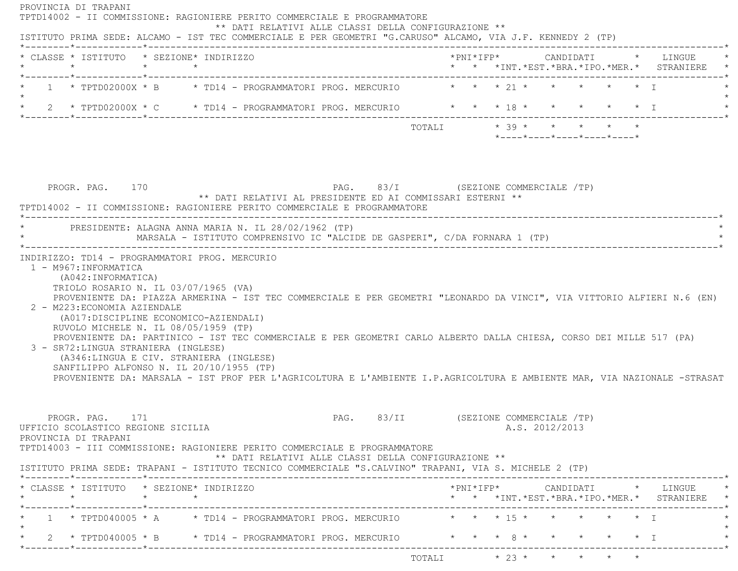| * CLASSE * ISTITUTO * SEZIONE* INDIRIZZO<br>$\star$<br>$\star$ $\star$<br>1 * TPTD02000X * B * TD14 - PROGRAMMATORI PROG. MERCURIO * * * 21 * * * * * * * *                                                                                                                                                                                                                                                                                                                                     |                             |  | * * *INT.*EST.*BRA.*IPO.*MER.* STRANIERE |                                                  |  |                                                                                          |
|-------------------------------------------------------------------------------------------------------------------------------------------------------------------------------------------------------------------------------------------------------------------------------------------------------------------------------------------------------------------------------------------------------------------------------------------------------------------------------------------------|-----------------------------|--|------------------------------------------|--------------------------------------------------|--|------------------------------------------------------------------------------------------|
|                                                                                                                                                                                                                                                                                                                                                                                                                                                                                                 |                             |  |                                          |                                                  |  |                                                                                          |
| * 2 * TPTD02000X * C * TD14 - PROGRAMMATORI PROG. MERCURIO * * * 18 * * * * * * * I                                                                                                                                                                                                                                                                                                                                                                                                             |                             |  |                                          |                                                  |  |                                                                                          |
|                                                                                                                                                                                                                                                                                                                                                                                                                                                                                                 |                             |  |                                          |                                                  |  |                                                                                          |
|                                                                                                                                                                                                                                                                                                                                                                                                                                                                                                 | TOTALI $* 39 * * * * * * *$ |  |                                          | $*$ ---- $*$ ---- $*$ ---- $*$ ---- $*$ ---- $*$ |  |                                                                                          |
| PAG. 83/I (SEZIONE COMMERCIALE /TP)<br>PROGR. PAG. 170<br>** DATI RELATIVI AL PRESIDENTE ED AI COMMISSARI ESTERNI **<br>TPTD14002 - II COMMISSIONE: RAGIONIERE PERITO COMMERCIALE E PROGRAMMATORE                                                                                                                                                                                                                                                                                               |                             |  |                                          |                                                  |  |                                                                                          |
| PRESIDENTE: ALAGNA ANNA MARIA N. IL 28/02/1962 (TP)<br>MARSALA - ISTITUTO COMPRENSIVO IC "ALCIDE DE GASPERI", C/DA FORNARA 1 (TP)                                                                                                                                                                                                                                                                                                                                                               |                             |  |                                          |                                                  |  |                                                                                          |
| (A042:INFORMATICA)<br>TRIOLO ROSARIO N. IL 03/07/1965 (VA)<br>PROVENIENTE DA: PIAZZA ARMERINA - IST TEC COMMERCIALE E PER GEOMETRI "LEONARDO DA VINCI", VIA VITTORIO ALFIERI N.6 (EN)                                                                                                                                                                                                                                                                                                           |                             |  |                                          |                                                  |  |                                                                                          |
| 2 - M223: ECONOMIA AZIENDALE<br>(A017:DISCIPLINE ECONOMICO-AZIENDALI)<br>RUVOLO MICHELE N. IL 08/05/1959 (TP)<br>PROVENIENTE DA: PARTINICO - IST TEC COMMERCIALE E PER GEOMETRI CARLO ALBERTO DALLA CHIESA, CORSO DEI MILLE 517 (PA)<br>3 - SR72: LINGUA STRANIERA (INGLESE)<br>(A346:LINGUA E CIV. STRANIERA (INGLESE)<br>SANFILIPPO ALFONSO N. IL 20/10/1955 (TP)<br>PROVENIENTE DA: MARSALA - IST PROF PER L'AGRICOLTURA E L'AMBIENTE I.P.AGRICOLTURA E AMBIENTE MAR, VIA NAZIONALE -STRASAT |                             |  |                                          |                                                  |  |                                                                                          |
| PAG. 83/II (SEZIONE COMMERCIALE /TP)<br>PROGR. PAG. 171                                                                                                                                                                                                                                                                                                                                                                                                                                         |                             |  | A.S. 2012/2013                           |                                                  |  |                                                                                          |
| ** DATI RELATIVI ALLE CLASSI DELLA CONFIGURAZIONE **                                                                                                                                                                                                                                                                                                                                                                                                                                            |                             |  |                                          |                                                  |  |                                                                                          |
|                                                                                                                                                                                                                                                                                                                                                                                                                                                                                                 |                             |  |                                          |                                                  |  | *PNI*IFP*     CANDIDATI    *   LINGUE<br>* * *INT. *EST. *BRA. *IPO. *MER. * STRANIERE * |
| UFFICIO SCOLASTICO REGIONE SICILIA<br>PROVINCIA DI TRAPANI<br>TPTD14003 - III COMMISSIONE: RAGIONIERE PERITO COMMERCIALE E PROGRAMMATORE<br>ISTITUTO PRIMA SEDE: TRAPANI - ISTITUTO TECNICO COMMERCIALE "S.CALVINO" TRAPANI, VIA S. MICHELE 2 (TP)<br>* CLASSE * ISTITUTO * SEZIONE* INDIRIZZO<br>1 * TPTD040005 * A * TD14 - PROGRAMMATORI PROG. MERCURIO * * * * 15 * * * * * * * I                                                                                                           |                             |  |                                          |                                                  |  |                                                                                          |

 $\text{TOTALI} \qquad \qquad \star \quad \text{23}\; \star \qquad \star \qquad \star \qquad \star \qquad \star \qquad \star$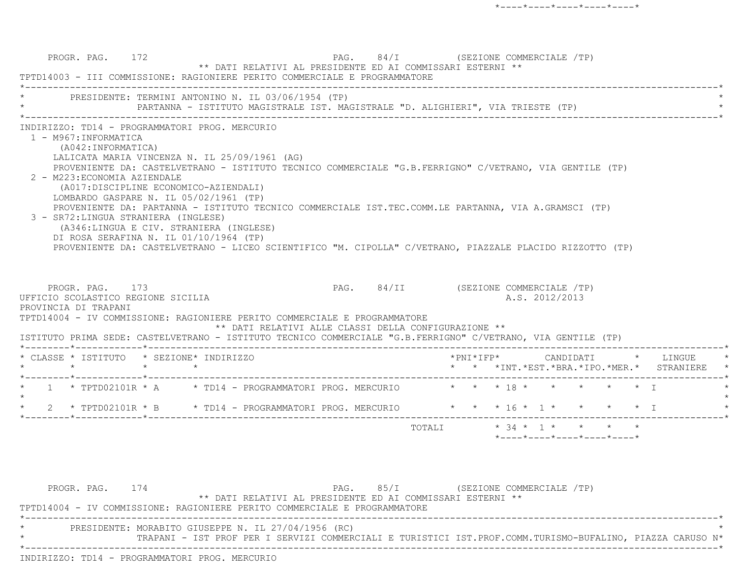PROGR. PAG. 172 **PAG.** 94/I (SEZIONE COMMERCIALE /TP) \*\* DATI RELATIVI AL PRESIDENTE ED AI COMMISSARI ESTERNI \*\* TPTD14003 - III COMMISSIONE: RAGIONIERE PERITO COMMERCIALE E PROGRAMMATORE \*----------------------------------------------------------------------------------------------------------------------------\*PRESIDENTE: TERMINI ANTONINO N. IL 03/06/1954 (TP) PARTANNA - ISTITUTO MAGISTRALE IST. MAGISTRALE "D. ALIGHIERI", VIA TRIESTE (TP) \*----------------------------------------------------------------------------------------------------------------------------\* INDIRIZZO: TD14 - PROGRAMMATORI PROG. MERCURIO 1 - M967:INFORMATICA (A042:INFORMATICA) LALICATA MARIA VINCENZA N. IL 25/09/1961 (AG) PROVENIENTE DA: CASTELVETRANO - ISTITUTO TECNICO COMMERCIALE "G.B.FERRIGNO" C/VETRANO, VIA GENTILE (TP) 2 - M223:ECONOMIA AZIENDALE (A017:DISCIPLINE ECONOMICO-AZIENDALI) LOMBARDO GASPARE N. IL 05/02/1961 (TP) PROVENIENTE DA: PARTANNA - ISTITUTO TECNICO COMMERCIALE IST.TEC.COMM.LE PARTANNA, VIA A.GRAMSCI (TP) 3 - SR72:LINGUA STRANIERA (INGLESE) (A346:LINGUA E CIV. STRANIERA (INGLESE) DI ROSA SERAFINA N. IL 01/10/1964 (TP) PROVENIENTE DA: CASTELVETRANO - LICEO SCIENTIFICO "M. CIPOLLA" C/VETRANO, PIAZZALE PLACIDO RIZZOTTO (TP) PROGR. PAG. 173 **PAG.** PAG. 84/II (SEZIONE COMMERCIALE /TP) UFFICIO SCOLASTICO REGIONE SICILIA A.S. 2012/2013 PROVINCIA DI TRAPANI TPTD14004 - IV COMMISSIONE: RAGIONIERE PERITO COMMERCIALE E PROGRAMMATORE \*\* DATI RELATIVI ALLE CLASSI DELLA CONFIGURAZIONE \*\* ISTITUTO PRIMA SEDE: CASTELVETRANO - ISTITUTO TECNICO COMMERCIALE "G.B.FERRIGNO" C/VETRANO, VIA GENTILE (TP) \*--------\*------------\*-------------------------------------------------------------------------------------------------------\* \* CLASSE \* ISTITUTO \* SEZIONE\* INDIRIZZO \*PNI\*IFP\* CANDIDATI \* LINGUE \* \* \* \* \* \* \* \*INT.\*EST.\*BRA.\*IPO.\*MER.\* STRANIERE \* \*--------\*------------\*-------------------------------------------------------------------------------------------------------\*1 \* TPTD02101R \* A \* \* TD14 - PROGRAMMATORI PROG. MERCURIO \* \* \* 18 \* \* \* \* \* \*  $\star$ 2 \* TPTD02101R \* B \* TD14 - PROGRAMMATORI PROG. MERCURIO \* \* \* 16 \* 1 \* \* \* \* \* I \*--------\*------------\*-------------------------------------------------------------------------------------------------------\* TOTALI \* 34 \* 1 \* \* \* \*\*----\*----\*----\*----\*----\*

PROGR. PAG. 174 **PROGR.** PAG. 85/I (SEZIONE COMMERCIALE /TP) \*\* DATI RELATIVI AL PRESIDENTE ED AI COMMISSARI ESTERNI \*\* TPTD14004 - IV COMMISSIONE: RAGIONIERE PERITO COMMERCIALE E PROGRAMMATORE \*----------------------------------------------------------------------------------------------------------------------------\*PRESIDENTE: MORABITO GIUSEPPE N. IL 27/04/1956 (RC) \* TRAPANI - IST PROF PER I SERVIZI COMMERCIALI E TURISTICI IST.PROF.COMM.TURISMO-BUFALINO, PIAZZA CARUSO N\* \*----------------------------------------------------------------------------------------------------------------------------\*INDIRIZZO: TD14 - PROGRAMMATORI PROG. MERCURIO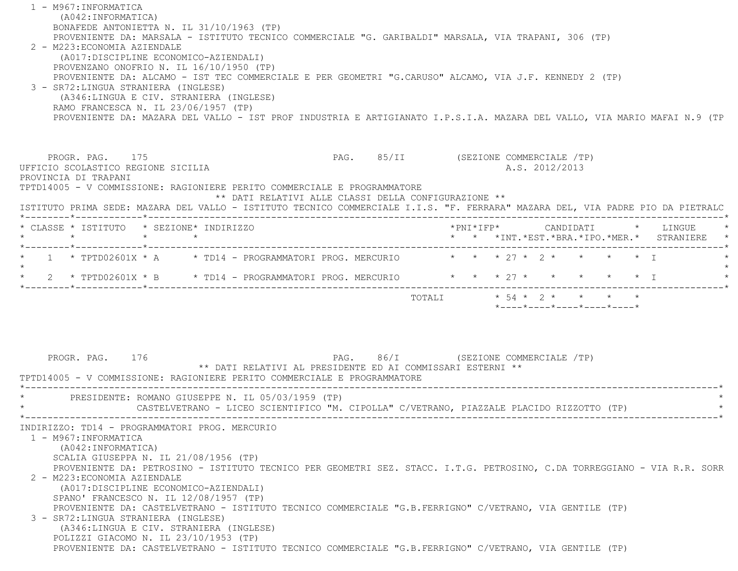1 - M967:INFORMATICA (A042:INFORMATICA) BONAFEDE ANTONIETTA N. IL 31/10/1963 (TP) PROVENIENTE DA: MARSALA - ISTITUTO TECNICO COMMERCIALE "G. GARIBALDI" MARSALA, VIA TRAPANI, 306 (TP) 2 - M223:ECONOMIA AZIENDALE (A017:DISCIPLINE ECONOMICO-AZIENDALI) PROVENZANO ONOFRIO N. IL 16/10/1950 (TP) PROVENIENTE DA: ALCAMO - IST TEC COMMERCIALE E PER GEOMETRI "G.CARUSO" ALCAMO, VIA J.F. KENNEDY 2 (TP) 3 - SR72:LINGUA STRANIERA (INGLESE) (A346:LINGUA E CIV. STRANIERA (INGLESE) RAMO FRANCESCA N. IL 23/06/1957 (TP) PROVENIENTE DA: MAZARA DEL VALLO - IST PROF INDUSTRIA E ARTIGIANATO I.P.S.I.A. MAZARA DEL VALLO, VIA MARIO MAFAI N.9 (TP PROGR. PAG. 175 PAG. 85/II (SEZIONE COMMERCIALE /TP) UFFICIO SCOLASTICO REGIONE SICILIA A.S. 2012/2013 PROVINCIA DI TRAPANI TPTD14005 - V COMMISSIONE: RAGIONIERE PERITO COMMERCIALE E PROGRAMMATORE \*\* DATI RELATIVI ALLE CLASSI DELLA CONFIGURAZIONE \*\* ISTITUTO PRIMA SEDE: MAZARA DEL VALLO - ISTITUTO TECNICO COMMERCIALE I.I.S. "F. FERRARA" MAZARA DEL, VIA PADRE PIO DA PIETRALC \*--------\*------------\*-------------------------------------------------------------------------------------------------------\* \* CLASSE \* ISTITUTO \* SEZIONE\* INDIRIZZO \*PNI\*IFP\* CANDIDATI \* LINGUE \* \* \* \* \* \* \* \*INT.\*EST.\*BRA.\*IPO.\*MER.\* STRANIERE \* \*--------\*------------\*-------------------------------------------------------------------------------------------------------\*\* 1 \* TPTD02601X \* A \* TD14 - PROGRAMMATORI PROG. MERCURIO \* \* \* 27 \* 2 \* \* \* \* \* I  $\star$  \* 2 \* TPTD02601X \* B \* TD14 - PROGRAMMATORI PROG. MERCURIO \* \* \* 27 \* \* \* \* \* I \* \*--------\*------------\*-------------------------------------------------------------------------------------------------------\*TOTALI  $\star$  54  $\star$  2  $\star$   $\star$   $\star$   $\star$  $*$ ---- $*$ ---- $*$ ---- $*$ ---- $*$ ---- $*$ PROGR. PAG. 176 PROGR. PAG. 86/I (SEZIONE COMMERCIALE /TP) \*\* DATI RELATIVI AL PRESIDENTE ED AI COMMISSARI ESTERNI \*\* TPTD14005 - V COMMISSIONE: RAGIONIERE PERITO COMMERCIALE E PROGRAMMATORE \*----------------------------------------------------------------------------------------------------------------------------\* \* PRESIDENTE: ROMANO GIUSEPPE N. IL 05/03/1959 (TP) \* CASTELVETRANO - LICEO SCIENTIFICO "M. CIPOLLA" C/VETRANO, PIAZZALE PLACIDO RIZZOTTO (TP) \*----------------------------------------------------------------------------------------------------------------------------\* INDIRIZZO: TD14 - PROGRAMMATORI PROG. MERCURIO 1 - M967:INFORMATICA (A042:INFORMATICA) SCALIA GIUSEPPA N. IL 21/08/1956 (TP) PROVENIENTE DA: PETROSINO - ISTITUTO TECNICO PER GEOMETRI SEZ. STACC. I.T.G. PETROSINO, C.DA TORREGGIANO - VIA R.R. SORR 2 - M223:ECONOMIA AZIENDALE (A017:DISCIPLINE ECONOMICO-AZIENDALI) SPANO' FRANCESCO N. IL 12/08/1957 (TP) PROVENIENTE DA: CASTELVETRANO - ISTITUTO TECNICO COMMERCIALE "G.B.FERRIGNO" C/VETRANO, VIA GENTILE (TP) 3 - SR72:LINGUA STRANIERA (INGLESE) (A346:LINGUA E CIV. STRANIERA (INGLESE) POLIZZI GIACOMO N. IL 23/10/1953 (TP) PROVENIENTE DA: CASTELVETRANO - ISTITUTO TECNICO COMMERCIALE "G.B.FERRIGNO" C/VETRANO, VIA GENTILE (TP)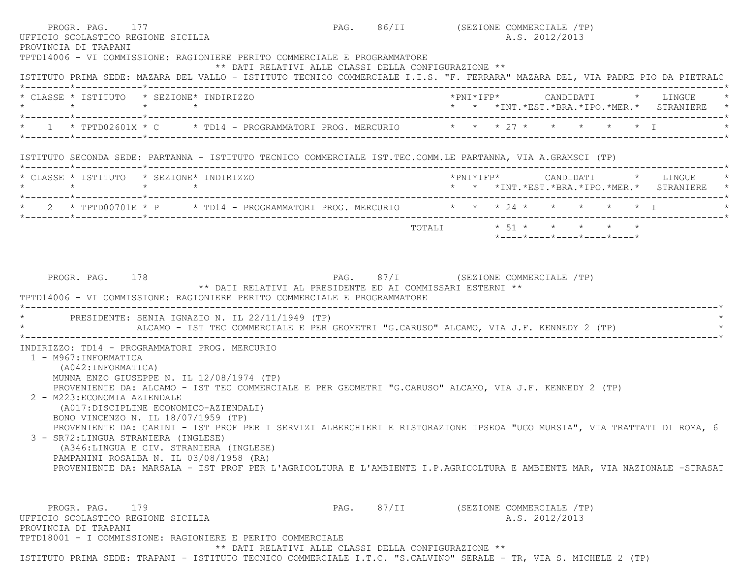| PROGR. PAG. 177<br>UFFICIO SCOLASTICO REGIONE SICILIA<br>PROVINCIA DI TRAPANI                                                                                                                                                                                                        |                                                      | PAG. 86/II (SEZIONE COMMERCIALE /TP)<br>A.S. 2012/2013                                                                                                                                                                                              |
|--------------------------------------------------------------------------------------------------------------------------------------------------------------------------------------------------------------------------------------------------------------------------------------|------------------------------------------------------|-----------------------------------------------------------------------------------------------------------------------------------------------------------------------------------------------------------------------------------------------------|
| TPTD14006 - VI COMMISSIONE: RAGIONIERE PERITO COMMERCIALE E PROGRAMMATORE                                                                                                                                                                                                            | ** DATI RELATIVI ALLE CLASSI DELLA CONFIGURAZIONE ** | ISTITUTO PRIMA SEDE: MAZARA DEL VALLO - ISTITUTO TECNICO COMMERCIALE I.I.S. "F. FERRARA" MAZARA DEL, VIA PADRE PIO DA PIETRALC                                                                                                                      |
| * CLASSE * ISTITUTO * SEZIONE* INDIRIZZO                                                                                                                                                                                                                                             |                                                      | *PNI*IFP*     CANDIDATI    *   LINGUE                                                                                                                                                                                                               |
| * 1 * TPTD02601X * C * TD14 - PROGRAMMATORI PROG. MERCURIO * * * 27 * * * * * * * I                                                                                                                                                                                                  |                                                      |                                                                                                                                                                                                                                                     |
| ISTITUTO SECONDA SEDE: PARTANNA - ISTITUTO TECNICO COMMERCIALE IST.TEC.COMM.LE PARTANNA, VIA A.GRAMSCI (TP)                                                                                                                                                                          |                                                      |                                                                                                                                                                                                                                                     |
| * CLASSE * ISTITUTO * SEZIONE* INDIRIZZO<br>$\star \qquad \qquad \star \qquad \qquad \star \qquad \qquad \star$                                                                                                                                                                      |                                                      | *PNI*IFP*     CANDIDATI    *   LINGUE<br>* * *INT.*EST.*BRA.*IPO.*MER.* STRANIERE *                                                                                                                                                                 |
|                                                                                                                                                                                                                                                                                      |                                                      |                                                                                                                                                                                                                                                     |
|                                                                                                                                                                                                                                                                                      |                                                      | *----*----*----*----*----*                                                                                                                                                                                                                          |
| * PRESIDENTE: SENIA IGNAZIO N. IL 22/11/1949 (TP)                                                                                                                                                                                                                                    |                                                      | ALCAMO - IST TEC COMMERCIALE E PER GEOMETRI "G.CARUSO" ALCAMO, VIA J.F. KENNEDY 2 (TP)                                                                                                                                                              |
| INDIRIZZO: TD14 - PROGRAMMATORI PROG. MERCURIO<br>1 - M967: INFORMATICA<br>(A042:INFORMATICA)<br>MUNNA ENZO GIUSEPPE N. IL 12/08/1974 (TP)<br>PROVENIENTE DA: ALCAMO - IST TEC COMMERCIALE E PER GEOMETRI "G.CARUSO" ALCAMO, VIA J.F. KENNEDY 2 (TP)<br>2 - M223: ECONOMIA AZIENDALE |                                                      |                                                                                                                                                                                                                                                     |
| (A017:DISCIPLINE ECONOMICO-AZIENDALI)<br>BONO VINCENZO N. IL 18/07/1959 (TP)<br>3 - SR72:LINGUA STRANIERA (INGLESE)<br>(A346:LINGUA E CIV. STRANIERA (INGLESE)<br>PAMPANINI ROSALBA N. IL 03/08/1958 (RA)                                                                            |                                                      | PROVENIENTE DA: CARINI - IST PROF PER I SERVIZI ALBERGHIERI E RISTORAZIONE IPSEOA "UGO MURSIA", VIA TRATTATI DI ROMA, 6<br>PROVENIENTE DA: MARSALA - IST PROF PER L'AGRICOLTURA E L'AMBIENTE I.P.AGRICOLTURA E AMBIENTE MAR, VIA NAZIONALE -STRASAT |

ISTITUTO PRIMA SEDE: TRAPANI - ISTITUTO TECNICO COMMERCIALE I.T.C. "S.CALVINO" SERALE - TR, VIA S. MICHELE 2 (TP)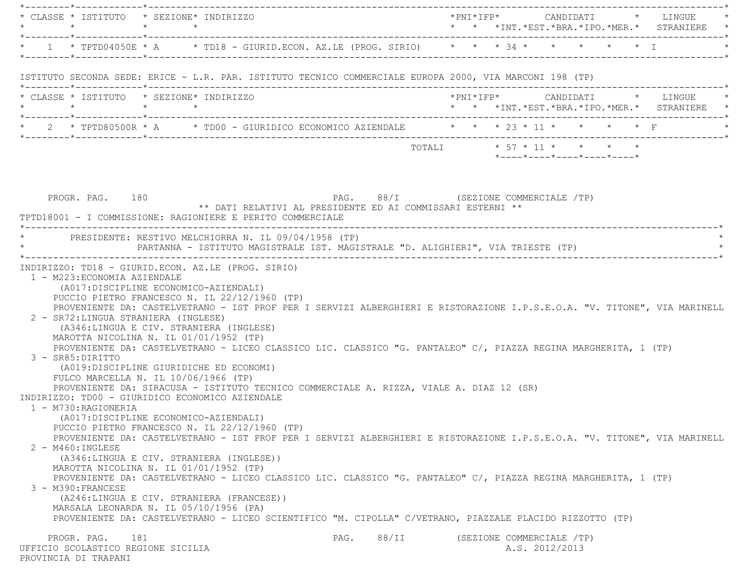|                                                                                        | * CLASSE * ISTITUTO * SEZIONE* INDIRIZZO                                                                                                                                                                                                                                                                                                                                                                                                                                                                                                                                                                                                                                                                                                                                                                                                                                                                                                                                                                                                                                                                                                                                         |                                                                                                   |                            |  |  |                            |  | $*$ PNI $*$ IFP $*$ CANDIDATI $*$ LINGUE $*$ |
|----------------------------------------------------------------------------------------|----------------------------------------------------------------------------------------------------------------------------------------------------------------------------------------------------------------------------------------------------------------------------------------------------------------------------------------------------------------------------------------------------------------------------------------------------------------------------------------------------------------------------------------------------------------------------------------------------------------------------------------------------------------------------------------------------------------------------------------------------------------------------------------------------------------------------------------------------------------------------------------------------------------------------------------------------------------------------------------------------------------------------------------------------------------------------------------------------------------------------------------------------------------------------------|---------------------------------------------------------------------------------------------------|----------------------------|--|--|----------------------------|--|----------------------------------------------|
|                                                                                        | * 1 * TPTD04050E * A * TD18 - GIURID.ECON. AZ.LE (PROG. SIRIO) * * * 34 * * * * * * * I                                                                                                                                                                                                                                                                                                                                                                                                                                                                                                                                                                                                                                                                                                                                                                                                                                                                                                                                                                                                                                                                                          |                                                                                                   |                            |  |  |                            |  |                                              |
|                                                                                        | ISTITUTO SECONDA SEDE: ERICE - L.R. PAR. ISTITUTO TECNICO COMMERCIALE EUROPA 2000, VIA MARCONI 198 (TP)                                                                                                                                                                                                                                                                                                                                                                                                                                                                                                                                                                                                                                                                                                                                                                                                                                                                                                                                                                                                                                                                          |                                                                                                   |                            |  |  |                            |  |                                              |
| $\star \qquad \qquad \star \qquad \qquad \star \qquad \qquad \star$                    | * CLASSE * ISTITUTO * SEZIONE* INDIRIZZO                                                                                                                                                                                                                                                                                                                                                                                                                                                                                                                                                                                                                                                                                                                                                                                                                                                                                                                                                                                                                                                                                                                                         |                                                                                                   |                            |  |  |                            |  | * * *INT.*EST.*BRA.*IPO.*MER.* STRANIERE *   |
|                                                                                        | * 2 * TPTD80500R * A * TD00 - GIURIDICO ECONOMICO AZIENDALE * * * 23 * 11 * * * * * F                                                                                                                                                                                                                                                                                                                                                                                                                                                                                                                                                                                                                                                                                                                                                                                                                                                                                                                                                                                                                                                                                            |                                                                                                   |                            |  |  |                            |  |                                              |
|                                                                                        |                                                                                                                                                                                                                                                                                                                                                                                                                                                                                                                                                                                                                                                                                                                                                                                                                                                                                                                                                                                                                                                                                                                                                                                  |                                                                                                   | TOTALI * 57 * 11 * * * * * |  |  | *----*----*----*----*----* |  |                                              |
| PROGR. PAG. 180                                                                        | TPTD18001 - I COMMISSIONE: RAGIONIERE E PERITO COMMERCIALE                                                                                                                                                                                                                                                                                                                                                                                                                                                                                                                                                                                                                                                                                                                                                                                                                                                                                                                                                                                                                                                                                                                       | PAG. 88/I (SEZIONE COMMERCIALE /TP)<br>** DATI RELATIVI AL PRESIDENTE ED AI COMMISSARI ESTERNI ** |                            |  |  |                            |  |                                              |
|                                                                                        | * PRESIDENTE: RESTIVO MELCHIORRA N. IL 09/04/1958 (TP)<br>PARTANNA - ISTITUTO MAGISTRALE IST. MAGISTRALE "D. ALIGHIERI", VIA TRIESTE (TP)                                                                                                                                                                                                                                                                                                                                                                                                                                                                                                                                                                                                                                                                                                                                                                                                                                                                                                                                                                                                                                        |                                                                                                   |                            |  |  |                            |  |                                              |
| 1 - M223: ECONOMIA AZIENDALE                                                           | INDIRIZZO: TD18 - GIURID.ECON. AZ.LE (PROG. SIRIO)<br>(A017:DISCIPLINE ECONOMICO-AZIENDALI)                                                                                                                                                                                                                                                                                                                                                                                                                                                                                                                                                                                                                                                                                                                                                                                                                                                                                                                                                                                                                                                                                      |                                                                                                   |                            |  |  |                            |  |                                              |
| 3 - SR85: DIRITTO<br>1 - M730:RAGIONERIA<br>$2 - M460$ : INGLESE<br>3 - M390: FRANCESE | PUCCIO PIETRO FRANCESCO N. IL 22/12/1960 (TP)<br>PROVENIENTE DA: CASTELVETRANO - IST PROF PER I SERVIZI ALBERGHIERI E RISTORAZIONE I.P.S.E.O.A. "V. TITONE", VIA MARINELL<br>2 - SR72: LINGUA STRANIERA (INGLESE)<br>(A346:LINGUA E CIV. STRANIERA (INGLESE)<br>MAROTTA NICOLINA N. IL 01/01/1952 (TP)<br>PROVENIENTE DA: CASTELVETRANO - LICEO CLASSICO LIC. CLASSICO "G. PANTALEO" C/, PIAZZA REGINA MARGHERITA, 1 (TP)<br>(A019:DISCIPLINE GIURIDICHE ED ECONOMI)<br>FULCO MARCELLA N. IL 10/06/1966 (TP)<br>PROVENIENTE DA: SIRACUSA - ISTITUTO TECNICO COMMERCIALE A. RIZZA, VIALE A. DIAZ 12 (SR)<br>INDIRIZZO: TD00 - GIURIDICO ECONOMICO AZIENDALE<br>(A017:DISCIPLINE ECONOMICO-AZIENDALI)<br>PUCCIO PIETRO FRANCESCO N. IL 22/12/1960 (TP)<br>PROVENIENTE DA: CASTELVETRANO - IST PROF PER I SERVIZI ALBERGHIERI E RISTORAZIONE I.P.S.E.O.A. "V. TITONE", VIA MARINELL<br>(A346:LINGUA E CIV. STRANIERA (INGLESE))<br>MAROTTA NICOLINA N. IL 01/01/1952 (TP)<br>PROVENIENTE DA: CASTELVETRANO - LICEO CLASSICO LIC. CLASSICO "G. PANTALEO" C/, PIAZZA REGINA MARGHERITA, 1 (TP)<br>(A246:LINGUA E CIV. STRANIERA (FRANCESE))<br>MARSALA LEONARDA N. IL 05/10/1956 (PA) |                                                                                                   |                            |  |  |                            |  |                                              |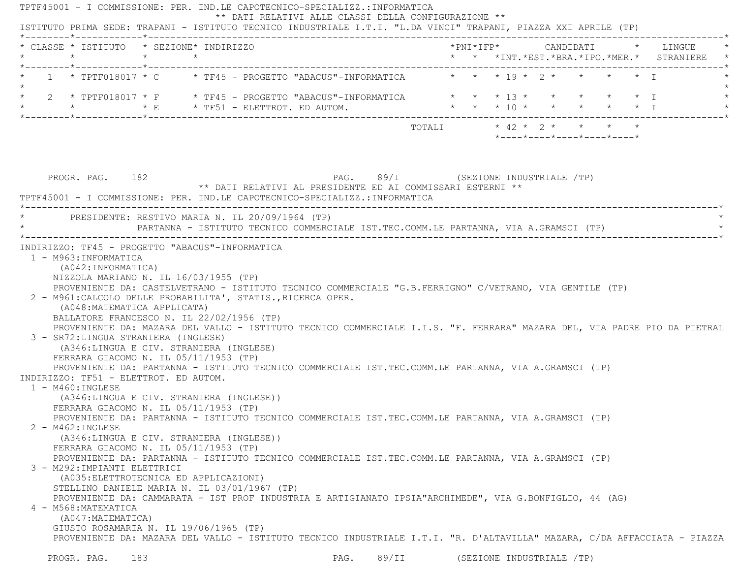TPTF45001 - I COMMISSIONE: PER. IND.LE CAPOTECNICO-SPECIALIZZ.:INFORMATICA \*\* DATI RELATIVI ALLE CLASSI DELLA CONFIGURAZIONE \*\* ISTITUTO PRIMA SEDE: TRAPANI - ISTITUTO TECNICO INDUSTRIALE I.T.I. "L.DA VINCI" TRAPANI, PIAZZA XXI APRILE (TP) \*--------\*------------\*-------------------------------------------------------------------------------------------------------\* \* CLASSE \* ISTITUTO \* SEZIONE\* INDIRIZZO \*PNI\*IFP\* CANDIDATI \* LINGUE \* \* \* \* \* \* \* \*INT.\*EST.\*BRA.\*IPO.\*MER.\* STRANIERE \* \*--------\*------------\*-------------------------------------------------------------------------------------------------------\*1 \* TPTF018017 \* C \* TF45 - PROGETTO "ABACUS"-INFORMATICA \* \* \* 19 \* 2 \* \* \* \* \* I  $\star$ 2 \* TPTF018017 \* F \* \* TF45 - PROGETTO "ABACUS"-INFORMATICA \* \* \* 13 \* \* \* \* \* \* \* I \* \* \* E \* TF51 - ELETTROT. ED AUTOM. \* \* \* 10 \* \* \* \* \* I \* \*--------\*------------\*-------------------------------------------------------------------------------------------------------\*TOTALI  $\star$  42  $\star$  2  $\star$   $\star$   $\star$   $\star$  \*----\*----\*----\*----\*----\*PROGR. PAG. 182 **PROGR. PAG.** 89/I (SEZIONE INDUSTRIALE /TP) \*\* DATI RELATIVI AL PRESIDENTE ED AI COMMISSARI ESTERNI \*\* TPTF45001 - I COMMISSIONE: PER. IND.LE CAPOTECNICO-SPECIALIZZ.:INFORMATICA \*----------------------------------------------------------------------------------------------------------------------------\*PRESIDENTE: RESTIVO MARIA N. IL 20/09/1964 (TP) PARTANNA - ISTITUTO TECNICO COMMERCIALE IST.TEC.COMM.LE PARTANNA, VIA A.GRAMSCI (TP) \*----------------------------------------------------------------------------------------------------------------------------\* INDIRIZZO: TF45 - PROGETTO "ABACUS"-INFORMATICA 1 - M963:INFORMATICA (A042:INFORMATICA) NIZZOLA MARIANO N. IL 16/03/1955 (TP) PROVENIENTE DA: CASTELVETRANO - ISTITUTO TECNICO COMMERCIALE "G.B.FERRIGNO" C/VETRANO, VIA GENTILE (TP) 2 - M961:CALCOLO DELLE PROBABILITA', STATIS.,RICERCA OPER. (A048:MATEMATICA APPLICATA) BALLATORE FRANCESCO N. IL 22/02/1956 (TP) PROVENIENTE DA: MAZARA DEL VALLO - ISTITUTO TECNICO COMMERCIALE I.I.S. "F. FERRARA" MAZARA DEL, VIA PADRE PIO DA PIETRAL 3 - SR72:LINGUA STRANIERA (INGLESE) (A346:LINGUA E CIV. STRANIERA (INGLESE) FERRARA GIACOMO N. IL 05/11/1953 (TP) PROVENIENTE DA: PARTANNA - ISTITUTO TECNICO COMMERCIALE IST.TEC.COMM.LE PARTANNA, VIA A.GRAMSCI (TP) INDIRIZZO: TF51 - ELETTROT. ED AUTOM. 1 - M460:INGLESE (A346:LINGUA E CIV. STRANIERA (INGLESE)) FERRARA GIACOMO N. IL 05/11/1953 (TP) PROVENIENTE DA: PARTANNA - ISTITUTO TECNICO COMMERCIALE IST.TEC.COMM.LE PARTANNA, VIA A.GRAMSCI (TP) 2 - M462:INGLESE (A346:LINGUA E CIV. STRANIERA (INGLESE)) FERRARA GIACOMO N. IL 05/11/1953 (TP) PROVENIENTE DA: PARTANNA - ISTITUTO TECNICO COMMERCIALE IST.TEC.COMM.LE PARTANNA, VIA A.GRAMSCI (TP) 3 - M292:IMPIANTI ELETTRICI (A035:ELETTROTECNICA ED APPLICAZIONI) STELLINO DANIELE MARIA N. IL 03/01/1967 (TP) PROVENIENTE DA: CAMMARATA - IST PROF INDUSTRIA E ARTIGIANATO IPSIA"ARCHIMEDE", VIA G.BONFIGLIO, 44 (AG) 4 - M568:MATEMATICA (A047:MATEMATICA) GIUSTO ROSAMARIA N. IL 19/06/1965 (TP) PROVENIENTE DA: MAZARA DEL VALLO - ISTITUTO TECNICO INDUSTRIALE I.T.I. "R. D'ALTAVILLA" MAZARA, C/DA AFFACCIATA - PIAZZA PROGR. PAG. 183 CHARGAN PAG. 89/II (SEZIONE INDUSTRIALE /TP)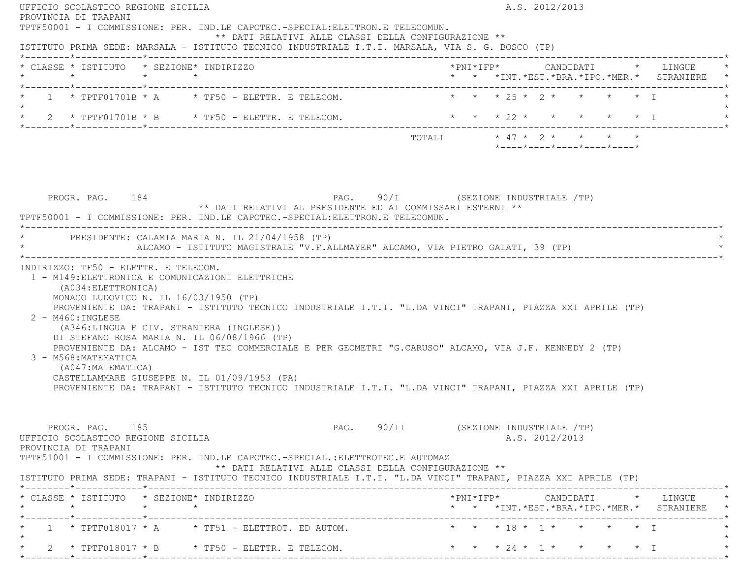| PROVINCIA DI TRAPANI                                                                                                                                                                                                                                                                                                                                                                                                                                                                                                                                                                         | A.S. 2012/2013                                                                                 |
|----------------------------------------------------------------------------------------------------------------------------------------------------------------------------------------------------------------------------------------------------------------------------------------------------------------------------------------------------------------------------------------------------------------------------------------------------------------------------------------------------------------------------------------------------------------------------------------------|------------------------------------------------------------------------------------------------|
| TPTF50001 - I COMMISSIONE: PER. IND.LE CAPOTEC.-SPECIAL:ELETTRON.E TELECOMUN.<br>** DATI RELATIVI ALLE CLASSI DELLA CONFIGURAZIONE **<br>ISTITUTO PRIMA SEDE: MARSALA - ISTITUTO TECNICO INDUSTRIALE I.T.I. MARSALA, VIA S. G. BOSCO (TP)                                                                                                                                                                                                                                                                                                                                                    |                                                                                                |
| * CLASSE * ISTITUTO * SEZIONE* INDIRIZZO                                                                                                                                                                                                                                                                                                                                                                                                                                                                                                                                                     | * * *INT. *EST. *BRA. *IPO. *MER. * STRANIERE *                                                |
| $\star$ 1 $\star$ TPTF01701B $\star$ A $\star$ TF50 - ELETTR. E TELECOM.<br>$\star$                                                                                                                                                                                                                                                                                                                                                                                                                                                                                                          | * * * 25 * 2 * * * * T                                                                         |
| * 2 * TPTF01701B * B * TF50 - ELETTR. E TELECOM.                                                                                                                                                                                                                                                                                                                                                                                                                                                                                                                                             | * * * 22 * * * * * * I                                                                         |
|                                                                                                                                                                                                                                                                                                                                                                                                                                                                                                                                                                                              | TOTALI * 47 * 2 * * * * *<br>*----*----*----*----*----*                                        |
| PAG. 90/I (SEZIONE INDUSTRIALE /TP)<br>PROGR. PAG. 184<br>** DATI RELATIVI AL PRESIDENTE ED AI COMMISSARI ESTERNI **<br>TPTF50001 - I COMMISSIONE: PER. IND.LE CAPOTEC.-SPECIAL:ELETTRON.E TELECOMUN.                                                                                                                                                                                                                                                                                                                                                                                        |                                                                                                |
| * PRESIDENTE: CALAMIA MARIA N. IL 21/04/1958 (TP)<br>ALCAMO - ISTITUTO MAGISTRALE "V.F.ALLMAYER" ALCAMO, VIA PIETRO GALATI, 39 (TP)                                                                                                                                                                                                                                                                                                                                                                                                                                                          |                                                                                                |
| MONACO LUDOVICO N. IL 16/03/1950 (TP)<br>PROVENIENTE DA: TRAPANI - ISTITUTO TECNICO INDUSTRIALE I.T.I. "L.DA VINCI" TRAPANI, PIAZZA XXI APRILE (TP)<br>$2 - M460$ : INGLESE<br>(A346:LINGUA E CIV. STRANIERA (INGLESE))<br>DI STEFANO ROSA MARIA N. IL 06/08/1966 (TP)<br>PROVENIENTE DA: ALCAMO - IST TEC COMMERCIALE E PER GEOMETRI "G.CARUSO" ALCAMO, VIA J.F. KENNEDY 2 (TP)<br>3 - M568: MATEMATICA<br>(A047: MATEMATICA)<br>CASTELLAMMARE GIUSEPPE N. IL 01/09/1953 (PA)<br>PROVENIENTE DA: TRAPANI - ISTITUTO TECNICO INDUSTRIALE I.T.I. "L.DA VINCI" TRAPANI, PIAZZA XXI APRILE (TP) |                                                                                                |
|                                                                                                                                                                                                                                                                                                                                                                                                                                                                                                                                                                                              |                                                                                                |
| PROGR. PAG. 185<br>UFFICIO SCOLASTICO REGIONE SICILIA<br>PROVINCIA DI TRAPANI<br>TPTF51001 - I COMMISSIONE: PER. IND.LE CAPOTEC.-SPECIAL.:ELETTROTEC.E AUTOMAZ<br>** DATI RELATIVI ALLE CLASSI DELLA CONFIGURAZIONE **                                                                                                                                                                                                                                                                                                                                                                       | PAG. 90/II (SEZIONE INDUSTRIALE /TP)<br>A.S. 2012/2013                                         |
| ISTITUTO PRIMA SEDE: TRAPANI - ISTITUTO TECNICO INDUSTRIALE I.T.I. "L.DA VINCI" TRAPANI, PIAZZA XXI APRILE (TP)<br>* CLASSE * ISTITUTO * SEZIONE* INDIRIZZO                                                                                                                                                                                                                                                                                                                                                                                                                                  | $*PNI*IFP* \qquad \qquad \text{CANDIDATI} \qquad \qquad * \qquad \text{LINGUE} \qquad \quad *$ |
|                                                                                                                                                                                                                                                                                                                                                                                                                                                                                                                                                                                              | * * *INT. *EST. *BRA. *IPO. *MER. * STRANIERE *                                                |
| $1$ * TPTF018017 * A $\qquad$ * TF51 - ELETTROT. ED AUTOM. $\qquad$ * * * 18 * 1 * * * * * * I                                                                                                                                                                                                                                                                                                                                                                                                                                                                                               | * * * 24 * 1 * * * * * I                                                                       |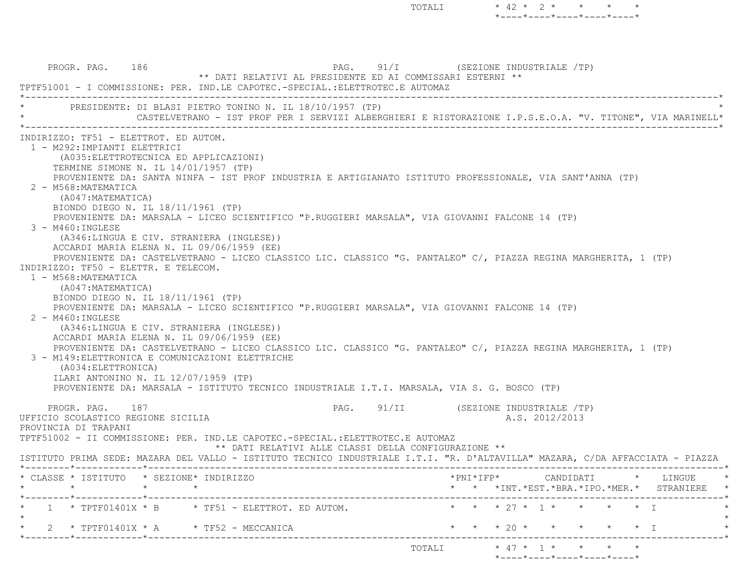PROGR. PAG. 186 PROGR. PAG. 91/I (SEZIONE INDUSTRIALE /TP) \*\* DATI RELATIVI AL PRESIDENTE ED AI COMMISSARI ESTERNI \*\* TPTF51001 - I COMMISSIONE: PER. IND.LE CAPOTEC.-SPECIAL.:ELETTROTEC.E AUTOMAZ \*----------------------------------------------------------------------------------------------------------------------------\*PRESIDENTE: DI BLASI PIETRO TONINO N. IL 18/10/1957 (TP) \* CASTELVETRANO - IST PROF PER I SERVIZI ALBERGHIERI E RISTORAZIONE I.P.S.E.O.A. "V. TITONE", VIA MARINELL\* \*----------------------------------------------------------------------------------------------------------------------------\* INDIRIZZO: TF51 - ELETTROT. ED AUTOM. 1 - M292:IMPIANTI ELETTRICI (A035:ELETTROTECNICA ED APPLICAZIONI) TERMINE SIMONE N. IL 14/01/1957 (TP) PROVENIENTE DA: SANTA NINFA - IST PROF INDUSTRIA E ARTIGIANATO ISTITUTO PROFESSIONALE, VIA SANT'ANNA (TP) 2 - M568:MATEMATICA (A047:MATEMATICA) BIONDO DIEGO N. IL 18/11/1961 (TP) PROVENIENTE DA: MARSALA - LICEO SCIENTIFICO "P.RUGGIERI MARSALA", VIA GIOVANNI FALCONE 14 (TP) 3 - M460:INGLESE (A346:LINGUA E CIV. STRANIERA (INGLESE)) ACCARDI MARIA ELENA N. IL 09/06/1959 (EE) PROVENIENTE DA: CASTELVETRANO - LICEO CLASSICO LIC. CLASSICO "G. PANTALEO" C/, PIAZZA REGINA MARGHERITA, 1 (TP) INDIRIZZO: TF50 - ELETTR. E TELECOM. 1 - M568:MATEMATICA (A047:MATEMATICA) BIONDO DIEGO N. IL 18/11/1961 (TP) PROVENIENTE DA: MARSALA - LICEO SCIENTIFICO "P.RUGGIERI MARSALA", VIA GIOVANNI FALCONE 14 (TP) 2 - M460:INGLESE (A346:LINGUA E CIV. STRANIERA (INGLESE)) ACCARDI MARIA ELENA N. IL 09/06/1959 (EE) PROVENIENTE DA: CASTELVETRANO - LICEO CLASSICO LIC. CLASSICO "G. PANTALEO" C/, PIAZZA REGINA MARGHERITA, 1 (TP) 3 - M149:ELETTRONICA E COMUNICAZIONI ELETTRICHE (A034:ELETTRONICA) ILARI ANTONINO N. IL 12/07/1959 (TP) PROVENIENTE DA: MARSALA - ISTITUTO TECNICO INDUSTRIALE I.T.I. MARSALA, VIA S. G. BOSCO (TP) PROGR. PAG. 187 PAG. 91/II (SEZIONE INDUSTRIALE /TP) UFFICIO SCOLASTICO REGIONE SICILIA A.S. 2012/2013 PROVINCIA DI TRAPANI TPTF51002 - II COMMISSIONE: PER. IND.LE CAPOTEC.-SPECIAL.:ELETTROTEC.E AUTOMAZ \*\* DATI RELATIVI ALLE CLASSI DELLA CONFIGURAZIONE \*\* ISTITUTO PRIMA SEDE: MAZARA DEL VALLO - ISTITUTO TECNICO INDUSTRIALE I.T.I. "R. D'ALTAVILLA" MAZARA, C/DA AFFACCIATA - PIAZZ A \*--------\*------------\*-------------------------------------------------------------------------------------------------------\* \* CLASSE \* ISTITUTO \* SEZIONE\* INDIRIZZO \*PNI\*IFP\* CANDIDATI \* LINGUE \* \* \* \* \* \* \* \*INT.\*EST.\*BRA.\*IPO.\*MER.\* STRANIERE \* \*--------\*------------\*-------------------------------------------------------------------------------------------------------\*1 \* TPTF01401X \* B \* TF51 - ELETTROT. ED AUTOM. \* \* \* \* \* 27 \* 1 \* \* \* \* \* \* I  $\star$ 2 \* TPTF01401X \* A \* TF52 - MECCANICA \* \* \* \* \* \* \* \* \* \* \* \* \* \* I \*--------\*------------\*-------------------------------------------------------------------------------------------------------\* $\text{TOTALI} \qquad \qquad \star \quad 47 \; \star \quad \ 1 \; \star \qquad \star \qquad \star \qquad \star \qquad \star$ 

TOTALI  $* 42 * 2 * * * * * * *$ 

 $*$ ---- $*$ ---- $*$ ---- $*$ ---- $*$ 

\*----\*----\*----\*----\*----\*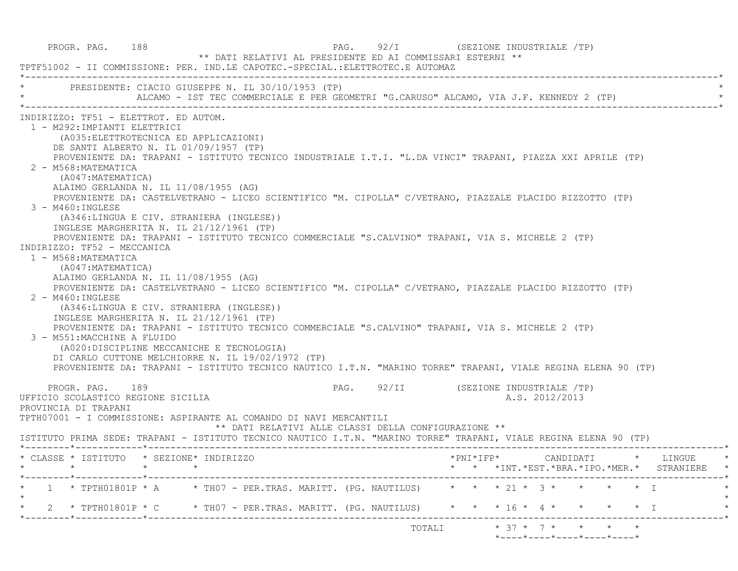| PROGR. PAG. 188                                                                                                                                                                                                                                                                                                                                                                                                                                                                                                                           | ** DATI RELATIVI AL PRESIDENTE ED AI COMMISSARI ESTERNI **<br>TPTF51002 - II COMMISSIONE: PER. IND.LE CAPOTEC.-SPECIAL.:ELETTROTEC.E AUTOMAZ                                                                                                                                                                                                                                                                                                                                                                                                                                                                             | PAG. 92/I (SEZIONE INDUSTRIALE /TP)                                                                                                                                                                                        |
|-------------------------------------------------------------------------------------------------------------------------------------------------------------------------------------------------------------------------------------------------------------------------------------------------------------------------------------------------------------------------------------------------------------------------------------------------------------------------------------------------------------------------------------------|--------------------------------------------------------------------------------------------------------------------------------------------------------------------------------------------------------------------------------------------------------------------------------------------------------------------------------------------------------------------------------------------------------------------------------------------------------------------------------------------------------------------------------------------------------------------------------------------------------------------------|----------------------------------------------------------------------------------------------------------------------------------------------------------------------------------------------------------------------------|
|                                                                                                                                                                                                                                                                                                                                                                                                                                                                                                                                           | PRESIDENTE: CIACIO GIUSEPPE N. IL 30/10/1953 (TP)<br>ALCAMO - IST TEC COMMERCIALE E PER GEOMETRI "G.CARUSO" ALCAMO, VIA J.F. KENNEDY 2 (TP)                                                                                                                                                                                                                                                                                                                                                                                                                                                                              |                                                                                                                                                                                                                            |
| INDIRIZZO: TF51 - ELETTROT. ED AUTOM.<br>1 - M292: IMPIANTI ELETTRICI<br>(A035: ELETTROTECNICA ED APPLICAZIONI)<br>DE SANTI ALBERTO N. IL 01/09/1957 (TP)<br>2 - M568: MATEMATICA<br>(A047: MATEMATICA)<br>ALAIMO GERLANDA N. IL 11/08/1955 (AG)<br>3 - M460:INGLESE<br>INGLESE MARGHERITA N. IL 21/12/1961 (TP)<br>INDIRIZZO: TF52 - MECCANICA<br>1 - M568: MATEMATICA<br>(A047: MATEMATICA)<br>ALAIMO GERLANDA N. IL 11/08/1955 (AG)<br>$2 - M460$ : INGLESE<br>INGLESE MARGHERITA N. IL 21/12/1961 (TP)<br>3 - M551: MACCHINE A FLUIDO | PROVENIENTE DA: CASTELVETRANO - LICEO SCIENTIFICO "M. CIPOLLA" C/VETRANO, PIAZZALE PLACIDO RIZZOTTO (TP)<br>(A346:LINGUA E CIV. STRANIERA (INGLESE))<br>PROVENIENTE DA: TRAPANI - ISTITUTO TECNICO COMMERCIALE "S.CALVINO" TRAPANI, VIA S. MICHELE 2 (TP)<br>PROVENIENTE DA: CASTELVETRANO - LICEO SCIENTIFICO "M. CIPOLLA" C/VETRANO, PIAZZALE PLACIDO RIZZOTTO (TP)<br>(A346:LINGUA E CIV. STRANIERA (INGLESE))<br>PROVENIENTE DA: TRAPANI - ISTITUTO TECNICO COMMERCIALE "S.CALVINO" TRAPANI, VIA S. MICHELE 2 (TP)<br>(A020:DISCIPLINE MECCANICHE E TECNOLOGIA)<br>DI CARLO CUTTONE MELCHIORRE N. IL 19/02/1972 (TP) | PROVENIENTE DA: TRAPANI - ISTITUTO TECNICO INDUSTRIALE I.T.I. "L.DA VINCI" TRAPANI, PIAZZA XXI APRILE (TP)<br>PROVENIENTE DA: TRAPANI - ISTITUTO TECNICO NAUTICO I.T.N. "MARINO TORRE" TRAPANI, VIALE REGINA ELENA 90 (TP) |
| PROGR. PAG. 189<br>UFFICIO SCOLASTICO REGIONE SICILIA<br>PROVINCIA DI TRAPANI                                                                                                                                                                                                                                                                                                                                                                                                                                                             | TPTH07001 - I COMMISSIONE: ASPIRANTE AL COMANDO DI NAVI MERCANTILI<br>** DATI RELATIVI ALLE CLASSI DELLA CONFIGURAZIONE **                                                                                                                                                                                                                                                                                                                                                                                                                                                                                               | PAG. 92/II (SEZIONE INDUSTRIALE /TP)<br>A.S. 2012/2013<br>ISTITUTO PRIMA SEDE: TRAPANI - ISTITUTO TECNICO NAUTICO I.T.N. "MARINO TORRE" TRAPANI, VIALE REGINA ELENA 90 (TP)                                                |
| * CLASSE * ISTITUTO * SEZIONE* INDIRIZZO                                                                                                                                                                                                                                                                                                                                                                                                                                                                                                  |                                                                                                                                                                                                                                                                                                                                                                                                                                                                                                                                                                                                                          | *PNT*TFP*<br>CANDIDATI * LINGUE<br>* * *INT.*EST.*BRA.*IPO.*MER.* STRANIERE *                                                                                                                                              |
| ______*____________*_________                                                                                                                                                                                                                                                                                                                                                                                                                                                                                                             |                                                                                                                                                                                                                                                                                                                                                                                                                                                                                                                                                                                                                          | 1 * TPTH01801P * A * TH07 - PER.TRAS. MARITT. (PG. NAUTILUS) * * * 21 * 3 * * * * * I                                                                                                                                      |
|                                                                                                                                                                                                                                                                                                                                                                                                                                                                                                                                           |                                                                                                                                                                                                                                                                                                                                                                                                                                                                                                                                                                                                                          | 2 * TPTH01801P * C * TH07 - PER.TRAS. MARITT. (PG. NAUTILUS) * * * 16 * 4 * * * * * * I                                                                                                                                    |
|                                                                                                                                                                                                                                                                                                                                                                                                                                                                                                                                           |                                                                                                                                                                                                                                                                                                                                                                                                                                                                                                                                                                                                                          | TOTALI * 37 * 7 * * * * *<br>*----*----*----*----*----*                                                                                                                                                                    |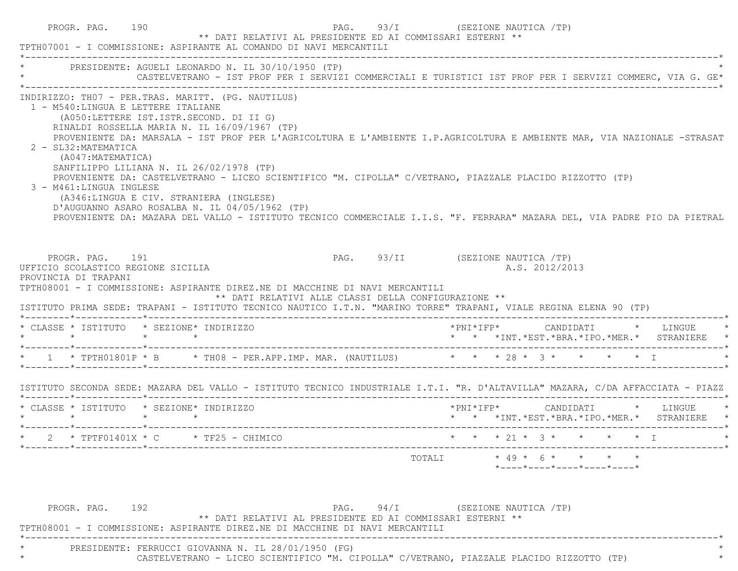| TPTH07001 - I COMMISSIONE: ASPIRANTE AL COMANDO DI NAVI MERCANTILI                                                                                                                                                                                                                                                                                                                                                                                                                                               |  | ** DATI RELATIVI AL PRESIDENTE ED AI COMMISSARI ESTERNI ** |                                  |                           |                |  |                                                                 |                                                                                                                                                                                                                                                                                                                                                  |
|------------------------------------------------------------------------------------------------------------------------------------------------------------------------------------------------------------------------------------------------------------------------------------------------------------------------------------------------------------------------------------------------------------------------------------------------------------------------------------------------------------------|--|------------------------------------------------------------|----------------------------------|---------------------------|----------------|--|-----------------------------------------------------------------|--------------------------------------------------------------------------------------------------------------------------------------------------------------------------------------------------------------------------------------------------------------------------------------------------------------------------------------------------|
| * PRESIDENTE: AGUELI LEONARDO N. IL 30/10/1950 (TP)                                                                                                                                                                                                                                                                                                                                                                                                                                                              |  |                                                            |                                  |                           |                |  |                                                                 | CASTELVETRANO - IST PROF PER I SERVIZI COMMERCIALI E TURISTICI IST PROF PER I SERVIZI COMMERC, VIA G. GE*                                                                                                                                                                                                                                        |
| INDIRIZZO: TH07 - PER.TRAS. MARITT. (PG. NAUTILUS)<br>1 - M540:LINGUA E LETTERE ITALIANE<br>(A050:LETTERE IST.ISTR.SECOND. DI II G)<br>RINALDI ROSSELLA MARIA N. IL 16/09/1967 (TP)<br>2 - SL32: MATEMATICA<br>(A047:MATEMATICA)<br>SANFILIPPO LILIANA N. IL 26/02/1978 (TP)<br>PROVENIENTE DA: CASTELVETRANO - LICEO SCIENTIFICO "M. CIPOLLA" C/VETRANO, PIAZZALE PLACIDO RIZZOTTO (TP)<br>3 - M461:LINGUA INGLESE<br>(A346:LINGUA E CIV. STRANIERA (INGLESE)<br>D'AUGUANNO ASARO ROSALBA N. IL 04/05/1962 (TP) |  |                                                            |                                  |                           |                |  |                                                                 | PROVENIENTE DA: MARSALA - IST PROF PER L'AGRICOLTURA E L'AMBIENTE I.P.AGRICOLTURA E AMBIENTE MAR, VIA NAZIONALE -STRASAT<br>PROVENIENTE DA: MAZARA DEL VALLO - ISTITUTO TECNICO COMMERCIALE I.I.S. "F. FERRARA" MAZARA DEL, VIA PADRE PIO DA PIETRAL                                                                                             |
| PROGR. PAG. 191<br>UFFICIO SCOLASTICO REGIONE SICILIA                                                                                                                                                                                                                                                                                                                                                                                                                                                            |  |                                                            | PAG. 93/II (SEZIONE NAUTICA /TP) |                           | A.S. 2012/2013 |  |                                                                 |                                                                                                                                                                                                                                                                                                                                                  |
| PROVINCIA DI TRAPANI<br>TPTH08001 - I COMMISSIONE: ASPIRANTE DIREZ.NE DI MACCHINE DI NAVI MERCANTILI<br>ISTITUTO PRIMA SEDE: TRAPANI - ISTITUTO TECNICO NAUTICO I.T.N. "MARINO TORRE" TRAPANI, VIALE REGINA ELENA 90 (TP)                                                                                                                                                                                                                                                                                        |  | ** DATI RELATIVI ALLE CLASSI DELLA CONFIGURAZIONE **       |                                  |                           |                |  |                                                                 |                                                                                                                                                                                                                                                                                                                                                  |
| * CLASSE * ISTITUTO * SEZIONE* INDIRIZZO<br>$\star$ $\star$ $\star$ $\star$                                                                                                                                                                                                                                                                                                                                                                                                                                      |  |                                                            |                                  |                           |                |  |                                                                 |                                                                                                                                                                                                                                                                                                                                                  |
|                                                                                                                                                                                                                                                                                                                                                                                                                                                                                                                  |  |                                                            |                                  |                           |                |  |                                                                 | * 1 * TPTH01801P * B * TH08 - PER.APP.IMP. MAR. (NAUTILUS) * * * * 28 * 3 * * * * * * I                                                                                                                                                                                                                                                          |
|                                                                                                                                                                                                                                                                                                                                                                                                                                                                                                                  |  |                                                            |                                  |                           |                |  |                                                                 |                                                                                                                                                                                                                                                                                                                                                  |
| * CLASSE * ISTITUTO * SEZIONE* INDIRIZZO                                                                                                                                                                                                                                                                                                                                                                                                                                                                         |  |                                                            |                                  |                           |                |  |                                                                 |                                                                                                                                                                                                                                                                                                                                                  |
| * 2 * TPTF01401X * C * TF25 - CHIMICO                                                                                                                                                                                                                                                                                                                                                                                                                                                                            |  |                                                            |                                  | * * * 21 * 3 * * * * * I  |                |  |                                                                 | $\text{\tt *PNI*IFP*} \qquad \qquad \text{CANDIDATI} \qquad \text{\tt *} \qquad \text{LINGUE} \qquad \text{\tt *}$<br>* * *INT.*EST.*BRA.*IPO.*MER.* STRANIERE *<br>ISTITUTO SECONDA SEDE: MAZARA DEL VALLO - ISTITUTO TECNICO INDUSTRIALE I.T.I. "R. D'ALTAVILLA" MAZARA, C/DA AFFACCIATA - PIAZZ<br>* * *INT.*EST.*BRA.*IPO.*MER.* STRANIERE * |
|                                                                                                                                                                                                                                                                                                                                                                                                                                                                                                                  |  |                                                            |                                  | TOTALI * 49 * 6 * * * * * |                |  | $*$ - - - - $*$ - - - - $*$ - - - - $*$ - - - - $*$ - - - - $*$ |                                                                                                                                                                                                                                                                                                                                                  |

\* PRESIDENTE: FERRUCCI GIOVANNA N. IL 28/01/1950 (FG) \*

\* CASTELVETRANO - LICEO SCIENTIFICO "M. CIPOLLA" C/VETRANO, PIAZZALE PLACIDO RIZZOTTO (TP) \*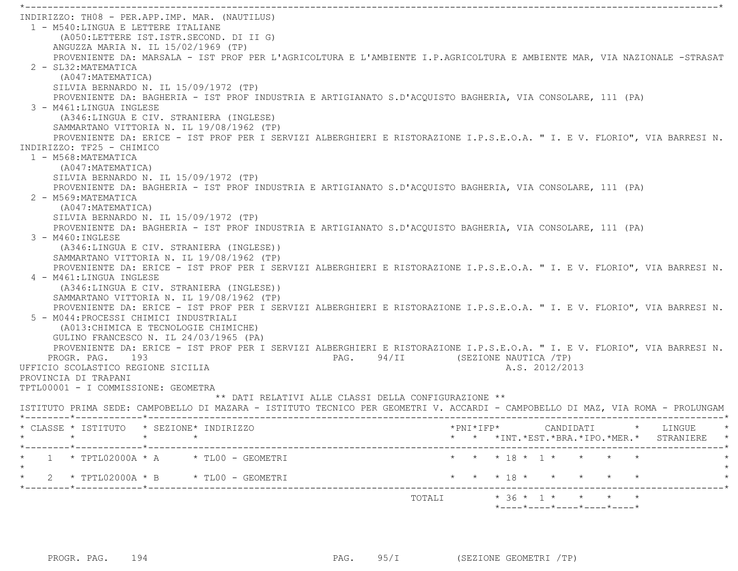INDIRIZZO: TH08 - PER.APP.IMP. MAR. (NAUTILUS) 1 - M540:LINGUA E LETTERE ITALIANE (A050:LETTERE IST.ISTR.SECOND. DI II G) ANGUZZA MARIA N. IL 15/02/1969 (TP) PROVENIENTE DA: MARSALA - IST PROF PER L'AGRICOLTURA E L'AMBIENTE I.P.AGRICOLTURA E AMBIENTE MAR, VIA NAZIONALE -STRASAT 2 - SL32:MATEMATICA (A047:MATEMATICA) SILVIA BERNARDO N. IL 15/09/1972 (TP) PROVENIENTE DA: BAGHERIA - IST PROF INDUSTRIA E ARTIGIANATO S.D'ACQUISTO BAGHERIA, VIA CONSOLARE, 111 (PA) 3 - M461:LINGUA INGLESE (A346:LINGUA E CIV. STRANIERA (INGLESE) SAMMARTANO VITTORIA N. IL 19/08/1962 (TP) PROVENIENTE DA: ERICE - IST PROF PER I SERVIZI ALBERGHIERI E RISTORAZIONE I.P.S.E.O.A. " I. E V. FLORIO", VIA BARRESI N. INDIRIZZO: TF25 - CHIMICO 1 - M568:MATEMATICA (A047:MATEMATICA) SILVIA BERNARDO N. IL 15/09/1972 (TP) PROVENIENTE DA: BAGHERIA - IST PROF INDUSTRIA E ARTIGIANATO S.D'ACQUISTO BAGHERIA, VIA CONSOLARE, 111 (PA) 2 - M569:MATEMATICA (A047:MATEMATICA) SILVIA BERNARDO N. IL 15/09/1972 (TP) PROVENIENTE DA: BAGHERIA - IST PROF INDUSTRIA E ARTIGIANATO S.D'ACQUISTO BAGHERIA, VIA CONSOLARE, 111 (PA) 3 - M460:INGLESE (A346:LINGUA E CIV. STRANIERA (INGLESE)) SAMMARTANO VITTORIA N. IL 19/08/1962 (TP) PROVENIENTE DA: ERICE - IST PROF PER I SERVIZI ALBERGHIERI E RISTORAZIONE I.P.S.E.O.A. " I. E V. FLORIO", VIA BARRESI N. 4 - M461:LINGUA INGLESE (A346:LINGUA E CIV. STRANIERA (INGLESE)) SAMMARTANO VITTORIA N. IL 19/08/1962 (TP) PROVENIENTE DA: ERICE - IST PROF PER I SERVIZI ALBERGHIERI E RISTORAZIONE I.P.S.E.O.A. " I. E V. FLORIO", VIA BARRESI N. 5 - M044:PROCESSI CHIMICI INDUSTRIALI (A013:CHIMICA E TECNOLOGIE CHIMICHE) GULINO FRANCESCO N. IL 24/03/1965 (PA) PROVENIENTE DA: ERICE - IST PROF PER I SERVIZI ALBERGHIERI E RISTORAZIONE I.P.S.E.O.A. " I. E V. FLORIO", VIA BARRESI N. PROGR. PAG. 193 **PAG.** 94/II (SEZIONE NAUTICA /TP) UFFICIO SCOLASTICO REGIONE SICILIA A.S. 2012/2013 PROVINCIA DI TRAPANI TPTL00001 - I COMMISSIONE: GEOMETRA \*\* DATI RELATIVI ALLE CLASSI DELLA CONFIGURAZIONE \*\* ISTITUTO PRIMA SEDE: CAMPOBELLO DI MAZARA - ISTITUTO TECNICO PER GEOMETRI V. ACCARDI - CAMPOBELLO DI MAZ, VIA ROMA - PROLUNGAM \*--------\*------------\*-------------------------------------------------------------------------------------------------------\* \* CLASSE \* ISTITUTO \* SEZIONE\* INDIRIZZO \*PNI\*IFP\* CANDIDATI \* LINGUE \* \* \* \* \* \* \* \*INT.\*EST.\*BRA.\*IPO.\*MER.\* STRANIERE \* \*--------\*------------\*-------------------------------------------------------------------------------------------------------\*1 \* TPTL02000A \* A \* TL00 - GEOMETRI \* \* \* \* 18 \* 1 \* \* \* \* \* \*  $\star$  \* 2 \* TPTL02000A \* B \* TL00 - GEOMETRI \* \* \* 18 \* \* \* \* \* \* \*--------\*------------\*-------------------------------------------------------------------------------------------------------\*TOTALI  $\star$  36  $\star$  1  $\star$   $\star$   $\star$   $\star$ 

\*----\*----\*----\*----\*----\*

\*----------------------------------------------------------------------------------------------------------------------------\*

PROGR. PAG. 194 **PROGR. PAG. 95/I** (SEZIONE GEOMETRI /TP)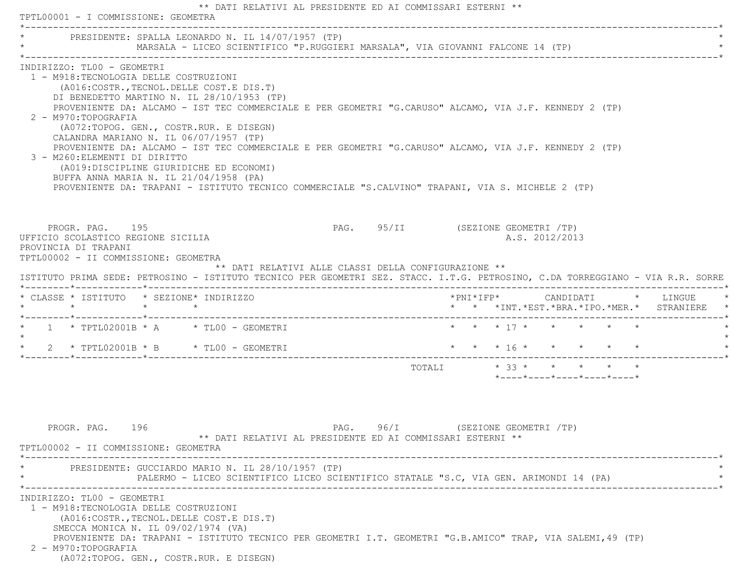|                                                                                                                                                                                                                                                                                                                                                                                                    | TPTL00001 - I COMMISSIONE: GEOMETRA |                                                                                                                                                                                                                                                                                                                                                                                                                                                                                                                                                                                               |                                                            |                                                      |                         |                                                    |  |                                                  |  |                 |                                                                                        |
|----------------------------------------------------------------------------------------------------------------------------------------------------------------------------------------------------------------------------------------------------------------------------------------------------------------------------------------------------------------------------------------------------|-------------------------------------|-----------------------------------------------------------------------------------------------------------------------------------------------------------------------------------------------------------------------------------------------------------------------------------------------------------------------------------------------------------------------------------------------------------------------------------------------------------------------------------------------------------------------------------------------------------------------------------------------|------------------------------------------------------------|------------------------------------------------------|-------------------------|----------------------------------------------------|--|--------------------------------------------------|--|-----------------|----------------------------------------------------------------------------------------|
|                                                                                                                                                                                                                                                                                                                                                                                                    |                                     | PRESIDENTE: SPALLA LEONARDO N. IL 14/07/1957 (TP)<br>MARSALA - LICEO SCIENTIFICO "P.RUGGIERI MARSALA", VIA GIOVANNI FALCONE 14 (TP)                                                                                                                                                                                                                                                                                                                                                                                                                                                           |                                                            |                                                      |                         |                                                    |  |                                                  |  |                 |                                                                                        |
| INDIRIZZO: TL00 - GEOMETRI<br>1 - M918: TECNOLOGIA DELLE COSTRUZIONI<br>2 - M970: TOPOGRAFIA<br>3 - M260: ELEMENTI DI DIRITTO                                                                                                                                                                                                                                                                      |                                     | (A016: COSTR., TECNOL. DELLE COST. E DIS. T)<br>DI BENEDETTO MARTINO N. IL 28/10/1953 (TP)<br>PROVENIENTE DA: ALCAMO - IST TEC COMMERCIALE E PER GEOMETRI "G.CARUSO" ALCAMO, VIA J.F. KENNEDY 2 (TP)<br>(A072:TOPOG. GEN., COSTR.RUR. E DISEGN)<br>CALANDRA MARIANO N. IL 06/07/1957 (TP)<br>PROVENIENTE DA: ALCAMO - IST TEC COMMERCIALE E PER GEOMETRI "G.CARUSO" ALCAMO, VIA J.F. KENNEDY 2 (TP)<br>(A019:DISCIPLINE GIURIDICHE ED ECONOMI)<br>BUFFA ANNA MARIA N. IL 21/04/1958 (PA)<br>PROVENIENTE DA: TRAPANI - ISTITUTO TECNICO COMMERCIALE "S.CALVINO" TRAPANI, VIA S. MICHELE 2 (TP) |                                                            |                                                      |                         |                                                    |  |                                                  |  |                 |                                                                                        |
| PROGR. PAG. 195<br>UFFICIO SCOLASTICO REGIONE SICILIA<br>PROVINCIA DI TRAPANI<br>TPTL00002 - II COMMISSIONE: GEOMETRA                                                                                                                                                                                                                                                                              |                                     |                                                                                                                                                                                                                                                                                                                                                                                                                                                                                                                                                                                               |                                                            | PAG. 95/II (SEZIONE GEOMETRI /TP)                    |                         |                                                    |  | A.S. 2012/2013                                   |  |                 |                                                                                        |
|                                                                                                                                                                                                                                                                                                                                                                                                    |                                     |                                                                                                                                                                                                                                                                                                                                                                                                                                                                                                                                                                                               |                                                            | ** DATI RELATIVI ALLE CLASSI DELLA CONFIGURAZIONE ** |                         |                                                    |  |                                                  |  |                 |                                                                                        |
|                                                                                                                                                                                                                                                                                                                                                                                                    |                                     |                                                                                                                                                                                                                                                                                                                                                                                                                                                                                                                                                                                               |                                                            |                                                      |                         |                                                    |  |                                                  |  |                 | *PNI*IFP*     CANDIDATI    *   LINGUE<br>* * *INT. *EST. *BRA. *IPO. *MER. * STRANIERE |
|                                                                                                                                                                                                                                                                                                                                                                                                    |                                     |                                                                                                                                                                                                                                                                                                                                                                                                                                                                                                                                                                                               |                                                            |                                                      |                         | $\star$ $\star$ $\star$ 17 $\star$ $\star$ $\star$ |  |                                                  |  | $\star$ $\star$ |                                                                                        |
|                                                                                                                                                                                                                                                                                                                                                                                                    |                                     |                                                                                                                                                                                                                                                                                                                                                                                                                                                                                                                                                                                               |                                                            |                                                      | * * * 16 * * * * * *    |                                                    |  |                                                  |  |                 |                                                                                        |
|                                                                                                                                                                                                                                                                                                                                                                                                    |                                     |                                                                                                                                                                                                                                                                                                                                                                                                                                                                                                                                                                                               |                                                            |                                                      | TOTALI * 33 * * * * * * |                                                    |  | $*$ ---- $*$ ---- $*$ ---- $*$ ---- $*$ ---- $*$ |  |                 |                                                                                        |
| ISTITUTO PRIMA SEDE: PETROSINO - ISTITUTO TECNICO PER GEOMETRI SEZ. STACC. I.T.G. PETROSINO, C.DA TORREGGIANO - VIA R.R. SORRE<br>* CLASSE * ISTITUTO * SEZIONE* INDIRIZZO<br>$\star \qquad \qquad \star \qquad \qquad \star \qquad \qquad \star$<br>* $1$ * TPTL02001B * A * TL00 - GEOMETRI<br>* 2 * TPTL02001B * B * TL00 - GEOMETRI<br>PROGR. PAG. 196<br>TPTL00002 - II COMMISSIONE: GEOMETRA |                                     | PRESIDENTE: GUCCIARDO MARIO N. IL 28/10/1957 (TP)<br>PALERMO - LICEO SCIENTIFICO LICEO SCIENTIFICO STATALE "S.C, VIA GEN. ARIMONDI 14 (PA)                                                                                                                                                                                                                                                                                                                                                                                                                                                    | ** DATI RELATIVI AL PRESIDENTE ED AI COMMISSARI ESTERNI ** | $PAG.$ 96/I                                          | (SEZIONE GEOMETRI /TP)  |                                                    |  |                                                  |  |                 |                                                                                        |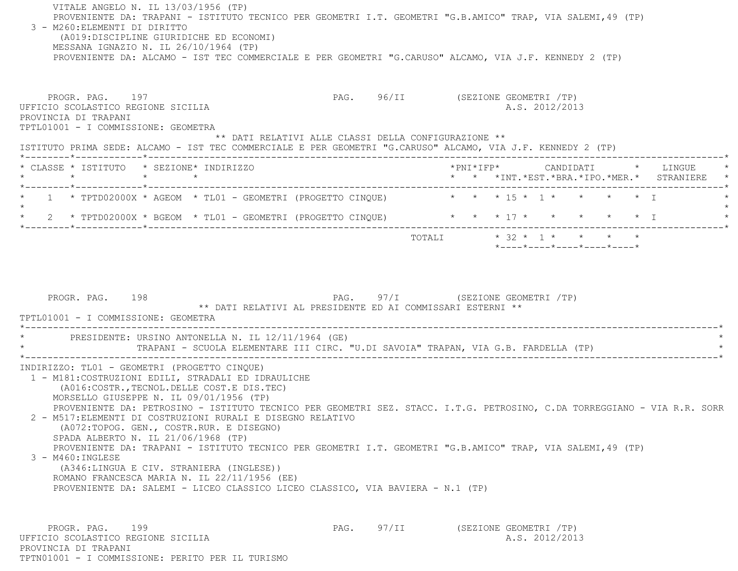| VITALE ANGELO N. IL 13/03/1956 (TP)<br>PROVENIENTE DA: TRAPANI - ISTITUTO TECNICO PER GEOMETRI I.T. GEOMETRI "G.B.AMICO" TRAP, VIA SALEMI, 49 (TP)<br>3 - M260: ELEMENTI DI DIRITTO<br>(A019:DISCIPLINE GIURIDICHE ED ECONOMI)<br>MESSANA IGNAZIO N. IL 26/10/1964 (TP)<br>PROVENIENTE DA: ALCAMO - IST TEC COMMERCIALE E PER GEOMETRI "G.CARUSO" ALCAMO, VIA J.F. KENNEDY 2 (TP)                                                                                                                                                                                                                                                                                      |                                                      |                                                                                                                                                  |
|------------------------------------------------------------------------------------------------------------------------------------------------------------------------------------------------------------------------------------------------------------------------------------------------------------------------------------------------------------------------------------------------------------------------------------------------------------------------------------------------------------------------------------------------------------------------------------------------------------------------------------------------------------------------|------------------------------------------------------|--------------------------------------------------------------------------------------------------------------------------------------------------|
| PROGR. PAG. 197<br>UFFICIO SCOLASTICO REGIONE SICILIA<br>PROVINCIA DI TRAPANI<br>TPTL01001 - I COMMISSIONE: GEOMETRA                                                                                                                                                                                                                                                                                                                                                                                                                                                                                                                                                   |                                                      | PAG. 96/II (SEZIONE GEOMETRI /TP)<br>A.S. 2012/2013                                                                                              |
| ISTITUTO PRIMA SEDE: ALCAMO - IST TEC COMMERCIALE E PER GEOMETRI "G.CARUSO" ALCAMO, VIA J.F. KENNEDY 2 (TP)                                                                                                                                                                                                                                                                                                                                                                                                                                                                                                                                                            | ** DATI RELATIVI ALLE CLASSI DELLA CONFIGURAZIONE ** |                                                                                                                                                  |
| * CLASSE * ISTITUTO * SEZIONE* INDIRIZZO<br>$\star$<br>$\star$ $\star$                                                                                                                                                                                                                                                                                                                                                                                                                                                                                                                                                                                                 |                                                      | *PNI*IFP*     CANDIDATI    *   LINGUE<br>* * *INT. *EST. *BRA. *IPO. *MER. * STRANIERE *                                                         |
| 1 * TPTD02000X * AGEOM * TL01 - GEOMETRI (PROGETTO CINQUE) * * * * 15 * 1 * * * * * * T<br>$\star$                                                                                                                                                                                                                                                                                                                                                                                                                                                                                                                                                                     |                                                      |                                                                                                                                                  |
| * 2 * TPTD02000X * BGEOM * TL01 - GEOMETRI (PROGETTO CINQUE)                                                                                                                                                                                                                                                                                                                                                                                                                                                                                                                                                                                                           |                                                      | $\star$ $\star$ $\star$ 17 $\star$ $\star$<br>$\star$ $\star$ $\star$ $\perp$                                                                    |
|                                                                                                                                                                                                                                                                                                                                                                                                                                                                                                                                                                                                                                                                        |                                                      | TOTALI * 32 * 1 * * * * *<br>*----*----*----*----*----*                                                                                          |
| TPTL01001 - I COMMISSIONE: GEOMETRA<br>* PRESIDENTE: URSINO ANTONELLA N. IL 12/11/1964 (GE)                                                                                                                                                                                                                                                                                                                                                                                                                                                                                                                                                                            |                                                      | ** DATI RELATIVI AL PRESIDENTE ED AI COMMISSARI ESTERNI **<br>TRAPANI - SCUOLA ELEMENTARE III CIRC. "U.DI SAVOIA" TRAPAN, VIA G.B. FARDELLA (TP) |
| INDIRIZZO: TL01 - GEOMETRI (PROGETTO CINQUE)<br>1 - M181: COSTRUZIONI EDILI, STRADALI ED IDRAULICHE<br>(A016: COSTR., TECNOL. DELLE COST.E DIS. TEC)<br>MORSELLO GIUSEPPE N. IL 09/01/1956 (TP)<br>2 - M517: ELEMENTI DI COSTRUZIONI RURALI E DISEGNO RELATIVO<br>(A072:TOPOG. GEN., COSTR.RUR. E DISEGNO)<br>SPADA ALBERTO N. IL 21/06/1968 (TP)<br>PROVENIENTE DA: TRAPANI - ISTITUTO TECNICO PER GEOMETRI I.T. GEOMETRI "G.B.AMICO" TRAP, VIA SALEMI, 49 (TP)<br>$3 - M460$ : INGLESE<br>(A346:LINGUA E CIV. STRANIERA (INGLESE))<br>ROMANO FRANCESCA MARIA N. IL 22/11/1956 (EE)<br>PROVENIENTE DA: SALEMI - LICEO CLASSICO LICEO CLASSICO, VIA BAVIERA - N.1 (TP) |                                                      | PROVENIENTE DA: PETROSINO - ISTITUTO TECNICO PER GEOMETRI SEZ. STACC. I.T.G. PETROSINO, C.DA TORREGGIANO - VIA R.R. SORR                         |
| PROGR. PAG.<br>199<br>UFFICIO SCOLASTICO REGIONE SICILIA                                                                                                                                                                                                                                                                                                                                                                                                                                                                                                                                                                                                               | 97/II<br>PAG.                                        | (SEZIONE GEOMETRI /TP)<br>A.S. 2012/2013                                                                                                         |

 PROVINCIA DI TRAPANI TPTN01001 - I COMMISSIONE: PERITO PER IL TURISMO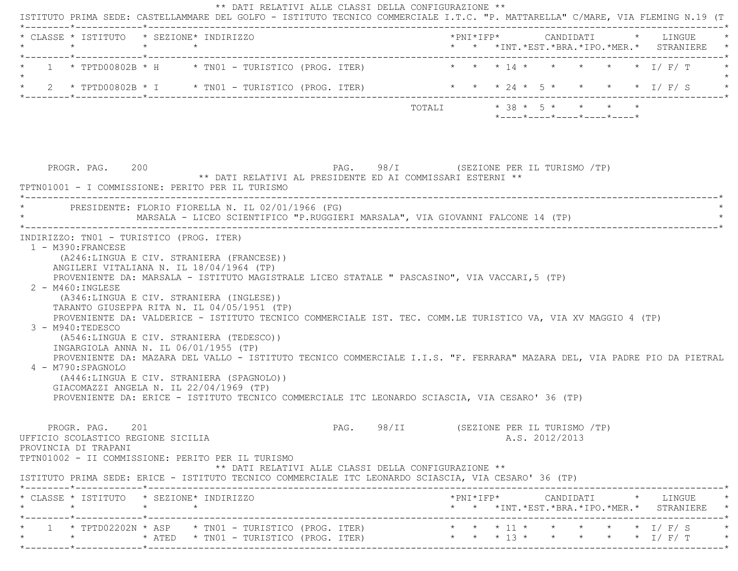| * CLASSE * ISTITUTO * SEZIONE* INDIRIZZO<br>$\star$                                                                                                                                                                                                                                                                                                                                                                                                                                                                                                                                                                                                                                                                                                                                    | $\star$<br>$\star$ |                                          |                                                            |                                         |                                    |  |                                               |  | * * *INT. *EST. *BRA. *IPO. *MER. * STRANIERE                                   |
|----------------------------------------------------------------------------------------------------------------------------------------------------------------------------------------------------------------------------------------------------------------------------------------------------------------------------------------------------------------------------------------------------------------------------------------------------------------------------------------------------------------------------------------------------------------------------------------------------------------------------------------------------------------------------------------------------------------------------------------------------------------------------------------|--------------------|------------------------------------------|------------------------------------------------------------|-----------------------------------------|------------------------------------|--|-----------------------------------------------|--|---------------------------------------------------------------------------------|
| $1 \times T$ PTD00802B $\star$ H $\star$ TN01 - TURISTICO (PROG. ITER)                                                                                                                                                                                                                                                                                                                                                                                                                                                                                                                                                                                                                                                                                                                 |                    |                                          |                                                            |                                         | $\star$ $\star$ $\star$ 14 $\star$ |  |                                               |  | $\star$ $\star$ $\star$ $\star$ $\downarrow$ $\uparrow$ $\uparrow$ $\uparrow$   |
| $2 \times TPTD00802B \times I \times TNO1 - TURISTICO (PROG. TTER)$                                                                                                                                                                                                                                                                                                                                                                                                                                                                                                                                                                                                                                                                                                                    |                    |                                          |                                                            |                                         |                                    |  |                                               |  | * * * 24 * 5 * * * * * I/ F/ S                                                  |
|                                                                                                                                                                                                                                                                                                                                                                                                                                                                                                                                                                                                                                                                                                                                                                                        |                    |                                          |                                                            |                                         | TOTALI * 38 * 5 * * * * *          |  | $*$ ---- $*$ ---- $*$ ---- $*$ ---- $*$ ----* |  |                                                                                 |
| PROGR. PAG. 200<br>TPTN01001 - I COMMISSIONE: PERITO PER IL TURISMO                                                                                                                                                                                                                                                                                                                                                                                                                                                                                                                                                                                                                                                                                                                    |                    |                                          | ** DATI RELATIVI AL PRESIDENTE ED AI COMMISSARI ESTERNI ** | PAG. 98/I (SEZIONE PER IL TURISMO /TP)  |                                    |  |                                               |  |                                                                                 |
| PRESIDENTE: FLORIO FIORELLA N. IL 02/01/1966 (FG)<br>MARSALA - LICEO SCIENTIFICO "P.RUGGIERI MARSALA", VIA GIOVANNI FALCONE 14 (TP)                                                                                                                                                                                                                                                                                                                                                                                                                                                                                                                                                                                                                                                    |                    |                                          |                                                            |                                         |                                    |  |                                               |  |                                                                                 |
| 1 - M390: FRANCESE<br>(A246:LINGUA E CIV. STRANIERA (FRANCESE))<br>ANGILERI VITALIANA N. IL 18/04/1964 (TP)                                                                                                                                                                                                                                                                                                                                                                                                                                                                                                                                                                                                                                                                            |                    | INDIRIZZO: TN01 - TURISTICO (PROG. ITER) |                                                            |                                         |                                    |  |                                               |  |                                                                                 |
| PROVENIENTE DA: MARSALA - ISTITUTO MAGISTRALE LICEO STATALE " PASCASINO", VIA VACCARI, 5 (TP)<br>$2 - M460$ : INGLESE<br>(A346:LINGUA E CIV. STRANIERA (INGLESE))<br>TARANTO GIUSEPPA RITA N. IL 04/05/1951 (TP)<br>PROVENIENTE DA: VALDERICE - ISTITUTO TECNICO COMMERCIALE IST. TEC. COMM.LE TURISTICO VA, VIA XV MAGGIO 4 (TP)<br>3 - M940:TEDESCO<br>(A546:LINGUA E CIV. STRANIERA (TEDESCO))<br>INGARGIOLA ANNA N. IL 06/01/1955 (TP)<br>PROVENIENTE DA: MAZARA DEL VALLO - ISTITUTO TECNICO COMMERCIALE I.I.S. "F. FERRARA" MAZARA DEL, VIA PADRE PIO DA PIETRAL<br>4 - M790:SPAGNOLO<br>(A446:LINGUA E CIV. STRANIERA (SPAGNOLO))<br>GIACOMAZZI ANGELA N. IL 22/04/1969 (TP)<br>PROVENIENTE DA: ERICE - ISTITUTO TECNICO COMMERCIALE ITC LEONARDO SCIASCIA, VIA CESARO' 36 (TP) |                    |                                          |                                                            |                                         |                                    |  |                                               |  |                                                                                 |
| PROGR. PAG. 201<br>UFFICIO SCOLASTICO REGIONE SICILIA<br>PROVINCIA DI TRAPANI<br>TPTN01002 - II COMMISSIONE: PERITO PER IL TURISMO<br>ISTITUTO PRIMA SEDE: ERICE - ISTITUTO TECNICO COMMERCIALE ITC LEONARDO SCIASCIA, VIA CESARO' 36 (TP)                                                                                                                                                                                                                                                                                                                                                                                                                                                                                                                                             |                    |                                          | ** DATI RELATIVI ALLE CLASSI DELLA CONFIGURAZIONE **       | PAG. 98/II (SEZIONE PER IL TURISMO /TP) |                                    |  | A.S. 2012/2013                                |  |                                                                                 |
| * CLASSE * ISTITUTO * SEZIONE* INDIRIZZO<br>$\star$                                                                                                                                                                                                                                                                                                                                                                                                                                                                                                                                                                                                                                                                                                                                    |                    |                                          |                                                            |                                         |                                    |  |                                               |  | *PNI*IFP* CANDIDATI * LINGUE<br>* * *INT. *EST. *BRA. *IPO. *MER. * STRANIERE * |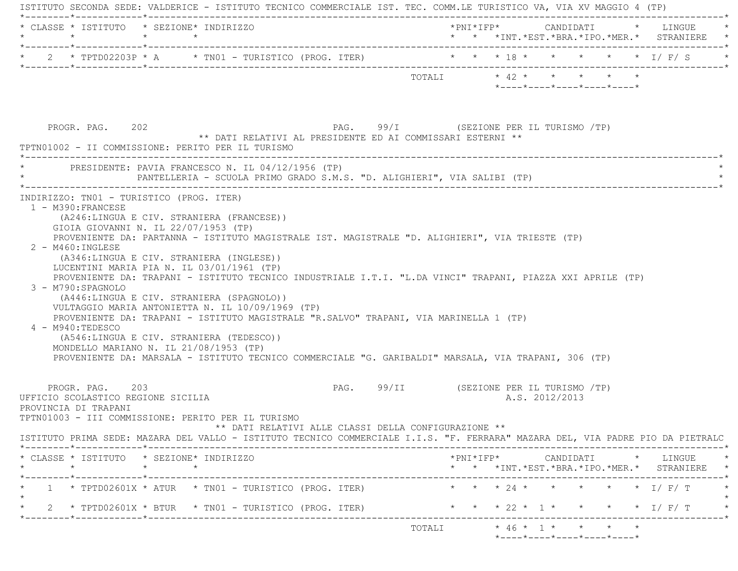| $\star$                                                                       | * CLASSE * ISTITUTO * SEZIONE* INDIRIZZO<br>$\star$ $\star$                                                                                                                                                                                                                                                                                                                                                                                                                                                                                                                                 | *PNI*IFP* CANDIDATI * LINGUE<br>* * *INT.*EST.*BRA.*IPO.*MER.* STRANIERE *                                                                 |
|-------------------------------------------------------------------------------|---------------------------------------------------------------------------------------------------------------------------------------------------------------------------------------------------------------------------------------------------------------------------------------------------------------------------------------------------------------------------------------------------------------------------------------------------------------------------------------------------------------------------------------------------------------------------------------------|--------------------------------------------------------------------------------------------------------------------------------------------|
|                                                                               | * 2 * TPTD02203P * A * TN01 - TURISTICO (PROG. ITER) * * * 18 *                                                                                                                                                                                                                                                                                                                                                                                                                                                                                                                             | * * * * $\mathbb{I}/F/S$                                                                                                                   |
|                                                                               |                                                                                                                                                                                                                                                                                                                                                                                                                                                                                                                                                                                             | *----*----*----*----*----*                                                                                                                 |
| PROGR. PAG. 202                                                               | PAG. 99/I (SEZIONE PER IL TURISMO /TP)<br>** DATI RELATIVI AL PRESIDENTE ED AI COMMISSARI ESTERNI **<br>TPTN01002 - II COMMISSIONE: PERITO PER IL TURISMO                                                                                                                                                                                                                                                                                                                                                                                                                                   |                                                                                                                                            |
|                                                                               | * PRESIDENTE: PAVIA FRANCESCO N. IL 04/12/1956 (TP)<br>PANTELLERIA - SCUOLA PRIMO GRADO S.M.S. "D. ALIGHIERI", VIA SALIBI (TP)                                                                                                                                                                                                                                                                                                                                                                                                                                                              |                                                                                                                                            |
| $2 - M460$ : INGLESE                                                          | (A246:LINGUA E CIV. STRANIERA (FRANCESE))<br>GIOIA GIOVANNI N. IL 22/07/1953 (TP)<br>PROVENIENTE DA: PARTANNA - ISTITUTO MAGISTRALE IST. MAGISTRALE "D. ALIGHIERI", VIA TRIESTE (TP)                                                                                                                                                                                                                                                                                                                                                                                                        |                                                                                                                                            |
| 3 - M790: SPAGNOLO<br>4 - M940:TEDESCO                                        | (A346:LINGUA E CIV. STRANIERA (INGLESE))<br>LUCENTINI MARIA PIA N. IL 03/01/1961 (TP)<br>PROVENIENTE DA: TRAPANI - ISTITUTO TECNICO INDUSTRIALE I.T.I. "L.DA VINCI" TRAPANI, PIAZZA XXI APRILE (TP)<br>(A446:LINGUA E CIV. STRANIERA (SPAGNOLO))<br>VULTAGGIO MARIA ANTONIETTA N. IL 10/09/1969 (TP)<br>PROVENIENTE DA: TRAPANI - ISTITUTO MAGISTRALE "R.SALVO" TRAPANI, VIA MARINELLA 1 (TP)<br>(A546:LINGUA E CIV. STRANIERA (TEDESCO))<br>MONDELLO MARIANO N. IL 21/08/1953 (TP)<br>PROVENIENTE DA: MARSALA - ISTITUTO TECNICO COMMERCIALE "G. GARIBALDI" MARSALA, VIA TRAPANI, 306 (TP) |                                                                                                                                            |
| PROGR. PAG. 203<br>UFFICIO SCOLASTICO REGIONE SICILIA<br>PROVINCIA DI TRAPANI | TPTN01003 - III COMMISSIONE: PERITO PER IL TURISMO                                                                                                                                                                                                                                                                                                                                                                                                                                                                                                                                          | PAG. 99/II (SEZIONE PER IL TURISMO /TP)<br>A.S. 2012/2013                                                                                  |
|                                                                               | ** DATI RELATIVI ALLE CLASSI DELLA CONFIGURAZIONE **<br>ISTITUTO PRIMA SEDE: MAZARA DEL VALLO - ISTITUTO TECNICO COMMERCIALE I.I.S. "F. FERRARA" MAZARA DEL, VIA PADRE PIO DA PIETRALC                                                                                                                                                                                                                                                                                                                                                                                                      |                                                                                                                                            |
| $\star$                                                                       | * CLASSE * ISTITUTO * SEZIONE* INDIRIZZO<br>$\star$ $\star$                                                                                                                                                                                                                                                                                                                                                                                                                                                                                                                                 | $*$ PNI $*$ IFP $*$ CANDIDATI $*$ LINGUE $*$<br>* * *INT. *EST. *BRA. *IPO. *MER. * STRANIERE *                                            |
|                                                                               | ______*____________*_____________<br>$1 * TPTD02601X * ATUR * TNO1 - TURISTICO (PROG. TTER)$                                                                                                                                                                                                                                                                                                                                                                                                                                                                                                | * * * 24 * * * * * * I/ F/ T                                                                                                               |
|                                                                               | 2 * TPTD02601X * BTUR * TN01 - TURISTICO (PROG. ITER)                                                                                                                                                                                                                                                                                                                                                                                                                                                                                                                                       | $\star$ $\star$ $\star$ 22 $\star$ 1 $\star$<br>$\star$ $\star$ $\star$ $\perp$ $\mid$ $\parallel$ $\perp$ $\perp$ $\perp$ $\perp$ $\perp$ |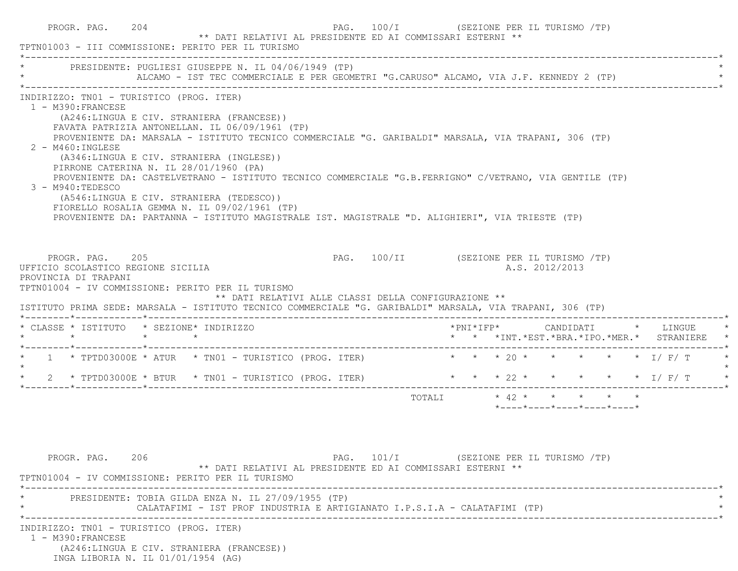| TPTN01003 - III COMMISSIONE: PERITO PER IL TURISMO                                                                                                                                                                                              | PROGR. PAG. 204 | ** DATI RELATIVI AL PRESIDENTE ED AI COMMISSARI ESTERNI **                                                                                                                                                                                                                                                                                                                                                                                                                                                                                                | PAG. 100/I (SEZIONE PER IL TURISMO /TP)  |                         |  |  |                |                                                  |                                               |  |
|-------------------------------------------------------------------------------------------------------------------------------------------------------------------------------------------------------------------------------------------------|-----------------|-----------------------------------------------------------------------------------------------------------------------------------------------------------------------------------------------------------------------------------------------------------------------------------------------------------------------------------------------------------------------------------------------------------------------------------------------------------------------------------------------------------------------------------------------------------|------------------------------------------|-------------------------|--|--|----------------|--------------------------------------------------|-----------------------------------------------|--|
| * PRESIDENTE: PUGLIESI GIUSEPPE N. IL 04/06/1949 (TP)                                                                                                                                                                                           |                 | ALCAMO - IST TEC COMMERCIALE E PER GEOMETRI "G.CARUSO" ALCAMO, VIA J.F. KENNEDY 2 (TP)                                                                                                                                                                                                                                                                                                                                                                                                                                                                    |                                          |                         |  |  |                |                                                  |                                               |  |
| INDIRIZZO: TN01 - TURISTICO (PROG. ITER)<br>1 - M390: FRANCESE<br>2 - M460: INGLESE<br>PIRRONE CATERINA N. IL 28/01/1960 (PA)<br>3 - M940:TEDESCO                                                                                               |                 | (A246:LINGUA E CIV. STRANIERA (FRANCESE))<br>FAVATA PATRIZIA ANTONELLAN. IL 06/09/1961 (TP)<br>PROVENIENTE DA: MARSALA - ISTITUTO TECNICO COMMERCIALE "G. GARIBALDI" MARSALA, VIA TRAPANI, 306 (TP)<br>(A346:LINGUA E CIV. STRANIERA (INGLESE))<br>PROVENIENTE DA: CASTELVETRANO - ISTITUTO TECNICO COMMERCIALE "G.B.FERRIGNO" C/VETRANO, VIA GENTILE (TP)<br>(A546:LINGUA E CIV. STRANIERA (TEDESCO))<br>FIORELLO ROSALIA GEMMA N. IL 09/02/1961 (TP)<br>PROVENIENTE DA: PARTANNA - ISTITUTO MAGISTRALE IST. MAGISTRALE "D. ALIGHIERI", VIA TRIESTE (TP) |                                          |                         |  |  |                |                                                  |                                               |  |
| PROGR. PAG. 205<br>UFFICIO SCOLASTICO REGIONE SICILIA<br>PROVINCIA DI TRAPANI<br>TPTN01004 - IV COMMISSIONE: PERITO PER IL TURISMO<br>ISTITUTO PRIMA SEDE: MARSALA - ISTITUTO TECNICO COMMERCIALE "G. GARIBALDI" MARSALA, VIA TRAPANI, 306 (TP) |                 | ** DATI RELATIVI ALLE CLASSI DELLA CONFIGURAZIONE **                                                                                                                                                                                                                                                                                                                                                                                                                                                                                                      | PAG. 100/II (SEZIONE PER IL TURISMO /TP) |                         |  |  | A.S. 2012/2013 |                                                  |                                               |  |
| * CLASSE * ISTITUTO * SEZIONE* INDIRIZZO                                                                                                                                                                                                        |                 |                                                                                                                                                                                                                                                                                                                                                                                                                                                                                                                                                           |                                          |                         |  |  |                |                                                  | * * *INT. *EST. *BRA. *IPO. *MER. * STRANIERE |  |
| * 1 * TPTD03000E * ATUR * TN01 - TURISTICO (PROG. ITER) * * * * 20 * * * * * * * I/F/T                                                                                                                                                          |                 |                                                                                                                                                                                                                                                                                                                                                                                                                                                                                                                                                           |                                          |                         |  |  |                |                                                  |                                               |  |
| $\star$                                                                                                                                                                                                                                         |                 | * 2 * TPTD03000E * BTUR * TN01 - TURISTICO (PROG. ITER) * * * * 22 * * * * * * * I/ F/ T                                                                                                                                                                                                                                                                                                                                                                                                                                                                  |                                          |                         |  |  |                |                                                  |                                               |  |
|                                                                                                                                                                                                                                                 |                 |                                                                                                                                                                                                                                                                                                                                                                                                                                                                                                                                                           |                                          |                         |  |  |                |                                                  |                                               |  |
|                                                                                                                                                                                                                                                 |                 |                                                                                                                                                                                                                                                                                                                                                                                                                                                                                                                                                           |                                          | TOTALI * 42 * * * * * * |  |  |                | $*$ ---- $*$ ---- $*$ ---- $*$ ---- $*$ ---- $*$ |                                               |  |
| PROGR. PAG. 206<br>TPTN01004 - IV COMMISSIONE: PERITO PER IL TURISMO                                                                                                                                                                            |                 | ** DATI RELATIVI AL PRESIDENTE ED AI COMMISSARI ESTERNI **                                                                                                                                                                                                                                                                                                                                                                                                                                                                                                | PAG. 101/I (SEZIONE PER IL TURISMO /TP)  |                         |  |  |                |                                                  |                                               |  |
|                                                                                                                                                                                                                                                 |                 | PRESIDENTE: TOBIA GILDA ENZA N. IL 27/09/1955 (TP)<br>CALATAFIMI - IST PROF INDUSTRIA E ARTIGIANATO I.P.S.I.A - CALATAFIMI (TP)                                                                                                                                                                                                                                                                                                                                                                                                                           |                                          |                         |  |  |                |                                                  |                                               |  |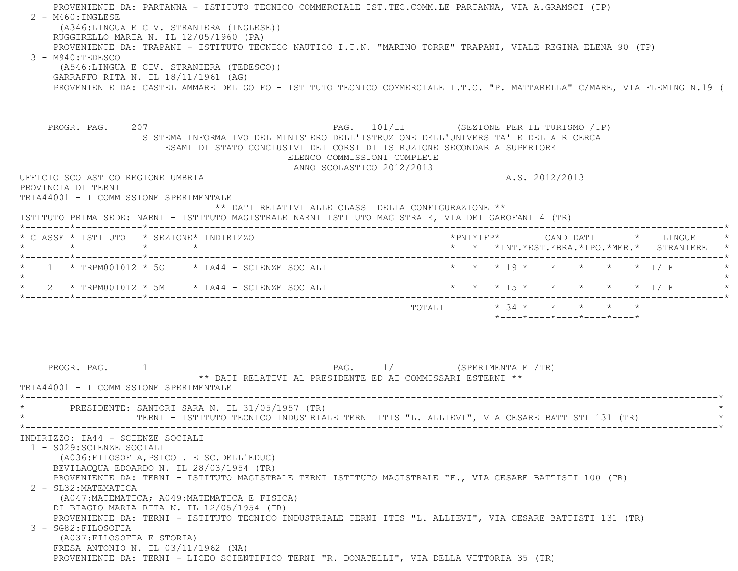| PROVENIENTE DA: PARTANNA - ISTITUTO TECNICO COMMERCIALE IST.TEC.COMM.LE PARTANNA, VIA A.GRAMSCI (TP)<br>2 - M460: INGLESE<br>(A346:LINGUA E CIV. STRANIERA (INGLESE))<br>RUGGIRELLO MARIA N. IL 12/05/1960 (PA)<br>PROVENIENTE DA: TRAPANI - ISTITUTO TECNICO NAUTICO I.T.N. "MARINO TORRE" TRAPANI, VIALE REGINA ELENA 90 (TP)<br>3 - M940:TEDESCO<br>(A546:LINGUA E CIV. STRANIERA (TEDESCO))<br>GARRAFFO RITA N. IL 18/11/1961 (AG)<br>PROVENIENTE DA: CASTELLAMMARE DEL GOLFO - ISTITUTO TECNICO COMMERCIALE I.T.C. "P. MATTARELLA" C/MARE, VIA FLEMING N.19 (                                                                                                                                 |                                                                                                              |
|----------------------------------------------------------------------------------------------------------------------------------------------------------------------------------------------------------------------------------------------------------------------------------------------------------------------------------------------------------------------------------------------------------------------------------------------------------------------------------------------------------------------------------------------------------------------------------------------------------------------------------------------------------------------------------------------------|--------------------------------------------------------------------------------------------------------------|
| PROGR. PAG. 207<br>SISTEMA INFORMATIVO DEL MINISTERO DELL'ISTRUZIONE DELL'UNIVERSITA' E DELLA RICERCA<br>ESAMI DI STATO CONCLUSIVI DEI CORSI DI ISTRUZIONE SECONDARIA SUPERIORE<br>ELENCO COMMISSIONI COMPLETE<br>ANNO SCOLASTICO 2012/2013                                                                                                                                                                                                                                                                                                                                                                                                                                                        | PAG. 101/II (SEZIONE PER IL TURISMO /TP)                                                                     |
| UFFICIO SCOLASTICO REGIONE UMBRIA<br>PROVINCIA DI TERNI                                                                                                                                                                                                                                                                                                                                                                                                                                                                                                                                                                                                                                            | A.S. 2012/2013                                                                                               |
| TRIA44001 - I COMMISSIONE SPERIMENTALE<br>** DATI RELATIVI ALLE CLASSI DELLA CONFIGURAZIONE **                                                                                                                                                                                                                                                                                                                                                                                                                                                                                                                                                                                                     |                                                                                                              |
| ISTITUTO PRIMA SEDE: NARNI - ISTITUTO MAGISTRALE NARNI ISTITUTO MAGISTRALE, VIA DEI GAROFANI 4 (TR)                                                                                                                                                                                                                                                                                                                                                                                                                                                                                                                                                                                                |                                                                                                              |
| * CLASSE * ISTITUTO * SEZIONE* INDIRIZZO                                                                                                                                                                                                                                                                                                                                                                                                                                                                                                                                                                                                                                                           | * * *INT.*EST.*BRA.*IPO.*MER.* STRANIERE *                                                                   |
| $\star$ 1 $\star$ TRPM001012 $\star$ 5G $\star$ IA44 - SCIENZE SOCIALI                                                                                                                                                                                                                                                                                                                                                                                                                                                                                                                                                                                                                             | $\star$ $\star$ $\star$ 19 $\star$<br>$\star$ $\star$ $\star$ $\star$ $\downarrow$ $\downarrow$ $\downarrow$ |
| 2 * TRPM001012 * 5M $\rightarrow$ TA44 - SCIENZE SOCIALI                                                                                                                                                                                                                                                                                                                                                                                                                                                                                                                                                                                                                                           | * * * 15 * * * * * * I/F                                                                                     |
|                                                                                                                                                                                                                                                                                                                                                                                                                                                                                                                                                                                                                                                                                                    | TOTALI * 34 * * * * *<br>*----*----*----*----*----*                                                          |
| PROGR. PAG.<br>** DATI RELATIVI AL PRESIDENTE ED AI COMMISSARI ESTERNI **<br>TRIA44001 - I COMMISSIONE SPERIMENTALE                                                                                                                                                                                                                                                                                                                                                                                                                                                                                                                                                                                | PAG. 1/I (SPERIMENTALE /TR)                                                                                  |
| PRESIDENTE: SANTORI SARA N. IL 31/05/1957 (TR)                                                                                                                                                                                                                                                                                                                                                                                                                                                                                                                                                                                                                                                     | TERNI - ISTITUTO TECNICO INDUSTRIALE TERNI ITIS "L. ALLIEVI", VIA CESARE BATTISTI 131 (TR)                   |
| INDIRIZZO: IA44 - SCIENZE SOCIALI<br>1 - S029: SCIENZE SOCIALI<br>(A036: FILOSOFIA, PSICOL. E SC. DELL'EDUC)<br>BEVILACQUA EDOARDO N. IL 28/03/1954 (TR)<br>PROVENIENTE DA: TERNI - ISTITUTO MAGISTRALE TERNI ISTITUTO MAGISTRALE "F., VIA CESARE BATTISTI 100 (TR)<br>2 - SL32: MATEMATICA<br>(A047: MATEMATICA; A049: MATEMATICA E FISICA)<br>DI BIAGIO MARIA RITA N. IL 12/05/1954 (TR)<br>PROVENIENTE DA: TERNI - ISTITUTO TECNICO INDUSTRIALE TERNI ITIS "L. ALLIEVI", VIA CESARE BATTISTI 131 (TR)<br>3 - SG82: FILOSOFIA<br>(A037: FILOSOFIA E STORIA)<br>FRESA ANTONIO N. IL 03/11/1962 (NA)<br>PROVENIENTE DA: TERNI - LICEO SCIENTIFICO TERNI "R. DONATELLI", VIA DELLA VITTORIA 35 (TR) |                                                                                                              |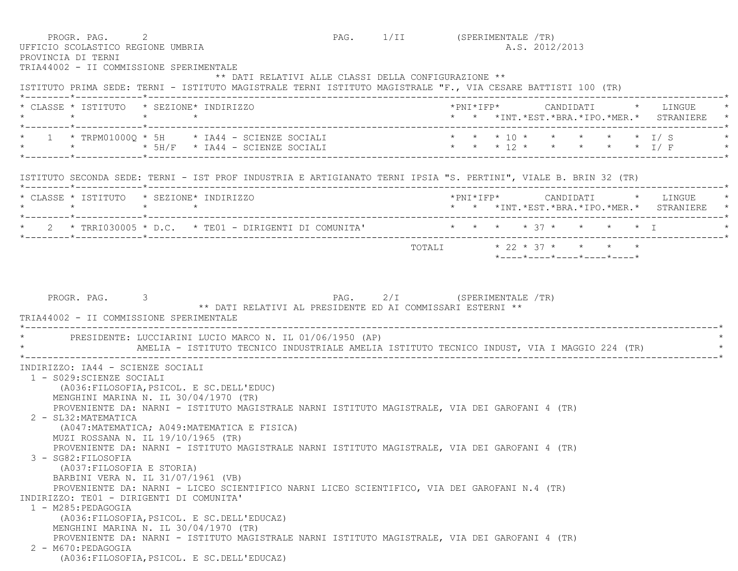| PROGR. PAG. 2<br>PROVINCIA DI TERNI                                                                                           | UFFICIO SCOLASTICO REGIONE UMBRIA<br>TRIA44002 - II COMMISSIONE SPERIMENTALE                                                                                                                                                                                                                                                                                                                                                                                                                                                                                                                                                                                                                   |                                                      | PAG. 1/II (SPERIMENTALE /TR) |  |  | A.S. 2012/2013 |  |                                                                                         |
|-------------------------------------------------------------------------------------------------------------------------------|------------------------------------------------------------------------------------------------------------------------------------------------------------------------------------------------------------------------------------------------------------------------------------------------------------------------------------------------------------------------------------------------------------------------------------------------------------------------------------------------------------------------------------------------------------------------------------------------------------------------------------------------------------------------------------------------|------------------------------------------------------|------------------------------|--|--|----------------|--|-----------------------------------------------------------------------------------------|
|                                                                                                                               | ISTITUTO PRIMA SEDE: TERNI - ISTITUTO MAGISTRALE TERNI ISTITUTO MAGISTRALE "F., VIA CESARE BATTISTI 100 (TR)                                                                                                                                                                                                                                                                                                                                                                                                                                                                                                                                                                                   | ** DATI RELATIVI ALLE CLASSI DELLA CONFIGURAZIONE ** |                              |  |  |                |  |                                                                                         |
| $\star$ $\star$ $\star$ $\star$                                                                                               | * CLASSE * ISTITUTO * SEZIONE* INDIRIZZO                                                                                                                                                                                                                                                                                                                                                                                                                                                                                                                                                                                                                                                       |                                                      |                              |  |  |                |  | *PNI*IFP*     CANDIDATI    *   LINGUE   *<br>* * *INT.*EST.*BRA.*IPO.*MER.* STRANIERE * |
|                                                                                                                               | * 1 * TRPM01000Q * 5H * IA44 - SCIENZE SOCIALI * * * * 10 * * * * * * * I/ S *<br>* * * * $5H/F$ * $IAA4$ - SCIENZE SOCIALI                                                                                                                                                                                                                                                                                                                                                                                                                                                                                                                                                                    |                                                      | * * * 12 * * * * * I/F       |  |  |                |  |                                                                                         |
|                                                                                                                               | ISTITUTO SECONDA SEDE: TERNI - IST PROF INDUSTRIA E ARTIGIANATO TERNI IPSIA "S. PERTINI", VIALE B. BRIN 32 (TR)                                                                                                                                                                                                                                                                                                                                                                                                                                                                                                                                                                                |                                                      |                              |  |  |                |  |                                                                                         |
|                                                                                                                               | * CLASSE * ISTITUTO * SEZIONE* INDIRIZZO                                                                                                                                                                                                                                                                                                                                                                                                                                                                                                                                                                                                                                                       |                                                      |                              |  |  |                |  | * * *INT.*EST.*BRA.*IPO.*MER.* STRANIERE *                                              |
|                                                                                                                               | * 2 * TRRI030005 * D.C. * TE01 - DIRIGENTI DI COMUNITA' * * * * * * * * * * * * * T                                                                                                                                                                                                                                                                                                                                                                                                                                                                                                                                                                                                            |                                                      |                              |  |  |                |  |                                                                                         |
|                                                                                                                               |                                                                                                                                                                                                                                                                                                                                                                                                                                                                                                                                                                                                                                                                                                |                                                      | TOTALI * 22 * 37 * * * *     |  |  |                |  |                                                                                         |
|                                                                                                                               | * PRESIDENTE: LUCCIARINI LUCIO MARCO N. IL 01/06/1950 (AP)<br>AMELIA - ISTITUTO TECNICO INDUSTRIALE AMELIA ISTITUTO TECNICO INDUST, VIA I MAGGIO 224 (TR)                                                                                                                                                                                                                                                                                                                                                                                                                                                                                                                                      |                                                      |                              |  |  |                |  |                                                                                         |
| 1 - S029: SCIENZE SOCIALI<br>2 - SL32: MATEMATICA<br>3 - SG82: FILOSOFIA<br>(A037: FILOSOFIA E STORIA)<br>1 - M285: PEDAGOGIA | INDIRIZZO: IA44 - SCIENZE SOCIALI<br>(A036: FILOSOFIA, PSICOL. E SC. DELL'EDUC)<br>MENGHINI MARINA N. IL 30/04/1970 (TR)<br>PROVENIENTE DA: NARNI - ISTITUTO MAGISTRALE NARNI ISTITUTO MAGISTRALE, VIA DEI GAROFANI 4 (TR)<br>(A047: MATEMATICA; A049: MATEMATICA E FISICA)<br>MUZI ROSSANA N. IL 19/10/1965 (TR)<br>PROVENIENTE DA: NARNI - ISTITUTO MAGISTRALE NARNI ISTITUTO MAGISTRALE, VIA DEI GAROFANI 4 (TR)<br>BARBINI VERA N. IL 31/07/1961 (VB)<br>PROVENIENTE DA: NARNI - LICEO SCIENTIFICO NARNI LICEO SCIENTIFICO, VIA DEI GAROFANI N.4 (TR)<br>INDIRIZZO: TE01 - DIRIGENTI DI COMUNITA'<br>(A036: FILOSOFIA, PSICOL. E SC. DELL'EDUCAZ)<br>MENGHINI MARINA N. IL 30/04/1970 (TR) |                                                      |                              |  |  |                |  |                                                                                         |
| 2 - M670: PEDAGOGIA                                                                                                           | PROVENIENTE DA: NARNI - ISTITUTO MAGISTRALE NARNI ISTITUTO MAGISTRALE, VIA DEI GAROFANI 4 (TR)<br>(A036: FILOSOFIA, PSICOL. E SC. DELL'EDUCAZ)                                                                                                                                                                                                                                                                                                                                                                                                                                                                                                                                                 |                                                      |                              |  |  |                |  |                                                                                         |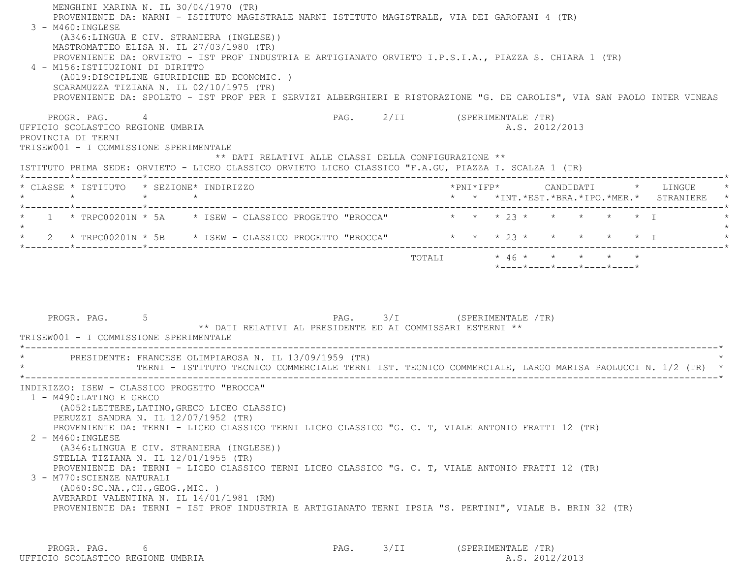MENGHINI MARINA N. IL 30/04/1970 (TR) PROVENIENTE DA: NARNI - ISTITUTO MAGISTRALE NARNI ISTITUTO MAGISTRALE, VIA DEI GAROFANI 4 (TR) 3 - M460:INGLESE (A346:LINGUA E CIV. STRANIERA (INGLESE)) MASTROMATTEO ELISA N. IL 27/03/1980 (TR) PROVENIENTE DA: ORVIETO - IST PROF INDUSTRIA E ARTIGIANATO ORVIETO I.P.S.I.A., PIAZZA S. CHIARA 1 (TR) 4 - M156:ISTITUZIONI DI DIRITTO (A019:DISCIPLINE GIURIDICHE ED ECONOMIC. ) SCARAMUZZA TIZIANA N. IL 02/10/1975 (TR) PROVENIENTE DA: SPOLETO - IST PROF PER I SERVIZI ALBERGHIERI E RISTORAZIONE "G. DE CAROLIS", VIA SAN PAOLO INTER VINEAS PROGR. PAG. 4 4 2/II (SPERIMENTALE /TR) UFFICIO SCOLASTICO REGIONE UMBRIA ANNO 1999 - A.S. 2012/2013 PROVINCIA DI TERNI TRISEW001 - I COMMISSIONE SPERIMENTALE \*\* DATI RELATIVI ALLE CLASSI DELLA CONFIGURAZIONE \*\* ISTITUTO PRIMA SEDE: ORVIETO - LICEO CLASSICO ORVIETO LICEO CLASSICO "F.A.GU, PIAZZA I. SCALZA 1 (TR) \*--------\*------------\*-------------------------------------------------------------------------------------------------------\* \* CLASSE \* ISTITUTO \* SEZIONE\* INDIRIZZO \*PNI\*IFP\* CANDIDATI \* LINGUE \* \* \* \* \* \* \* \*INT.\*EST.\*BRA.\*IPO.\*MER.\* STRANIERE \* \*--------\*------------\*-------------------------------------------------------------------------------------------------------\* $1$  \* TRPC00201N \* 5A  $\quad$  \* ISEW - CLASSICO PROGETTO "BROCCA"  $\quad$  \* \* \* 23 \* \* \* \* \* \* \* \*  $\star$  \* 2 \* TRPC00201N \* 5B \* ISEW - CLASSICO PROGETTO "BROCCA" \* \* \* 23 \* \* \* \* \* I \* \*--------\*------------\*-------------------------------------------------------------------------------------------------------\* $\texttt{TOTALI} \qquad \qquad \star \; \; 46 \; \star \qquad \star \qquad \star \qquad \star \qquad \star \qquad \star$  \*----\*----\*----\*----\*----\*PROGR. PAG. 5 5 2 2 2 3/I (SPERIMENTALE TR) \*\* DATI RELATIVI AL PRESIDENTE ED AI COMMISSARI ESTERNI \*\* TRISEW001 - I COMMISSIONE SPERIMENTALE \*----------------------------------------------------------------------------------------------------------------------------\*PRESIDENTE: FRANCESE OLIMPIAROSA N. IL 13/09/1959 (TR) \* TERNI - ISTITUTO TECNICO COMMERCIALE TERNI IST. TECNICO COMMERCIALE, LARGO MARISA PAOLUCCI N. 1/2 (TR) \* \*----------------------------------------------------------------------------------------------------------------------------\* INDIRIZZO: ISEW - CLASSICO PROGETTO "BROCCA" 1 - M490:LATINO E GRECO (A052:LETTERE,LATINO,GRECO LICEO CLASSIC) PERUZZI SANDRA N. IL 12/07/1952 (TR) PROVENIENTE DA: TERNI - LICEO CLASSICO TERNI LICEO CLASSICO "G. C. T, VIALE ANTONIO FRATTI 12 (TR) 2 - M460:INGLESE (A346:LINGUA E CIV. STRANIERA (INGLESE)) STELLA TIZIANA N. IL 12/01/1955 (TR) PROVENIENTE DA: TERNI - LICEO CLASSICO TERNI LICEO CLASSICO "G. C. T, VIALE ANTONIO FRATTI 12 (TR) 3 - M770:SCIENZE NATURALI (A060:SC.NA.,CH.,GEOG.,MIC. ) AVERARDI VALENTINA N. IL 14/01/1981 (RM) PROVENIENTE DA: TERNI - IST PROF INDUSTRIA E ARTIGIANATO TERNI IPSIA "S. PERTINI", VIALE B. BRIN 32 (TR)

 PROGR. PAG. 6 PAG. 3/II (SPERIMENTALE /TR) UFFICIO SCOLASTICO REGIONE UMBRIA A.S. 2012/2013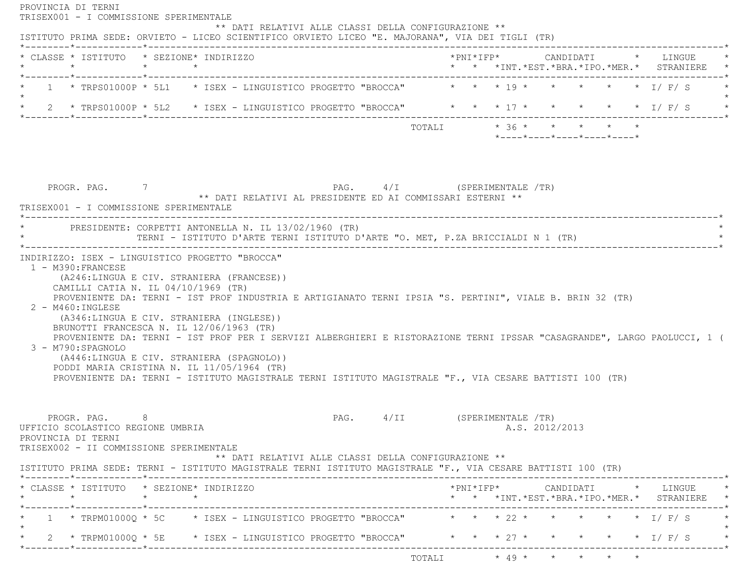| * CLASSE * ISTITUTO * SEZIONE* INDIRIZZO<br>$\star$ $\star$<br>$\star$                                                                                                                                                                                                                                                                                                                                                                                                                          |                                                                                           |                         |  |                                                  |  | *PNI*IFP*     CANDIDATI    *   LINGUE<br>* * *INT. *EST. *BRA. *IPO. *MER. * STRANIERE |
|-------------------------------------------------------------------------------------------------------------------------------------------------------------------------------------------------------------------------------------------------------------------------------------------------------------------------------------------------------------------------------------------------------------------------------------------------------------------------------------------------|-------------------------------------------------------------------------------------------|-------------------------|--|--------------------------------------------------|--|----------------------------------------------------------------------------------------|
| *--------*------------*------------<br>1 * TRPS01000P * 5L1 * ISEX - LINGUISTICO PROGETTO "BROCCA" * * * 19 * * * * * * * I/F/S                                                                                                                                                                                                                                                                                                                                                                 |                                                                                           |                         |  |                                                  |  |                                                                                        |
| $\star$<br>* 2 * TRPS01000P * 5L2 * ISEX - LINGUISTICO PROGETTO "BROCCA" * * * 17 * * * * * * * I/ F/ S                                                                                                                                                                                                                                                                                                                                                                                         |                                                                                           |                         |  |                                                  |  |                                                                                        |
|                                                                                                                                                                                                                                                                                                                                                                                                                                                                                                 |                                                                                           | TOTALI * 36 * * * * * * |  | $*$ ---- $*$ ---- $*$ ---- $*$ ---- $*$ ---- $*$ |  |                                                                                        |
|                                                                                                                                                                                                                                                                                                                                                                                                                                                                                                 |                                                                                           |                         |  |                                                  |  |                                                                                        |
| PROGR. PAG. 7<br>TRISEX001 - I COMMISSIONE SPERIMENTALE                                                                                                                                                                                                                                                                                                                                                                                                                                         | PAG. 4/I (SPERIMENTALE /TR)<br>** DATI RELATIVI AL PRESIDENTE ED AI COMMISSARI ESTERNI ** |                         |  |                                                  |  |                                                                                        |
| * PRESIDENTE: CORPETTI ANTONELLA N. IL 13/02/1960 (TR)<br>TERNI - ISTITUTO D'ARTE TERNI ISTITUTO D'ARTE "O. MET, P.ZA BRICCIALDI N 1 (TR)                                                                                                                                                                                                                                                                                                                                                       |                                                                                           |                         |  |                                                  |  |                                                                                        |
| 1 - M390: FRANCESE<br>(A246:LINGUA E CIV. STRANIERA (FRANCESE))<br>CAMILLI CATIA N. IL 04/10/1969 (TR)<br>PROVENIENTE DA: TERNI - IST PROF INDUSTRIA E ARTIGIANATO TERNI IPSIA "S. PERTINI", VIALE B. BRIN 32 (TR)<br>2 - M460: INGLESE                                                                                                                                                                                                                                                         |                                                                                           |                         |  |                                                  |  |                                                                                        |
| INDIRIZZO: ISEX - LINGUISTICO PROGETTO "BROCCA"<br>(A346:LINGUA E CIV. STRANIERA (INGLESE))<br>BRUNOTTI FRANCESCA N. IL 12/06/1963 (TR)<br>PROVENIENTE DA: TERNI - IST PROF PER I SERVIZI ALBERGHIERI E RISTORAZIONE TERNI IPSSAR "CASAGRANDE", LARGO PAOLUCCI, 1 (<br>3 - M790: SPAGNOLO<br>(A446:LINGUA E CIV. STRANIERA (SPAGNOLO))<br>PODDI MARIA CRISTINA N. IL 11/05/1964 (TR)<br>PROVENIENTE DA: TERNI - ISTITUTO MAGISTRALE TERNI ISTITUTO MAGISTRALE "F., VIA CESARE BATTISTI 100 (TR) |                                                                                           |                         |  |                                                  |  |                                                                                        |
| 8<br>PROGR. PAG.<br>UFFICIO SCOLASTICO REGIONE UMBRIA<br>PROVINCIA DI TERNI<br>TRISEX002 - II COMMISSIONE SPERIMENTALE                                                                                                                                                                                                                                                                                                                                                                          | PAG. 4/II (SPERIMENTALE /TR)<br>** DATI RELATIVI ALLE CLASSI DELLA CONFIGURAZIONE **      |                         |  | A.S. 2012/2013                                   |  |                                                                                        |
| $\star$ $\star$ $\star$                                                                                                                                                                                                                                                                                                                                                                                                                                                                         |                                                                                           |                         |  |                                                  |  |                                                                                        |
| ISTITUTO PRIMA SEDE: TERNI - ISTITUTO MAGISTRALE TERNI ISTITUTO MAGISTRALE "F., VIA CESARE BATTISTI 100 (TR)<br>* CLASSE * ISTITUTO * SEZIONE* INDIRIZZO<br>______*____________*__________<br>1 * TRPM01000Q * 5C * ISEX - LINGUISTICO PROGETTO "BROCCA" * * * 22 * * * * * * * I/ F/ S                                                                                                                                                                                                         |                                                                                           |                         |  |                                                  |  | * * *INT. *EST. *BRA. *IPO. *MER. * STRANIERE *                                        |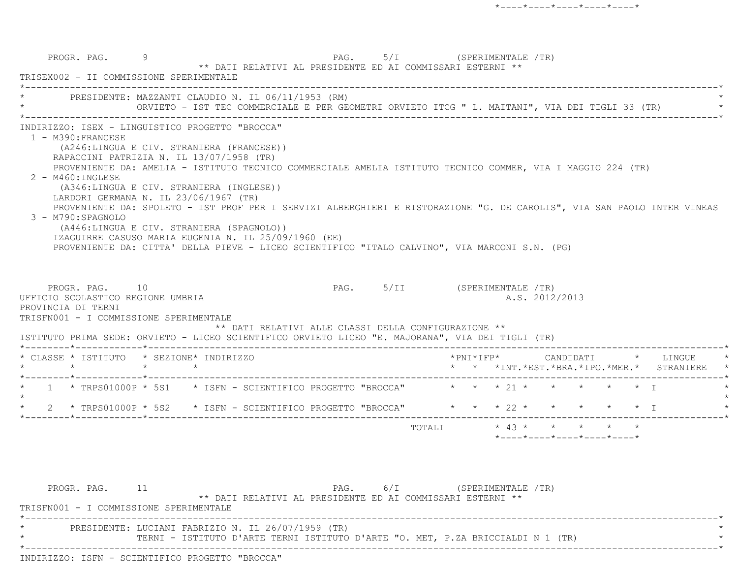| PRESIDENTE: MAZZANTI CLAUDIO N. IL 06/11/1953 (RM)                                                                                                                                                                                                                                                                                                                                                                                                                                                                                         |  | ORVIETO - IST TEC COMMERCIALE E PER GEOMETRI ORVIETO ITCG " L. MAITANI", VIA DEI TIGLI 33 (TR) |                              |  |                |  |                                            |
|--------------------------------------------------------------------------------------------------------------------------------------------------------------------------------------------------------------------------------------------------------------------------------------------------------------------------------------------------------------------------------------------------------------------------------------------------------------------------------------------------------------------------------------------|--|------------------------------------------------------------------------------------------------|------------------------------|--|----------------|--|--------------------------------------------|
| INDIRIZZO: ISEX - LINGUISTICO PROGETTO "BROCCA"<br>$1 - M390 : FRANCESE$<br>(A246:LINGUA E CIV. STRANIERA (FRANCESE))<br>RAPACCINI PATRIZIA N. IL 13/07/1958 (TR)<br>PROVENIENTE DA: AMELIA - ISTITUTO TECNICO COMMERCIALE AMELIA ISTITUTO TECNICO COMMER, VIA I MAGGIO 224 (TR)<br>2 - M460: INGLESE<br>(A346:LINGUA E CIV. STRANIERA (INGLESE))<br>LARDORI GERMANA N. IL 23/06/1967 (TR)<br>PROVENIENTE DA: SPOLETO - IST PROF PER I SERVIZI ALBERGHIERI E RISTORAZIONE "G. DE CAROLIS", VIA SAN PAOLO INTER VINEAS<br>3 - M790:SPAGNOLO |  |                                                                                                |                              |  |                |  |                                            |
| (A446:LINGUA E CIV. STRANIERA (SPAGNOLO))<br>IZAGUIRRE CASUSO MARIA EUGENIA N. IL 25/09/1960 (EE)<br>PROVENIENTE DA: CITTA' DELLA PIEVE - LICEO SCIENTIFICO "ITALO CALVINO", VIA MARCONI S.N. (PG)<br>PROGR. PAG. 10<br>UFFICIO SCOLASTICO REGIONE UMBRIA<br>PROVINCIA DI TERNI<br>TRISFN001 - I COMMISSIONE SPERIMENTALE<br>ISTITUTO PRIMA SEDE: ORVIETO - LICEO SCIENTIFICO ORVIETO LICEO "E. MAJORANA", VIA DEI TIGLI (TR)                                                                                                              |  | ** DATI RELATIVI ALLE CLASSI DELLA CONFIGURAZIONE **                                           | PAG. 5/II (SPERIMENTALE /TR) |  | A.S. 2012/2013 |  |                                            |
| * CLASSE * ISTITUTO * SEZIONE* INDIRIZZO                                                                                                                                                                                                                                                                                                                                                                                                                                                                                                   |  |                                                                                                |                              |  |                |  |                                            |
|                                                                                                                                                                                                                                                                                                                                                                                                                                                                                                                                            |  |                                                                                                |                              |  |                |  | * * *INT.*EST.*BRA.*IPO.*MER.* STRANIERE * |
| * 1 * TRPS01000P * 5S1 * ISFN - SCIENTIFICO PROGETTO "BROCCA" * * * 21 * * * * * * * I<br>2 * TRPS01000P * 5S2 * ISFN - SCIENTIFICO PROGETTO "BROCCA" * * * 22 * * * * * * * I                                                                                                                                                                                                                                                                                                                                                             |  |                                                                                                |                              |  |                |  |                                            |

PROGR. PAG. 11 2009 PAG. PAG. 6/I (SPERIMENTALE /TR) \*\* DATI RELATIVI AL PRESIDENTE ED AI COMMISSARI ESTERNI \*\* TRISFN001 - I COMMISSIONE SPERIMENTALE \*----------------------------------------------------------------------------------------------------------------------------\*PRESIDENTE: LUCIANI FABRIZIO N. IL 26/07/1959 (TR) \* TERNI - ISTITUTO D'ARTE TERNI ISTITUTO D'ARTE "O. MET, P.ZA BRICCIALDI N 1 (TR) \* \*----------------------------------------------------------------------------------------------------------------------------\*INDIRIZZO: ISFN - SCIENTIFICO PROGETTO "BROCCA"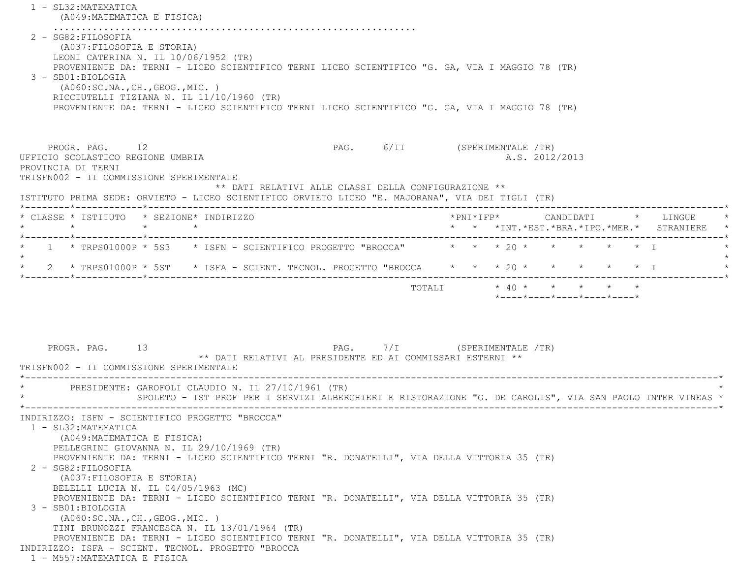|                                                                                                                                                                                                                                                                                                                                                                                                     | (A049: MATEMATICA E FISICA) |  |  |                                                                                           |        |  |                |                                                                                                                       |                                                                                                           |
|-----------------------------------------------------------------------------------------------------------------------------------------------------------------------------------------------------------------------------------------------------------------------------------------------------------------------------------------------------------------------------------------------------|-----------------------------|--|--|-------------------------------------------------------------------------------------------|--------|--|----------------|-----------------------------------------------------------------------------------------------------------------------|-----------------------------------------------------------------------------------------------------------|
| 2 - SG82: FILOSOFIA<br>(A037: FILOSOFIA E STORIA)<br>LEONI CATERINA N. IL 10/06/1952 (TR)<br>PROVENIENTE DA: TERNI - LICEO SCIENTIFICO TERNI LICEO SCIENTIFICO "G. GA, VIA I MAGGIO 78 (TR)<br>3 - SB01:BIOLOGIA<br>(AO60:SC.NA., CH., GEOG., MIC. )<br>RICCIUTELLI TIZIANA N. IL 11/10/1960 (TR)<br>PROVENIENTE DA: TERNI - LICEO SCIENTIFICO TERNI LICEO SCIENTIFICO "G. GA, VIA I MAGGIO 78 (TR) |                             |  |  |                                                                                           |        |  |                |                                                                                                                       |                                                                                                           |
|                                                                                                                                                                                                                                                                                                                                                                                                     |                             |  |  |                                                                                           |        |  |                |                                                                                                                       |                                                                                                           |
| PROGR. PAG. 12<br>UFFICIO SCOLASTICO REGIONE UMBRIA<br>PROVINCIA DI TERNI<br>TRISFN002 - II COMMISSIONE SPERIMENTALE                                                                                                                                                                                                                                                                                |                             |  |  | PAG. 6/II (SPERIMENTALE /TR)                                                              |        |  | A.S. 2012/2013 |                                                                                                                       |                                                                                                           |
| ISTITUTO PRIMA SEDE: ORVIETO - LICEO SCIENTIFICO ORVIETO LICEO "E. MAJORANA", VIA DEI TIGLI (TR)                                                                                                                                                                                                                                                                                                    |                             |  |  | ** DATI RELATIVI ALLE CLASSI DELLA CONFIGURAZIONE **                                      |        |  |                |                                                                                                                       |                                                                                                           |
| * CLASSE * ISTITUTO * SEZIONE* INDIRIZZO                                                                                                                                                                                                                                                                                                                                                            |                             |  |  |                                                                                           |        |  |                |                                                                                                                       | *PNI*IFP*     CANDIDATI    *   LINGUE<br>* * *INT. *EST. *BRA. *IPO. *MER. * STRANIERE *                  |
| 1 * TRPS01000P * 5S3 * ISFN - SCIENTIFICO PROGETTO "BROCCA" * * * 20 * * *                                                                                                                                                                                                                                                                                                                          |                             |  |  |                                                                                           |        |  |                | $\star$ $\star$ $\top$                                                                                                |                                                                                                           |
| 2 * TRPS01000P * 5ST * ISFA - SCIENT. TECNOL. PROGETTO "BROCCA * * * 20 * *                                                                                                                                                                                                                                                                                                                         |                             |  |  |                                                                                           |        |  |                |                                                                                                                       | $\star$ $\star$ $\star$ T                                                                                 |
|                                                                                                                                                                                                                                                                                                                                                                                                     |                             |  |  |                                                                                           | TOTALI |  |                | $\star$ 40 $\star$ $\star$ $\star$ $\star$ $\star$<br>$*$ - - - - $*$ - - - - $*$ - - - - $*$ - - - - $*$ - - - - $*$ |                                                                                                           |
| PROGR. PAG. 13<br>TRISFN002 - II COMMISSIONE SPERIMENTALE                                                                                                                                                                                                                                                                                                                                           |                             |  |  | PAG. 7/I (SPERIMENTALE /TR)<br>** DATI RELATIVI AL PRESIDENTE ED AI COMMISSARI ESTERNI ** |        |  |                |                                                                                                                       |                                                                                                           |
| PRESIDENTE: GAROFOLI CLAUDIO N. IL 27/10/1961 (TR)                                                                                                                                                                                                                                                                                                                                                  |                             |  |  |                                                                                           |        |  |                |                                                                                                                       | SPOLETO - IST PROF PER I SERVIZI ALBERGHIERI E RISTORAZIONE "G. DE CAROLIS", VIA SAN PAOLO INTER VINEAS * |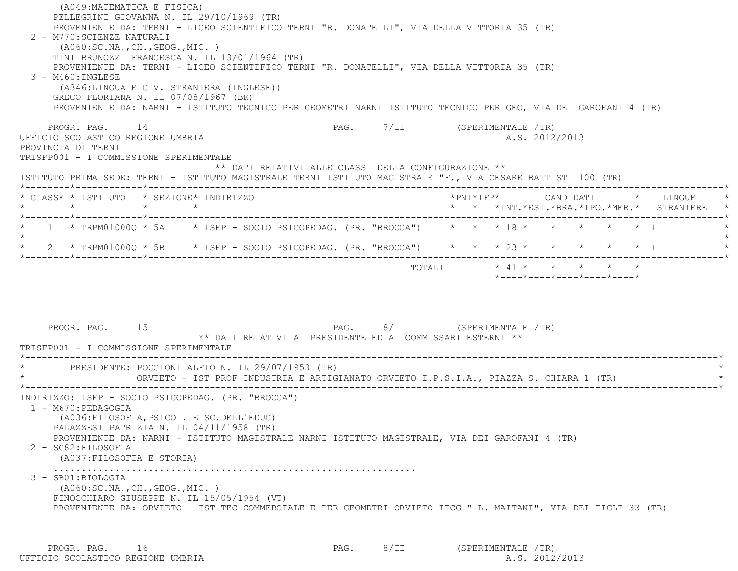(A049:MATEMATICA E FISICA) PELLEGRINI GIOVANNA N. IL 29/10/1969 (TR) PROVENIENTE DA: TERNI - LICEO SCIENTIFICO TERNI "R. DONATELLI", VIA DELLA VITTORIA 35 (TR) 2 - M770:SCIENZE NATURALI (A060:SC.NA.,CH.,GEOG.,MIC. ) TINI BRUNOZZI FRANCESCA N. IL 13/01/1964 (TR) PROVENIENTE DA: TERNI - LICEO SCIENTIFICO TERNI "R. DONATELLI", VIA DELLA VITTORIA 35 (TR) 3 - M460:INGLESE (A346:LINGUA E CIV. STRANIERA (INGLESE)) GRECO FLORIANA N. IL 07/08/1967 (BR) PROVENIENTE DA: NARNI - ISTITUTO TECNICO PER GEOMETRI NARNI ISTITUTO TECNICO PER GEO, VIA DEI GAROFANI 4 (TR) PROGR. PAG. 14 CHARGE 14 PAG. 7/II (SPERIMENTALE /TR) UFFICIO SCOLASTICO REGIONE UMBRIA A.S. 2012/2013 PROVINCIA DI TERNI TRISFP001 - I COMMISSIONE SPERIMENTALE \*\* DATI RELATIVI ALLE CLASSI DELLA CONFIGURAZIONE \*\* ISTITUTO PRIMA SEDE: TERNI - ISTITUTO MAGISTRALE TERNI ISTITUTO MAGISTRALE "F., VIA CESARE BATTISTI 100 (TR) \*--------\*------------\*-------------------------------------------------------------------------------------------------------\* \* CLASSE \* ISTITUTO \* SEZIONE\* INDIRIZZO \*PNI\*IFP\* CANDIDATI \* LINGUE \* \* \* \* \* \* \* \*INT.\*EST.\*BRA.\*IPO.\*MER.\* STRANIERE \* \*--------\*------------\*-------------------------------------------------------------------------------------------------------\*\* 1 \* TRPM01000Q \* 5A \* ISFP - SOCIO PSICOPEDAG. (PR. "BROCCA") \* \* \* 18 \* \* \* \* \* \* \* T  $\star$ \* 2 \* TRPM01000Q \* 5B \* ISFP - SOCIO PSICOPEDAG. (PR. "BROCCA") \* \* \* \* 23 \* \* \* \* \* \* \* \* I \*--------\*------------\*-------------------------------------------------------------------------------------------------------\*TOTALI  $\star$  41  $\star$   $\star$   $\star$   $\star$   $\star$  \*----\*----\*----\*----\*----\*PROGR. PAG. 15 28 PAG. 2015 PAG. 8/I (SPERIMENTALE /TR) \*\* DATI RELATIVI AL PRESIDENTE ED AI COMMISSARI ESTERNI \*\* TRISFP001 - I COMMISSIONE SPERIMENTALE \*----------------------------------------------------------------------------------------------------------------------------\*PRESIDENTE: POGGIONI ALFIO N. IL 29/07/1953 (TR) \* ORVIETO - IST PROF INDUSTRIA E ARTIGIANATO ORVIETO I.P.S.I.A., PIAZZA S. CHIARA 1 (TR) \* \*----------------------------------------------------------------------------------------------------------------------------\* INDIRIZZO: ISFP - SOCIO PSICOPEDAG. (PR. "BROCCA") 1 - M670:PEDAGOGIA (A036:FILOSOFIA,PSICOL. E SC.DELL'EDUC) PALAZZESI PATRIZIA N. IL 04/11/1958 (TR) PROVENIENTE DA: NARNI - ISTITUTO MAGISTRALE NARNI ISTITUTO MAGISTRALE, VIA DEI GAROFANI 4 (TR) 2 - SG82:FILOSOFIA (A037:FILOSOFIA E STORIA) ................................................................. 3 - SB01:BIOLOGIA (A060:SC.NA.,CH.,GEOG.,MIC. ) FINOCCHIARO GIUSEPPE N. IL 15/05/1954 (VT) PROVENIENTE DA: ORVIETO - IST TEC COMMERCIALE E PER GEOMETRI ORVIETO ITCG " L. MAITANI", VIA DEI TIGLI 33 (TR)

PROGR. PAG. 16 16 PAG. PAG. 8/II (SPERIMENTALE /TR) UFFICIO SCOLASTICO REGIONE UMBRIA A.S. 2012/2013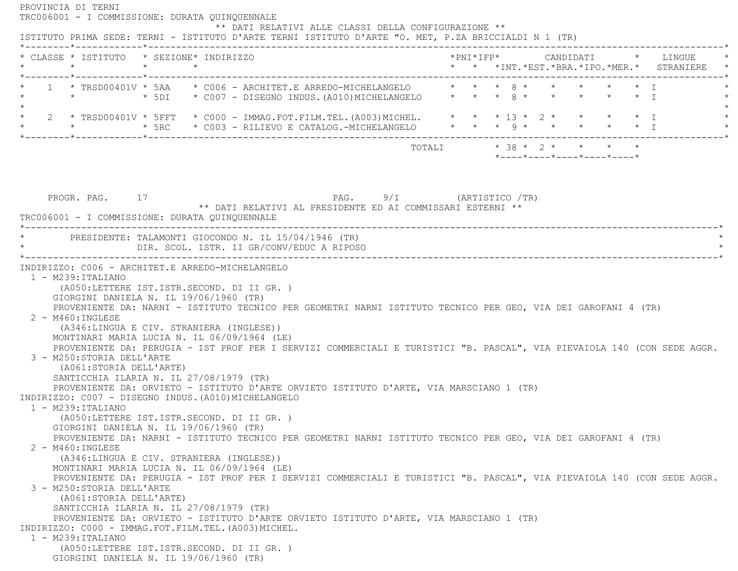PROVINCIA DI TERNI TRC006001 - I COMMISSIONE: DURATA QUINQUENNALE \*\* DATI RELATIVI ALLE CLASSI DELLA CONFIGURAZIONE \*\* ISTITUTO PRIMA SEDE: TERNI - ISTITUTO D'ARTE TERNI ISTITUTO D'ARTE "O. MET, P.ZA BRICCIALDI N 1 (TR) \*--------\*------------\*-------------------------------------------------------------------------------------------------------\* \* CLASSE \* ISTITUTO \* SEZIONE\* INDIRIZZO \*PNI\*IFP\* CANDIDATI \* LINGUE \* \* \* \* \* \* \* \*INT.\*EST.\*BRA.\*IPO.\*MER.\* STRANIERE \* \*--------\*------------\*-------------------------------------------------------------------------------------------------------\*1 \* TRSD00401V \* 5AA \* C006 - ARCHITET.E ARREDO-MICHELANGELO \* \* \* 8 \* \* \* \* \* \* \* I \* \* \* 5DI \* C007 - DISEGNO INDUS.(A010)MICHELANGELO \* \* \* 8 \* \* \* \* \* I \*  $\star$  \* 2 \* TRSD00401V \* 5FFT \* C000 - IMMAG.FOT.FILM.TEL.(A003)MICHEL. \* \* \* 13 \* 2 \* \* \* \* I \* \* \* \* 5RC \* C003 - RILIEVO E CATALOG.-MICHELANGELO \* \* \* 9 \* \* \* \* \* I \* \*--------\*------------\*-------------------------------------------------------------------------------------------------------\* $\texttt{TOTAL} \qquad \qquad \star \quad 38 \; \star \quad 2 \; \star \qquad \star \qquad \star \qquad \star \qquad \star$  \*----\*----\*----\*----\*----\*PROGR. PAG. 17 PROGR. PAG. 9/I (ARTISTICO /TR) \*\* DATI RELATIVI AL PRESIDENTE ED AI COMMISSARI ESTERNI \*\* TRC006001 - I COMMISSIONE: DURATA QUINQUENNALE \*----------------------------------------------------------------------------------------------------------------------------\*PRESIDENTE: TALAMONTI GIOCONDO N. IL 15/04/1946 (TR) DIR. SCOL. ISTR. II GR/CONV/EDUC A RIPOSO \*----------------------------------------------------------------------------------------------------------------------------\* INDIRIZZO: C006 - ARCHITET.E ARREDO-MICHELANGELO 1 - M239:ITALIANO (A050:LETTERE IST.ISTR.SECOND. DI II GR. ) GIORGINI DANIELA N. IL 19/06/1960 (TR) PROVENIENTE DA: NARNI - ISTITUTO TECNICO PER GEOMETRI NARNI ISTITUTO TECNICO PER GEO, VIA DEI GAROFANI 4 (TR) 2 - M460:INGLESE (A346:LINGUA E CIV. STRANIERA (INGLESE)) MONTINARI MARIA LUCIA N. IL 06/09/1964 (LE) PROVENIENTE DA: PERUGIA - IST PROF PER I SERVIZI COMMERCIALI E TURISTICI "B. PASCAL", VIA PIEVAIOLA 140 (CON SEDE AGGR. 3 - M250:STORIA DELL'ARTE (A061:STORIA DELL'ARTE) SANTICCHIA ILARIA N. IL 27/08/1979 (TR) PROVENIENTE DA: ORVIETO - ISTITUTO D'ARTE ORVIETO ISTITUTO D'ARTE, VIA MARSCIANO 1 (TR) INDIRIZZO: C007 - DISEGNO INDUS.(A010)MICHELANGELO 1 - M239:ITALIANO (A050:LETTERE IST.ISTR.SECOND. DI II GR. ) GIORGINI DANIELA N. IL 19/06/1960 (TR) PROVENIENTE DA: NARNI - ISTITUTO TECNICO PER GEOMETRI NARNI ISTITUTO TECNICO PER GEO, VIA DEI GAROFANI 4 (TR) 2 - M460:INGLESE (A346:LINGUA E CIV. STRANIERA (INGLESE)) MONTINARI MARIA LUCIA N. IL 06/09/1964 (LE) PROVENIENTE DA: PERUGIA - IST PROF PER I SERVIZI COMMERCIALI E TURISTICI "B. PASCAL", VIA PIEVAIOLA 140 (CON SEDE AGGR. 3 - M250:STORIA DELL'ARTE (A061:STORIA DELL'ARTE) SANTICCHIA ILARIA N. IL 27/08/1979 (TR) PROVENIENTE DA: ORVIETO - ISTITUTO D'ARTE ORVIETO ISTITUTO D'ARTE, VIA MARSCIANO 1 (TR) INDIRIZZO: C000 - IMMAG.FOT.FILM.TEL.(A003)MICHEL. 1 - M239:ITALIANO (A050:LETTERE IST.ISTR.SECOND. DI II GR. ) GIORGINI DANIELA N. IL 19/06/1960 (TR)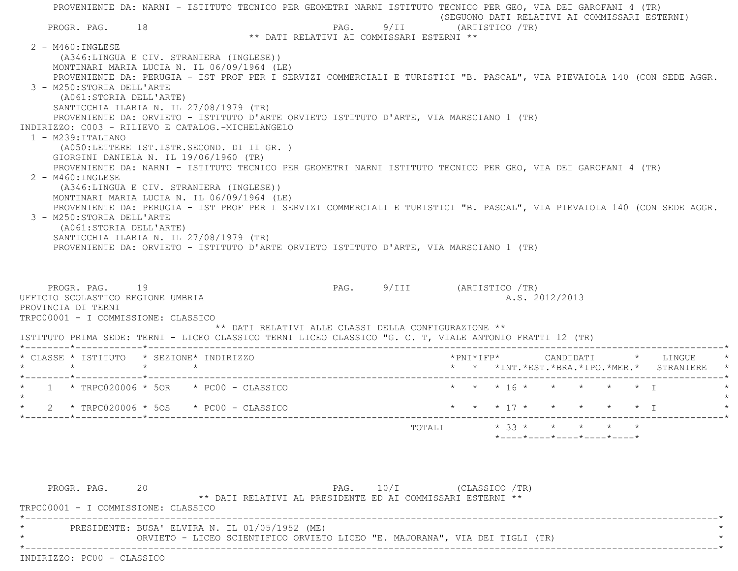PROVENIENTE DA: NARNI - ISTITUTO TECNICO PER GEOMETRI NARNI ISTITUTO TECNICO PER GEO, VIA DEI GAROFANI 4 (TR) (SEGUONO DATI RELATIVI AI COMMISSARI ESTERNI) PROGR. PAG. 18 18 PAG. 9/II (ARTISTICO /TR) \*\* DATI RELATIVI AI COMMISSARI ESTERNI \*\* 2 - M460:INGLESE (A346:LINGUA E CIV. STRANIERA (INGLESE)) MONTINARI MARIA LUCIA N. IL 06/09/1964 (LE) PROVENIENTE DA: PERUGIA - IST PROF PER I SERVIZI COMMERCIALI E TURISTICI "B. PASCAL", VIA PIEVAIOLA 140 (CON SEDE AGGR. 3 - M250:STORIA DELL'ARTE (A061:STORIA DELL'ARTE) SANTICCHIA ILARIA N. IL 27/08/1979 (TR) PROVENIENTE DA: ORVIETO - ISTITUTO D'ARTE ORVIETO ISTITUTO D'ARTE, VIA MARSCIANO 1 (TR) INDIRIZZO: C003 - RILIEVO E CATALOG.-MICHELANGELO 1 - M239:ITALIANO (A050:LETTERE IST.ISTR.SECOND. DI II GR. ) GIORGINI DANIELA N. IL 19/06/1960 (TR) PROVENIENTE DA: NARNI - ISTITUTO TECNICO PER GEOMETRI NARNI ISTITUTO TECNICO PER GEO, VIA DEI GAROFANI 4 (TR) 2 - M460:INGLESE (A346:LINGUA E CIV. STRANIERA (INGLESE)) MONTINARI MARIA LUCIA N. IL 06/09/1964 (LE) PROVENIENTE DA: PERUGIA - IST PROF PER I SERVIZI COMMERCIALI E TURISTICI "B. PASCAL", VIA PIEVAIOLA 140 (CON SEDE AGGR. 3 - M250:STORIA DELL'ARTE (A061:STORIA DELL'ARTE) SANTICCHIA ILARIA N. IL 27/08/1979 (TR) PROVENIENTE DA: ORVIETO - ISTITUTO D'ARTE ORVIETO ISTITUTO D'ARTE, VIA MARSCIANO 1 (TR) PROGR. PAG. 19 PAG. 9/III (ARTISTICO /TR) UFFICIO SCOLASTICO REGIONE UMBRIA A.S. 2012/2013 PROVINCIA DI TERNI TRPC00001 - I COMMISSIONE: CLASSICO \*\* DATI RELATIVI ALLE CLASSI DELLA CONFIGURAZIONE \*\* ISTITUTO PRIMA SEDE: TERNI - LICEO CLASSICO TERNI LICEO CLASSICO "G. C. T, VIALE ANTONIO FRATTI 12 (TR) \*--------\*------------\*-------------------------------------------------------------------------------------------------------\* \* CLASSE \* ISTITUTO \* SEZIONE\* INDIRIZZO \*PNI\*IFP\* CANDIDATI \* LINGUE \* \* \* \* \* \* \* \*INT.\*EST.\*BRA.\*IPO.\*MER.\* STRANIERE \* \*--------\*------------\*-------------------------------------------------------------------------------------------------------\*1 \* TRPC020006 \* 5OR \* PC00 - CLASSICO \* \* \* \* \* \* \* \* \* \* \* \* \* \* \* \* I \* \* \* \* \* \* I  $\star$ \* 2 \* TRPC020006 \* 5OS \* PC00 - CLASSICO \* \* \* \* 17 \* \* \* \* \* \* \* \* I \*--------\*------------\*-------------------------------------------------------------------------------------------------------\* $\texttt{TOTAL} \qquad \qquad \star \quad 33 \; \star \qquad \star \qquad \star \qquad \star \qquad \star \qquad \star$ \*----\*----\*----\*----\*----\*

PROGR. PAG. 20 20 PAG. 10/I (CLASSICO /TR) \*\* DATI RELATIVI AL PRESIDENTE ED AI COMMISSARI ESTERNI \*\* TRPC00001 - I COMMISSIONE: CLASSICO \*----------------------------------------------------------------------------------------------------------------------------\*PRESIDENTE: BUSA' ELVIRA N. IL 01/05/1952 (ME) ORVIETO - LICEO SCIENTIFICO ORVIETO LICEO "E. MAJORANA", VIA DEI TIGLI (TR) \*----------------------------------------------------------------------------------------------------------------------------\*INDIRIZZO: PC00 - CLASSICO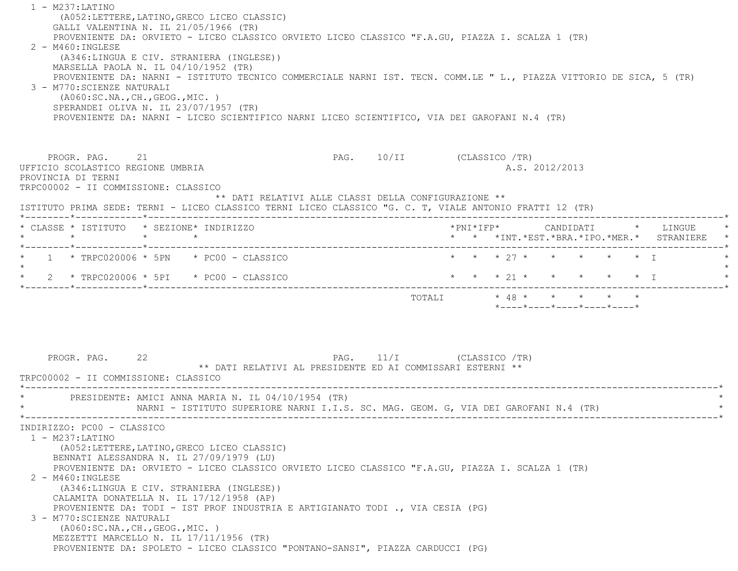| $1 - M237: LATINO$<br>(A052; LETTERE, LATINO, GRECO LICEO CLASSIC)<br>GALLI VALENTINA N. IL 21/05/1966 (TR)<br>PROVENIENTE DA: ORVIETO - LICEO CLASSICO ORVIETO LICEO CLASSICO "F.A.GU, PIAZZA I. SCALZA 1 (TR)<br>$2 - M460$ : INGLESE<br>(A346:LINGUA E CIV. STRANIERA (INGLESE))<br>MARSELLA PAOLA N. IL 04/10/1952 (TR)<br>PROVENIENTE DA: NARNI - ISTITUTO TECNICO COMMERCIALE NARNI IST. TECN. COMM.LE " L., PIAZZA VITTORIO DE SICA, 5 (TR)<br>3 - M770: SCIENZE NATURALI<br>( A060:SC.NA., CH., GEOG., MIC. )<br>SPERANDEI OLIVA N. IL 23/07/1957 (TR)<br>PROVENIENTE DA: NARNI - LICEO SCIENTIFICO NARNI LICEO SCIENTIFICO, VIA DEI GAROFANI N.4 (TR) |                           |                                          |                                                  |                |  |  |
|----------------------------------------------------------------------------------------------------------------------------------------------------------------------------------------------------------------------------------------------------------------------------------------------------------------------------------------------------------------------------------------------------------------------------------------------------------------------------------------------------------------------------------------------------------------------------------------------------------------------------------------------------------------|---------------------------|------------------------------------------|--------------------------------------------------|----------------|--|--|
| PROGR. PAG. 21<br>UFFICIO SCOLASTICO REGIONE UMBRIA<br>PROVINCIA DI TERNI<br>TRPC00002 - II COMMISSIONE: CLASSICO<br>** DATI RELATIVI ALLE CLASSI DELLA CONFIGURAZIONE **                                                                                                                                                                                                                                                                                                                                                                                                                                                                                      | PAG. 10/II (CLASSICO /TR) |                                          |                                                  | A.S. 2012/2013 |  |  |
| ISTITUTO PRIMA SEDE: TERNI - LICEO CLASSICO TERNI LICEO CLASSICO "G. C. T, VIALE ANTONIO FRATTI 12 (TR)<br>* CLASSE * ISTITUTO * SEZIONE* INDIRIZZO                                                                                                                                                                                                                                                                                                                                                                                                                                                                                                            |                           |                                          |                                                  |                |  |  |
| $\star$ $\star$<br>$\star$                                                                                                                                                                                                                                                                                                                                                                                                                                                                                                                                                                                                                                     |                           | * * *INT.*EST.*BRA.*IPO.*MER.* STRANIERE |                                                  |                |  |  |
| $1 * T$ RPC020006 * 5PN * PC00 - CLASSICO                                                                                                                                                                                                                                                                                                                                                                                                                                                                                                                                                                                                                      |                           | * * * 27 * * * * * * I                   |                                                  |                |  |  |
| * $2$ * TRPC020006 * 5PI * PC00 - CLASSICO                                                                                                                                                                                                                                                                                                                                                                                                                                                                                                                                                                                                                     |                           | * * * 21 * * * * * * I                   |                                                  |                |  |  |
| PROGR. PAG.<br>22<br>** DATI RELATIVI AL PRESIDENTE ED AI COMMISSARI ESTERNI **<br>TRPC00002 - II COMMISSIONE: CLASSICO                                                                                                                                                                                                                                                                                                                                                                                                                                                                                                                                        | PAG. 11/I (CLASSICO /TR)  | TOTALI * 48 * * * * * *                  | $*$ ---- $*$ ---- $*$ ---- $*$ ---- $*$ ---- $*$ |                |  |  |
| PRESIDENTE: AMICI ANNA MARIA N. IL 04/10/1954 (TR)<br>NARNI - ISTITUTO SUPERIORE NARNI I.I.S. SC. MAG. GEOM. G, VIA DEI GAROFANI N.4 (TR)                                                                                                                                                                                                                                                                                                                                                                                                                                                                                                                      |                           |                                          |                                                  |                |  |  |
| INDIRIZZO: PC00 - CLASSICO<br>$1 - M237: LATINO$<br>(A052:LETTERE, LATINO, GRECO LICEO CLASSIC)<br>BENNATI ALESSANDRA N. IL 27/09/1979 (LU)<br>PROVENIENTE DA: ORVIETO - LICEO CLASSICO ORVIETO LICEO CLASSICO "F.A.GU, PIAZZA I. SCALZA 1 (TR)<br>$2 - M460$ : INGLESE<br>(A346:LINGUA E CIV. STRANIERA (INGLESE))<br>CALAMITA DONATELLA N. IL 17/12/1958 (AP)<br>PROVENIENTE DA: TODI - IST PROF INDUSTRIA E ARTIGIANATO TODI ., VIA CESIA (PG)<br>3 - M770: SCIENZE NATURALI<br>( A060:SC.NA., CH., GEOG., MIC. )<br>MEZZETTI MARCELLO N. IL 17/11/1956 (TR)<br>PROVENIENTE DA: SPOLETO - LICEO CLASSICO "PONTANO-SANSI", PIAZZA CARDUCCI (PG)              |                           |                                          |                                                  |                |  |  |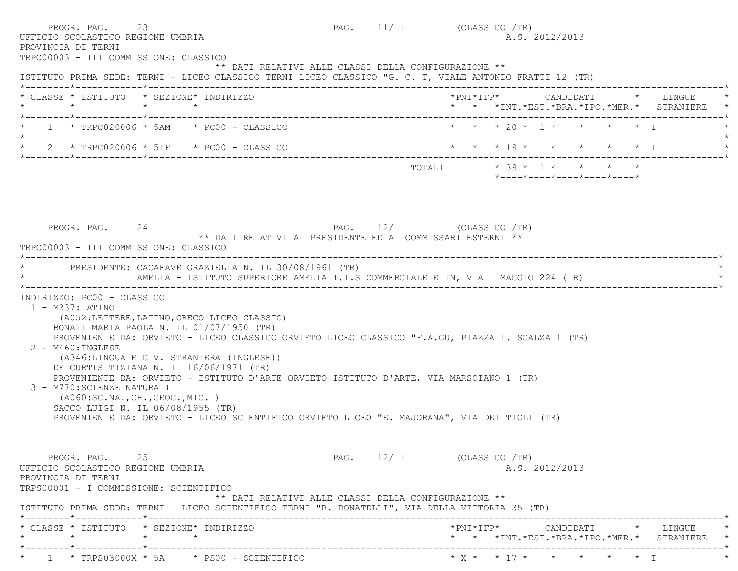| 23<br>PROGR. PAG.<br>UFFICIO SCOLASTICO REGIONE UMBRIA<br>PROVINCIA DI TERNI<br>TRPC00003 - III COMMISSIONE: CLASSICO                                                                                                                                                                                                                                                                                                                                                                                                                                                                                                                                          | PAG. 11/II (CLASSICO /TR) |  |                           | A.S. 2012/2013 |                                                                 |                                                                               |
|----------------------------------------------------------------------------------------------------------------------------------------------------------------------------------------------------------------------------------------------------------------------------------------------------------------------------------------------------------------------------------------------------------------------------------------------------------------------------------------------------------------------------------------------------------------------------------------------------------------------------------------------------------------|---------------------------|--|---------------------------|----------------|-----------------------------------------------------------------|-------------------------------------------------------------------------------|
| ** DATI RELATIVI ALLE CLASSI DELLA CONFIGURAZIONE **<br>ISTITUTO PRIMA SEDE: TERNI - LICEO CLASSICO TERNI LICEO CLASSICO "G. C. T, VIALE ANTONIO FRATTI 12 (TR)                                                                                                                                                                                                                                                                                                                                                                                                                                                                                                |                           |  |                           |                |                                                                 |                                                                               |
| * CLASSE * ISTITUTO * SEZIONE* INDIRIZZO<br>$\star$<br>$\star$ $\star$                                                                                                                                                                                                                                                                                                                                                                                                                                                                                                                                                                                         |                           |  |                           |                |                                                                 | *PNI*IFP* CANDIDATI * LINGUE<br>* * *INT. *EST. *BRA. *IPO. *MER. * STRANIERE |
| $1 * TRPC020006 * 5AM * PC00 - CLASSICO$                                                                                                                                                                                                                                                                                                                                                                                                                                                                                                                                                                                                                       |                           |  |                           |                | * * * 20 * 1 * * * * * T                                        |                                                                               |
| * $2$ * TRPC020006 * 5IF * PC00 - CLASSICO                                                                                                                                                                                                                                                                                                                                                                                                                                                                                                                                                                                                                     |                           |  |                           |                | * * * 19 * * * * * * I                                          |                                                                               |
|                                                                                                                                                                                                                                                                                                                                                                                                                                                                                                                                                                                                                                                                |                           |  |                           |                | $*$ - - - - $*$ - - - - $*$ - - - - $*$ - - - - $*$ - - - - $*$ |                                                                               |
| PROGR. PAG. 24                                                                                                                                                                                                                                                                                                                                                                                                                                                                                                                                                                                                                                                 | PAG. 12/I (CLASSICO /TR)  |  |                           |                |                                                                 |                                                                               |
| ** DATI RELATIVI AL PRESIDENTE ED AI COMMISSARI ESTERNI **<br>TRPC00003 - III COMMISSIONE: CLASSICO                                                                                                                                                                                                                                                                                                                                                                                                                                                                                                                                                            |                           |  |                           |                |                                                                 |                                                                               |
| PRESIDENTE: CACAFAVE GRAZIELLA N. IL 30/08/1961 (TR)<br>AMELIA - ISTITUTO SUPERIORE AMELIA I.I.S COMMERCIALE E IN, VIA I MAGGIO 224 (TR)                                                                                                                                                                                                                                                                                                                                                                                                                                                                                                                       |                           |  | _________________________ |                |                                                                 |                                                                               |
| INDIRIZZO: PC00 - CLASSICO<br>$1 - M237: LATINO$<br>(A052: LETTERE, LATINO, GRECO LICEO CLASSIC)<br>BONATI MARIA PAOLA N. IL 01/07/1950 (TR)<br>PROVENIENTE DA: ORVIETO - LICEO CLASSICO ORVIETO LICEO CLASSICO "F.A.GU, PIAZZA I. SCALZA 1 (TR)<br>2 - M460: INGLESE<br>(A346:LINGUA E CIV. STRANIERA (INGLESE))<br>DE CURTIS TIZIANA N. IL 16/06/1971 (TR)<br>PROVENIENTE DA: ORVIETO - ISTITUTO D'ARTE ORVIETO ISTITUTO D'ARTE, VIA MARSCIANO 1 (TR)<br>3 - M770: SCIENZE NATURALI<br>( A060:SC.NA., CH., GEOG., MIC. )<br>SACCO LUIGI N. IL 06/08/1955 (TR)<br>PROVENIENTE DA: ORVIETO - LICEO SCIENTIFICO ORVIETO LICEO "E. MAJORANA", VIA DEI TIGLI (TR) |                           |  |                           |                |                                                                 |                                                                               |
| PROGR. PAG. 25<br>UFFICIO SCOLASTICO REGIONE UMBRIA<br>PROVINCIA DI TERNI<br>TRPS00001 - I COMMISSIONE: SCIENTIFICO<br>** DATI RELATIVI ALLE CLASSI DELLA CONFIGURAZIONE **<br>ISTITUTO PRIMA SEDE: TERNI - LICEO SCIENTIFICO TERNI "R. DONATELLI", VIA DELLA VITTORIA 35 (TR)                                                                                                                                                                                                                                                                                                                                                                                 | PAG. 12/II (CLASSICO /TR) |  |                           | A.S. 2012/2013 |                                                                 |                                                                               |
| * CLASSE * ISTITUTO * SEZIONE* INDIRIZZO<br>$\star$<br>$\star$<br>$\star$                                                                                                                                                                                                                                                                                                                                                                                                                                                                                                                                                                                      |                           |  |                           |                |                                                                 | *PNI*IFP* CANDIDATI * LINGUE<br>* * *INT. *EST. *BRA. *IPO. *MER. * STRANIERE |
|                                                                                                                                                                                                                                                                                                                                                                                                                                                                                                                                                                                                                                                                |                           |  |                           |                |                                                                 |                                                                               |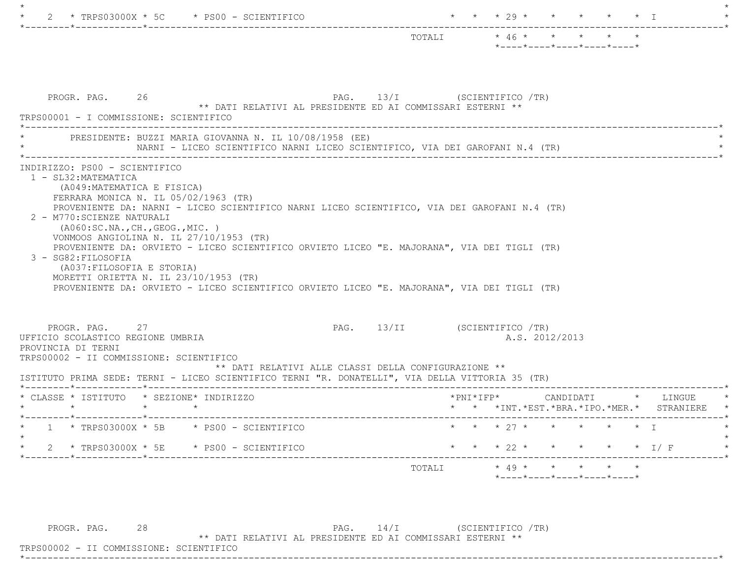|                                                                                                                                                                                                                                                                                                                                     | $* 46 * * * * * * *$<br>TOTALI<br>*----*----*----*----*----*             |
|-------------------------------------------------------------------------------------------------------------------------------------------------------------------------------------------------------------------------------------------------------------------------------------------------------------------------------------|--------------------------------------------------------------------------|
| PROGR. PAG. 26<br>** DATI RELATIVI AL PRESIDENTE ED AI COMMISSARI ESTERNI **<br>TRPS00001 - I COMMISSIONE: SCIENTIFICO                                                                                                                                                                                                              | PAG. 13/I (SCIENTIFICO /TR)                                              |
| PRESIDENTE: BUZZI MARIA GIOVANNA N. IL 10/08/1958 (EE)<br>NARNI - LICEO SCIENTIFICO NARNI LICEO SCIENTIFICO, VIA DEI GAROFANI N.4 (TR)                                                                                                                                                                                              |                                                                          |
| (A049:MATEMATICA E FISICA)<br>FERRARA MONICA N. IL $05/02/1963$ (TR)<br>PROVENIENTE DA: NARNI - LICEO SCIENTIFICO NARNI LICEO SCIENTIFICO, VIA DEI GAROFANI N.4 (TR)<br>2 - M770: SCIENZE NATURALI<br>( A060:SC.NA., CH., GEOG., MIC. )                                                                                             |                                                                          |
| VONMOOS ANGIOLINA N. IL 27/10/1953 (TR)<br>PROVENIENTE DA: ORVIETO - LICEO SCIENTIFICO ORVIETO LICEO "E. MAJORANA", VIA DEI TIGLI (TR)<br>3 - SG82: FILOSOFIA<br>(A037: FILOSOFIA E STORIA)<br>MORETTI ORIETTA N. IL 23/10/1953 (TR)<br>PROVENIENTE DA: ORVIETO - LICEO SCIENTIFICO ORVIETO LICEO "E. MAJORANA", VIA DEI TIGLI (TR) |                                                                          |
| PROGR. PAG. 27<br>UFFICIO SCOLASTICO REGIONE UMBRIA<br>PROVINCIA DI TERNI<br>TRPS00002 - II COMMISSIONE: SCIENTIFICO<br>** DATI RELATIVI ALLE CLASSI DELLA CONFIGURAZIONE **                                                                                                                                                        | PAG. 13/II (SCIENTIFICO /TR)<br>A.S. 2012/2013                           |
| ISTITUTO PRIMA SEDE: TERNI - LICEO SCIENTIFICO TERNI "R. DONATELLI", VIA DELLA VITTORIA 35 (TR)                                                                                                                                                                                                                                     |                                                                          |
| * CLASSE * ISTITUTO * SEZIONE* INDIRIZZO<br>$\star$ $\star$<br>$\star$ and the set of the set of the set of the set of the set of the set of the set of the set of the set of the set of the set of the set of the set of the set of the set of the set of the set of the set of the set of the                                     | *PNI*IFP* CANDIDATI * LINGUE<br>* * *INT.*EST.*BRA.*IPO.*MER.* STRANIERE |
| $1 * TRPS03000X * 5B * PS00 - SCIENTIFICO$                                                                                                                                                                                                                                                                                          | * * * 27 * * * * * * T                                                   |
| 2 * TRPS03000X * 5E * PS00 - SCIENTIFICO                                                                                                                                                                                                                                                                                            | $\star$ $\star$ $\star$ 22 $\star$<br>* * * * * I/F                      |

PROGR. PAG. 28 וPROGR. PAG. 28<br>\*\* PAG. אבן המשמחת המידיחת המדיחת המדיחת המדיחת המדיחת המדיחת המדיחת המדיחת המדיחת המדיחת המדיחת ה

\*\* DATI RELATIVI AL PRESIDENTE ED AI COMMISSARI ESTERNI \*\*

 TRPS00002 - II COMMISSIONE: SCIENTIFICO \*----------------------------------------------------------------------------------------------------------------------------\*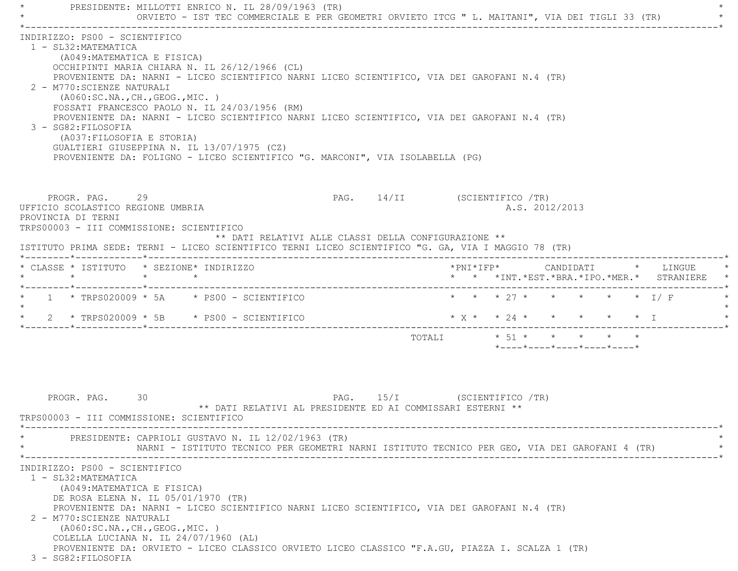\* PRESIDENTE: MILLOTTI ENRICO N. IL 28/09/1963 (TR) \* ORVIETO - IST TEC COMMERCIALE E PER GEOMETRI ORVIETO ITCG " L. MAITANI", VIA DEI TIGLI 33 (TR) \*----------------------------------------------------------------------------------------------------------------------------\* INDIRIZZO: PS00 - SCIENTIFICO 1 - SL32:MATEMATICA (A049:MATEMATICA E FISICA) OCCHIPINTI MARIA CHIARA N. IL 26/12/1966 (CL) PROVENIENTE DA: NARNI - LICEO SCIENTIFICO NARNI LICEO SCIENTIFICO, VIA DEI GAROFANI N.4 (TR) 2 - M770:SCIENZE NATURALI (A060:SC.NA.,CH.,GEOG.,MIC. ) FOSSATI FRANCESCO PAOLO N. IL 24/03/1956 (RM) PROVENIENTE DA: NARNI - LICEO SCIENTIFICO NARNI LICEO SCIENTIFICO, VIA DEI GAROFANI N.4 (TR) 3 - SG82:FILOSOFIA (A037:FILOSOFIA E STORIA) GUALTIERI GIUSEPPINA N. IL 13/07/1975 (CZ) PROVENIENTE DA: FOLIGNO - LICEO SCIENTIFICO "G. MARCONI", VIA ISOLABELLA (PG) PROGR. PAG. 29 29 PAG. 14/II (SCIENTIFICO /TR) UFFICIO SCOLASTICO REGIONE UMBRIA A.S. 2012/2013 PROVINCIA DI TERNI TRPS00003 - III COMMISSIONE: SCIENTIFICO \*\* DATI RELATIVI ALLE CLASSI DELLA CONFIGURAZIONE \*\* ISTITUTO PRIMA SEDE: TERNI - LICEO SCIENTIFICO TERNI LICEO SCIENTIFICO "G. GA, VIA I MAGGIO 78 (TR) \*--------\*------------\*-------------------------------------------------------------------------------------------------------\* \* CLASSE \* ISTITUTO \* SEZIONE\* INDIRIZZO \*PNI\*IFP\* CANDIDATI \* LINGUE \* \* \* \* \* \* \* \*INT.\*EST.\*BRA.\*IPO.\*MER.\* STRANIERE \* \*--------\*------------\*-------------------------------------------------------------------------------------------------------\*1 \* TRPS020009 \* 5A \* PS00 - SCIENTIFICO \* \* \* \* 27 \* \* \* \* \* \* \* I/ F  $\star$ \* 2 \* TRPS020009 \* 5B \* PS00 - SCIENTIFICO \* \* \* \* \* \* \* \* \* \* \* \* T \*--------\*------------\*-------------------------------------------------------------------------------------------------------\*TOTALI  $* 51 * * * * * * * * * *$  \*----\*----\*----\*----\*----\*PROGR. PAG. 30 30 PAG. 15/I (SCIENTIFICO /TR) \*\* DATI RELATIVI AL PRESIDENTE ED AI COMMISSARI ESTERNI \*\* TRPS00003 - III COMMISSIONE: SCIENTIFICO \*----------------------------------------------------------------------------------------------------------------------------\*PRESIDENTE: CAPRIOLI GUSTAVO N. IL 12/02/1963 (TR) NARNI - ISTITUTO TECNICO PER GEOMETRI NARNI ISTITUTO TECNICO PER GEO, VIA DEI GAROFANI 4 (TR) \*----------------------------------------------------------------------------------------------------------------------------\* INDIRIZZO: PS00 - SCIENTIFICO 1 - SL32:MATEMATICA (A049:MATEMATICA E FISICA) DE ROSA ELENA N. IL 05/01/1970 (TR) PROVENIENTE DA: NARNI - LICEO SCIENTIFICO NARNI LICEO SCIENTIFICO, VIA DEI GAROFANI N.4 (TR) 2 - M770:SCIENZE NATURALI (A060:SC.NA.,CH.,GEOG.,MIC. ) COLELLA LUCIANA N. IL 24/07/1960 (AL) PROVENIENTE DA: ORVIETO - LICEO CLASSICO ORVIETO LICEO CLASSICO "F.A.GU, PIAZZA I. SCALZA 1 (TR) 3 - SG82:FILOSOFIA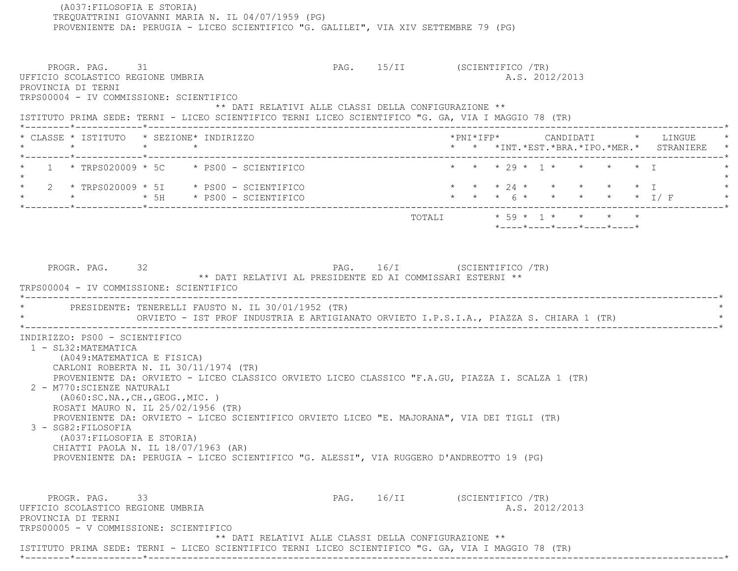TREQUATTRINI GIOVANNI MARIA N. IL 04/07/1959 (PG) PROVENIENTE DA: PERUGIA - LICEO SCIENTIFICO "G. GALILEI", VIA XIV SETTEMBRE 79 (PG) PROGR. PAG. 31 31 PAG. 15/II (SCIENTIFICO /TR) UFFICIO SCOLASTICO REGIONE UMBRIA A.S. 2012/2013 PROVINCIA DI TERNI TRPS00004 - IV COMMISSIONE: SCIENTIFICO \*\* DATI RELATIVI ALLE CLASSI DELLA CONFIGURAZIONE \*\* ISTITUTO PRIMA SEDE: TERNI - LICEO SCIENTIFICO TERNI LICEO SCIENTIFICO "G. GA, VIA I MAGGIO 78 (TR) \*--------\*------------\*-------------------------------------------------------------------------------------------------------\* \* CLASSE \* ISTITUTO \* SEZIONE\* INDIRIZZO \*PNI\*IFP\* CANDIDATI \* LINGUE \* \* \* \* \* \* \* \*INT.\*EST.\*BRA.\*IPO.\*MER.\* STRANIERE \* \*--------\*------------\*-------------------------------------------------------------------------------------------------------\*1 \* TRPS020009 \* 5C \* PS00 - SCIENTIFICO \* \* \* \* \* 29 \* 1 \* \* \* \* \* \* I  $\star$ \* 2 \* TRPS020009 \* 5I \* PS00 - SCIENTIFICO \* \* \* \* 24 \* \* \* \* \* \* \* I \* \* \* 5H \* PS00 - SCIENTIFICO \* \* \* 6 \* \* \* \* \* I/ F \* \*--------\*------------\*-------------------------------------------------------------------------------------------------------\* TOTALI \* 59 \* 1 \* \* \* \* \*----\*----\*----\*----\*----\*PROGR. PAG. 32 32 PAG. 16/I (SCIENTIFICO /TR) \*\* DATI RELATIVI AL PRESIDENTE ED AI COMMISSARI ESTERNI \*\* TRPS00004 - IV COMMISSIONE: SCIENTIFICO \*----------------------------------------------------------------------------------------------------------------------------\*PRESIDENTE: TENERELLI FAUSTO N. IL 30/01/1952 (TR) ORVIETO - IST PROF INDUSTRIA E ARTIGIANATO ORVIETO I.P.S.I.A., PIAZZA S. CHIARA 1 (TR) \*----------------------------------------------------------------------------------------------------------------------------\* INDIRIZZO: PS00 - SCIENTIFICO 1 - SL32:MATEMATICA (A049:MATEMATICA E FISICA) CARLONI ROBERTA N. IL 30/11/1974 (TR) PROVENIENTE DA: ORVIETO - LICEO CLASSICO ORVIETO LICEO CLASSICO "F.A.GU, PIAZZA I. SCALZA 1 (TR) 2 - M770:SCIENZE NATURALI (A060:SC.NA.,CH.,GEOG.,MIC. ) ROSATI MAURO N. IL 25/02/1956 (TR) PROVENIENTE DA: ORVIETO - LICEO SCIENTIFICO ORVIETO LICEO "E. MAJORANA", VIA DEI TIGLI (TR) 3 - SG82:FILOSOFIA (A037:FILOSOFIA E STORIA) CHIATTI PAOLA N. IL 18/07/1963 (AR) PROVENIENTE DA: PERUGIA - LICEO SCIENTIFICO "G. ALESSI", VIA RUGGERO D'ANDREOTTO 19 (PG) PROGR. PAG. 33 3 200 PAG. 16/II (SCIENTIFICO /TR) UFFICIO SCOLASTICO REGIONE UMBRIA AND ALS. 2012/2013 PROVINCIA DI TERNI TRPS00005 - V COMMISSIONE: SCIENTIFICO \*\* DATI RELATIVI ALLE CLASSI DELLA CONFIGURAZIONE \*\* ISTITUTO PRIMA SEDE: TERNI - LICEO SCIENTIFICO TERNI LICEO SCIENTIFICO "G. GA, VIA I MAGGIO 78 (TR)

\*--------\*------------\*-------------------------------------------------------------------------------------------------------\*

(A037:FILOSOFIA E STORIA)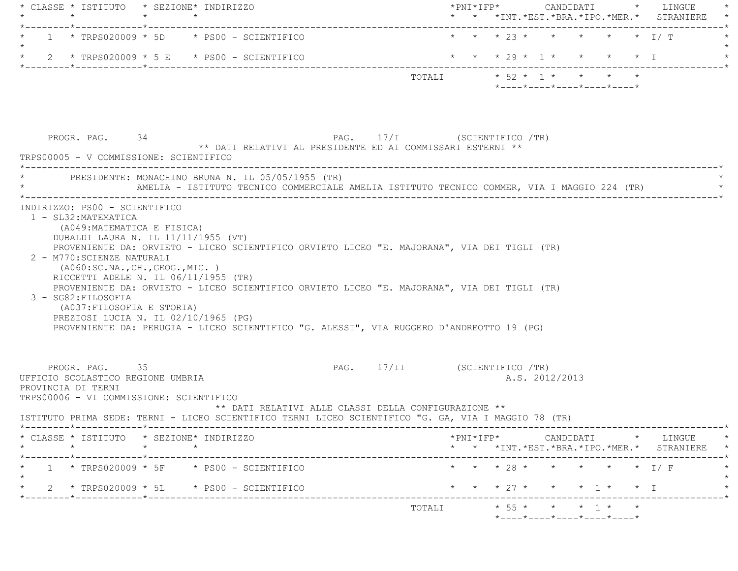| $\star$                                                                                                              | * CLASSE * ISTITUTO * SEZIONE* INDIRIZZO<br>$\star$                                                                                                                                                                                                                                                                                                                                                                                                | * * *INT.*EST.*BRA.*IPO.*MER.* STRANIERE                                                                                        |
|----------------------------------------------------------------------------------------------------------------------|----------------------------------------------------------------------------------------------------------------------------------------------------------------------------------------------------------------------------------------------------------------------------------------------------------------------------------------------------------------------------------------------------------------------------------------------------|---------------------------------------------------------------------------------------------------------------------------------|
|                                                                                                                      | --------------------------------<br>$1 * TRPS020009 * 5D * PS00 - SCIENTIFICO$                                                                                                                                                                                                                                                                                                                                                                     | * * * 23 * * * * * * I/ T                                                                                                       |
|                                                                                                                      | 2 * TRPS020009 * 5 E * PS00 - SCIENTIFICO                                                                                                                                                                                                                                                                                                                                                                                                          | * * * 29 * 1 * * * * * I                                                                                                        |
|                                                                                                                      |                                                                                                                                                                                                                                                                                                                                                                                                                                                    | TOTALI $\star$ 52 $\star$ 1 $\star$ $\star$ $\star$ $\star$<br>*----*----*----*----*----*                                       |
| PROGR. PAG. 34<br>TRPS00005 - V COMMISSIONE: SCIENTIFICO                                                             | PAG. 17/I (SCIENTIFICO /TR)<br>** DATI RELATIVI AL PRESIDENTE ED AI COMMISSARI ESTERNI **                                                                                                                                                                                                                                                                                                                                                          |                                                                                                                                 |
|                                                                                                                      | PRESIDENTE: MONACHINO BRUNA N. IL 05/05/1955 (TR)<br>AMELIA - ISTITUTO TECNICO COMMERCIALE AMELIA ISTITUTO TECNICO COMMER, VIA I MAGGIO 224 (TR)                                                                                                                                                                                                                                                                                                   |                                                                                                                                 |
| 2 - M770: SCIENZE NATURALI<br>3 - SG82: FILOSOFIA<br>(A037: FILOSOFIA E STORIA)                                      | DUBALDI LAURA N. IL 11/11/1955 (VT)<br>PROVENIENTE DA: ORVIETO - LICEO SCIENTIFICO ORVIETO LICEO "E. MAJORANA", VIA DEI TIGLI (TR)<br>( A060:SC.NA., CH., GEOG., MIC. )<br>RICCETTI ADELE N. IL 06/11/1955 (TR)<br>PROVENIENTE DA: ORVIETO - LICEO SCIENTIFICO ORVIETO LICEO "E. MAJORANA", VIA DEI TIGLI (TR)<br>PREZIOSI LUCIA N. IL 02/10/1965 (PG)<br>PROVENIENTE DA: PERUGIA - LICEO SCIENTIFICO "G. ALESSI", VIA RUGGERO D'ANDREOTTO 19 (PG) |                                                                                                                                 |
| PROGR. PAG. 35<br>UFFICIO SCOLASTICO REGIONE UMBRIA<br>PROVINCIA DI TERNI<br>TRPS00006 - VI COMMISSIONE: SCIENTIFICO |                                                                                                                                                                                                                                                                                                                                                                                                                                                    | PAG. 17/II (SCIENTIFICO /TR)<br>A.S. 2012/2013                                                                                  |
|                                                                                                                      | ** DATI RELATIVI ALLE CLASSI DELLA CONFIGURAZIONE **<br>ISTITUTO PRIMA SEDE: TERNI - LICEO SCIENTIFICO TERNI LICEO SCIENTIFICO "G. GA, VIA I MAGGIO 78 (TR)                                                                                                                                                                                                                                                                                        |                                                                                                                                 |
|                                                                                                                      | * CLASSE * ISTITUTO * SEZIONE* INDIRIZZO<br>$\star$                                                                                                                                                                                                                                                                                                                                                                                                | ------------------------------*<br>*PNI*IFP*     CANDIDATI    *   LINGUE   *<br>* * *INT. *EST. *BRA. *IPO. *MER. * STRANIERE * |
|                                                                                                                      | $1 * TRPS020009 * 5F * PS00 - SCIENTIFICO$                                                                                                                                                                                                                                                                                                                                                                                                         | * * * 28 * * * * * * I/F                                                                                                        |
|                                                                                                                      | 2 * TRPS020009 * 5L * PS00 - SCIENTIFICO                                                                                                                                                                                                                                                                                                                                                                                                           | * * * 27 * * * 1 * * I                                                                                                          |
|                                                                                                                      |                                                                                                                                                                                                                                                                                                                                                                                                                                                    | $* 55 * * * * 1 * * *$<br>TOTALI                                                                                                |
|                                                                                                                      |                                                                                                                                                                                                                                                                                                                                                                                                                                                    | *----*----*----*----*----*                                                                                                      |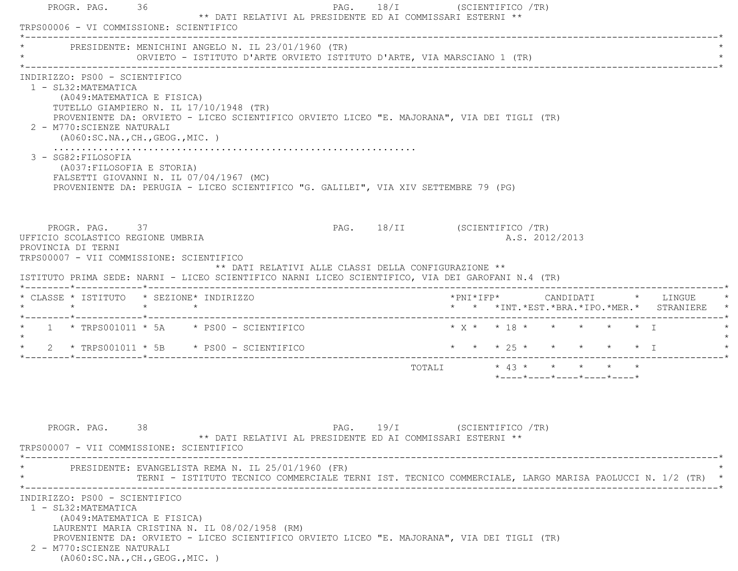|         | PROGR. PAG. 36       | TRPS00006 - VI COMMISSIONE: SCIENTIFICO                                                                                                                                                                                                                                   |                                                      | ** DATI RELATIVI AL PRESIDENTE ED AI COMMISSARI ESTERNI **                                               |  | PAG. $18/I$ | (SCIENTIFICO /TR)            |  |  |                |                                         |  |                                               |
|---------|----------------------|---------------------------------------------------------------------------------------------------------------------------------------------------------------------------------------------------------------------------------------------------------------------------|------------------------------------------------------|----------------------------------------------------------------------------------------------------------|--|-------------|------------------------------|--|--|----------------|-----------------------------------------|--|-----------------------------------------------|
|         |                      | PRESIDENTE: MENICHINI ANGELO N. IL 23/01/1960 (TR)<br>ORVIETO - ISTITUTO D'ARTE ORVIETO ISTITUTO D'ARTE, VIA MARSCIANO 1 (TR)                                                                                                                                             |                                                      |                                                                                                          |  |             |                              |  |  |                |                                         |  |                                               |
|         | 1 - SL32: MATEMATICA | INDIRIZZO: PS00 - SCIENTIFICO<br>(A049: MATEMATICA E FISICA)<br>TUTELLO GIAMPIERO N. IL 17/10/1948 (TR)<br>PROVENIENTE DA: ORVIETO - LICEO SCIENTIFICO ORVIETO LICEO "E. MAJORANA", VIA DEI TIGLI (TR)<br>2 - M770: SCIENZE NATURALI<br>( A060:SC.NA., CH., GEOG., MIC. ) |                                                      |                                                                                                          |  |             |                              |  |  |                |                                         |  |                                               |
|         | 3 - SG82: FILOSOFIA  | (A037:FILOSOFIA E STORIA)<br>FALSETTI GIOVANNI N. IL 07/04/1967 (MC)<br>PROVENIENTE DA: PERUGIA - LICEO SCIENTIFICO "G. GALILEI", VIA XIV SETTEMBRE 79 (PG)                                                                                                               |                                                      |                                                                                                          |  |             |                              |  |  |                |                                         |  |                                               |
|         | PROVINCIA DI TERNI   | PROGR. PAG. 37<br>UFFICIO SCOLASTICO REGIONE UMBRIA<br>TRPS00007 - VII COMMISSIONE: SCIENTIFICO                                                                                                                                                                           |                                                      |                                                                                                          |  |             | PAG. 18/II (SCIENTIFICO /TR) |  |  | A.S. 2012/2013 |                                         |  |                                               |
|         |                      |                                                                                                                                                                                                                                                                           | ** DATI RELATIVI ALLE CLASSI DELLA CONFIGURAZIONE ** |                                                                                                          |  |             |                              |  |  |                |                                         |  |                                               |
|         |                      | ISTITUTO PRIMA SEDE: NARNI - LICEO SCIENTIFICO NARNI LICEO SCIENTIFICO, VIA DEI GAROFANI N.4 (TR)<br>* CLASSE * ISTITUTO * SEZIONE* INDIRIZZO                                                                                                                             |                                                      |                                                                                                          |  |             |                              |  |  |                |                                         |  | * * *INT. *EST. *BRA. *IPO. *MER. * STRANIERE |
|         |                      | $*$ 1 $*$ TRPS001011 $*$ 5A $*$ PS00 - SCIENTIFICO                                                                                                                                                                                                                        |                                                      |                                                                                                          |  |             |                              |  |  |                | * x * * 18 * * * * * * 1                |  |                                               |
| $\star$ |                      | $2 \times TRS001011 \times 5B \times PS00 - SCIENTIFICO$                                                                                                                                                                                                                  |                                                      |                                                                                                          |  |             | * * * 25 * * * * * * I       |  |  |                |                                         |  |                                               |
| $\star$ |                      |                                                                                                                                                                                                                                                                           |                                                      |                                                                                                          |  |             | TOTALI * 43 * * * * * *      |  |  |                | $*$ ---- $*$ ---- $*$ ---- $*$ ---- $*$ |  |                                               |
|         | PROGR. PAG.          | 38<br>TRPS00007 - VII COMMISSIONE: SCIENTIFICO                                                                                                                                                                                                                            |                                                      | ** DATI RELATIVI AL PRESIDENTE ED AI COMMISSARI ESTERNI **                                               |  | $PAG.$ 19/I | (SCIENTIFICO /TR)            |  |  |                |                                         |  |                                               |
|         |                      | PRESIDENTE: EVANGELISTA REMA N. IL 25/01/1960 (FR)                                                                                                                                                                                                                        |                                                      | TERNI - ISTITUTO TECNICO COMMERCIALE TERNI IST. TECNICO COMMERCIALE, LARGO MARISA PAOLUCCI N. 1/2 (TR) * |  |             |                              |  |  |                |                                         |  |                                               |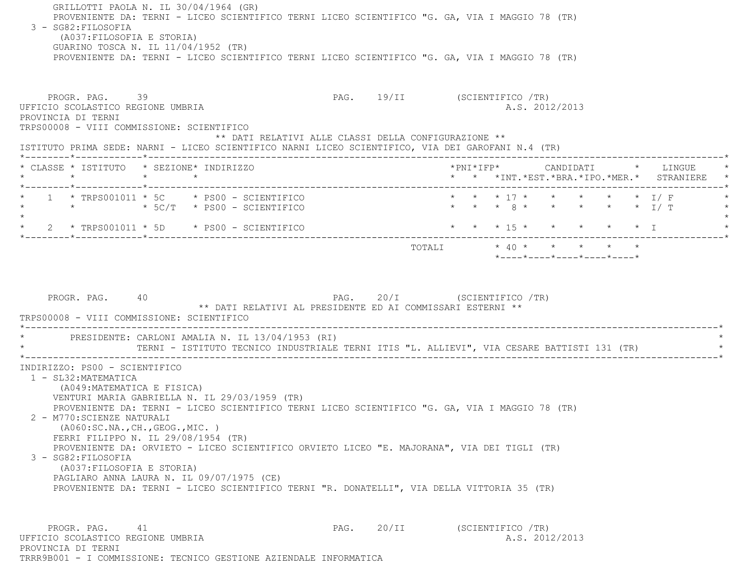| GRILLOTTI PAOLA N. IL 30/04/1964 (GR)<br>PROVENIENTE DA: TERNI - LICEO SCIENTIFICO TERNI LICEO SCIENTIFICO "G. GA, VIA I MAGGIO 78 (TR)<br>3 - SG82: FILOSOFIA<br>(A037: FILOSOFIA E STORIA)<br>GUARINO TOSCA N. IL 11/04/1952 (TR)<br>PROVENIENTE DA: TERNI - LICEO SCIENTIFICO TERNI LICEO SCIENTIFICO "G. GA, VIA I MAGGIO 78 (TR)<br>PROGR. PAG. 39<br>UFFICIO SCOLASTICO REGIONE UMBRIA<br>PROVINCIA DI TERNI<br>TRPS00008 - VIII COMMISSIONE: SCIENTIFICO                                                                                                                                                                                 |                                                            | PAG. 19/II (SCIENTIFICO /TR)<br>A.S. 2012/2013                                                                            |
|-------------------------------------------------------------------------------------------------------------------------------------------------------------------------------------------------------------------------------------------------------------------------------------------------------------------------------------------------------------------------------------------------------------------------------------------------------------------------------------------------------------------------------------------------------------------------------------------------------------------------------------------------|------------------------------------------------------------|---------------------------------------------------------------------------------------------------------------------------|
| ISTITUTO PRIMA SEDE: NARNI - LICEO SCIENTIFICO NARNI LICEO SCIENTIFICO, VIA DEI GAROFANI N.4 (TR)                                                                                                                                                                                                                                                                                                                                                                                                                                                                                                                                               | ** DATI RELATIVI ALLE CLASSI DELLA CONFIGURAZIONE **       |                                                                                                                           |
| * CLASSE * ISTITUTO * SEZIONE* INDIRIZZO<br>$\star$<br>$\star$ $\star$                                                                                                                                                                                                                                                                                                                                                                                                                                                                                                                                                                          |                                                            | *PNI*IFP* CANDIDATI * LINGUE<br>* * *INT. *EST. *BRA. *IPO. *MER. * STRANIERE                                             |
| $1 \times T$ RPS001011 $*$ 5C $*$ PS00 - SCIENTIFICO<br>$\star$ $\star$ 5C/T $\star$ PS00 - SCIENTIFICO                                                                                                                                                                                                                                                                                                                                                                                                                                                                                                                                         |                                                            | * * * 17 * * * * * * I/F<br>* * * 8 * * * * * * $I/T$                                                                     |
| $\star$ 2 $\star$ TRPS001011 $\star$ 5D $\star$ PS00 - SCIENTIFICO                                                                                                                                                                                                                                                                                                                                                                                                                                                                                                                                                                              |                                                            | $\star$ $\star$ $\star$ $\frac{15 \times}{}$ $\star$ $\star$ $\star$ $\star$ $\frac{1}{1}$                                |
| PROGR. PAG.<br>40<br>TRPS00008 - VIII COMMISSIONE: SCIENTIFICO<br>PRESIDENTE: CARLONI AMALIA N. IL 13/04/1953 (RI)                                                                                                                                                                                                                                                                                                                                                                                                                                                                                                                              | ** DATI RELATIVI AL PRESIDENTE ED AI COMMISSARI ESTERNI ** | PAG. 20/I (SCIENTIFICO /TR)<br>TERNI - ISTITUTO TECNICO INDUSTRIALE TERNI ITIS "L. ALLIEVI", VIA CESARE BATTISTI 131 (TR) |
| INDIRIZZO: PS00 - SCIENTIFICO<br>1 - SL32: MATEMATICA<br>(A049: MATEMATICA E FISICA)<br>VENTURI MARIA GABRIELLA N. IL 29/03/1959 (TR)<br>PROVENIENTE DA: TERNI - LICEO SCIENTIFICO TERNI LICEO SCIENTIFICO "G. GA, VIA I MAGGIO 78 (TR)<br>2 - M770:SCIENZE NATURALI<br>( A060:SC.NA., CH., GEOG., MIC. )<br>FERRI FILIPPO N. IL 29/08/1954 (TR)<br>PROVENIENTE DA: ORVIETO - LICEO SCIENTIFICO ORVIETO LICEO "E. MAJORANA", VIA DEI TIGLI (TR)<br>3 - SG82: FILOSOFIA<br>(A037: FILOSOFIA E STORIA)<br>PAGLIARO ANNA LAURA N. IL 09/07/1975 (CE)<br>PROVENIENTE DA: TERNI - LICEO SCIENTIFICO TERNI "R. DONATELLI", VIA DELLA VITTORIA 35 (TR) |                                                            |                                                                                                                           |
| PROGR. PAG.<br>41                                                                                                                                                                                                                                                                                                                                                                                                                                                                                                                                                                                                                               | 20/II<br>PAG.                                              | (SCIENTIFICO /TR)                                                                                                         |

TRRR9B001 - I COMMISSIONE: TECNICO GESTIONE AZIENDALE INFORMATICA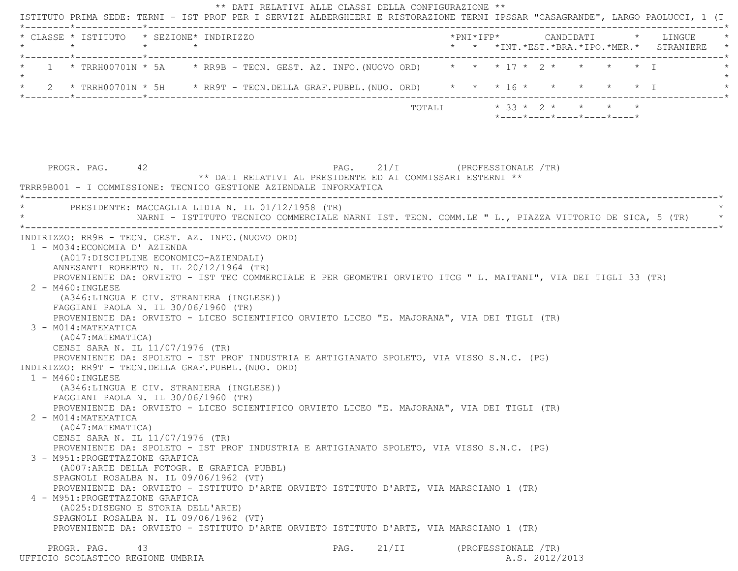| * CLASSE * ISTITUTO * SEZIONE* INDIRIZZO<br>$\star$                                                                                                                                                                 | $\star$ | $\star$                                                                                             |                                                                                                                |       |                               |                     |  |                                                  |  | LINGUE<br>* * *INT.*EST.*BRA.*IPO.*MER.* STRANIERE |
|---------------------------------------------------------------------------------------------------------------------------------------------------------------------------------------------------------------------|---------|-----------------------------------------------------------------------------------------------------|----------------------------------------------------------------------------------------------------------------|-------|-------------------------------|---------------------|--|--------------------------------------------------|--|----------------------------------------------------|
| * TRRH00701N * 5A * RR9B - TECN. GEST. AZ. INFO. (NUOVO ORD) * * * 17 * 2 * * * * * * T                                                                                                                             |         |                                                                                                     |                                                                                                                |       |                               |                     |  |                                                  |  |                                                    |
| 2 * TRRH00701N * 5H * RR9T - TECN.DELLA GRAF.PUBBL.(NUO. ORD) * * * 16 * * * * * * * I                                                                                                                              |         |                                                                                                     |                                                                                                                |       |                               |                     |  |                                                  |  |                                                    |
|                                                                                                                                                                                                                     |         |                                                                                                     |                                                                                                                |       | TOTALI * 33 * 2 * * * * *     |                     |  | $*$ ---- $*$ ---- $*$ ---- $*$ ---- $*$ ---- $*$ |  |                                                    |
| PROGR. PAG. 42                                                                                                                                                                                                      |         | ** DATI RELATIVI AL PRESIDENTE ED AI COMMISSARI ESTERNI **                                          |                                                                                                                |       | PAG. 21/I (PROFESSIONALE /TR) |                     |  |                                                  |  |                                                    |
| TRRR9B001 - I COMMISSIONE: TECNICO GESTIONE AZIENDALE INFORMATICA                                                                                                                                                   |         |                                                                                                     |                                                                                                                |       |                               |                     |  |                                                  |  |                                                    |
| PRESIDENTE: MACCAGLIA LIDIA N. IL 01/12/1958 (TR)                                                                                                                                                                   |         |                                                                                                     |                                                                                                                |       |                               |                     |  |                                                  |  |                                                    |
|                                                                                                                                                                                                                     |         | NARNI - ISTITUTO TECNICO COMMERCIALE NARNI IST. TECN. COMM.LE " L., PIAZZA VITTORIO DE SICA, 5 (TR) |                                                                                                                |       |                               |                     |  |                                                  |  |                                                    |
| $2 - M460$ : INGLESE<br>(A346:LINGUA E CIV. STRANIERA (INGLESE))<br>FAGGIANI PAOLA N. IL 30/06/1960 (TR)<br>PROVENIENTE DA: ORVIETO - LICEO SCIENTIFICO ORVIETO LICEO "E. MAJORANA", VIA DEI TIGLI (TR)             |         |                                                                                                     | PROVENIENTE DA: ORVIETO - IST TEC COMMERCIALE E PER GEOMETRI ORVIETO ITCG " L. MAITANI", VIA DEI TIGLI 33 (TR) |       |                               |                     |  |                                                  |  |                                                    |
| 3 - M014: MATEMATICA<br>(A047:MATEMATICA)<br>CENSI SARA N. IL 11/07/1976 (TR)<br>PROVENIENTE DA: SPOLETO - IST PROF INDUSTRIA E ARTIGIANATO SPOLETO, VIA VISSO S.N.C. (PG)                                          |         |                                                                                                     |                                                                                                                |       |                               |                     |  |                                                  |  |                                                    |
| INDIRIZZO: RR9T - TECN.DELLA GRAF.PUBBL. (NUO. ORD)<br>1 - M460: INGLESE<br>(A346:LINGUA E CIV. STRANIERA (INGLESE))<br>FAGGIANI PAOLA N. IL 30/06/1960 (TR)                                                        |         |                                                                                                     |                                                                                                                |       |                               |                     |  |                                                  |  |                                                    |
| PROVENIENTE DA: ORVIETO - LICEO SCIENTIFICO ORVIETO LICEO "E. MAJORANA", VIA DEI TIGLI (TR)<br>2 - M014: MATEMATICA<br>(A047: MATEMATICA)<br>CENSI SARA N. IL 11/07/1976 (TR)                                       |         |                                                                                                     |                                                                                                                |       |                               |                     |  |                                                  |  |                                                    |
| PROVENIENTE DA: SPOLETO - IST PROF INDUSTRIA E ARTIGIANATO SPOLETO, VIA VISSO S.N.C. (PG)<br>3 - M951: PROGETTAZIONE GRAFICA<br>(A007:ARTE DELLA FOTOGR. E GRAFICA PUBBL)<br>SPAGNOLI ROSALBA N. IL 09/06/1962 (VT) |         |                                                                                                     |                                                                                                                |       |                               |                     |  |                                                  |  |                                                    |
| PROVENIENTE DA: ORVIETO - ISTITUTO D'ARTE ORVIETO ISTITUTO D'ARTE, VIA MARSCIANO 1 (TR)<br>4 - M951: PROGETTAZIONE GRAFICA<br>(A025:DISEGNO E STORIA DELL'ARTE)<br>SPAGNOLI ROSALBA N. IL 09/06/1962 (VT)           |         |                                                                                                     |                                                                                                                |       |                               |                     |  |                                                  |  |                                                    |
| PROVENIENTE DA: ORVIETO - ISTITUTO D'ARTE ORVIETO ISTITUTO D'ARTE, VIA MARSCIANO 1 (TR)<br>PROGR. PAG.                                                                                                              | 43      |                                                                                                     | PAG.                                                                                                           | 21/II |                               | (PROFESSIONALE /TR) |  |                                                  |  |                                                    |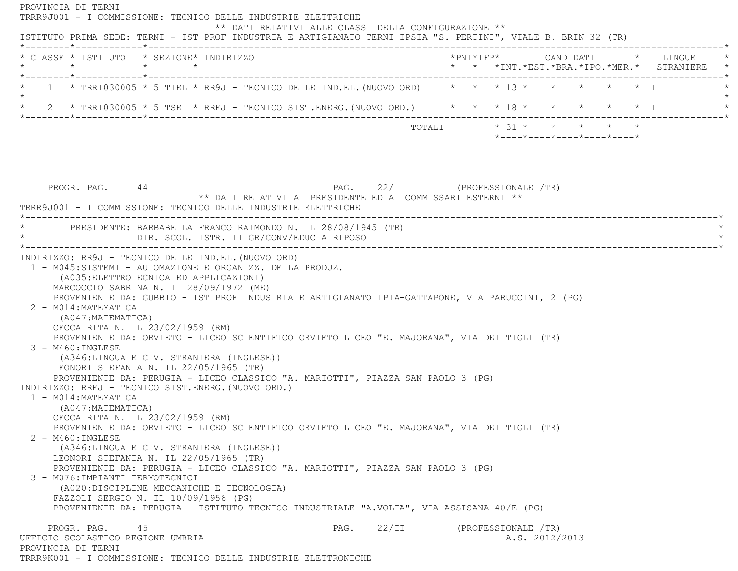PROVINCIA DI TERNI TRRR9J001 - I COMMISSIONE: TECNICO DELLE INDUSTRIE ELETTRICHE \*\* DATI RELATIVI ALLE CLASSI DELLA CONFIGURAZIONE \*\* ISTITUTO PRIMA SEDE: TERNI - IST PROF INDUSTRIA E ARTIGIANATO TERNI IPSIA "S. PERTINI", VIALE B. BRIN 32 (TR) \*--------\*------------\*-------------------------------------------------------------------------------------------------------\* \* CLASSE \* ISTITUTO \* SEZIONE\* INDIRIZZO \*PNI\*IFP\* CANDIDATI \* LINGUE \* \* \* \* \* \* \* \*INT.\*EST.\*BRA.\*IPO.\*MER.\* STRANIERE \* \*--------\*------------\*-------------------------------------------------------------------------------------------------------\*1 \* TRRI030005 \* 5 TIEL \* RR9J - TECNICO DELLE IND.EL. (NUOVO ORD) \* \* \* 13 \* \* \* \* \* \* \* \* T  $\star$ \* 2 \* TRRI030005 \* 5 TSE \* RRFJ - TECNICO SIST.ENERG. (NUOVO ORD.) \* \* \* 18 \* \* \* \* \* \* \* I \*--------\*------------\*-------------------------------------------------------------------------------------------------------\* TOTALI \* 31 \* \* \* \* \* \*----\*----\*----\*----\*----\*PROGR. PAG. 44 A PAG. 22/I (PROFESSIONALE /TR) \*\* DATI RELATIVI AL PRESIDENTE ED AI COMMISSARI ESTERNI \*\* TRRR9J001 - I COMMISSIONE: TECNICO DELLE INDUSTRIE ELETTRICHE \*----------------------------------------------------------------------------------------------------------------------------\*PRESIDENTE: BARBABELLA FRANCO RAIMONDO N. IL 28/08/1945 (TR) \* DIR. SCOL. ISTR. II GR/CONV/EDUC A RIPOSO \* \*----------------------------------------------------------------------------------------------------------------------------\* INDIRIZZO: RR9J - TECNICO DELLE IND.EL.(NUOVO ORD) 1 - M045:SISTEMI - AUTOMAZIONE E ORGANIZZ. DELLA PRODUZ. (A035:ELETTROTECNICA ED APPLICAZIONI) MARCOCCIO SABRINA N. IL 28/09/1972 (ME) PROVENIENTE DA: GUBBIO - IST PROF INDUSTRIA E ARTIGIANATO IPIA-GATTAPONE, VIA PARUCCINI, 2 (PG) 2 - M014:MATEMATICA (A047:MATEMATICA) CECCA RITA N. IL 23/02/1959 (RM) PROVENIENTE DA: ORVIETO - LICEO SCIENTIFICO ORVIETO LICEO "E. MAJORANA", VIA DEI TIGLI (TR) 3 - M460:INGLESE (A346:LINGUA E CIV. STRANIERA (INGLESE)) LEONORI STEFANIA N. IL 22/05/1965 (TR) PROVENIENTE DA: PERUGIA - LICEO CLASSICO "A. MARIOTTI", PIAZZA SAN PAOLO 3 (PG) INDIRIZZO: RRFJ - TECNICO SIST.ENERG.(NUOVO ORD.) 1 - M014:MATEMATICA (A047:MATEMATICA) CECCA RITA N. IL 23/02/1959 (RM) PROVENIENTE DA: ORVIETO - LICEO SCIENTIFICO ORVIETO LICEO "E. MAJORANA", VIA DEI TIGLI (TR) 2 - M460:INGLESE (A346:LINGUA E CIV. STRANIERA (INGLESE)) LEONORI STEFANIA N. IL 22/05/1965 (TR) PROVENIENTE DA: PERUGIA - LICEO CLASSICO "A. MARIOTTI", PIAZZA SAN PAOLO 3 (PG) 3 - M076:IMPIANTI TERMOTECNICI (A020:DISCIPLINE MECCANICHE E TECNOLOGIA) FAZZOLI SERGIO N. IL 10/09/1956 (PG) PROVENIENTE DA: PERUGIA - ISTITUTO TECNICO INDUSTRIALE "A.VOLTA", VIA ASSISANA 40/E (PG) PROGR. PAG. 45 45 PAG. 22/II (PROFESSIONALE /TR) UFFICIO SCOLASTICO REGIONE UMBRIA A.S. 2012/2013 PROVINCIA DI TERNITRRR9K001 - I COMMISSIONE: TECNICO DELLE INDUSTRIE ELETTRONICHE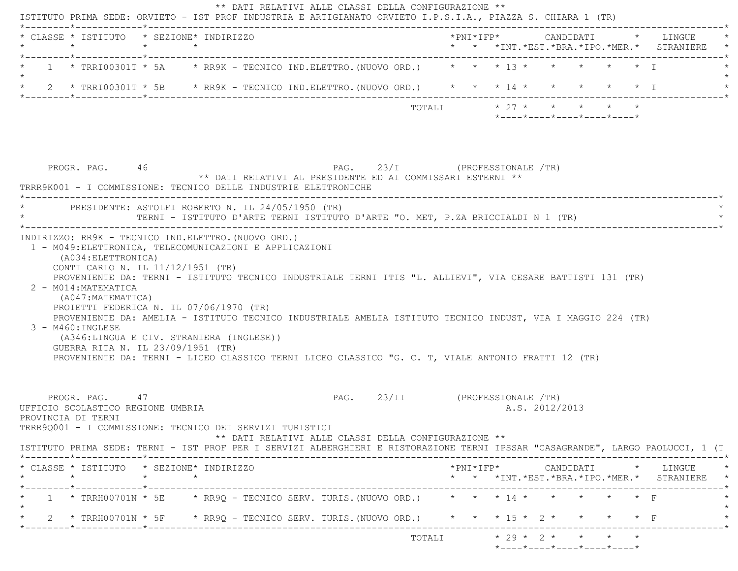| 1 * TRRI00301T * 5A * RR9K - TECNICO IND.ELETTRO. (NUOVO ORD.) * * * 13 * * * * * * * I<br>2 * TRRI00301T * 5B * RR9K - TECNICO IND.ELETTRO. (NUOVO ORD.) * * * 14 * * * * * * * T<br>$\star$ 27 $\star$ $\star$ $\star$ $\star$ $\star$<br>TOTALI<br>$*$ - - - - $*$ - - - - $*$ - - - - $*$ - - - - $*$ - - - - $*$<br>PAG. 23/I (PROFESSIONALE /TR)<br>PROGR. PAG. 46<br>** DATI RELATIVI AL PRESIDENTE ED AI COMMISSARI ESTERNI **<br>TRRR9K001 - I COMMISSIONE: TECNICO DELLE INDUSTRIE ELETTRONICHE<br>PRESIDENTE: ASTOLFI ROBERTO N. IL 24/05/1950 (TR)<br>TERNI - ISTITUTO D'ARTE TERNI ISTITUTO D'ARTE "O. MET, P.ZA BRICCIALDI N 1 (TR)<br>INDIRIZZO: RR9K - TECNICO IND.ELETTRO. (NUOVO ORD.)<br>1 - M049: ELETTRONICA, TELECOMUNICAZIONI E APPLICAZIONI<br>(A034:ELETTRONICA)<br>CONTI CARLO N. IL 11/12/1951 (TR)<br>PROVENIENTE DA: TERNI - ISTITUTO TECNICO INDUSTRIALE TERNI ITIS "L. ALLIEVI", VIA CESARE BATTISTI 131 (TR)<br>2 - M014: MATEMATICA<br>(A047: MATEMATICA)<br>PROIETTI FEDERICA N. IL 07/06/1970 (TR)<br>PROVENIENTE DA: AMELIA - ISTITUTO TECNICO INDUSTRIALE AMELIA ISTITUTO TECNICO INDUST, VIA I MAGGIO 224 (TR)<br>3 - M460: INGLESE<br>(A346:LINGUA E CIV. STRANIERA (INGLESE))<br>GUERRA RITA N. IL 23/09/1951 (TR)<br>PROVENIENTE DA: TERNI - LICEO CLASSICO TERNI LICEO CLASSICO "G. C. T, VIALE ANTONIO FRATTI 12 (TR)<br>PAG. 23/II (PROFESSIONALE /TR)<br>PROGR. PAG. 47<br>UFFICIO SCOLASTICO REGIONE UMBRIA<br>A.S. 2012/2013<br>PROVINCIA DI TERNI<br>TRRR9Q001 - I COMMISSIONE: TECNICO DEI SERVIZI TURISTICI<br>** DATI RELATIVI ALLE CLASSI DELLA CONFIGURAZIONE **<br>ISTITUTO PRIMA SEDE: TERNI - IST PROF PER I SERVIZI ALBERGHIERI E RISTORAZIONE TERNI IPSSAR "CASAGRANDE", LARGO PAOLUCCI, 1 (T<br>* CLASSE * ISTITUTO * SEZIONE* INDIRIZZO<br>*PNI*IFP* CANDIDATI * LINGUE *<br>$\star$ $\star$<br>$\star$<br>* * *INT.*EST.*BRA.*IPO.*MER.* STRANIERE *<br>1 * TRRH00701N * 5E * RR9Q - TECNICO SERV. TURIS. (NUOVO ORD.) * * * 14 * * * * * * * F<br>* 2 * TRRH00701N * 5F * RR9Q - TECNICO SERV. TURIS. (NUOVO ORD.) * * * 15 * 2 * * * * * F<br>----------* | * CLASSE * ISTITUTO * SEZIONE* INDIRIZZO<br>$\star$ | $\star$ $\star$ |  |  |  |  |  |  | *PNI*IFP* CANDIDATI * LINGUE<br>* * *INT.*EST.*BRA.*IPO.*MER.* STRANIERE |
|--------------------------------------------------------------------------------------------------------------------------------------------------------------------------------------------------------------------------------------------------------------------------------------------------------------------------------------------------------------------------------------------------------------------------------------------------------------------------------------------------------------------------------------------------------------------------------------------------------------------------------------------------------------------------------------------------------------------------------------------------------------------------------------------------------------------------------------------------------------------------------------------------------------------------------------------------------------------------------------------------------------------------------------------------------------------------------------------------------------------------------------------------------------------------------------------------------------------------------------------------------------------------------------------------------------------------------------------------------------------------------------------------------------------------------------------------------------------------------------------------------------------------------------------------------------------------------------------------------------------------------------------------------------------------------------------------------------------------------------------------------------------------------------------------------------------------------------------------------------------------------------------------------------------------------------------------------------------------------------------------------------------------------------------------------------------------------------------------------------------------|-----------------------------------------------------|-----------------|--|--|--|--|--|--|--------------------------------------------------------------------------|
|                                                                                                                                                                                                                                                                                                                                                                                                                                                                                                                                                                                                                                                                                                                                                                                                                                                                                                                                                                                                                                                                                                                                                                                                                                                                                                                                                                                                                                                                                                                                                                                                                                                                                                                                                                                                                                                                                                                                                                                                                                                                                                                          |                                                     |                 |  |  |  |  |  |  |                                                                          |
|                                                                                                                                                                                                                                                                                                                                                                                                                                                                                                                                                                                                                                                                                                                                                                                                                                                                                                                                                                                                                                                                                                                                                                                                                                                                                                                                                                                                                                                                                                                                                                                                                                                                                                                                                                                                                                                                                                                                                                                                                                                                                                                          |                                                     |                 |  |  |  |  |  |  |                                                                          |
|                                                                                                                                                                                                                                                                                                                                                                                                                                                                                                                                                                                                                                                                                                                                                                                                                                                                                                                                                                                                                                                                                                                                                                                                                                                                                                                                                                                                                                                                                                                                                                                                                                                                                                                                                                                                                                                                                                                                                                                                                                                                                                                          |                                                     |                 |  |  |  |  |  |  |                                                                          |
|                                                                                                                                                                                                                                                                                                                                                                                                                                                                                                                                                                                                                                                                                                                                                                                                                                                                                                                                                                                                                                                                                                                                                                                                                                                                                                                                                                                                                                                                                                                                                                                                                                                                                                                                                                                                                                                                                                                                                                                                                                                                                                                          |                                                     |                 |  |  |  |  |  |  |                                                                          |
|                                                                                                                                                                                                                                                                                                                                                                                                                                                                                                                                                                                                                                                                                                                                                                                                                                                                                                                                                                                                                                                                                                                                                                                                                                                                                                                                                                                                                                                                                                                                                                                                                                                                                                                                                                                                                                                                                                                                                                                                                                                                                                                          |                                                     |                 |  |  |  |  |  |  |                                                                          |
|                                                                                                                                                                                                                                                                                                                                                                                                                                                                                                                                                                                                                                                                                                                                                                                                                                                                                                                                                                                                                                                                                                                                                                                                                                                                                                                                                                                                                                                                                                                                                                                                                                                                                                                                                                                                                                                                                                                                                                                                                                                                                                                          |                                                     |                 |  |  |  |  |  |  |                                                                          |
|                                                                                                                                                                                                                                                                                                                                                                                                                                                                                                                                                                                                                                                                                                                                                                                                                                                                                                                                                                                                                                                                                                                                                                                                                                                                                                                                                                                                                                                                                                                                                                                                                                                                                                                                                                                                                                                                                                                                                                                                                                                                                                                          |                                                     |                 |  |  |  |  |  |  |                                                                          |
|                                                                                                                                                                                                                                                                                                                                                                                                                                                                                                                                                                                                                                                                                                                                                                                                                                                                                                                                                                                                                                                                                                                                                                                                                                                                                                                                                                                                                                                                                                                                                                                                                                                                                                                                                                                                                                                                                                                                                                                                                                                                                                                          |                                                     |                 |  |  |  |  |  |  |                                                                          |
|                                                                                                                                                                                                                                                                                                                                                                                                                                                                                                                                                                                                                                                                                                                                                                                                                                                                                                                                                                                                                                                                                                                                                                                                                                                                                                                                                                                                                                                                                                                                                                                                                                                                                                                                                                                                                                                                                                                                                                                                                                                                                                                          |                                                     |                 |  |  |  |  |  |  |                                                                          |
|                                                                                                                                                                                                                                                                                                                                                                                                                                                                                                                                                                                                                                                                                                                                                                                                                                                                                                                                                                                                                                                                                                                                                                                                                                                                                                                                                                                                                                                                                                                                                                                                                                                                                                                                                                                                                                                                                                                                                                                                                                                                                                                          |                                                     |                 |  |  |  |  |  |  |                                                                          |
|                                                                                                                                                                                                                                                                                                                                                                                                                                                                                                                                                                                                                                                                                                                                                                                                                                                                                                                                                                                                                                                                                                                                                                                                                                                                                                                                                                                                                                                                                                                                                                                                                                                                                                                                                                                                                                                                                                                                                                                                                                                                                                                          |                                                     |                 |  |  |  |  |  |  |                                                                          |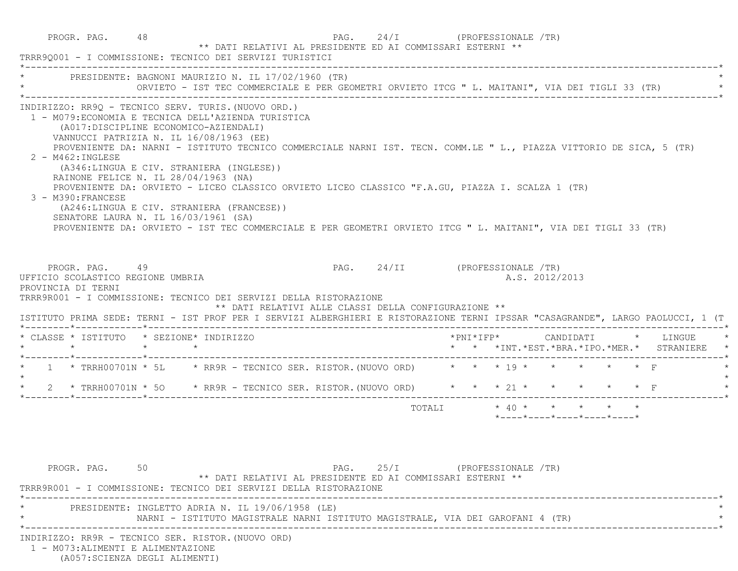|                                                                                                                                                                                                                                                                                  | TRRR90001 - I COMMISSIONE: TECNICO DEI SERVIZI TURISTICI                                                                                                                                                                                                                                                                                                                                                                                                                                                                                                                      | ** DATI RELATIVI AL PRESIDENTE ED AI COMMISSARI ESTERNI ** | PAG. $24/I$                    |  | (PROFESSIONALE /TR)   |                |  |                                                                                             |           |                      |
|----------------------------------------------------------------------------------------------------------------------------------------------------------------------------------------------------------------------------------------------------------------------------------|-------------------------------------------------------------------------------------------------------------------------------------------------------------------------------------------------------------------------------------------------------------------------------------------------------------------------------------------------------------------------------------------------------------------------------------------------------------------------------------------------------------------------------------------------------------------------------|------------------------------------------------------------|--------------------------------|--|-----------------------|----------------|--|---------------------------------------------------------------------------------------------|-----------|----------------------|
|                                                                                                                                                                                                                                                                                  | PRESIDENTE: BAGNONI MAURIZIO N. IL 17/02/1960 (TR)<br>ORVIETO - IST TEC COMMERCIALE E PER GEOMETRI ORVIETO ITCG " L. MAITANI", VIA DEI TIGLI 33 (TR)                                                                                                                                                                                                                                                                                                                                                                                                                          |                                                            |                                |  |                       |                |  |                                                                                             |           |                      |
| INDIRIZZO: RR9Q - TECNICO SERV. TURIS. (NUOVO ORD.)<br>2 - M462: INGLESE<br>RAINONE FELICE N. IL 28/04/1963 (NA)<br>3 - M390: FRANCESE<br>SENATORE LAURA N. IL 16/03/1961 (SA)                                                                                                   | 1 - M079: ECONOMIA E TECNICA DELL'AZIENDA TURISTICA<br>(A017:DISCIPLINE ECONOMICO-AZIENDALI)<br>VANNUCCI PATRIZIA N. IL 16/08/1963 (EE)<br>PROVENIENTE DA: NARNI - ISTITUTO TECNICO COMMERCIALE NARNI IST. TECN. COMM.LE " L., PIAZZA VITTORIO DE SICA, 5 (TR)<br>(A346:LINGUA E CIV. STRANIERA (INGLESE))<br>PROVENIENTE DA: ORVIETO - LICEO CLASSICO ORVIETO LICEO CLASSICO "F.A.GU, PIAZZA I. SCALZA 1 (TR)<br>(A246:LINGUA E CIV. STRANIERA (FRANCESE))<br>PROVENIENTE DA: ORVIETO - IST TEC COMMERCIALE E PER GEOMETRI ORVIETO ITCG " L. MAITANI", VIA DEI TIGLI 33 (TR) |                                                            |                                |  |                       |                |  |                                                                                             |           |                      |
| PROGR. PAG. 49<br>UFFICIO SCOLASTICO REGIONE UMBRIA<br>PROVINCIA DI TERNI<br>TRRR9R001 - I COMMISSIONE: TECNICO DEI SERVIZI DELLA RISTORAZIONE<br>ISTITUTO PRIMA SEDE: TERNI - IST PROF PER I SERVIZI ALBERGHIERI E RISTORAZIONE TERNI IPSSAR "CASAGRANDE", LARGO PAOLUCCI, 1 (T |                                                                                                                                                                                                                                                                                                                                                                                                                                                                                                                                                                               | ** DATI RELATIVI ALLE CLASSI DELLA CONFIGURAZIONE **       | PAG. 24/II (PROFESSIONALE /TR) |  |                       | A.S. 2012/2013 |  |                                                                                             |           |                      |
| * CLASSE * ISTITUTO * SEZIONE* INDIRIZZO                                                                                                                                                                                                                                         |                                                                                                                                                                                                                                                                                                                                                                                                                                                                                                                                                                               |                                                            |                                |  | $*$ PNI $*$ I F P $*$ |                |  |                                                                                             |           | CANDIDATI * LINGUE * |
|                                                                                                                                                                                                                                                                                  |                                                                                                                                                                                                                                                                                                                                                                                                                                                                                                                                                                               |                                                            |                                |  |                       |                |  | * * *INT.*EST.*BRA.*IPO.*MER.* STRANIERE *                                                  |           |                      |
|                                                                                                                                                                                                                                                                                  |                                                                                                                                                                                                                                                                                                                                                                                                                                                                                                                                                                               |                                                            |                                |  |                       |                |  |                                                                                             | $\star$ F |                      |
|                                                                                                                                                                                                                                                                                  | 2 * TRRH00701N * 50 * RR9R - TECNICO SER. RISTOR. (NUOVO ORD) * * * 21 * * * * * * * F                                                                                                                                                                                                                                                                                                                                                                                                                                                                                        |                                                            |                                |  |                       |                |  |                                                                                             |           |                      |
| $\star \qquad \qquad \star \qquad \qquad \star \qquad \qquad \star$<br>* 1 * TRRH00701N * 5L * RR9R - TECNICO SER. RISTOR. (NUOVO ORD) * * * 19 * * *<br>$\star$<br>$\star$                                                                                                      |                                                                                                                                                                                                                                                                                                                                                                                                                                                                                                                                                                               |                                                            | TOTALI                         |  |                       |                |  | $* 40 * * * * * * * * *$<br>$*$ - - - - $*$ - - - - $*$ - - - - $*$ - - - - $*$ - - - - $*$ |           |                      |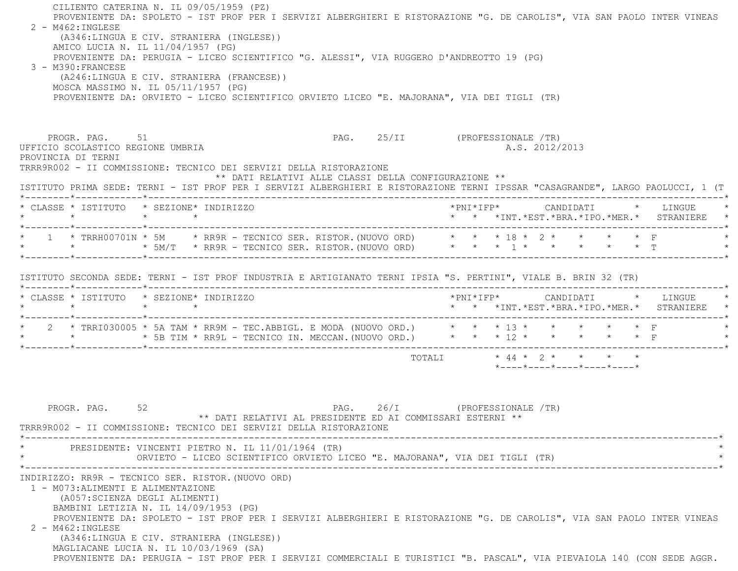| $2 - M462 : INGLESE$<br>3 - M390: FRANCESE              | CILIENTO CATERINA N. IL 09/05/1959 (PZ)<br>PROVENIENTE DA: SPOLETO - IST PROF PER I SERVIZI ALBERGHIERI E RISTORAZIONE "G. DE CAROLIS", VIA SAN PAOLO INTER VINEAS<br>(A346:LINGUA E CIV. STRANIERA (INGLESE))<br>AMICO LUCIA N. IL 11/04/1957 (PG)<br>PROVENIENTE DA: PERUGIA - LICEO SCIENTIFICO "G. ALESSI", VIA RUGGERO D'ANDREOTTO 19 (PG)<br>(A246:LINGUA E CIV. STRANIERA (FRANCESE))<br>MOSCA MASSIMO N. IL 05/11/1957 (PG)<br>PROVENIENTE DA: ORVIETO - LICEO SCIENTIFICO ORVIETO LICEO "E. MAJORANA", VIA DEI TIGLI (TR) |                                                                                          |
|---------------------------------------------------------|------------------------------------------------------------------------------------------------------------------------------------------------------------------------------------------------------------------------------------------------------------------------------------------------------------------------------------------------------------------------------------------------------------------------------------------------------------------------------------------------------------------------------------|------------------------------------------------------------------------------------------|
| UFFICIO SCOLASTICO REGIONE UMBRIA<br>PROVINCIA DI TERNI | PROGR. PAG. 51<br>PAG. 25/II (PROFESSIONALE /TR)<br>TRRR9R002 - II COMMISSIONE: TECNICO DEI SERVIZI DELLA RISTORAZIONE<br>** DATI RELATIVI ALLE CLASSI DELLA CONFIGURAZIONE **<br>ISTITUTO PRIMA SEDE: TERNI - IST PROF PER I SERVIZI ALBERGHIERI E RISTORAZIONE TERNI IPSSAR "CASAGRANDE", LARGO PAOLUCCI, 1 (T                                                                                                                                                                                                                   | A.S. 2012/2013                                                                           |
|                                                         | * CLASSE * ISTITUTO * SEZIONE* INDIRIZZO                                                                                                                                                                                                                                                                                                                                                                                                                                                                                           | * * *INT.*EST.*BRA.*IPO.*MER.* STRANIERE *                                               |
|                                                         | * 1 * TRRH00701N * 5M * RR9R - TECNICO SER. RISTOR.(NUOVO ORD) * * * 18 * 2 * * * * * * F<br>* * * * 5M/T * RR9R - TECNICO SER. RISTOR.(NUOVO ORD) * * * 1 * * * * * * * T                                                                                                                                                                                                                                                                                                                                                         |                                                                                          |
|                                                         | ISTITUTO SECONDA SEDE: TERNI - IST PROF INDUSTRIA E ARTIGIANATO TERNI IPSIA "S. PERTINI", VIALE B. BRIN 32 (TR)                                                                                                                                                                                                                                                                                                                                                                                                                    |                                                                                          |
|                                                         | * CLASSE * ISTITUTO * SEZIONE* INDIRIZZO                                                                                                                                                                                                                                                                                                                                                                                                                                                                                           | * * *INT.*EST.*BRA.*IPO.*MER.* STRANIERE *                                               |
|                                                         | * 2 * TRRI030005 * 5A TAM * RR9M - TEC.ABBIGL. E MODA (NUOVO ORD.) * * * 13 * * * * * * * F<br>* * * * 5B TIM * RR9L - TECNICO IN. MECCAN. (NUOVO ORD.) * * * 12 * * * * * * * F                                                                                                                                                                                                                                                                                                                                                   |                                                                                          |
| PROGR. PAG. 52                                          | ** DATI RELATIVI AL PRESIDENTE ED AI COMMISSARI ESTERNI **<br>TRRR9R002 - II COMMISSIONE: TECNICO DEI SERVIZI DELLA RISTORAZIONE                                                                                                                                                                                                                                                                                                                                                                                                   | TOTALI * 44 * 2 * * * * *<br>*----*----*----*----*----*<br>PAG. 26/I (PROFESSIONALE /TR) |
|                                                         | PRESIDENTE: VINCENTI PIETRO N. IL 11/01/1964 (TR)<br>ORVIETO - LICEO SCIENTIFICO ORVIETO LICEO "E. MAJORANA", VIA DEI TIGLI (TR)                                                                                                                                                                                                                                                                                                                                                                                                   |                                                                                          |
| 1 - M073: ALIMENTI E ALIMENTAZIONE<br>2 - M462: INGLESE | INDIRIZZO: RR9R - TECNICO SER. RISTOR. (NUOVO ORD)<br>(A057:SCIENZA DEGLI ALIMENTI)<br>BAMBINI LETIZIA N. IL $14/09/1953$ (PG)<br>PROVENIENTE DA: SPOLETO - IST PROF PER I SERVIZI ALBERGHIERI E RISTORAZIONE "G. DE CAROLIS", VIA SAN PAOLO INTER VINEAS<br>(A346:LINGUA E CIV. STRANIERA (INGLESE))<br>MAGLIACANE LUCIA N. IL 10/03/1969 (SA)<br>PROVENIENTE DA: PERUGIA - IST PROF PER I SERVIZI COMMERCIALI E TURISTICI "B. PASCAL", VIA PIEVAIOLA 140 (CON SEDE AGGR.                                                         |                                                                                          |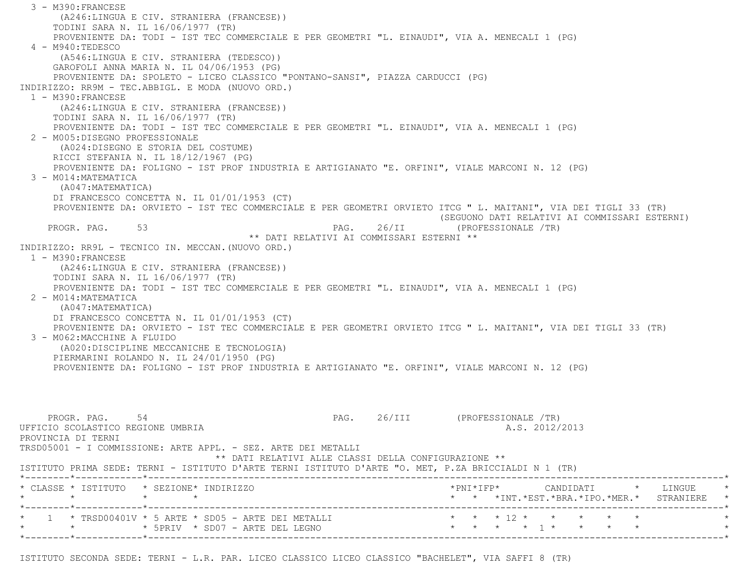3 - M390:FRANCESE (A246:LINGUA E CIV. STRANIERA (FRANCESE)) TODINI SARA N. IL 16/06/1977 (TR) PROVENIENTE DA: TODI - IST TEC COMMERCIALE E PER GEOMETRI "L. EINAUDI", VIA A. MENECALI 1 (PG) 4 - M940:TEDESCO (A546:LINGUA E CIV. STRANIERA (TEDESCO)) GAROFOLI ANNA MARIA N. IL 04/06/1953 (PG) PROVENIENTE DA: SPOLETO - LICEO CLASSICO "PONTANO-SANSI", PIAZZA CARDUCCI (PG) INDIRIZZO: RR9M - TEC.ABBIGL. E MODA (NUOVO ORD.) 1 - M390:FRANCESE (A246:LINGUA E CIV. STRANIERA (FRANCESE)) TODINI SARA N. IL 16/06/1977 (TR) PROVENIENTE DA: TODI - IST TEC COMMERCIALE E PER GEOMETRI "L. EINAUDI", VIA A. MENECALI 1 (PG) 2 - M005:DISEGNO PROFESSIONALE (A024:DISEGNO E STORIA DEL COSTUME) RICCI STEFANIA N. IL 18/12/1967 (PG) PROVENIENTE DA: FOLIGNO - IST PROF INDUSTRIA E ARTIGIANATO "E. ORFINI", VIALE MARCONI N. 12 (PG) 3 - M014:MATEMATICA (A047:MATEMATICA) DI FRANCESCO CONCETTA N. IL 01/01/1953 (CT) PROVENIENTE DA: ORVIETO - IST TEC COMMERCIALE E PER GEOMETRI ORVIETO ITCG " L. MAITANI", VIA DEI TIGLI 33 (TR) (SEGUONO DATI RELATIVI AI COMMISSARI ESTERNI)<br>PAG. 26/II (PROFESSIONALE /TR) PAG. 26/II (PROFESSIONALE /TR) \*\* DATI RELATIVI AI COMMISSARI ESTERNI \*\* INDIRIZZO: RR9L - TECNICO IN. MECCAN.(NUOVO ORD.) 1 - M390:FRANCESE (A246:LINGUA E CIV. STRANIERA (FRANCESE)) TODINI SARA N. IL 16/06/1977 (TR) PROVENIENTE DA: TODI - IST TEC COMMERCIALE E PER GEOMETRI "L. EINAUDI", VIA A. MENECALI 1 (PG) 2 - M014:MATEMATICA (A047:MATEMATICA) DI FRANCESCO CONCETTA N. IL 01/01/1953 (CT) PROVENIENTE DA: ORVIETO - IST TEC COMMERCIALE E PER GEOMETRI ORVIETO ITCG " L. MAITANI", VIA DEI TIGLI 33 (TR) 3 - M062:MACCHINE A FLUIDO (A020:DISCIPLINE MECCANICHE E TECNOLOGIA) PIERMARINI ROLANDO N. IL 24/01/1950 (PG) PROVENIENTE DA: FOLIGNO - IST PROF INDUSTRIA E ARTIGIANATO "E. ORFINI", VIALE MARCONI N. 12 (PG) PROGR. PAG. 54 54 PAG. 26/III (PROFESSIONALE /TR) UFFICIO SCOLASTICO REGIONE UMBRIA A.S. 2012/2013 PROVINCIA DI TERNI TRSD05001 - I COMMISSIONE: ARTE APPL. - SEZ. ARTE DEI METALLI \*\* DATI RELATIVI ALLE CLASSI DELLA CONFIGURAZIONE \*\* ISTITUTO PRIMA SEDE: TERNI - ISTITUTO D'ARTE TERNI ISTITUTO D'ARTE "O. MET, P.ZA BRICCIALDI N 1 (TR) \*--------\*------------\*-------------------------------------------------------------------------------------------------------\* \* CLASSE \* ISTITUTO \* SEZIONE\* INDIRIZZO \*PNI\*IFP\* CANDIDATI \* LINGUE \* \* \* \* \* \* \* \*INT.\*EST.\*BRA.\*IPO.\*MER.\* STRANIERE \* \*--------\*------------\*-------------------------------------------------------------------------------------------------------\* \* 1 \* TRSD00401V \* 5 ARTE \* SD05 - ARTE DEI METALLI \* \* \* 12 \* \* \* \* \* \*\* \* \* 5PRIV \* SD07 - ARTE DEL LEGNO \*--------\*------------\*-------------------------------------------------------------------------------------------------------\*

ISTITUTO SECONDA SEDE: TERNI - L.R. PAR. LICEO CLASSICO LICEO CLASSICO "BACHELET", VIA SAFFI 8 (TR)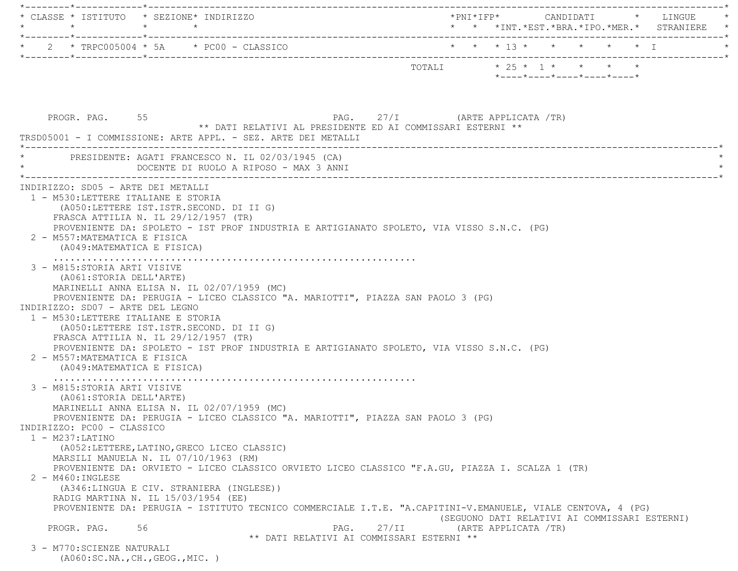|                     | $\star$                                                                                                                                                     | * CLASSE * ISTITUTO * SEZIONE* INDIRIZZO<br>$\star$ $\star$                                                                                                             |                                                                                                                                                                                                                 |       |                           |  |                      |                                                  |  | *PNI*IFP*      CANDIDATI    *   LINGUE<br>* * *INT.*EST.*BRA.*IPO.*MER.* STRANIERE * |
|---------------------|-------------------------------------------------------------------------------------------------------------------------------------------------------------|-------------------------------------------------------------------------------------------------------------------------------------------------------------------------|-----------------------------------------------------------------------------------------------------------------------------------------------------------------------------------------------------------------|-------|---------------------------|--|----------------------|--------------------------------------------------|--|--------------------------------------------------------------------------------------|
|                     |                                                                                                                                                             | $\star$ 2 $\star$ TRPC005004 $\star$ 5A $\star$ PC00 - CLASSICO                                                                                                         |                                                                                                                                                                                                                 |       | * * * 13 * * * * * * I    |  |                      |                                                  |  |                                                                                      |
|                     |                                                                                                                                                             |                                                                                                                                                                         |                                                                                                                                                                                                                 |       | TOTALI * 25 * 1 * * * * * |  |                      | $*$ ---- $*$ ---- $*$ ---- $*$ ---- $*$ ---- $*$ |  |                                                                                      |
|                     | PROGR. PAG. 55                                                                                                                                              |                                                                                                                                                                         | PAG. 27/I (ARTE APPLICATA /TR)<br>** DATI RELATIVI AL PRESIDENTE ED AI COMMISSARI ESTERNI **<br>TRSD05001 - I COMMISSIONE: ARTE APPL. - SEZ. ARTE DEI METALLI                                                   |       |                           |  |                      |                                                  |  |                                                                                      |
|                     |                                                                                                                                                             | PRESIDENTE: AGATI FRANCESCO N. IL 02/03/1945 (CA)                                                                                                                       | DOCENTE DI RUOLO A RIPOSO - MAX 3 ANNI                                                                                                                                                                          |       |                           |  |                      |                                                  |  |                                                                                      |
|                     | 2 - M557: MATEMATICA E FISICA<br>(A049: MATEMATICA E FISICA)                                                                                                | 1 - M530:LETTERE ITALIANE E STORIA<br>(A050:LETTERE IST.ISTR.SECOND. DI II G)<br>FRASCA ATTILIA N. IL 29/12/1957 (TR)                                                   | PROVENIENTE DA: SPOLETO - IST PROF INDUSTRIA E ARTIGIANATO SPOLETO, VIA VISSO S.N.C. (PG)                                                                                                                       |       |                           |  |                      |                                                  |  |                                                                                      |
|                     | 3 - M815: STORIA ARTI VISIVE<br>(A061:STORIA DELL'ARTE)<br>INDIRIZZO: SD07 - ARTE DEL LEGNO<br>2 - M557: MATEMATICA E FISICA<br>(A049: MATEMATICA E FISICA) | MARINELLI ANNA ELISA N. IL 02/07/1959 (MC)<br>1 - M530:LETTERE ITALIANE E STORIA<br>(A050:LETTERE IST.ISTR.SECOND. DI II G)<br>FRASCA ATTILIA N. IL 29/12/1957 (TR)     | PROVENIENTE DA: PERUGIA - LICEO CLASSICO "A. MARIOTTI", PIAZZA SAN PAOLO 3 (PG)<br>PROVENIENTE DA: SPOLETO - IST PROF INDUSTRIA E ARTIGIANATO SPOLETO, VIA VISSO S.N.C. (PG)                                    |       |                           |  |                      |                                                  |  |                                                                                      |
|                     | 3 - M815: STORIA ARTI VISIVE<br>(A061:STORIA DELL'ARTE)                                                                                                     | MARINELLI ANNA ELISA N. IL 02/07/1959 (MC)                                                                                                                              | PROVENIENTE DA: PERUGIA - LICEO CLASSICO "A. MARIOTTI", PIAZZA SAN PAOLO 3 (PG)                                                                                                                                 |       |                           |  |                      |                                                  |  |                                                                                      |
| $1 - M237$ : LATINO | INDIRIZZO: PC00 - CLASSICO<br>$2 - M460$ : INGLESE                                                                                                          | (A052:LETTERE, LATINO, GRECO LICEO CLASSIC)<br>MARSILI MANUELA N. IL 07/10/1963 (RM)<br>(A346:LINGUA E CIV. STRANIERA (INGLESE))<br>RADIG MARTINA N. IL 15/03/1954 (EE) | PROVENIENTE DA: ORVIETO - LICEO CLASSICO ORVIETO LICEO CLASSICO "F.A.GU, PIAZZA I. SCALZA 1 (TR)<br>PROVENIENTE DA: PERUGIA - ISTITUTO TECNICO COMMERCIALE I.T.E. "A.CAPITINI-V.EMANUELE, VIALE CENTOVA, 4 (PG) |       |                           |  |                      |                                                  |  |                                                                                      |
|                     | PROGR. PAG.<br>56                                                                                                                                           |                                                                                                                                                                         | PAG.<br>** DATI RELATIVI AI COMMISSARI ESTERNI **                                                                                                                                                               | 27/II |                           |  | (ARTE APPLICATA /TR) |                                                  |  | (SEGUONO DATI RELATIVI AI COMMISSARI ESTERNI)                                        |
|                     | 3 - M770: SCIENZE NATURALI                                                                                                                                  | ( A060:SC.NA., CH., GEOG., MIC. )                                                                                                                                       |                                                                                                                                                                                                                 |       |                           |  |                      |                                                  |  |                                                                                      |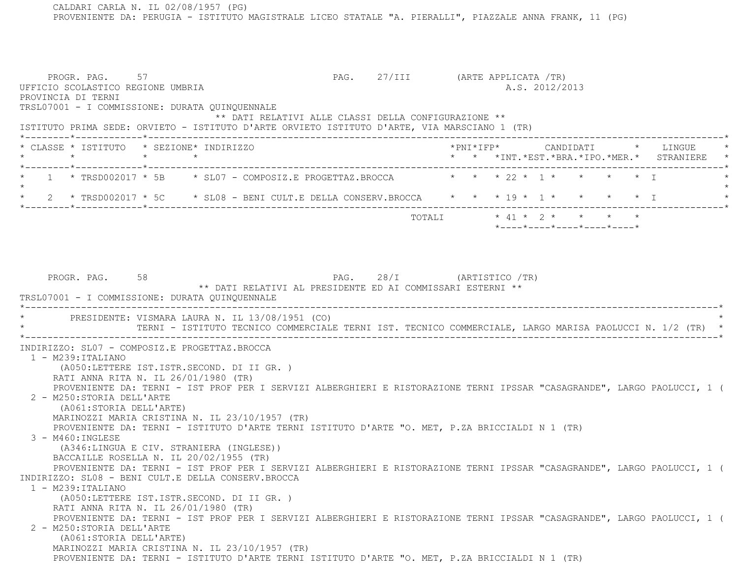CALDARI CARLA N. IL 02/08/1957 (PG) PROVENIENTE DA: PERUGIA - ISTITUTO MAGISTRALE LICEO STATALE "A. PIERALLI", PIAZZALE ANNA FRANK, 11 (PG)

PROGR. PAG. 57 57 PAG. 27/III (ARTE APPLICATA /TR) UFFICIO SCOLASTICO REGIONE UMBRIA A.S. 2012/2013 PROVINCIA DI TERNI TRSL07001 - I COMMISSIONE: DURATA QUINQUENNALE \*\* DATI RELATIVI ALLE CLASSI DELLA CONFIGURAZIONE \*\* ISTITUTO PRIMA SEDE: ORVIETO - ISTITUTO D'ARTE ORVIETO ISTITUTO D'ARTE, VIA MARSCIANO 1 (TR) \*--------\*------------\*-------------------------------------------------------------------------------------------------------\* \* CLASSE \* ISTITUTO \* SEZIONE\* INDIRIZZO \*PNI\*IFP\* CANDIDATI \* LINGUE \* \* \* \* \* \* \* \*INT.\*EST.\*BRA.\*IPO.\*MER.\* STRANIERE \* \*--------\*------------\*-------------------------------------------------------------------------------------------------------\*1 \* TRSD002017 \* 5B \* SL07 - COMPOSIZ.E PROGETTAZ.BROCCA \* \* \* 22 \* 1 \* \* \* \*  $\star$ 2 \* TRSD002017 \* 5C \* SL08 - BENI CULT.E DELLA CONSERV.BROCCA \* \* \* 19 \* 1 \* \* \* \* \* \* I \*--------\*------------\*-------------------------------------------------------------------------------------------------------\* TOTALI \* 41 \* 2 \* \* \* \* \*----\*----\*----\*----\*----\*PROGR. PAG. 58 58 PAG. 28/I (ARTISTICO /TR) \*\* DATI RELATIVI AL PRESIDENTE ED AI COMMISSARI ESTERNI \*\* TRSL07001 - I COMMISSIONE: DURATA QUINQUENNALE \*----------------------------------------------------------------------------------------------------------------------------\*PRESIDENTE: VISMARA LAURA N. IL 13/08/1951 (CO) \* TERNI - ISTITUTO TECNICO COMMERCIALE TERNI IST. TECNICO COMMERCIALE, LARGO MARISA PAOLUCCI N. 1/2 (TR) \* \*----------------------------------------------------------------------------------------------------------------------------\* INDIRIZZO: SL07 - COMPOSIZ.E PROGETTAZ.BROCCA 1 - M239:ITALIANO (A050:LETTERE IST.ISTR.SECOND. DI II GR. ) RATI ANNA RITA N. IL 26/01/1980 (TR) PROVENIENTE DA: TERNI - IST PROF PER I SERVIZI ALBERGHIERI E RISTORAZIONE TERNI IPSSAR "CASAGRANDE", LARGO PAOLUCCI, 1 ( 2 - M250:STORIA DELL'ARTE (A061:STORIA DELL'ARTE) MARINOZZI MARIA CRISTINA N. IL 23/10/1957 (TR) PROVENIENTE DA: TERNI - ISTITUTO D'ARTE TERNI ISTITUTO D'ARTE "O. MET, P.ZA BRICCIALDI N 1 (TR) 3 - M460:INGLESE (A346:LINGUA E CIV. STRANIERA (INGLESE)) BACCAILLE ROSELLA N. IL 20/02/1955 (TR) PROVENIENTE DA: TERNI - IST PROF PER I SERVIZI ALBERGHIERI E RISTORAZIONE TERNI IPSSAR "CASAGRANDE", LARGO PAOLUCCI, 1 ( INDIRIZZO: SL08 - BENI CULT.E DELLA CONSERV.BROCCA 1 - M239:ITALIANO (A050:LETTERE IST.ISTR.SECOND. DI II GR. ) RATI ANNA RITA N. IL 26/01/1980 (TR) PROVENIENTE DA: TERNI - IST PROF PER I SERVIZI ALBERGHIERI E RISTORAZIONE TERNI IPSSAR "CASAGRANDE", LARGO PAOLUCCI, 1 ( 2 - M250:STORIA DELL'ARTE (A061:STORIA DELL'ARTE) MARINOZZI MARIA CRISTINA N. IL 23/10/1957 (TR) PROVENIENTE DA: TERNI - ISTITUTO D'ARTE TERNI ISTITUTO D'ARTE "O. MET, P.ZA BRICCIALDI N 1 (TR)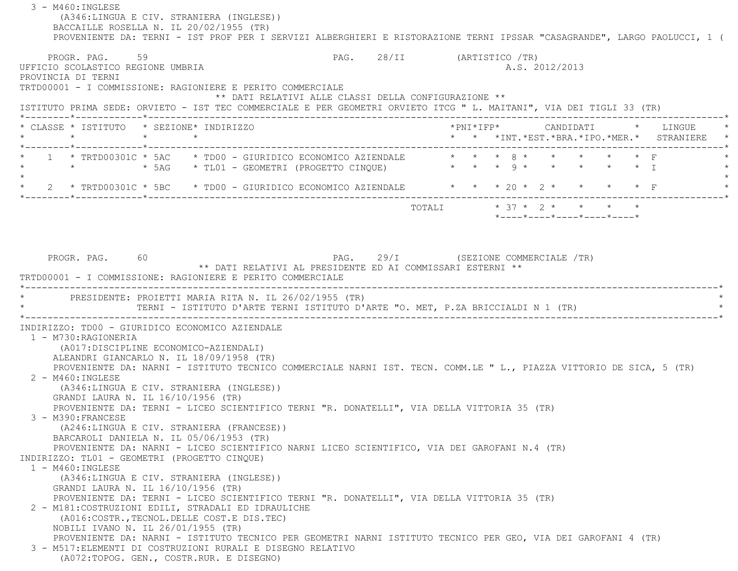3 - M460:INGLESE (A346:LINGUA E CIV. STRANIERA (INGLESE)) BACCAILLE ROSELLA N. IL 20/02/1955 (TR) PROVENIENTE DA: TERNI - IST PROF PER I SERVIZI ALBERGHIERI E RISTORAZIONE TERNI IPSSAR "CASAGRANDE", LARGO PAOLUCCI, 1 ( PROGR. PAG. 59 59 PAG. 28/II (ARTISTICO /TR) UFFICIO SCOLASTICO REGIONE UMBRIA AND ALS. 2012/2013 PROVINCIA DI TERNI TRTD00001 - I COMMISSIONE: RAGIONIERE E PERITO COMMERCIALE \*\* DATI RELATIVI ALLE CLASSI DELLA CONFIGURAZIONE \*\* ISTITUTO PRIMA SEDE: ORVIETO - IST TEC COMMERCIALE E PER GEOMETRI ORVIETO ITCG " L. MAITANI", VIA DEI TIGLI 33 (TR) \*--------\*------------\*-------------------------------------------------------------------------------------------------------\* \* CLASSE \* ISTITUTO \* SEZIONE\* INDIRIZZO \*PNI\*IFP\* CANDIDATI \* LINGUE \* \* \* \* \* \* \* \*INT.\*EST.\*BRA.\*IPO.\*MER.\* STRANIERE \* \*--------\*------------\*-------------------------------------------------------------------------------------------------------\*1 \* TRTD00301C \* 5AC \* TD00 - GIURIDICO ECONOMICO AZIENDALE \* \* \* 8 \* \* \* \* \* \* \* F \* \* \* 5AG \* TL01 - GEOMETRI (PROGETTO CINQUE) \* \* \* 9 \* \* \* \* \* I \*  $\star$ \* 2 \* TRTD00301C \* 5BC \* TD00 - GIURIDICO ECONOMICO AZIENDALE \* \* \* 20 \* 2 \* \* \* \* \* F \*--------\*------------\*-------------------------------------------------------------------------------------------------------\* TOTALI \* 37 \* 2 \* \* \* \* \*----\*----\*----\*----\*----\*PROGR. PAG. 60 60 PAG. 29/I (SEZIONE COMMERCIALE /TR) \*\* DATI RELATIVI AL PRESIDENTE ED AI COMMISSARI ESTERNI \*\* TRTD00001 - I COMMISSIONE: RAGIONIERE E PERITO COMMERCIALE \*----------------------------------------------------------------------------------------------------------------------------\*PRESIDENTE: PROIETTI MARIA RITA N. IL 26/02/1955 (TR) TERNI - ISTITUTO D'ARTE TERNI ISTITUTO D'ARTE "O. MET, P.ZA BRICCIALDI N 1 (TR) \*----------------------------------------------------------------------------------------------------------------------------\* INDIRIZZO: TD00 - GIURIDICO ECONOMICO AZIENDALE 1 - M730:RAGIONERIA (A017:DISCIPLINE ECONOMICO-AZIENDALI) ALEANDRI GIANCARLO N. IL 18/09/1958 (TR) PROVENIENTE DA: NARNI - ISTITUTO TECNICO COMMERCIALE NARNI IST. TECN. COMM.LE " L., PIAZZA VITTORIO DE SICA, 5 (TR) 2 - M460:INGLESE (A346:LINGUA E CIV. STRANIERA (INGLESE)) GRANDI LAURA N. IL 16/10/1956 (TR) PROVENIENTE DA: TERNI - LICEO SCIENTIFICO TERNI "R. DONATELLI", VIA DELLA VITTORIA 35 (TR) 3 - M390:FRANCESE (A246:LINGUA E CIV. STRANIERA (FRANCESE)) BARCAROLI DANIELA N. IL 05/06/1953 (TR) PROVENIENTE DA: NARNI - LICEO SCIENTIFICO NARNI LICEO SCIENTIFICO, VIA DEI GAROFANI N.4 (TR) INDIRIZZO: TL01 - GEOMETRI (PROGETTO CINQUE) 1 - M460:INGLESE (A346:LINGUA E CIV. STRANIERA (INGLESE)) GRANDI LAURA N. IL 16/10/1956 (TR) PROVENIENTE DA: TERNI - LICEO SCIENTIFICO TERNI "R. DONATELLI", VIA DELLA VITTORIA 35 (TR) 2 - M181:COSTRUZIONI EDILI, STRADALI ED IDRAULICHE (A016:COSTR.,TECNOL.DELLE COST.E DIS.TEC) NOBILI IVANO N. IL 26/01/1955 (TR) PROVENIENTE DA: NARNI - ISTITUTO TECNICO PER GEOMETRI NARNI ISTITUTO TECNICO PER GEO, VIA DEI GAROFANI 4 (TR) 3 - M517:ELEMENTI DI COSTRUZIONI RURALI E DISEGNO RELATIVO(A072:TOPOG. GEN., COSTR.RUR. E DISEGNO)